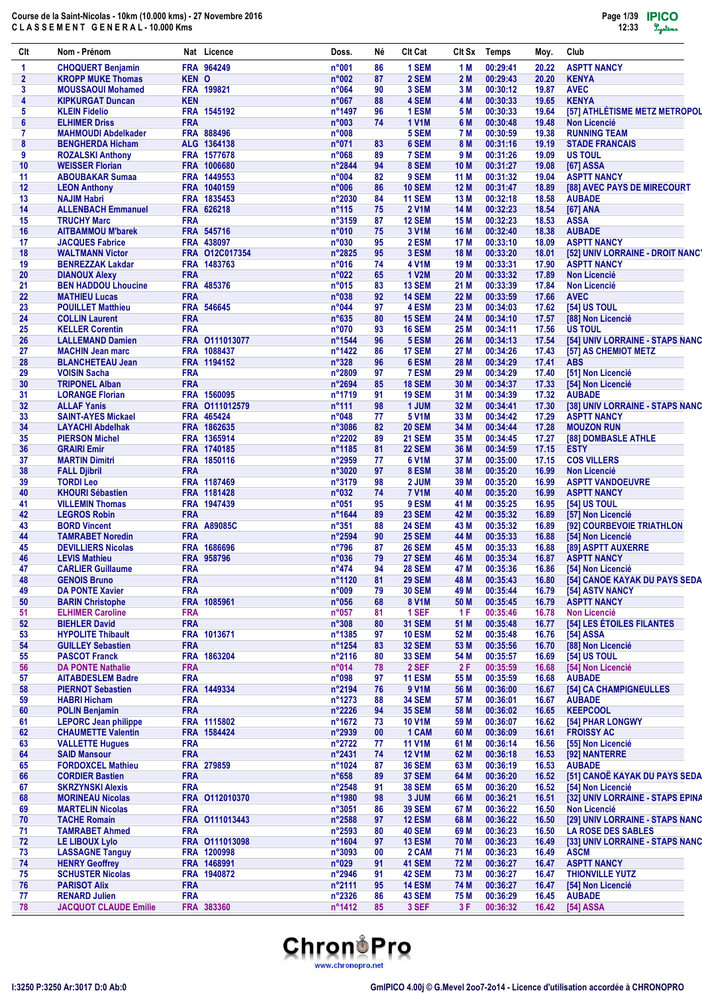| Clt            | Nom - Prénom                                       |            | Nat Licence               | Doss.                    | Νé       | CIt Cat                        | Clt Sx       | Temps                | Moy.           | Club                                                 |
|----------------|----------------------------------------------------|------------|---------------------------|--------------------------|----------|--------------------------------|--------------|----------------------|----------------|------------------------------------------------------|
| $\mathbf{1}$   | <b>CHOQUERT Benjamin</b>                           |            | FRA 964249                | n°001                    | 86       | 1 SEM                          | 1 M          | 00:29:41             | 20.22          | <b>ASPTT NANCY</b>                                   |
| $\overline{2}$ | <b>KROPP MUKE Thomas</b>                           | KEN O      |                           | n°002                    | 87       | 2 SEM                          | 2 M          | 00:29:43             | 20.20          | <b>KENYA</b>                                         |
| 3              | <b>MOUSSAOUI Mohamed</b>                           |            | FRA 199821                | n°064                    | 90       | 3 SEM                          | 3 M          | 00:30:12             | 19.87          | <b>AVEC</b>                                          |
| 4              | <b>KIPKURGAT Duncan</b>                            | <b>KEN</b> |                           | n°067                    | 88       | 4 SEM                          | 4 M          | 00:30:33             | 19.65          | <b>KENYA</b>                                         |
| 5              | <b>KLEIN Fidelio</b>                               |            | FRA 1545192               | n°1497                   | 96       | 1 ESM                          | 5 M          | 00:30:33             | 19.64          | [57] ATHLÉTISME METZ METROPOL<br><b>Non Licencié</b> |
| 6<br>7         | <b>ELHIMER Driss</b><br><b>MAHMOUDI Abdelkader</b> | <b>FRA</b> | FRA 888496                | n°003<br>n°008           | 74       | <b>1 V1M</b><br>5 SEM          | 6 M<br>7 M   | 00:30:48<br>00:30:59 | 19.48<br>19.38 | <b>RUNNING TEAM</b>                                  |
| 8              | <b>BENGHERDA Hicham</b>                            |            | ALG 1364138               | n°071                    | 83       | 6 SEM                          | 8 M          | 00:31:16             | 19.19          | <b>STADE FRANCAIS</b>                                |
| 9              | <b>ROZALSKI Anthony</b>                            |            | FRA 1577678               | n°068                    | 89       | 7 SEM                          | 9 M          | 00:31:26             | 19.09          | <b>US TOUL</b>                                       |
| 10             | <b>WEISSER Florian</b>                             |            | FRA 1006680               | $n^{\circ}2844$          | 94       | 8 SEM                          | 10 M         | 00:31:27             | 19.08          | [67] ASSA                                            |
| 11             | <b>ABOUBAKAR Sumaa</b>                             |            | FRA 1449553               | n°004                    | 82       | 9 SEM                          | 11 M         | 00:31:32             | 19.04          | <b>ASPTT NANCY</b>                                   |
| 12             | <b>LEON Anthony</b>                                |            | FRA 1040159               | n°006                    | 86       | <b>10 SEM</b>                  | 12 M         | 00:31:47             | 18.89          | [88] AVEC PAYS DE MIRECOURT                          |
| 13             | <b>NAJIM Habri</b>                                 |            | FRA 1835453               | $n^{\circ}2030$          | 84       | <b>11 SEM</b>                  | 13 M         | 00:32:18             | 18.58          | <b>AUBADE</b>                                        |
| 14             | <b>ALLENBACH Emmanuel</b>                          |            | FRA 626218                | $n^{\circ}115$           | 75       | <b>2 V1M</b>                   | 14 M         | 00:32:23             | 18.54          | [67] ANA                                             |
| 15             | <b>TRUCHY Marc</b>                                 | <b>FRA</b> |                           | n°3159                   | 87       | <b>12 SEM</b>                  | 15 M         | 00:32:23             | 18.53          | <b>ASSA</b>                                          |
| 16             | <b>AITBAMMOU M'barek</b>                           |            | FRA 545716                | n°010                    | 75       | 3 V1M                          | 16 M         | 00:32:40             | 18.38          | <b>AUBADE</b>                                        |
| 17             | <b>JACQUES Fabrice</b>                             |            | FRA 438097                | n°030                    | 95       | 2 ESM                          | 17 M         | 00:33:10             | 18.09          | <b>ASPTT NANCY</b>                                   |
| 18             | <b>WALTMANN Victor</b>                             |            | FRA 012C017354            | $n^{\circ}2825$          | 95       | 3 ESM                          | <b>18 M</b>  | 00:33:20             | 18.01          | [52] UNIV LORRAINE - DROIT NANCY                     |
| 19             | <b>BENREZZAK Lakdar</b>                            |            | FRA 1483763               | n°016                    | 74       | <b>4 V1M</b>                   | 19 M         | 00:33:31             | 17.90          | <b>ASPTT NANCY</b>                                   |
| 20             | <b>DIANOUX Alexy</b>                               | <b>FRA</b> |                           | n°022                    | 65       | <b>1 V2M</b>                   | 20 M         | 00:33:32             | 17.89          | <b>Non Licencié</b>                                  |
| 21             | <b>BEN HADDOU Lhoucine</b>                         |            | FRA 485376                | $n^{\circ}015$           | 83       | <b>13 SEM</b>                  | 21 M         | 00:33:39             | 17.84          | <b>Non Licencié</b>                                  |
| 22             | <b>MATHIEU Lucas</b>                               | <b>FRA</b> |                           | n°038                    | 92       | <b>14 SEM</b>                  | 22 M         | 00:33:59             | 17.66          | <b>AVEC</b>                                          |
| 23             | <b>POUILLET Matthieu</b>                           | <b>FRA</b> | FRA 546645                | n°044                    | 97       | 4 ESM                          | 23 M<br>24 M | 00:34:03             | 17.62          | [54] US TOUL<br>[88] Non Licencié                    |
| 24<br>25       | <b>COLLIN Laurent</b><br><b>KELLER Corentin</b>    | <b>FRA</b> |                           | $n^{\circ}635$<br>n°070  | 80<br>93 | <b>15 SEM</b><br><b>16 SEM</b> | 25 M         | 00:34:10<br>00:34:11 | 17.57<br>17.56 | <b>US TOUL</b>                                       |
| 26             | <b>LALLEMAND Damien</b>                            |            | FRA 0111013077            | n°1544                   | 96       | 5 ESM                          | 26 M         | 00:34:13             | 17.54          | [54] UNIV LORRAINE - STAPS NANC                      |
| 27             | <b>MACHIN Jean marc</b>                            |            | FRA 1088437               | n°1422                   | 86       | <b>17 SEM</b>                  | 27 M         | 00:34:26             | 17.43          | [57] AS CHEMIOT METZ                                 |
| 28             | <b>BLANCHETEAU Jean</b>                            |            | FRA 1194152               | $n^{\circ}328$           | 96       | 6 ESM                          | 28 M         | 00:34:29             | 17.41          | <b>ABS</b>                                           |
| 29             | <b>VOISIN Sacha</b>                                | <b>FRA</b> |                           | $n^{\circ}2809$          | 97       | 7 ESM                          | 29 M         | 00:34:29             | 17.40          | [51] Non Licencié                                    |
| 30             | <b>TRIPONEL Alban</b>                              | <b>FRA</b> |                           | n°2694                   | 85       | <b>18 SEM</b>                  | 30 M         | 00:34:37             | 17.33          | [54] Non Licencié                                    |
| 31             | <b>LORANGE Florian</b>                             |            | FRA 1560095               | n°1719                   | 91       | <b>19 SEM</b>                  | 31 M         | 00:34:39             | 17.32          | <b>AUBADE</b>                                        |
| 32             | <b>ALLAF Yanis</b>                                 |            | FRA 0111012579            | $n^{\circ}111$           | 98       | 1 JUM                          | 32 M         | 00:34:41             | 17.30          | [38] UNIV LORRAINE - STAPS NANC                      |
| 33             | <b>SAINT-AYES Mickael</b>                          |            | FRA 465424                | n°048                    | 77       | <b>5 V1M</b>                   | 33 M         | 00:34:42             | 17.29          | <b>ASPTT NANCY</b>                                   |
| 34             | <b>LAYACHI Abdelhak</b>                            |            | FRA 1862635               | $n^{\circ}3086$          | 82       | <b>20 SEM</b>                  | 34 M         | 00:34:44             | 17.28          | <b>MOUZON RUN</b>                                    |
| 35             | <b>PIERSON Michel</b>                              |            | FRA 1365914               | $n^{\circ}2202$          | 89       | <b>21 SEM</b>                  | 35 M         | 00:34:45             | 17.27          | [88] DOMBASLE ATHLE                                  |
| 36             | <b>GRAIRI Emir</b>                                 |            | FRA 1740185               | n°1185                   | 81       | <b>22 SEM</b>                  | 36 M         | 00:34:59             | 17.15          | <b>ESTY</b>                                          |
| 37             | <b>MARTIN Dimitri</b>                              |            | FRA 1850116               | n°2959                   | 77       | 6 V1M                          | 37 M         | 00:35:00             | 17.15          | <b>COS VILLERS</b>                                   |
| 38             | <b>FALL Djibril</b>                                | <b>FRA</b> |                           | n°3020                   | 97       | 8 ESM                          | 38 M         | 00:35:20             | 16.99          | <b>Non Licencié</b>                                  |
| 39             | <b>TORDI Leo</b>                                   |            | FRA 1187469               | n°3179                   | 98       | 2 JUM                          | 39 M         | 00:35:20             | 16.99          | <b>ASPTT VANDOEUVRE</b>                              |
| 40             | <b>KHOURI Sébastien</b>                            |            | FRA 1181428               | n°032                    | 74       | <b>7 V1M</b>                   | 40 M         | 00:35:20             | 16.99          | <b>ASPTT NANCY</b>                                   |
| 41             | <b>VILLEMIN Thomas</b>                             |            | FRA 1947439               | $n^{\circ}051$           | 95       | 9 ESM                          | 41 M         | 00:35:25             | 16.95          | <b>[54] US TOUL</b>                                  |
| 42             | <b>LEGROS Robin</b>                                | <b>FRA</b> |                           | $n^{\circ}1644$          | 89       | <b>23 SEM</b>                  | 42 M         | 00:35:32             | 16.89          | [57] Non Licencié                                    |
| 43             | <b>BORD Vincent</b>                                |            | <b>FRA A89085C</b>        | $n^{\circ}351$           | 88       | <b>24 SEM</b>                  | 43 M         | 00:35:32             | 16.89          | [92] COURBEVOIE TRIATHLON                            |
| 44             | <b>TAMRABET Noredin</b>                            | <b>FRA</b> |                           | n°2594                   | 90       | <b>25 SEM</b>                  | 44 M         | 00:35:33             | 16.88          | [54] Non Licencié                                    |
| 45             | <b>DEVILLIERS Nicolas</b>                          |            | FRA 1686696<br>FRA 958796 | $n^{\circ}796$<br>n°036  | 87<br>79 | <b>26 SEM</b><br><b>27 SEM</b> | 45 M         | 00:35:33<br>00:35:34 | 16.88          | [89] ASPTT AUXERRE                                   |
| 46<br>47       | <b>LEVIS Mathieu</b>                               | <b>FRA</b> |                           | $n^{\circ}474$           | 94       | <b>28 SEM</b>                  | 46 M<br>47 M | 00:35:36             | 16.87<br>16.86 | <b>ASPTT NANCY</b>                                   |
| 48             | <b>CARLIER Guillaume</b><br><b>GENOIS Bruno</b>    | <b>FRA</b> |                           | n°1120                   | 81       | <b>29 SEM</b>                  | 48 M         | 00:35:43             | 16.80          | [54] Non Licencié<br>[54] CANOE KAYAK DU PAYS SEDA   |
| 49             | <b>DA PONTE Xavier</b>                             | <b>FRA</b> |                           | n°009                    | 79       | <b>30 SEM</b>                  | 49 M         | 00:35:44             | 16.79          | [54] ASTV NANCY                                      |
| 50             | <b>BARIN Christophe</b>                            |            | FRA 1085961               | n°056                    | 68       | <b>8 V1M</b>                   | 50 M         | 00:35:45             | 16.79          | <b>ASPTT NANCY</b>                                   |
| 51             | <b>ELHIMER Caroline</b>                            | <b>FRA</b> |                           | n°057                    | 81       | 1 SEF                          | 1 F          | 00:35:46             | 16.78          | <b>Non Licencié</b>                                  |
| 52             | <b>BIEHLER David</b>                               | <b>FRA</b> |                           | $n^{\circ}308$           | 80       | <b>31 SEM</b>                  | 51 M         | 00:35:48             | 16.77          | [54] LES ÉTOILES FILANTES                            |
| 53             | <b>HYPOLITE Thibault</b>                           |            | FRA 1013671               | n°1385                   | 97       | <b>10 ESM</b>                  | 52 M         | 00:35:48             | 16.76          | [54] ASSA                                            |
| 54             | <b>GUILLEY Sebastien</b>                           | <b>FRA</b> |                           | $n^{\circ}$ 1254         | 83       | <b>32 SEM</b>                  | 53 M         | 00:35:56             | 16.70          | [88] Non Licencié                                    |
| 55             | <b>PASCOT Franck</b>                               |            | FRA 1863204               | n°2116                   | 80       | <b>33 SEM</b>                  | 54 M         | 00:35:57             | 16.69          | <b>[54] US TOUL</b>                                  |
| 56             | <b>DA PONTE Nathalie</b>                           | <b>FRA</b> |                           | n°014                    | 78       | 2 SEF                          | 2F           | 00:35:59             | 16.68          | [54] Non Licencié                                    |
| 57             | <b>AITABDESLEM Badre</b>                           | <b>FRA</b> |                           | n°098                    | 97       | <b>11 ESM</b>                  | 55 M         | 00:35:59             | 16.68          | <b>AUBADE</b>                                        |
| 58             | <b>PIERNOT Sebastien</b>                           |            | FRA 1449334               | n°2194                   | 76       | 9 V1M                          | 56 M         | 00:36:00             | 16.67          | [54] CA CHAMPIGNEULLES                               |
| 59             | <b>HABRI Hicham</b>                                | <b>FRA</b> |                           | n°1273                   | 88       | <b>34 SEM</b>                  | 57 M         | 00:36:01             | 16.67          | <b>AUBADE</b>                                        |
| 60             | <b>POLIN Benjamin</b>                              | <b>FRA</b> |                           | n°2226                   | 94       | <b>35 SEM</b>                  | 58 M         | 00:36:02             | 16.65          | <b>KEEPCOOL</b>                                      |
| 61             | <b>LEPORC Jean philippe</b>                        |            | FRA 1115802               | n°1672                   | 73       | <b>10 V1M</b>                  | 59 M         | 00:36:07             | 16.62          | [54] PHAR LONGWY                                     |
| 62             | <b>CHAUMETTE Valentin</b>                          |            | FRA 1584424               | n°2939                   | 00       | 1 CAM                          | 60 M         | 00:36:09             | 16.61          | <b>FROISSY AC</b>                                    |
| 63             | <b>VALLETTE Hugues</b>                             | <b>FRA</b> |                           | n°2722                   | 77       | <b>11 V1M</b>                  | 61 M         | 00:36:14             | 16.56          | [55] Non Licencié                                    |
| 64             | <b>SAID Mansour</b>                                | <b>FRA</b> |                           | n°2431                   | 74       | <b>12 V1M</b>                  | 62 M         | 00:36:18             | 16.53          | [92] NANTERRE                                        |
| 65             | <b>FORDOXCEL Mathieu</b>                           | <b>FRA</b> | FRA 279859                | n°1024<br>$n^{\circ}658$ | 87       | <b>36 SEM</b><br><b>37 SEM</b> | 63 M         | 00:36:19             | 16.53<br>16.52 | <b>AUBADE</b><br>[51] CANOË KAYAK DU PAYS SEDA       |
| 66<br>67       | <b>CORDIER Bastien</b><br><b>SKRZYNSKI Alexis</b>  | <b>FRA</b> |                           | n°2548                   | 89<br>91 | <b>38 SEM</b>                  | 64 M<br>65 M | 00:36:20<br>00:36:20 | 16.52          | [54] Non Licencié                                    |
| 68             | <b>MORINEAU Nicolas</b>                            |            | FRA 0112010370            | n°1980                   | 98       | 3 JUM                          | 66 M         | 00:36:21             | 16.51          | [32] UNIV LORRAINE - STAPS EPINA                     |
| 69             | <b>MARTELIN Nicolas</b>                            | <b>FRA</b> |                           | n°3051                   | 86       | <b>39 SEM</b>                  | 67 M         | 00:36:22             | 16.50          | <b>Non Licencié</b>                                  |
| 70             | <b>TACHE Romain</b>                                |            | FRA 0111013443            | n°2588                   | 97       | <b>12 ESM</b>                  | 68 M         | 00:36:22             | 16.50          | [29] UNIV LORRAINE - STAPS NANC                      |
| 71             | <b>TAMRABET Ahmed</b>                              | <b>FRA</b> |                           | n°2593                   | 80       | <b>40 SEM</b>                  | 69 M         | 00:36:23             | 16.50          | <b>LA ROSE DES SABLES</b>                            |
| 72             | LE LIBOUX Lylo                                     |            | FRA 0111013098            | n°1604                   | 97       | <b>13 ESM</b>                  | 70 M         | 00:36:23             | 16.49          | [33] UNIV LORRAINE - STAPS NANC                      |
| 73             | <b>LASSAGNE Tanguy</b>                             |            | FRA 1200998               | n°3093                   | 00       | 2 CAM                          | 71 M         | 00:36:23             | 16.49          | <b>ASCM</b>                                          |
| 74             | <b>HENRY Geoffrey</b>                              |            | FRA 1468991               | n°029                    | 91       | <b>41 SEM</b>                  | 72 M         | 00:36:27             | 16.47          | <b>ASPTT NANCY</b>                                   |
| 75             | <b>SCHUSTER Nicolas</b>                            |            | FRA 1940872               | n°2946                   | 91       | <b>42 SEM</b>                  | 73 M         | 00:36:27             | 16.47          | <b>THIONVILLE YUTZ</b>                               |
| 76             | <b>PARISOT Alix</b>                                | <b>FRA</b> |                           | n°2111                   | 95       | <b>14 ESM</b>                  | 74 M         | 00:36:27             | 16.47          | [54] Non Licencié                                    |
| 77             | <b>RENARD Julien</b>                               | <b>FRA</b> |                           | n°2326                   | 86       | <b>43 SEM</b>                  | 75 M         | 00:36:29             | 16.45          | <b>AUBADE</b>                                        |
| 78             | <b>JACQUOT CLAUDE Emilie</b>                       |            | FRA 383360                | n°1412                   | 85       | 3 SEF                          | 3 F          | 00:36:32             | 16.42          | [54] ASSA                                            |

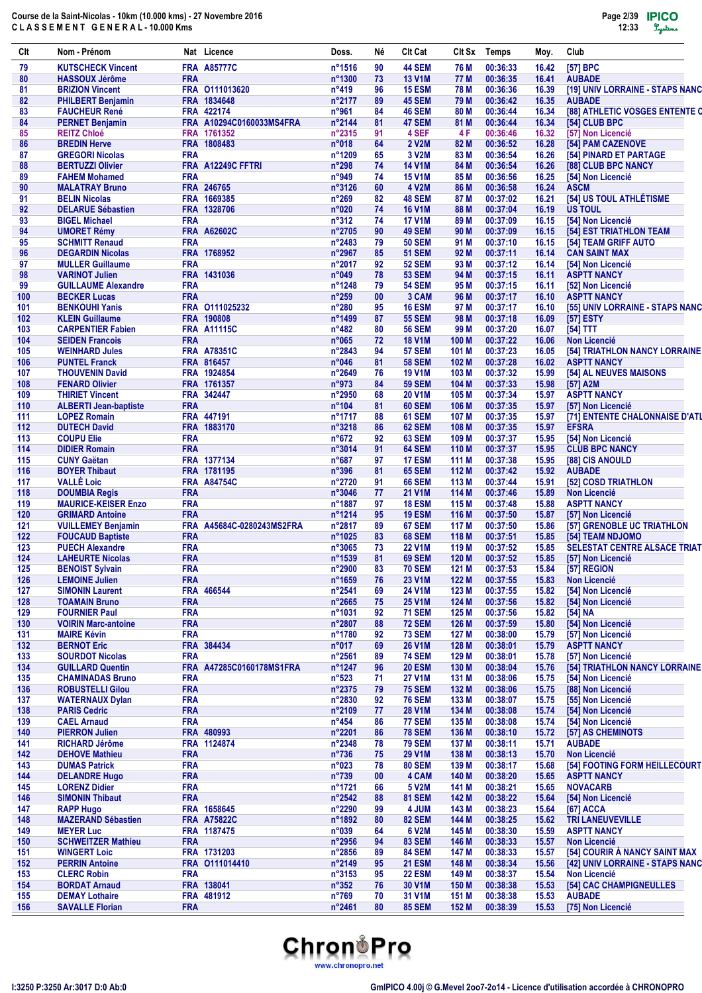| CIt        | Nom - Prénom                                      |            | Nat Licence                             | Doss.                    | Né       | <b>CIt Cat</b>                 | CIt Sx         | <b>Temps</b>         | Moy.           | Club                                                |
|------------|---------------------------------------------------|------------|-----------------------------------------|--------------------------|----------|--------------------------------|----------------|----------------------|----------------|-----------------------------------------------------|
| 79         | <b>KUTSCHECK Vincent</b>                          |            | <b>FRA A85777C</b>                      | n°1516                   | 90       | <b>44 SEM</b>                  | 76 M           | 00:36:33             | 16.42          | [57] BPC                                            |
| 80         | <b>HASSOUX Jérôme</b>                             | <b>FRA</b> |                                         | n°1300                   | 73       | <b>13 V1M</b>                  | 77 M           | 00:36:35             | 16.41          | <b>AUBADE</b>                                       |
| 81         | <b>BRIZION Vincent</b>                            |            | FRA 0111013620                          | $n^{\circ}419$           | 96       | <b>15 ESM</b>                  | 78 M           | 00:36:36             | 16.39          | [19] UNIV LORRAINE - STAPS NANC                     |
| 82         | <b>PHILBERT Benjamin</b>                          |            | FRA 1834648                             | $n^{\circ}2177$          | 89       | <b>45 SEM</b>                  | 79 M           | 00:36:42             | 16.35          | <b>AUBADE</b>                                       |
| 83         | <b>FAUCHEUR René</b>                              |            | FRA 422174                              | n°961                    | 84       | <b>46 SEM</b>                  | 80 M           | 00:36:44             | 16.34          | [88] ATHLETIC VOSGES ENTENTE C                      |
| 84<br>85   | <b>PERNET Benjamin</b><br><b>REITZ Chloé</b>      |            | FRA A10294C0160033MS4FRA<br>FRA 1761352 | n°2144<br>n°2315         | 81<br>91 | 47 SEM<br>4 SEF                | 81 M<br>4 F    | 00:36:44<br>00:36:46 | 16.34<br>16.32 | [54] CLUB BPC<br>[57] Non Licencié                  |
| 86         | <b>BREDIN Herve</b>                               |            | FRA 1808483                             | $n^{\circ}018$           | 64       | 2 V2M                          | 82 M           | 00:36:52             | 16.28          | [54] PAM CAZENOVE                                   |
| 87         | <b>GREGORI Nicolas</b>                            | <b>FRA</b> |                                         | n°1209                   | 65       | 3 V2M                          | 83 M           | 00:36:54             | 16.26          | [54] PINARD ET PARTAGE                              |
| 88         | <b>BERTUZZI Olivier</b>                           |            | FRA A12249C FFTRI                       | $n^{\circ}298$           | 74       | <b>14 V1M</b>                  | 84 M           | 00:36:54             | 16.26          | [88] CLUB BPC NANCY                                 |
| 89         | <b>FAHEM Mohamed</b>                              | <b>FRA</b> |                                         | n°949                    | 74       | <b>15 V1M</b>                  | 85 M           | 00:36:56             | 16.25          | [54] Non Licencié                                   |
| 90         | <b>MALATRAY Bruno</b>                             |            | FRA 246765                              | n°3126                   | 60       | 4 V2M                          | 86 M           | 00:36:58             | 16.24          | <b>ASCM</b>                                         |
| 91         | <b>BELIN Nicolas</b>                              |            | FRA 1669385                             | $n^{\circ}269$           | 82       | <b>48 SEM</b>                  | 87 M           | 00:37:02             | 16.21          | [54] US TOUL ATHLÉTISME                             |
| 92         | <b>DELARUE Sébastien</b>                          |            | FRA 1328706                             | n°020                    | 74       | <b>16 V1M</b>                  | 88 M           | 00:37:04             | 16.19          | <b>US TOUL</b>                                      |
| 93         | <b>BIGEL Michael</b>                              | <b>FRA</b> |                                         | $n^{\circ}312$           | 74       | <b>17 V1M</b>                  | 89 M           | 00:37:09             | 16.15          | [54] Non Licencié                                   |
| 94         | <b>UMORET Rémy</b>                                |            | <b>FRA A62602C</b>                      | n°2705                   | 90       | <b>49 SEM</b>                  | 90 M           | 00:37:09             | 16.15          | [54] EST TRIATHLON TEAM                             |
| 95         | <b>SCHMITT Renaud</b>                             | <b>FRA</b> |                                         | n°2483                   | 79       | <b>50 SEM</b>                  | 91 M           | 00:37:10             | 16.15          | [54] TEAM GRIFF AUTO                                |
| 96         | <b>DEGARDIN Nicolas</b>                           |            | FRA 1768952                             | n°2967                   | 85       | <b>51 SEM</b>                  | 92 M           | 00:37:11             | 16.14          | <b>CAN SAINT MAX</b>                                |
| 97         | <b>MULLER Guillaume</b>                           | <b>FRA</b> |                                         | n°2017                   | 92       | <b>52 SEM</b>                  | 93 M           | 00:37:12             | 16.14          | [54] Non Licencié                                   |
| 98         | <b>VARINOT Julien</b>                             |            | FRA 1431036                             | n°049                    | 78       | <b>53 SEM</b>                  | 94 M           | 00:37:15             | 16.11          | <b>ASPTT NANCY</b>                                  |
| 99         | <b>GUILLAUME Alexandre</b>                        | <b>FRA</b> |                                         | n°1248                   | 79       | <b>54 SEM</b>                  | 95 M           | 00:37:15             | 16.11          | [52] Non Licencié                                   |
| 100        | <b>BECKER Lucas</b>                               | <b>FRA</b> |                                         | $n^{\circ}259$           | 00       | 3 CAM                          | 96 M           | 00:37:17             | 16.10          | <b>ASPTT NANCY</b>                                  |
| 101        | <b>BENKOUHI Yanis</b>                             |            | FRA 0111025232                          | $n^{\circ}280$           | 95       | <b>16 ESM</b>                  | 97 M           | 00:37:17             | 16.10          | [55] UNIV LORRAINE - STAPS NANC                     |
| 102        | <b>KLEIN Guillaume</b>                            |            | FRA 190808                              | n°1499                   | 87       | <b>55 SEM</b>                  | 98 M           | 00:37:18             | 16.09          | [57] ESTY                                           |
| 103        | <b>CARPENTIER Fabien</b>                          |            | <b>FRA A11115C</b>                      | $n^{\circ}482$           | 80       | <b>56 SEM</b>                  | 99 M           | 00:37:20             | 16.07          | [54] TTT                                            |
| 104        | <b>SEIDEN Francois</b>                            | <b>FRA</b> |                                         | $n^{\circ}065$           | 72<br>94 | <b>18 V1M</b>                  | 100 M          | 00:37:22             | 16.06          | <b>Non Licencié</b>                                 |
| 105<br>106 | <b>WEINHARD Jules</b><br><b>PUNTEL Franck</b>     |            | <b>FRA A78351C</b><br>FRA 816457        | n°2843<br>$n^{\circ}046$ | 81       | <b>57 SEM</b><br><b>58 SEM</b> | 101 M<br>102 M | 00:37:23<br>00:37:28 | 16.05<br>16.02 | [54] TRIATHLON NANCY LORRAINE<br><b>ASPTT NANCY</b> |
| 107        | <b>THOUVENIN David</b>                            |            | FRA 1924854                             | n°2649                   | 76       | <b>19 V1M</b>                  | 103 M          | 00:37:32             | 15.99          | [54] AL NEUVES MAISONS                              |
| 108        | <b>FENARD Olivier</b>                             |            | FRA 1761357                             | n°973                    | 84       | <b>59 SEM</b>                  | 104 M          | 00:37:33             | 15.98          | [57] A2M                                            |
| 109        | <b>THIRIET Vincent</b>                            |            | FRA 342447                              | n°2950                   | 68       | <b>20 V1M</b>                  | 105 M          | 00:37:34             | 15.97          | <b>ASPTT NANCY</b>                                  |
| 110        | <b>ALBERTI Jean-baptiste</b>                      | <b>FRA</b> |                                         | $n^{\circ}104$           | 81       | <b>60 SEM</b>                  | 106 M          | 00:37:35             | 15.97          | [57] Non Licencié                                   |
| 111        | <b>LOPEZ Romain</b>                               |            | FRA 447191                              | n°1717                   | 88       | <b>61 SEM</b>                  | 107 M          | 00:37:35             | 15.97          | [71] ENTENTE CHALONNAISE D'ATL                      |
| 112        | <b>DUTECH David</b>                               |            | FRA 1883170                             | n°3218                   | 86       | <b>62 SEM</b>                  | 108 M          | 00:37:35             | 15.97          | <b>EFSRA</b>                                        |
| 113        | <b>COUPU Elie</b>                                 | <b>FRA</b> |                                         | $n^{\circ}672$           | 92       | <b>63 SEM</b>                  | 109 M          | 00:37:37             | 15.95          | [54] Non Licencié                                   |
| 114        | <b>DIDIER Romain</b>                              | <b>FRA</b> |                                         | n°3014                   | 91       | <b>64 SEM</b>                  | 110 M          | 00:37:37             | 15.95          | <b>CLUB BPC NANCY</b>                               |
| 115        | <b>CUNY Gaëtan</b>                                |            | FRA 1377134                             | $n^{\circ}687$           | 97       | <b>17 ESM</b>                  | 111 M          | 00:37:38             | 15.95          | [88] CIS ANOULD                                     |
| 116        | <b>BOYER Thibaut</b>                              |            | FRA 1781195                             | $n^{\circ}396$           | 81       | <b>65 SEM</b>                  | 112 M          | 00:37:42             | 15.92          | <b>AUBADE</b>                                       |
| 117        | <b>VALLE Loic</b>                                 |            | <b>FRA A84754C</b>                      | n°2720                   | 91       | <b>66 SEM</b>                  | 113 M          | 00:37:44             | 15.91          | [52] COSD TRIATHLON                                 |
| 118        | <b>DOUMBIA Regis</b>                              | <b>FRA</b> |                                         | $n^{\circ}3046$          | 77       | <b>21 V1M</b>                  | 114 M          | 00:37:46             | 15.89          | <b>Non Licencié</b>                                 |
| 119        | <b>MAURICE-KEISER Enzo</b>                        | <b>FRA</b> |                                         | n°1887                   | 97       | <b>18 ESM</b>                  | 115 M          | 00:37:48             | 15.88          | <b>ASPTT NANCY</b>                                  |
| 120        | <b>GRIMARD Antoine</b>                            | <b>FRA</b> |                                         | n°1214                   | 95       | <b>19 ESM</b>                  | 116 M          | 00:37:50             | 15.87          | [57] Non Licencié                                   |
| 121        | <b>VUILLEMEY Benjamin</b>                         |            | FRA A45684C-0280243MS2FRA               | n°2817                   | 89       | <b>67 SEM</b>                  | 117 M          | 00:37:50             | 15.86          | [57] GRENOBLE UC TRIATHLON                          |
| 122        | <b>FOUCAUD Baptiste</b>                           | <b>FRA</b> |                                         | $n^{\circ}1025$          | 83       | <b>68 SEM</b>                  | 118 M          | 00:37:51             | 15.85          | [54] TEAM NDJOMO                                    |
| 123        | <b>PUECH Alexandre</b>                            | <b>FRA</b> |                                         | n°3065                   | 73       | <b>22 V1M</b>                  | 119 M          | 00:37:52             | 15.85          | <b>SELESTAT CENTRE ALSACE TRIAT</b>                 |
| 124        | <b>LAHEURTE Nicolas</b>                           | <b>FRA</b> |                                         | n°1539                   | 81       | <b>69 SEM</b>                  | 120 M          | 00:37:52             | 15.85          | [57] Non Licencié                                   |
| 125        | <b>BENOIST Sylvain</b>                            | <b>FRA</b> |                                         | n°2900                   | 83       | <b>70 SEM</b>                  | 121 M          | 00:37:53             | 15.84          | [57] REGION                                         |
| 126        | <b>LEMOINE Julien</b>                             | <b>FRA</b> |                                         | n°1659                   | 76       | 23 V1M                         | 122 M          | 00:37:55             | 15.83          | Non Licencié                                        |
| 127        | <b>SIMONIN Laurent</b>                            |            | FRA 466544                              | n°2541                   | 69       | <b>24 V1M</b>                  | 123 M          | 00:37:55             | 15.82          | [54] Non Licencié                                   |
| 128        | <b>TOAMAIN Bruno</b>                              | <b>FRA</b> |                                         | n°2665                   | 75       | <b>25 V1M</b>                  | 124 M          | 00:37:56             | 15.82          | [54] Non Licencié                                   |
| 129        | <b>FOURNIER Paul</b>                              | <b>FRA</b> |                                         | n°1031                   | 92       | <b>71 SEM</b>                  | 125 M          | 00:37:56             | 15.82          | [54] NA                                             |
| 130        | <b>VOIRIN Marc-antoine</b>                        | <b>FRA</b> |                                         | n°2807                   | 88       | <b>72 SEM</b>                  | 126 M          | 00:37:59             | 15.80          | [54] Non Licencié                                   |
| 131        | <b>MAIRE Kévin</b>                                | <b>FRA</b> |                                         | n°1780                   | 92       | <b>73 SEM</b>                  | 127 M          | 00:38:00             | 15.79          | [57] Non Licencié                                   |
| 132        | <b>BERNOT Eric</b>                                | <b>FRA</b> | FRA 384434                              | $n^{\circ}017$           | 69       | <b>26 V1M</b>                  | 128 M          | 00:38:01             | 15.79          | <b>ASPTT NANCY</b>                                  |
| 133<br>134 | <b>SOURDOT Nicolas</b><br><b>GUILLARD Quentin</b> |            | FRA A47285C0160178MS1FRA                | n°2561<br>n°1247         | 89<br>96 | <b>74 SEM</b><br><b>20 ESM</b> | 129 M          | 00:38:01<br>00:38:04 | 15.78          | [57] Non Licencié<br>[54] TRIATHLON NANCY LORRAINE  |
| 135        | <b>CHAMINADAS Bruno</b>                           | <b>FRA</b> |                                         | $n^{\circ}523$           | 71       | <b>27 V1M</b>                  | 130 M<br>131 M | 00:38:06             | 15.76<br>15.75 | [54] Non Licencié                                   |
| 136        | <b>ROBUSTELLI Gilou</b>                           | <b>FRA</b> |                                         | n°2375                   | 79       | <b>75 SEM</b>                  | 132 M          | 00:38:06             | 15.75          | [88] Non Licencié                                   |
| 137        | <b>WATERNAUX Dylan</b>                            | <b>FRA</b> |                                         | n°2830                   | 92       | <b>76 SEM</b>                  | 133 M          | 00:38:07             | 15.75          | [55] Non Licencié                                   |
| 138        | <b>PARIS Cedric</b>                               | <b>FRA</b> |                                         | n°2109                   | 77       | <b>28 V1M</b>                  | 134 M          | 00:38:08             | 15.74          | [54] Non Licencié                                   |
| 139        | <b>CAEL Arnaud</b>                                | <b>FRA</b> |                                         | $n^{\circ}454$           | 86       | <b>77 SEM</b>                  | 135 M          | 00:38:08             | 15.74          | [54] Non Licencié                                   |
| 140        | <b>PIERRON Julien</b>                             |            | FRA 480993                              | n°2201                   | 86       | <b>78 SEM</b>                  | 136 M          | 00:38:10             | 15.72          | [57] AS CHEMINOTS                                   |
| 141        | RICHARD Jérôme                                    |            | FRA 1124874                             | n°2348                   | 78       | <b>79 SEM</b>                  | 137 M          | 00:38:11             | 15.71          | <b>AUBADE</b>                                       |
| 142        | <b>DEHOVE Mathieu</b>                             | <b>FRA</b> |                                         | $n^{\circ}736$           | 75       | <b>29 V1M</b>                  | 138 M          | 00:38:13             | 15.70          | <b>Non Licencié</b>                                 |
| 143        | <b>DUMAS Patrick</b>                              | <b>FRA</b> |                                         | $n^{\circ}023$           | 78       | <b>80 SEM</b>                  | 139 M          | 00:38:17             | 15.68          | [54] FOOTING FORM HEILLECOURT                       |
| 144        | <b>DELANDRE Hugo</b>                              | <b>FRA</b> |                                         | $n^{\circ}739$           | 00       | 4 CAM                          | 140 M          | 00:38:20             | 15.65          | <b>ASPTT NANCY</b>                                  |
| 145        | <b>LORENZ Didier</b>                              | <b>FRA</b> |                                         | n°1721                   | 66       | <b>5 V2M</b>                   | 141 M          | 00:38:21             | 15.65          | <b>NOVACARB</b>                                     |
| 146        | <b>SIMONIN Thibaut</b>                            | <b>FRA</b> |                                         | n°2542                   | 88       | <b>81 SEM</b>                  | 142 M          | 00:38:22             | 15.64          | [54] Non Licencié                                   |
| 147        | <b>RAPP Hugo</b>                                  |            | FRA 1658645                             | n°2290                   | 99       | 4 JUM                          | 143 M          | 00:38:23             | 15.64          | [67] ACCA                                           |
| 148        | <b>MAZERAND Sébastien</b>                         |            | <b>FRA A75822C</b>                      | n°1892                   | 80       | <b>82 SEM</b>                  | 144 M          | 00:38:25             | 15.62          | <b>TRI LANEUVEVILLE</b>                             |
| 149        | <b>MEYER Luc</b>                                  |            | FRA 1187475                             | n°039                    | 64       | 6 V2M                          | 145 M          | 00:38:30             | 15.59          | <b>ASPTT NANCY</b>                                  |
| 150        | <b>SCHWEITZER Mathieu</b>                         | <b>FRA</b> |                                         | n°2956                   | 94       | <b>83 SEM</b>                  | 146 M          | 00:38:33             | 15.57          | Non Licencié                                        |
| 151        | <b>WINGERT Loic</b>                               |            | FRA 1731203                             | n°2856                   | 89       | <b>84 SEM</b>                  | 147 M          | 00:38:33             | 15.57          | [54] COURIR A NANCY SAINT MAX                       |
| 152        | <b>PERRIN Antoine</b>                             |            | FRA 0111014410                          | n°2149                   | 95       | <b>21 ESM</b>                  | 148 M          | 00:38:34             | 15.56          | [42] UNIV LORRAINE - STAPS NANC                     |
| 153        | <b>CLERC Robin</b>                                | <b>FRA</b> |                                         | n°3153                   | 95       | <b>22 ESM</b>                  | 149 M          | 00:38:37             | 15.54          | <b>Non Licencié</b>                                 |
| 154        | <b>BORDAT Arnaud</b>                              |            | FRA 138041                              | $n^{\circ}352$           | 76       | 30 V1M                         | 150 M          | 00:38:38             | 15.53          | [54] CAC CHAMPIGNEULLES                             |
| 155        | <b>DEMAY Lothaire</b>                             |            | FRA 481912                              | $n^{\circ}769$           | 70       | 31 V1M                         | 151 M          | 00:38:38             | 15.53          | <b>AUBADE</b>                                       |
| 156        | <b>SAVALLE Florian</b>                            | <b>FRA</b> |                                         | n°2461                   | 80       | <b>85 SEM</b>                  | 152 M          | 00:38:39             | 15.53          | [75] Non Licencié                                   |

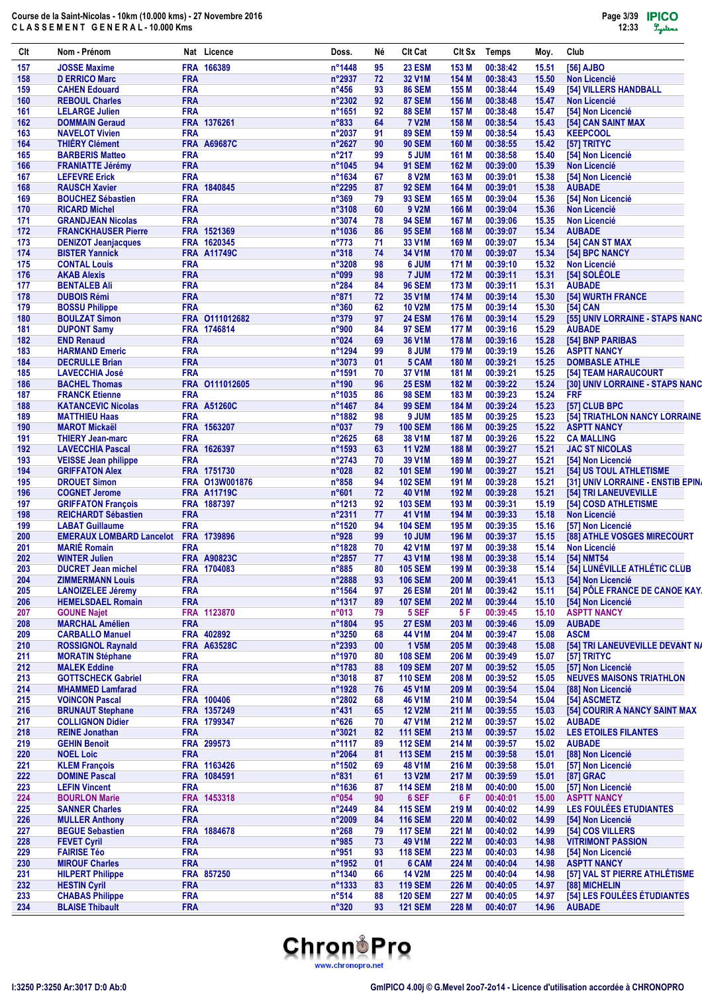| Clt        | Nom - Prénom                                            |                          | Nat Licence        | Doss.                     | Νé       | <b>CIt Cat</b>                 | Clt Sx         | <b>Temps</b>         | Moy.           | Club                                          |
|------------|---------------------------------------------------------|--------------------------|--------------------|---------------------------|----------|--------------------------------|----------------|----------------------|----------------|-----------------------------------------------|
| 157        | <b>JOSSE Maxime</b>                                     |                          | FRA 166389         | n°1448                    | 95       | <b>23 ESM</b>                  | 153 M          | 00:38:42             | 15.51          | [56] AJBO                                     |
| 158        | <b>D ERRICO Marc</b>                                    | <b>FRA</b>               |                    | n°2937                    | 72       | 32 V1M                         | 154 M          | 00:38:43             | 15.50          | <b>Non Licencié</b>                           |
| 159        | <b>CAHEN Edouard</b>                                    | <b>FRA</b>               |                    | $n^{\circ}456$            | 93       | <b>86 SEM</b>                  | 155 M          | 00:38:44             | 15.49          | [54] VILLERS HANDBALL                         |
| 160<br>161 | <b>REBOUL Charles</b><br><b>LELARGE Julien</b>          | <b>FRA</b><br><b>FRA</b> |                    | $n^{\circ}2302$<br>n°1651 | 92<br>92 | <b>87 SEM</b><br><b>88 SEM</b> | 156 M<br>157 M | 00:38:48<br>00:38:48 | 15.47<br>15.47 | <b>Non Licencié</b><br>[54] Non Licencié      |
| 162        | <b>DOMMAIN Geraud</b>                                   |                          | FRA 1376261        | n°833                     | 64       | <b>7 V2M</b>                   | 158 M          | 00:38:54             | 15.43          | [54] CAN SAINT MAX                            |
| 163        | <b>NAVELOT Vivien</b>                                   | <b>FRA</b>               |                    | n°2037                    | 91       | <b>89 SEM</b>                  | 159 M          | 00:38:54             | 15.43          | <b>KEEPCOOL</b>                               |
| 164        | <b>THIERY Clément</b>                                   |                          | <b>FRA A69687C</b> | $n^{\circ}2627$           | 90       | <b>90 SEM</b>                  | 160 M          | 00:38:55             | 15.42          | [57] TRITYC                                   |
| 165        | <b>BARBERIS Matteo</b>                                  | <b>FRA</b>               |                    | $n^{\circ}217$            | 99       | 5 JUM                          | 161 M          | 00:38:58             | 15.40          | [54] Non Licencié                             |
| 166        | <b>FRANIATTE Jérémy</b>                                 | <b>FRA</b>               |                    | n°1045                    | 94       | <b>91 SEM</b>                  | 162 M          | 00:39:00             | 15.39          | <b>Non Licencié</b>                           |
| 167<br>168 | <b>LEFEVRE Erick</b><br><b>RAUSCH Xavier</b>            | <b>FRA</b>               | FRA 1840845        | n°1634<br>n°2295          | 67<br>87 | <b>8 V2M</b><br><b>92 SEM</b>  | 163 M<br>164 M | 00:39:01<br>00:39:01 | 15.38<br>15.38 | [54] Non Licencié<br><b>AUBADE</b>            |
| 169        | <b>BOUCHEZ Sébastien</b>                                | <b>FRA</b>               |                    | $n^{\circ}369$            | 79       | <b>93 SEM</b>                  | 165 M          | 00:39:04             | 15.36          | [54] Non Licencié                             |
| 170        | <b>RICARD Michel</b>                                    | <b>FRA</b>               |                    | n°3108                    | 60       | 9 V2M                          | 166 M          | 00:39:04             | 15.36          | <b>Non Licencié</b>                           |
| 171        | <b>GRANDJEAN Nicolas</b>                                | <b>FRA</b>               |                    | n°3074                    | 78       | <b>94 SEM</b>                  | 167 M          | 00:39:06             | 15.35          | <b>Non Licencié</b>                           |
| 172        | <b>FRANCKHAUSER Pierre</b>                              |                          | FRA 1521369        | n°1036                    | 86       | <b>95 SEM</b>                  | 168 M          | 00:39:07             | 15.34          | <b>AUBADE</b>                                 |
| 173        | <b>DENIZOT Jeanjacques</b>                              |                          | FRA 1620345        | $n^{\circ}773$            | 71       | 33 V1M                         | 169 M          | 00:39:07             | 15.34          | [54] CAN ST MAX                               |
| 174        | <b>BISTER Yannick</b>                                   |                          | <b>FRA A11749C</b> | $n^{\circ}318$            | 74       | 34 V1M                         | 170 M          | 00:39:07             | 15.34          | [54] BPC NANCY                                |
| 175        | <b>CONTAL Louis</b>                                     | <b>FRA</b>               |                    | n°3208                    | 98       | 6 JUM                          | 171 M          | 00:39:10             | 15.32          | Non Licencié                                  |
| 176<br>177 | <b>AKAB Alexis</b><br><b>BENTALEB Ali</b>               | <b>FRA</b><br><b>FRA</b> |                    | n°099<br>$n^{\circ}284$   | 98<br>84 | 7 JUM<br><b>96 SEM</b>         | 172 M<br>173 M | 00:39:11<br>00:39:11 | 15.31<br>15.31 | [54] SOLÉOLE<br><b>AUBADE</b>                 |
| 178        | <b>DUBOIS Rémi</b>                                      | <b>FRA</b>               |                    | $n^{\circ}871$            | 72       | 35 V1M                         | 174 M          | 00:39:14             | 15.30          | [54] WURTH FRANCE                             |
| 179        | <b>BOSSU Philippe</b>                                   | <b>FRA</b>               |                    | n°360                     | 62       | <b>10 V2M</b>                  | 175 M          | 00:39:14             | 15.30          | [54] CAN                                      |
| 180        | <b>BOULZAT Simon</b>                                    |                          | FRA 0111012682     | n°379                     | 97       | <b>24 ESM</b>                  | 176 M          | 00:39:14             | 15.29          | [55] UNIV LORRAINE - STAPS NANC               |
| 181        | <b>DUPONT Samy</b>                                      |                          | FRA 1746814        | n°900                     | 84       | <b>97 SEM</b>                  | 177 M          | 00:39:16             | 15.29          | <b>AUBADE</b>                                 |
| 182        | <b>END Renaud</b>                                       | <b>FRA</b>               |                    | n°024                     | 69       | 36 V1M                         | 178 M          | 00:39:16             | 15.28          | [54] BNP PARIBAS                              |
| 183        | <b>HARMAND Emeric</b>                                   | <b>FRA</b>               |                    | n°1294                    | 99       | 8 JUM                          | 179 M          | 00:39:19             | 15.26          | <b>ASPTT NANCY</b>                            |
| 184        | <b>DECRULLE Brian</b>                                   | <b>FRA</b>               |                    | n°3073                    | 01       | 5 CAM                          | 180 M          | 00:39:21             | 15.25          | <b>DOMBASLE ATHLE</b>                         |
| 185        | <b>LAVECCHIA José</b>                                   | <b>FRA</b>               |                    | n°1591                    | 70       | 37 V1M                         | 181 M          | 00:39:21             | 15.25          | [54] TEAM HARAUCOURT                          |
| 186        | <b>BACHEL Thomas</b>                                    |                          | FRA 0111012605     | n°190                     | 96       | <b>25 ESM</b>                  | 182 M          | 00:39:22             | 15.24          | [30] UNIV LORRAINE - STAPS NANC               |
| 187<br>188 | <b>FRANCK Etienne</b><br><b>KATANCEVIC Nicolas</b>      | <b>FRA</b>               | <b>FRA A51260C</b> | n°1035<br>n°1467          | 86<br>84 | <b>98 SEM</b><br><b>99 SEM</b> | 183 M<br>184 M | 00:39:23<br>00:39:24 | 15.24<br>15.23 | <b>FRF</b><br>[57] CLUB BPC                   |
| 189        | <b>MATTHIEU Haas</b>                                    | <b>FRA</b>               |                    | n°1882                    | 98       | 9 JUM                          | 185 M          | 00:39:25             | 15.23          | [54] TRIATHLON NANCY LORRAINE                 |
| 190        | <b>MAROT Mickaël</b>                                    |                          | FRA 1563207        | $n^{\circ}037$            | 79       | <b>100 SEM</b>                 | 186 M          | 00:39:25             | 15.22          | <b>ASPTT NANCY</b>                            |
| 191        | <b>THIERY Jean-marc</b>                                 | <b>FRA</b>               |                    | $n^{\circ}2625$           | 68       | 38 V1M                         | 187 M          | 00:39:26             | 15.22          | <b>CA MALLING</b>                             |
| 192        | <b>LAVECCHIA Pascal</b>                                 |                          | FRA 1626397        | n°1593                    | 63       | <b>11 V2M</b>                  | 188 M          | 00:39:27             | 15.21          | <b>JAC ST NICOLAS</b>                         |
| 193        | <b>VEISSE Jean philippe</b>                             | <b>FRA</b>               |                    | n°2743                    | 70       | 39 V1M                         | 189 M          | 00:39:27             | 15.21          | [54] Non Licencié                             |
| 194        | <b>GRIFFATON Alex</b>                                   |                          | FRA 1751730        | n°028                     | 82       | <b>101 SEM</b>                 | 190 M          | 00:39:27             | 15.21          | [54] US TOUL ATHLETISME                       |
| 195        | <b>DROUET Simon</b>                                     |                          | FRA 013W001876     | $n^{\circ}858$            | 94       | <b>102 SEM</b>                 | 191 M          | 00:39:28             | 15.21          | [31] UNIV LORRAINE - ENSTIB EPINA             |
| 196        | <b>COGNET Jerome</b>                                    |                          | <b>FRA A11719C</b> | $n^{\circ}601$            | 72       | 40 V1M                         | 192 M          | 00:39:28             | 15.21          | [54] TRI LANEUVEVILLE                         |
| 197<br>198 | <b>GRIFFATON François</b><br><b>REICHARDT Sébastien</b> | <b>FRA</b>               | FRA 1887397        | n°1213<br>n°2311          | 92<br>77 | <b>103 SEM</b><br>41 V1M       | 193 M<br>194 M | 00:39:31<br>00:39:33 | 15.19<br>15.18 | [54] COSD ATHLETISME<br><b>Non Licencié</b>   |
| 199        | <b>LABAT Guillaume</b>                                  | <b>FRA</b>               |                    | n°1520                    | 94       | <b>104 SEM</b>                 | 195 M          | 00:39:35             | 15.16          | [57] Non Licencié                             |
| 200        | <b>EMERAUX LOMBARD Lancelot FRA 1739896</b>             |                          |                    | n°928                     | 99       | <b>10 JUM</b>                  | 196 M          | 00:39:37             | 15.15          | [88] ATHLE VOSGES MIRECOURT                   |
| 201        | <b>MARIÉ Romain</b>                                     | <b>FRA</b>               |                    | n°1828                    | 70       | 42 V1M                         | 197 M          | 00:39:38             | 15.14          | <b>Non Licencié</b>                           |
| 202        | <b>WINTER Julien</b>                                    |                          | <b>FRA A90823C</b> | n°2857                    | 77       | 43 V1M                         | 198 M          | 00:39:38             | 15.14          | [54] NMT54                                    |
| 203        | <b>DUCRET Jean michel</b>                               |                          | FRA 1704083        | $n^{\circ}885$            | 80       | <b>105 SEM</b>                 | 199 M          | 00:39:38             | 15.14          | [54] LUNÉVILLE ATHLÉTIC CLUB                  |
| 204        | <b>ZIMMERMANN Louis</b>                                 | <b>FRA</b>               |                    | n°2888                    | 93       | <b>106 SEM</b>                 | 200 M          | 00:39:41             | 15.13          | [54] Non Licencié                             |
| 205        | <b>LANOIZELEE Jéremy</b>                                | <b>FRA</b>               |                    | n°1564                    | 97       | <b>26 ESM</b>                  | 201 M          | 00:39:42             | 15.11          | [54] PÔLE FRANCE DE CANOE KAY.                |
| 206        | <b>HEMELSDAEL Romain</b>                                | <b>FRA</b>               |                    | n°1317                    | 89       | <b>107 SEM</b>                 | 202 M          | 00:39:44             | 15.10          | [54] Non Licencié                             |
| 207<br>208 | <b>GOUNE Najet</b><br><b>MARCHAL Amélien</b>            | <b>FRA</b>               | FRA 1123870        | n°013<br>n°1804           | 79<br>95 | 5 SEF<br><b>27 ESM</b>         | 5 F<br>203 M   | 00:39:45<br>00:39:46 | 15.10<br>15.09 | <b>ASPTT NANCY</b><br><b>AUBADE</b>           |
| 209        | <b>CARBALLO Manuel</b>                                  |                          | FRA 402892         | n°3250                    | 68       | 44 V1M                         | 204 M          | 00:39:47             | 15.08          | <b>ASCM</b>                                   |
| 210        | <b>ROSSIGNOL Raynald</b>                                |                          | <b>FRA A63528C</b> | n°2393                    | 00       | <b>1 V5M</b>                   | 205 M          | 00:39:48             | 15.08          | [54] TRI LANEUVEVILLE DEVANT N/               |
| 211        | <b>MORATIN Stéphane</b>                                 | <b>FRA</b>               |                    | n°1970                    | 80       | <b>108 SEM</b>                 | 206 M          | 00:39:49             | 15.07          | [57] TRITYC                                   |
| 212        | <b>MALEK Eddine</b>                                     | <b>FRA</b>               |                    | n°1783                    | 88       | <b>109 SEM</b>                 | 207 M          | 00:39:52             | 15.05          | [57] Non Licencié                             |
| 213        | <b>GOTTSCHECK Gabriel</b>                               | <b>FRA</b>               |                    | n°3018                    | 87       | <b>110 SEM</b>                 | 208 M          | 00:39:52             | 15.05          | <b>NEUVES MAISONS TRIATHLON</b>               |
| 214        | <b>MHAMMED Lamfarad</b>                                 | <b>FRA</b>               |                    | n°1928                    | 76       | 45 V1M                         | 209 M          | 00:39:54             | 15.04          | [88] Non Licencié                             |
| 215        | <b>VOINCON Pascal</b>                                   |                          | FRA 100406         | n°2802                    | 68       | <b>46 V1M</b>                  | 210 M          | 00:39:54             | 15.04          | [54] ASCMETZ                                  |
| 216        | <b>BRUNAUT Stephane</b>                                 |                          | FRA 1357249        | $n^{\circ}431$            | 65       | <b>12 V2M</b>                  | 211 M          | 00:39:55             | 15.03          | [54] COURIR A NANCY SAINT MAX                 |
| 217<br>218 | <b>COLLIGNON Didier</b><br><b>REINE Jonathan</b>        | <b>FRA</b>               | FRA 1799347        | $n^{\circ}626$<br>n°3021  | 70<br>82 | 47 V1M<br><b>111 SEM</b>       | 212 M<br>213 M | 00:39:57<br>00:39:57 | 15.02          | <b>AUBADE</b><br><b>LES ETOILES FILANTES</b>  |
| 219        | <b>GEHIN Benoit</b>                                     |                          | FRA 299573         | n°1117                    | 89       | <b>112 SEM</b>                 | 214 M          | 00:39:57             | 15.02<br>15.02 | <b>AUBADE</b>                                 |
| 220        | <b>NOEL Loic</b>                                        | <b>FRA</b>               |                    | n°2064                    | 81       | <b>113 SEM</b>                 | 215 M          | 00:39:58             | 15.01          | [88] Non Licencié                             |
| 221        | <b>KLEM François</b>                                    |                          | FRA 1163426        | n°1502                    | 69       | <b>48 V1M</b>                  | 216 M          | 00:39:58             | 15.01          | [57] Non Licencié                             |
| 222        | <b>DOMINE Pascal</b>                                    |                          | FRA 1084591        | $n^{\circ}831$            | 61       | <b>13 V2M</b>                  | 217 M          | 00:39:59             | 15.01          | [87] GRAC                                     |
| 223        | <b>LEFIN Vincent</b>                                    | <b>FRA</b>               |                    | n°1636                    | 87       | <b>114 SEM</b>                 | 218 M          | 00:40:00             | 15.00          | [57] Non Licencié                             |
| 224        | <b>BOURLON Marie</b>                                    |                          | FRA 1453318        | n°054                     | 90       | 6 SEF                          | 6 F            | 00:40:01             | 15.00          | <b>ASPTT NANCY</b>                            |
| 225        | <b>SANNER Charles</b>                                   | <b>FRA</b>               |                    | n°2449                    | 84       | <b>115 SEM</b>                 | 219 M          | 00:40:02             | 14.99          | LES FOULÉES ETUDIANTES                        |
| 226        | <b>MULLER Anthony</b>                                   | <b>FRA</b>               |                    | n°2009                    | 84       | <b>116 SEM</b>                 | 220 M          | 00:40:02             | 14.99          | [54] Non Licencié                             |
| 227        | <b>BEGUE Sebastien</b>                                  | <b>FRA</b>               | 1884678            | $n^{\circ}268$            | 79       | <b>117 SEM</b>                 | 221 M          | 00:40:02             | 14.99          | [54] COS VILLERS                              |
| 228<br>229 | <b>FEVET Cyril</b><br><b>FAIRISE Téo</b>                | <b>FRA</b><br><b>FRA</b> |                    | n°985<br>n°951            | 73<br>93 | 49 V1M<br><b>118 SEM</b>       | 222 M<br>223 M | 00:40:03<br>00:40:03 | 14.98<br>14.98 | <b>VITRIMONT PASSION</b><br>[54] Non Licencié |
| 230        | <b>MIROUF Charles</b>                                   | <b>FRA</b>               |                    | n°1952                    | 01       | 6 CAM                          | 224 M          | 00:40:04             | 14.98          | <b>ASPTT NANCY</b>                            |
| 231        | <b>HILPERT Philippe</b>                                 |                          | FRA 857250         | n°1340                    | 66       | <b>14 V2M</b>                  | 225 M          | 00:40:04             | 14.98          | [57] VAL ST PIERRE ATHLÉTISME                 |
| 232        | <b>HESTIN Cyril</b>                                     | <b>FRA</b>               |                    | n°1333                    | 83       | <b>119 SEM</b>                 | 226 M          | 00:40:05             | 14.97          | [88] MICHELIN                                 |
| 233        | <b>CHABAS Philippe</b>                                  | <b>FRA</b>               |                    | $n^{\circ}514$            | 88       | <b>120 SEM</b>                 | 227 M          | 00:40:05             | 14.97          | [54] LES FOULÉES ÉTUDIANTES                   |
| 234        | <b>BLAISE Thibault</b>                                  | <b>FRA</b>               |                    | $n^{\circ}320$            | 93       | <b>121 SEM</b>                 | 228 M          | 00:40:07             | 14.96          | <b>AUBADE</b>                                 |

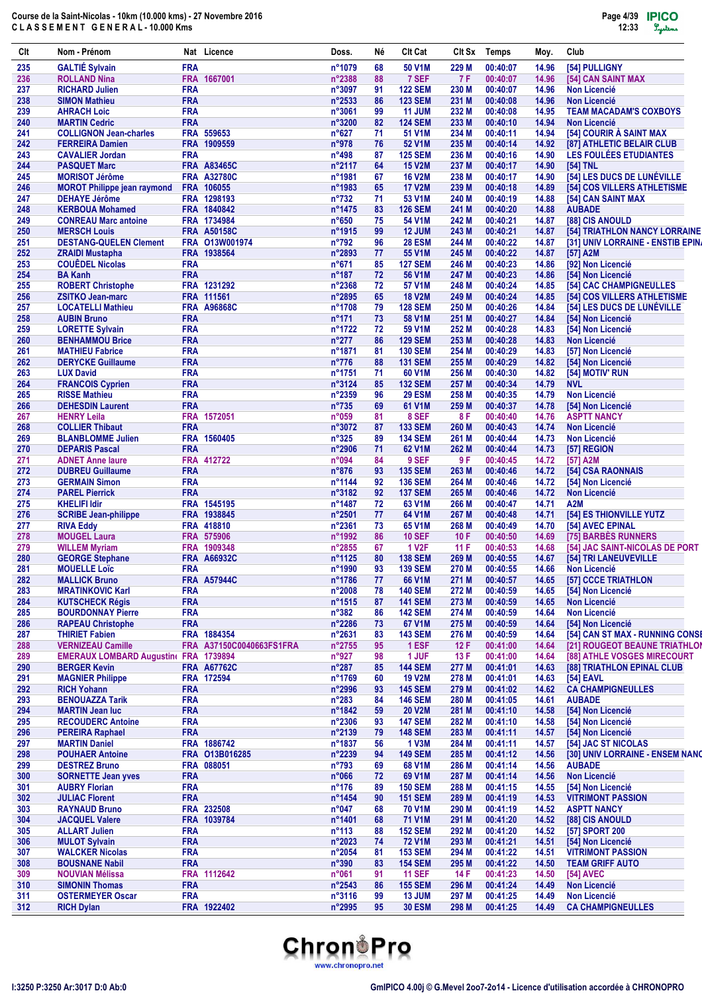| Clt        | Nom - Prénom                                            |                          | Nat Licence                   | Doss.                      | Νé       | <b>CIt Cat</b>           | CIt Sx         | <b>Temps</b>         | Moy.           | Club                                                             |
|------------|---------------------------------------------------------|--------------------------|-------------------------------|----------------------------|----------|--------------------------|----------------|----------------------|----------------|------------------------------------------------------------------|
| 235        | <b>GALTIÉ Sylvain</b>                                   | <b>FRA</b>               |                               | n°1079                     | 68       | 50 V1M                   | 229 M          | 00:40:07             | 14.96          | [54] PULLIGNY                                                    |
| 236        | <b>ROLLAND Nina</b>                                     |                          | FRA 1667001                   | n°2388                     | 88       | 7 SEF                    | <b>7F</b>      | 00:40:07             | 14.96          | [54] CAN SAINT MAX                                               |
| 237        | <b>RICHARD Julien</b>                                   | <b>FRA</b>               |                               | n°3097                     | 91       | <b>122 SEM</b>           | 230 M          | 00:40:07             | 14.96          | <b>Non Licencié</b>                                              |
| 238        | <b>SIMON Mathieu</b>                                    | <b>FRA</b>               |                               | n°2533                     | 86       | <b>123 SEM</b>           | 231 M          | 00:40:08             | 14.96          | <b>Non Licencié</b>                                              |
| 239        | <b>AHRACH Loic</b>                                      | <b>FRA</b>               |                               | $n^{\circ}3061$            | 99       | <b>11 JUM</b>            | 232 M          | 00:40:08<br>00:40:10 | 14.95          | <b>TEAM MACADAM'S COXBOYS</b>                                    |
| 240<br>241 | <b>MARTIN Cedric</b><br><b>COLLIGNON Jean-charles</b>   | <b>FRA</b>               | FRA 559653                    | n°3200<br>$n^{\circ}627$   | 82<br>71 | <b>124 SEM</b><br>51 V1M | 233 M<br>234 M | 00:40:11             | 14.94<br>14.94 | <b>Non Licencié</b><br>[54] COURIR À SAINT MAX                   |
| 242        | <b>FERREIRA Damien</b>                                  |                          | FRA 1909559                   | n°978                      | 76       | 52 V1M                   | 235 M          | 00:40:14             | 14.92          | [87] ATHLETIC BELAIR CLUB                                        |
| 243        | <b>CAVALIER Jordan</b>                                  | <b>FRA</b>               |                               | $n^{\circ}498$             | 87       | <b>125 SEM</b>           | 236 M          | 00:40:16             | 14.90          | <b>LES FOULÉES ETUDIANTES</b>                                    |
| 244        | <b>PASQUET Marc</b>                                     |                          | <b>FRA A83465C</b>            | n°2117                     | 64       | <b>15 V2M</b>            | 237 M          | 00:40:17             | 14.90          | [54] TNL                                                         |
| 245        | <b>MORISOT Jérôme</b>                                   |                          | <b>FRA A32780C</b>            | n°1981                     | 67       | <b>16 V2M</b>            | 238 M          | 00:40:17             | 14.90          | [54] LES DUCS DE LUNÉVILLE                                       |
| 246        | <b>MOROT Philippe jean raymond</b>                      |                          | FRA 106055                    | n°1983                     | 65       | <b>17 V2M</b>            | 239 M          | 00:40:18             | 14.89          | [54] COS VILLERS ATHLETISME                                      |
| 247        | <b>DEHAYE Jérôme</b>                                    |                          | FRA 1298193                   | $n^{\circ}732$             | 71       | 53 V1M                   | 240 M          | 00:40:19             | 14.88          | [54] CAN SAINT MAX                                               |
| 248        | <b>KERBOUA Mohamed</b>                                  |                          | FRA 1840842                   | n°1475                     | 83       | <b>126 SEM</b>           | 241 M          | 00:40:20             | 14.88          | <b>AUBADE</b>                                                    |
| 249        | <b>CONREAU Marc antoine</b>                             |                          | FRA 1734984                   | $n^{\circ}650$             | 75       | 54 V1M                   | 242 M          | 00:40:21             | 14.87          | [88] CIS ANOULD                                                  |
| 250        | <b>MERSCH Louis</b>                                     |                          | <b>FRA A50158C</b>            | n°1915                     | 99<br>96 | 12 JUM                   | 243 M          | 00:40:21             | 14.87          | [54] TRIATHLON NANCY LORRAINE                                    |
| 251<br>252 | <b>DESTANG-QUELEN Clement</b><br><b>ZRAIDI Mustapha</b> |                          | FRA 013W001974<br>FRA 1938564 | $n^{\circ}792$<br>n°2893   | 77       | <b>28 ESM</b><br>55 V1M  | 244 M<br>245 M | 00:40:22<br>00:40:22 | 14.87<br>14.87 | [31] UNIV LORRAINE - ENSTIB EPINA<br>[57] A2M                    |
| 253        | <b>COUÊDEL Nicolas</b>                                  | <b>FRA</b>               |                               | $n^{\circ}671$             | 85       | <b>127 SEM</b>           | 246 M          | 00:40:23             | 14.86          | [92] Non Licencié                                                |
| 254        | <b>BA Kanh</b>                                          | <b>FRA</b>               |                               | $n^{\circ}187$             | 72       | 56 V1M                   | 247 M          | 00:40:23             | 14.86          | [54] Non Licencié                                                |
| 255        | <b>ROBERT Christophe</b>                                |                          | FRA 1231292                   | n°2368                     | 72       | 57 V1M                   | 248 M          | 00:40:24             | 14.85          | [54] CAC CHAMPIGNEULLES                                          |
| 256        | <b>ZSITKO Jean-marc</b>                                 |                          | FRA 111561                    | n°2895                     | 65       | <b>18 V2M</b>            | 249 M          | 00:40:24             | 14.85          | [54] COS VILLERS ATHLETISME                                      |
| 257        | <b>LOCATELLI Mathieu</b>                                |                          | <b>FRA A96868C</b>            | n°1708                     | 79       | <b>128 SEM</b>           | 250 M          | 00:40:26             | 14.84          | [54] LES DUCS DE LUNEVILLE                                       |
| 258        | <b>AUBIN Bruno</b>                                      | <b>FRA</b>               |                               | $n^{\circ}171$             | 73       | 58 V1M                   | 251 M          | 00:40:27             | 14.84          | [54] Non Licencié                                                |
| 259        | <b>LORETTE Sylvain</b>                                  | <b>FRA</b>               |                               | n°1722                     | 72       | 59 V1M                   | 252 M          | 00:40:28             | 14.83          | [54] Non Licencié                                                |
| 260        | <b>BENHAMMOU Brice</b>                                  | <b>FRA</b>               |                               | $n^{\circ}277$             | 86       | <b>129 SEM</b>           | 253 M          | 00:40:28             | 14.83          | <b>Non Licencié</b>                                              |
| 261        | <b>MATHIEU Fabrice</b>                                  | <b>FRA</b>               |                               | n°1871                     | 81       | <b>130 SEM</b>           | 254 M          | 00:40:29             | 14.83          | [57] Non Licencié                                                |
| 262        | <b>DERYCKE Guillaume</b>                                | <b>FRA</b>               |                               | $n^{\circ}776$             | 88       | <b>131 SEM</b>           | 255 M          | 00:40:29             | 14.82          | [54] Non Licencié                                                |
| 263<br>264 | <b>LUX David</b>                                        | <b>FRA</b><br><b>FRA</b> |                               | n°1751<br>$n^{\circ}3124$  | 71<br>85 | 60 V1M<br><b>132 SEM</b> | 256 M<br>257 M | 00:40:30<br>00:40:34 | 14.82<br>14.79 | [54] MOTIV' RUN<br><b>NVL</b>                                    |
| 265        | <b>FRANCOIS Cyprien</b><br><b>RISSE Mathieu</b>         | <b>FRA</b>               |                               | $n^{\circ}2359$            | 96       | <b>29 ESM</b>            | 258 M          | 00:40:35             | 14.79          | <b>Non Licencié</b>                                              |
| 266        | <b>DEHESDIN Laurent</b>                                 | <b>FRA</b>               |                               | $n^{\circ}735$             | 69       | 61 V1M                   | 259 M          | 00:40:37             | 14.78          | [54] Non Licencié                                                |
| 267        | <b>HENRY Leila</b>                                      |                          | FRA 1572051                   | n°059                      | 81       | 8 SEF                    | 8 F            | 00:40:40             | 14.76          | <b>ASPTT NANCY</b>                                               |
| 268        | <b>COLLIER Thibaut</b>                                  | <b>FRA</b>               |                               | n°3072                     | 87       | <b>133 SEM</b>           | 260 M          | 00:40:43             | 14.74          | <b>Non Licencié</b>                                              |
| 269        | <b>BLANBLOMME Julien</b>                                |                          | FRA 1560405                   | $n^{\circ}325$             | 89       | <b>134 SEM</b>           | 261 M          | 00:40:44             | 14.73          | <b>Non Licencié</b>                                              |
| 270        | <b>DEPARIS Pascal</b>                                   | <b>FRA</b>               |                               | $n^{\circ}2906$            | 71       | 62 V1M                   | 262 M          | 00:40:44             | 14.73          | [57] REGION                                                      |
| 271        | <b>ADNET Anne laure</b>                                 |                          | FRA 412722                    | n°094                      | 84       | 9 SEF                    | 9 F            | 00:40:45             | 14.72          | [57] A2M                                                         |
| 272        | <b>DUBREU Guillaume</b>                                 | <b>FRA</b>               |                               | $n^{\circ}876$             | 93       | <b>135 SEM</b>           | 263 M          | 00:40:46             | 14.72          | [54] CSA RAONNAIS                                                |
| 273        | <b>GERMAIN Simon</b>                                    | <b>FRA</b>               |                               | n°1144                     | 92       | <b>136 SEM</b>           | 264 M          | 00:40:46             | 14.72          | [54] Non Licencié                                                |
| 274        | <b>PAREL Pierrick</b>                                   | <b>FRA</b>               |                               | n°3182                     | 92       | <b>137 SEM</b>           | 265 M          | 00:40:46             | 14.72          | <b>Non Licencié</b>                                              |
| 275<br>276 | <b>KHELIFI Idir</b><br><b>SCRIBE Jean-philippe</b>      |                          | FRA 1545195<br>FRA 1938845    | n°1487<br>$n^{\circ}2501$  | 72       | 63 V1M<br>64 V1M         | 266 M<br>267 M | 00:40:47<br>00:40:48 | 14.71          | A2M<br><b>[54] ES THIONVILLE YUTZ</b>                            |
| 277        | <b>RIVA Eddy</b>                                        |                          | FRA 418810                    | $n^{\circ}$ 2361           | 77<br>73 | 65 V1M                   | 268 M          | 00:40:49             | 14.71<br>14.70 | [54] AVEC EPINAL                                                 |
| 278        | <b>MOUGEL Laura</b>                                     |                          | FRA 575906                    | n°1992                     | 86       | <b>10 SEF</b>            | 10F            | 00:40:50             | 14.69          | [75] BARBES RUNNERS                                              |
| 279        | <b>WILLEM Myriam</b>                                    |                          | FRA 1909348                   | n°2855                     | 67       | <b>1 V2F</b>             | 11F            | 00:40:53             | 14.68          | [54] JAC SAINT-NICOLAS DE PORT                                   |
| 280        | <b>GEORGE Stephane</b>                                  |                          | <b>FRA A66932C</b>            | n°1125                     | 80       | <b>138 SEM</b>           | 269 M          | 00:40:55             | 14.67          | [54] TRI LANEUVEVILLE                                            |
| 281        | <b>MOUELLE Loïc</b>                                     | <b>FRA</b>               |                               | n°1990                     | 93       | <b>139 SEM</b>           | 270 M          | 00:40:55             | 14.66          | <b>Non Licencié</b>                                              |
| 282        | <b>MALLICK Bruno</b>                                    |                          | <b>FRA A57944C</b>            | n°1786                     | 77       | 66 V1M                   | 271 M          | 00:40:57             | 14.65          | [57] CCCE TRIATHLON                                              |
| 283        | <b>MRATINKOVIC Karl</b>                                 | <b>FRA</b>               |                               | n°2008                     | 78       | <b>140 SEM</b>           | 272 M          | 00:40:59             | 14.65          | [54] Non Licencié                                                |
| 284        | <b>KUTSCHECK Régis</b>                                  | <b>FRA</b>               |                               | n°1515                     | 87       | <b>141 SEM</b>           | 273 M          | 00:40:59             | 14.65          | <b>Non Licencié</b>                                              |
| 285        | <b>BOURDONNAY Pierre</b>                                | <b>FRA</b>               |                               | $n^{\circ}382$             | 86       | <b>142 SEM</b>           | 274 M          | 00:40:59             | 14.64          | <b>Non Licencié</b>                                              |
| 286        | <b>RAPEAU Christophe</b>                                | <b>FRA</b>               | FRA 1884354                   | n°2286                     | 73       | 67 V1M                   | 275 M          | 00:40:59             | 14.64          | [54] Non Licencié                                                |
| 287<br>288 | <b>THIRIET Fabien</b><br><b>VERNIZEAU Camille</b>       |                          | FRA A37150C0040663FS1FRA      | n°2631<br>$n^{\circ}$ 2755 | 83<br>95 | <b>143 SEM</b><br>1 ESF  | 276 M<br>12F   | 00:40:59<br>00:41:00 | 14.64<br>14.64 | [54] CAN ST MAX - RUNNING CONSE<br>[21] ROUGEOT BEAUNE TRIATHLON |
| 289        | EMERAUX LOMBARD Augustine FRA 1739894                   |                          |                               | n°927                      | 98       | 1 JUF                    | 13 F           | 00:41:00             | 14.64          | [88] ATHLE VOSGES MIRECOURT                                      |
| 290        | <b>BERGER Kevin</b>                                     |                          | <b>FRA A67762C</b>            | $n^{\circ}287$             | 85       | <b>144 SEM</b>           | 277 M          | 00:41:01             | 14.63          | [88] TRIATHLON EPINAL CLUB                                       |
| 291        | <b>MAGNIER Philippe</b>                                 |                          | FRA 172594                    | n°1769                     | 60       | <b>19 V2M</b>            | 278 M          | 00:41:01             | 14.63          | [54] EAVL                                                        |
| 292        | <b>RICH Yohann</b>                                      | <b>FRA</b>               |                               | n°2996                     | 93       | <b>145 SEM</b>           | 279 M          | 00:41:02             | 14.62          | <b>CA CHAMPIGNEULLES</b>                                         |
| 293        | <b>BENOUAZZA Tarik</b>                                  | <b>FRA</b>               |                               | $n^{\circ}283$             | 84       | <b>146 SEM</b>           | 280 M          | 00:41:05             | 14.61          | <b>AUBADE</b>                                                    |
| 294        | <b>MARTIN Jean luc</b>                                  | <b>FRA</b>               |                               | n°1842                     | 59       | <b>20 V2M</b>            | 281 M          | 00:41:10             | 14.58          | [54] Non Licencié                                                |
| 295        | <b>RECOUDERC Antoine</b>                                | <b>FRA</b>               |                               | n°2306                     | 93       | <b>147 SEM</b>           | 282 M          | 00:41:10             | 14.58          | [54] Non Licencié                                                |
| 296        | <b>PEREIRA Raphael</b>                                  | <b>FRA</b>               |                               | n°2139                     | 79       | <b>148 SEM</b>           | 283 M          | 00:41:11             | 14.57          | [54] Non Licencié                                                |
| 297        | <b>MARTIN Daniel</b>                                    |                          | FRA 1886742                   | n°1837                     | 56       | 1 V3M                    | 284 M          | 00:41:11             | 14.57          | [54] JAC ST NICOLAS                                              |
| 298        | <b>POUHAER Antoine</b>                                  |                          | FRA 013B016285                | n°2239                     | 94       | <b>149 SEM</b>           | 285 M          | 00:41:12             | 14.56          | [30] UNIV LORRAINE - ENSEM NANO                                  |
| 299<br>300 | <b>DESTREZ Bruno</b><br><b>SORNETTE Jean yves</b>       | <b>FRA</b>               | FRA 088051                    | $n^{\circ}793$<br>n°066    | 69<br>72 | 68 V1M<br>69 V1M         | 286 M<br>287 M | 00:41:14<br>00:41:14 | 14.56<br>14.56 | <b>AUBADE</b><br><b>Non Licencié</b>                             |
| 301        | <b>AUBRY Florian</b>                                    | <b>FRA</b>               |                               | $n^{\circ}$ 176            | 89       | <b>150 SEM</b>           | 288 M          | 00:41:15             | 14.55          | [54] Non Licencié                                                |
| 302        | <b>JULIAC Florent</b>                                   | <b>FRA</b>               |                               | n°1454                     | 90       | <b>151 SEM</b>           | 289 M          | 00:41:19             | 14.53          | <b>VITRIMONT PASSION</b>                                         |
| 303        | <b>RAYNAUD Bruno</b>                                    |                          | FRA 232508                    | n°047                      | 68       | 70 V1M                   | 290 M          | 00:41:19             | 14.52          | <b>ASPTT NANCY</b>                                               |
| 304        | <b>JACQUEL Valere</b>                                   |                          | FRA 1039784                   | n°1401                     | 68       | 71 V1M                   | 291 M          | 00:41:20             | 14.52          | [88] CIS ANOULD                                                  |
| 305        | <b>ALLART Julien</b>                                    | <b>FRA</b>               |                               | $n^{\circ}113$             | 88       | <b>152 SEM</b>           | 292 M          | 00:41:20             | 14.52          | [57] SPORT 200                                                   |
| 306        | <b>MULOT Sylvain</b>                                    | <b>FRA</b>               |                               | n°2023                     | 74       | <b>72 V1M</b>            | 293 M          | 00:41:21             | 14.51          | [54] Non Licencié                                                |
| 307        | <b>WALCKER Nicolas</b>                                  | <b>FRA</b>               |                               | n°2054                     | 81       | <b>153 SEM</b>           | 294 M          | 00:41:22             | 14.51          | <b>VITRIMONT PASSION</b>                                         |
| 308        | <b>BOUSNANE Nabil</b>                                   | <b>FRA</b>               |                               | $n^{\circ}390$             | 83       | <b>154 SEM</b>           | 295 M          | 00:41:22             | 14.50          | <b>TEAM GRIFF AUTO</b>                                           |
| 309        | <b>NOUVIAN Mélissa</b>                                  |                          | FRA 1112642                   | n°061                      | 91       | <b>11 SEF</b>            | 14 F           | 00:41:23             | 14.50          | [54] AVEC                                                        |
| 310        | <b>SIMONIN Thomas</b>                                   | <b>FRA</b>               |                               | n°2543                     | 86       | <b>155 SEM</b>           | 296 M          | 00:41:24             | 14.49          | Non Licencié                                                     |
| 311<br>312 | <b>OSTERMEYER Oscar</b><br><b>RICH Dylan</b>            | <b>FRA</b>               | FRA 1922402                   | n°3116<br>n°2995           | 99<br>95 | 13 JUM<br><b>30 ESM</b>  | 297 M<br>298 M | 00:41:25<br>00:41:25 | 14.49<br>14.49 | Non Licencié<br><b>CA CHAMPIGNEULLES</b>                         |
|            |                                                         |                          |                               |                            |          |                          |                |                      |                |                                                                  |

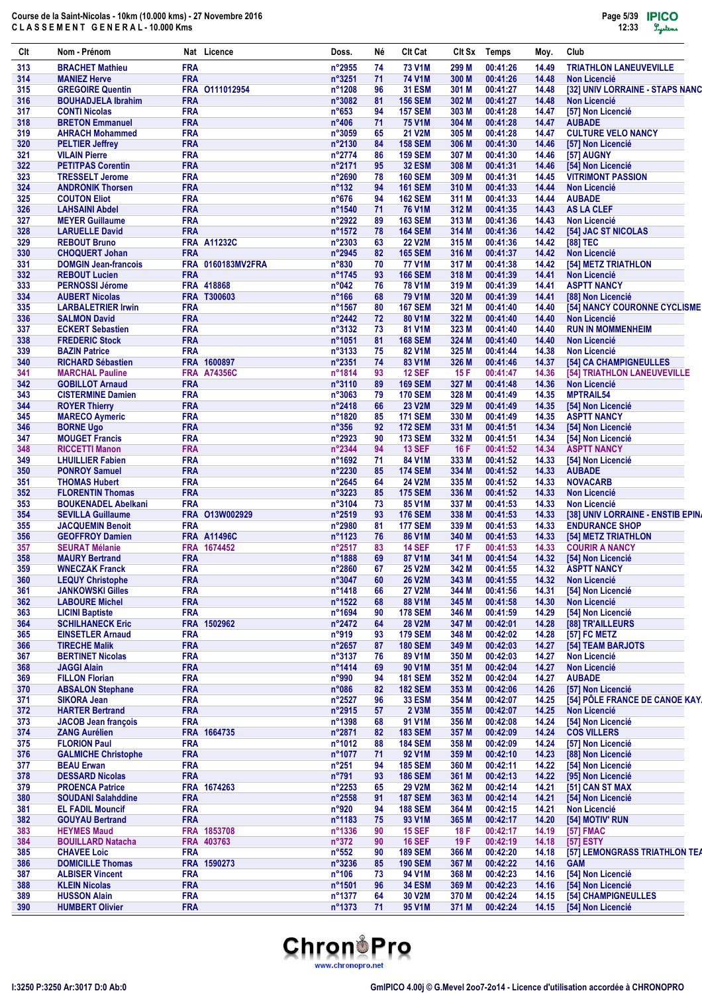| Clt        | Nom - Prénom                                      |                          | Nat Licence        | Doss.                    | Né       | <b>CIt Cat</b>                   | Clt Sx         | <b>Temps</b>         | Moy.           | Club                                          |
|------------|---------------------------------------------------|--------------------------|--------------------|--------------------------|----------|----------------------------------|----------------|----------------------|----------------|-----------------------------------------------|
| 313        | <b>BRACHET Mathieu</b>                            | <b>FRA</b>               |                    | $n^{\circ}2955$          | 74       | <b>73 V1M</b>                    | 299 M          | 00:41:26             | 14.49          | <b>TRIATHLON LANEUVEVILLE</b>                 |
| 314        | <b>MANIEZ Herve</b>                               | <b>FRA</b>               |                    | n°3251                   | 71       | <b>74 V1M</b>                    | 300 M          | 00:41:26             | 14.48          | <b>Non Licencié</b>                           |
| 315        | <b>GREGOIRE Quentin</b>                           |                          | FRA 0111012954     | n°1208                   | 96       | <b>31 ESM</b>                    | 301 M          | 00:41:27             | 14.48          | [32] UNIV LORRAINE - STAPS NANC               |
| 316        | <b>BOUHADJELA Ibrahim</b>                         | <b>FRA</b>               |                    | n°3082<br>$n^{\circ}653$ | 81       | <b>156 SEM</b>                   | 302 M          | 00:41:27             | 14.48          | <b>Non Licencié</b><br>[57] Non Licencié      |
| 317<br>318 | <b>CONTI Nicolas</b><br><b>BRETON Emmanuel</b>    | <b>FRA</b><br><b>FRA</b> |                    | $n^{\circ}406$           | 94<br>71 | <b>157 SEM</b><br><b>75 V1M</b>  | 303 M<br>304 M | 00:41:28<br>00:41:28 | 14.47<br>14.47 | <b>AUBADE</b>                                 |
| 319        | <b>AHRACH Mohammed</b>                            | <b>FRA</b>               |                    | n°3059                   | 65       | <b>21 V2M</b>                    | 305 M          | 00:41:28             | 14.47          | <b>CULTURE VELO NANCY</b>                     |
| 320        | <b>PELTIER Jeffrey</b>                            | <b>FRA</b>               |                    | n°2130                   | 84       | <b>158 SEM</b>                   | 306 M          | 00:41:30             | 14.46          | [57] Non Licencié                             |
| 321        | <b>VILAIN Pierre</b>                              | <b>FRA</b>               |                    | n°2774                   | 86       | <b>159 SEM</b>                   | 307 M          | 00:41:30             | 14.46          | [57] AUGNY                                    |
| 322        | <b>PETITPAS Corentin</b>                          | <b>FRA</b>               |                    | n°2171                   | 95       | <b>32 ESM</b>                    | 308 M          | 00:41:31             | 14.46          | [54] Non Licencié                             |
| 323        | <b>TRESSELT Jerome</b>                            | <b>FRA</b>               |                    | n°2690                   | 78       | <b>160 SEM</b>                   | 309 M          | 00:41:31             | 14.45          | <b>VITRIMONT PASSION</b>                      |
| 324        | <b>ANDRONIK Thorsen</b>                           | <b>FRA</b>               |                    | $n^{\circ}132$           | 94       | <b>161 SEM</b>                   | 310 M          | 00:41:33             | 14.44          | <b>Non Licencié</b>                           |
| 325        | <b>COUTON Eliot</b>                               | <b>FRA</b>               |                    | $n^{\circ}676$           | 94       | <b>162 SEM</b>                   | 311 M          | 00:41:33             | 14.44          | <b>AUBADE</b>                                 |
| 326        | <b>LAHSAINI Abdel</b>                             | <b>FRA</b>               |                    | n°1540                   | 71       | 76 V1M                           | 312 M          | 00:41:35             | 14.43          | <b>AS LA CLEF</b>                             |
| 327        | <b>MEYER Guillaume</b>                            | <b>FRA</b><br><b>FRA</b> |                    | n°2922<br>n°1572         | 89       | <b>163 SEM</b>                   | 313 M          | 00:41:36             | 14.43          | <b>Non Licencié</b>                           |
| 328<br>329 | <b>LARUELLE David</b><br><b>REBOUT Bruno</b>      |                          | <b>FRA A11232C</b> | n°2303                   | 78<br>63 | <b>164 SEM</b><br><b>22 V2M</b>  | 314 M<br>315 M | 00:41:36<br>00:41:36 | 14.42<br>14.42 | [54] JAC ST NICOLAS<br>[88] TEC               |
| 330        | <b>CHOQUERT Johan</b>                             | <b>FRA</b>               |                    | n°2945                   | 82       | <b>165 SEM</b>                   | 316 M          | 00:41:37             | 14.42          | <b>Non Licencié</b>                           |
| 331        | <b>DOMGIN Jean-francois</b>                       | <b>FRA</b>               | 0160183MV2FRA      | $n^{\circ}830$           | 70       | <b>77 V1M</b>                    | 317 M          | 00:41:38             | 14.42          | [54] METZ TRIATHLON                           |
| 332        | <b>REBOUT Lucien</b>                              | <b>FRA</b>               |                    | n°1745                   | 93       | <b>166 SEM</b>                   | 318 M          | 00:41:39             | 14.41          | <b>Non Licencié</b>                           |
| 333        | <b>PERNOSSI Jérome</b>                            |                          | FRA 418868         | n°042                    | 76       | <b>78 V1M</b>                    | 319 M          | 00:41:39             | 14.41          | <b>ASPTT NANCY</b>                            |
| 334        | <b>AUBERT Nicolas</b>                             |                          | FRA T300603        | $n^{\circ}166$           | 68       | 79 V1M                           | 320 M          | 00:41:39             | 14.41          | [88] Non Licencié                             |
| 335        | <b>LARBALETRIER Irwin</b>                         | <b>FRA</b>               |                    | n°1567                   | 80       | <b>167 SEM</b>                   | 321 M          | 00:41:40             | 14.40          | [54] NANCY COURONNE CYCLISME                  |
| 336        | <b>SALMON David</b>                               | <b>FRA</b>               |                    | n°2442                   | 72       | 80 V1M                           | 322 M          | 00:41:40             | 14.40          | <b>Non Licencié</b>                           |
| 337        | <b>ECKERT Sebastien</b>                           | <b>FRA</b>               |                    | n°3132                   | 73       | 81 V1M                           | 323 M          | 00:41:40             | 14.40          | <b>RUN IN MOMMENHEIM</b>                      |
| 338        | <b>FREDERIC Stock</b>                             | <b>FRA</b>               |                    | n°1051                   | 81       | <b>168 SEM</b>                   | 324 M          | 00:41:40             | 14.40          | <b>Non Licencié</b>                           |
| 339<br>340 | <b>BAZIN Patrice</b><br><b>RICHARD Sébastien</b>  | <b>FRA</b>               | FRA 1600897        | n°3133<br>n°2351         | 75<br>74 | 82 V1M<br>83 V1M                 | 325 M<br>326 M | 00:41:44<br>00:41:46 | 14.38<br>14.37 | <b>Non Licencié</b><br>[54] CA CHAMPIGNEULLES |
| 341        | <b>MARCHAL Pauline</b>                            |                          | <b>FRA A74356C</b> | n°1814                   | 93       | <b>12 SEF</b>                    | 15F            | 00:41:47             | 14.36          | [54] TRIATHLON LANEUVEVILLE                   |
| 342        | <b>GOBILLOT Arnaud</b>                            | <b>FRA</b>               |                    | n°3110                   | 89       | <b>169 SEM</b>                   | 327 M          | 00:41:48             | 14.36          | <b>Non Licencié</b>                           |
| 343        | <b>CISTERMINE Damien</b>                          | <b>FRA</b>               |                    | n°3063                   | 79       | <b>170 SEM</b>                   | 328 M          | 00:41:49             | 14.35          | <b>MPTRAIL54</b>                              |
| 344        | <b>ROYER Thierry</b>                              | <b>FRA</b>               |                    | $n^{\circ}$ 2418         | 66       | <b>23 V2M</b>                    | 329 M          | 00:41:49             | 14.35          | [54] Non Licencié                             |
| 345        | <b>MARECO Aymeric</b>                             | <b>FRA</b>               |                    | n°1820                   | 85       | <b>171 SEM</b>                   | 330 M          | 00:41:49             | 14.35          | <b>ASPTT NANCY</b>                            |
| 346        | <b>BORNE Ugo</b>                                  | <b>FRA</b>               |                    | $n^{\circ}356$           | 92       | <b>172 SEM</b>                   | 331 M          | 00:41:51             | 14.34          | [54] Non Licencié                             |
| 347        | <b>MOUGET Francis</b>                             | <b>FRA</b>               |                    | n°2923                   | 90       | <b>173 SEM</b>                   | 332 M          | 00:41:51             | 14.34          | [54] Non Licencié                             |
| 348        | <b>RICCETTI Manon</b>                             | <b>FRA</b>               |                    | n°2344                   | 94       | <b>13 SEF</b>                    | 16F            | 00:41:52             | 14.34          | <b>ASPTT NANCY</b>                            |
| 349        | <b>LHUILLIER Fabien</b>                           | <b>FRA</b>               |                    | n°1692                   | 71       | 84 V1M                           | 333 M          | 00:41:52             | 14.33          | [54] Non Licencié                             |
| 350        | <b>PONROY Samuel</b>                              | <b>FRA</b><br><b>FRA</b> |                    | n°2230                   | 85<br>64 | <b>174 SEM</b>                   | 334 M          | 00:41:52             | 14.33          | <b>AUBADE</b>                                 |
| 351<br>352 | <b>THOMAS Hubert</b><br><b>FLORENTIN Thomas</b>   | <b>FRA</b>               |                    | n°2645<br>n°3223         | 85       | <b>24 V2M</b><br><b>175 SEM</b>  | 335 M<br>336 M | 00:41:52<br>00:41:52 | 14.33<br>14.33 | <b>NOVACARB</b><br><b>Non Licencié</b>        |
| 353        | <b>BOUKENADEL Abelkani</b>                        | <b>FRA</b>               |                    | n°3104                   | 73       | 85 V1M                           | 337 M          | 00:41:53             | 14.33          | <b>Non Licencié</b>                           |
| 354        | <b>SEVILLA Guillaume</b>                          |                          | FRA 013W002929     | n°2519                   | 93       | <b>176 SEM</b>                   | 338 M          | 00:41:53             | 14.33          | [38] UNIV LORRAINE - ENSTIB EPINA             |
| 355        | <b>JACQUEMIN Benoit</b>                           | <b>FRA</b>               |                    | n°2980                   | 81       | <b>177 SEM</b>                   | 339 M          | 00:41:53             | 14.33          | <b>ENDURANCE SHOP</b>                         |
| 356        | <b>GEOFFROY Damien</b>                            |                          | <b>FRA A11496C</b> | n°1123                   | 76       | 86 V1M                           | 340 M          | 00:41:53             | 14.33          | [54] METZ TRIATHLON                           |
| 357        | <b>SEURAT Mélanie</b>                             | <b>FRA</b>               | 1674452            | n°2517                   | 83       | <b>14 SEF</b>                    | 17F            | 00:41:53             | 14.33          | <b>COURIR A NANCY</b>                         |
| 358        | <b>MAURY Bertrand</b>                             | <b>FRA</b>               |                    | n°1888                   | 69       | 87 V1M                           | 341 M          | 00:41:54             | 14.32          | [54] Non Licencié                             |
| 359        | <b>WNECZAK Franck</b>                             | <b>FRA</b>               |                    | n°2860                   | 67       | <b>25 V2M</b>                    | 342 M          | 00:41:55             |                | 14.32 ASPTT NANCY                             |
| 360        | <b>LEQUY Christophe</b>                           | <b>FRA</b>               |                    | n°3047                   | 60       | <b>26 V2M</b>                    | 343 M          | 00:41:55             | 14.32          | <b>Non Licencié</b>                           |
| 361        | <b>JANKOWSKI Gilles</b>                           | <b>FRA</b>               |                    | n°1418                   | 66       | <b>27 V2M</b>                    | 344 M          | 00:41:56             | 14.31          | [54] Non Licencié                             |
| 362        | <b>LABOURE Michel</b>                             | <b>FRA</b><br><b>FRA</b> |                    | n°1522                   | 68       | 88 V1M                           | 345 M          | 00:41:58<br>00:41:59 | 14.30          | <b>Non Licencié</b><br>[54] Non Licencié      |
| 363<br>364 | <b>LICINI Baptiste</b><br><b>SCHILHANECK Eric</b> | <b>FRA</b>               | 1502962            | n°1694<br>n°2472         | 90<br>64 | <b>178 SEM</b><br>28 V2M         | 346 M<br>347 M | 00:42:01             | 14.29<br>14.28 | [88] TR'AILLEURS                              |
| 365        | <b>EINSETLER Arnaud</b>                           | <b>FRA</b>               |                    | n°919                    | 93       | <b>179 SEM</b>                   | 348 M          | 00:42:02             | 14.28          | [57] FC METZ                                  |
| 366        | <b>TIRECHE Malik</b>                              | <b>FRA</b>               |                    | n°2657                   | 87       | <b>180 SEM</b>                   | 349 M          | 00:42:03             | 14.27          | [54] TEAM BARJOTS                             |
| 367        | <b>BERTINET Nicolas</b>                           | <b>FRA</b>               |                    | n°3137                   | 76       | 89 V1M                           | 350 M          | 00:42:03             | 14.27          | <b>Non Licencié</b>                           |
| 368        | <b>JAGGI Alain</b>                                | <b>FRA</b>               |                    | n°1414                   | 69       | 90 V1M                           | 351 M          | 00:42:04             | 14.27          | <b>Non Licencié</b>                           |
| 369        | <b>FILLON Florian</b>                             | <b>FRA</b>               |                    | n°990                    | 94       | <b>181 SEM</b>                   | 352 M          | 00:42:04             | 14.27          | <b>AUBADE</b>                                 |
| 370        | <b>ABSALON Stephane</b>                           | <b>FRA</b>               |                    | $n^{\circ}086$           | 82       | <b>182 SEM</b>                   | 353 M          | 00:42:06             | 14.26          | [57] Non Licencié                             |
| 371        | <b>SIKORA Jean</b>                                | <b>FRA</b>               |                    | n°2527                   | 96       | <b>33 ESM</b>                    | 354 M          | 00:42:07             | 14.25          | [54] PÔLE FRANCE DE CANOE KAY.                |
| 372        | <b>HARTER Bertrand</b>                            | <b>FRA</b>               |                    | n°2915                   | 57       | 2 V3M                            | 355 M          | 00:42:07             | 14.25          | <b>Non Licencié</b>                           |
| 373        | <b>JACOB Jean françois</b>                        | <b>FRA</b>               | 1664735            | n°1398                   | 68       | 91 V <sub>1</sub> M              | 356 M          | 00:42:08             | 14.24          | [54] Non Licencié                             |
| 374<br>375 | <b>ZANG Aurélien</b><br><b>FLORION Paul</b>       | <b>FRA</b><br><b>FRA</b> |                    | n°2871<br>n°1012         | 82<br>88 | <b>183 SEM</b><br><b>184 SEM</b> | 357 M<br>358 M | 00:42:09<br>00:42:09 | 14.24<br>14.24 | <b>COS VILLERS</b><br>[57] Non Licencié       |
| 376        | <b>GALMICHE Christophe</b>                        | <b>FRA</b>               |                    | n°1077                   | 71       | 92 V1M                           | 359 M          | 00:42:10             | 14.23          | [88] Non Licencié                             |
| 377        | <b>BEAU Erwan</b>                                 | <b>FRA</b>               |                    | $n^{\circ}251$           | 94       | <b>185 SEM</b>                   | 360 M          | 00:42:11             | 14.22          | [54] Non Licencié                             |
| 378        | <b>DESSARD Nicolas</b>                            | <b>FRA</b>               |                    | $n^{\circ}791$           | 93       | <b>186 SEM</b>                   | 361 M          | 00:42:13             | 14.22          | [95] Non Licencié                             |
| 379        | <b>PROENCA Patrice</b>                            | <b>FRA</b>               | 1674263            | n°2253                   | 65       | <b>29 V2M</b>                    | 362 M          | 00:42:14             | 14.21          | [51] CAN ST MAX                               |
| 380        | <b>SOUDANI Salahddine</b>                         | <b>FRA</b>               |                    | n°2558                   | 91       | <b>187 SEM</b>                   | 363 M          | 00:42:14             | 14.21          | [54] Non Licencié                             |
| 381        | <b>EL FADIL Mouncif</b>                           | <b>FRA</b>               |                    | n°920                    | 94       | <b>188 SEM</b>                   | 364 M          | 00:42:15             | 14.21          | <b>Non Licencié</b>                           |
| 382        | <b>GOUYAU Bertrand</b>                            | <b>FRA</b>               |                    | n°1183                   | 75       | 93 V1M                           | 365 M          | 00:42:17             | 14.20          | [54] MOTIV' RUN                               |
| 383        | <b>HEYMES Maud</b>                                | <b>FRA</b>               | 1853708            | n°1336                   | 90       | <b>15 SEF</b>                    | 18 F           | 00:42:17             | 14.19          | [57] FMAC                                     |
| 384        | <b>BOUILLARD Natacha</b>                          |                          | FRA 403763         | $n^{\circ}372$           | 90       | <b>16 SEF</b>                    | 19 F           | 00:42:19             | 14.18          | [57] ESTY                                     |
| 385        | <b>CHAVEE Loic</b>                                | <b>FRA</b>               |                    | $n^{\circ}552$           | 90       | <b>189 SEM</b>                   | 366 M          | 00:42:20             | 14.18          | [57] LEMONGRASS TRIATHLON TEA                 |
| 386<br>387 | <b>DOMICILLE Thomas</b><br><b>ALBISER Vincent</b> | <b>FRA</b>               | FRA 1590273        | n°3236<br>$n^{\circ}106$ | 85<br>73 | <b>190 SEM</b><br>94 V1M         | 367 M<br>368 M | 00:42:22<br>00:42:23 | 14.16<br>14.16 | <b>GAM</b><br>[54] Non Licencié               |
| 388        | <b>KLEIN Nicolas</b>                              | <b>FRA</b>               |                    | n°1501                   | 96       | <b>34 ESM</b>                    | 369 M          | 00:42:23             | 14.16          | [54] Non Licencié                             |
| 389        | <b>HUSSON Alain</b>                               | <b>FRA</b>               |                    | n°1377                   | 64       | 30 V2M                           | 370 M          | 00:42:24             | 14.15          | [54] CHAMPIGNEULLES                           |
| 390        | <b>HUMBERT Olivier</b>                            | <b>FRA</b>               |                    | n°1373                   | 71       | 95 V1M                           | 371 M          | 00:42:24             | 14.15          | [54] Non Licencié                             |

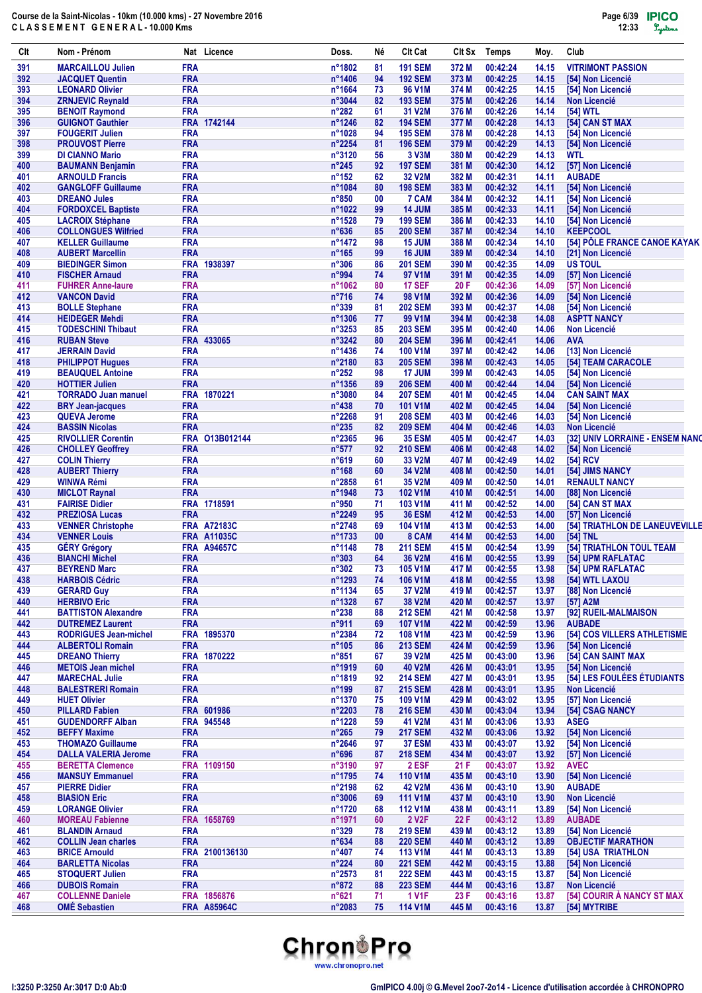| Clt        | Nom - Prénom                                       |                          | Nat Licence        | Doss.                            | Né       | <b>Clt Cat</b>                   | CIt Sx         | <b>Temps</b>         | Moy.           | Club                                              |
|------------|----------------------------------------------------|--------------------------|--------------------|----------------------------------|----------|----------------------------------|----------------|----------------------|----------------|---------------------------------------------------|
| 391        | <b>MARCAILLOU Julien</b>                           | <b>FRA</b>               |                    | n°1802                           | 81       | <b>191 SEM</b>                   | 372 M          | 00:42:24             | 14.15          | <b>VITRIMONT PASSION</b>                          |
| 392        | <b>JACQUET Quentin</b>                             | <b>FRA</b>               |                    | n°1406                           | 94       | <b>192 SEM</b>                   | 373 M          | 00:42:25             | 14.15          | [54] Non Licencié                                 |
| 393        | <b>LEONARD Olivier</b>                             | <b>FRA</b>               |                    | n°1664                           | 73       | 96 V1M                           | 374 M          | 00:42:25             | 14.15          | <b>[54] Non Licencié</b>                          |
| 394        | <b>ZRNJEVIC Reynald</b>                            | <b>FRA</b>               |                    | n°3044                           | 82       | <b>193 SEM</b>                   | 375 M          | 00:42:26             | 14.14          | <b>Non Licencié</b>                               |
| 395<br>396 | <b>BENOIT Raymond</b><br><b>GUIGNOT Gauthier</b>   | <b>FRA</b>               | FRA 1742144        | $n^{\circ}282$<br>n°1246         | 61<br>82 | 31 V2M<br><b>194 SEM</b>         | 376 M<br>377 M | 00:42:26<br>00:42:28 | 14.14<br>14.13 | [54] WTL<br>[54] CAN ST MAX                       |
| 397        | <b>FOUGERIT Julien</b>                             | <b>FRA</b>               |                    | n°1028                           | 94       | <b>195 SEM</b>                   | 378 M          | 00:42:28             | 14.13          | [54] Non Licencié                                 |
| 398        | <b>PROUVOST Pierre</b>                             | <b>FRA</b>               |                    | $n^{\circ}2254$                  | 81       | <b>196 SEM</b>                   | 379 M          | 00:42:29             | 14.13          | [54] Non Licencié                                 |
| 399        | <b>DI CIANNO Mario</b>                             | <b>FRA</b>               |                    | n°3120                           | 56       | 3 V3M                            | 380 M          | 00:42:29             | 14.13          | <b>WTL</b>                                        |
| 400        | <b>BAUMANN Benjamin</b>                            | <b>FRA</b>               |                    | $n^{\circ}245$                   | 92       | <b>197 SEM</b>                   | 381 M          | 00:42:30             | 14.12          | [57] Non Licencié                                 |
| 401        | <b>ARNOULD Francis</b>                             | <b>FRA</b>               |                    | $n^{\circ}152$                   | 62       | <b>32 V2M</b>                    | 382 M          | 00:42:31             | 14.11          | <b>AUBADE</b>                                     |
| 402        | <b>GANGLOFF Guillaume</b>                          | <b>FRA</b>               |                    | n°1084                           | 80       | <b>198 SEM</b>                   | 383 M          | 00:42:32             | 14.11          | [54] Non Licencié                                 |
| 403        | <b>DREANO Jules</b>                                | <b>FRA</b>               |                    | n°850                            | 00       | 7 CAM                            | 384 M          | 00:42:32             | 14.11          | [54] Non Licencié                                 |
| 404        | <b>FORDOXCEL Baptiste</b>                          | <b>FRA</b>               |                    | n°1022                           | 99       | <b>14 JUM</b>                    | 385 M          | 00:42:33             | 14.11          | [54] Non Licencié                                 |
| 405        | <b>LACROIX Stéphane</b>                            | <b>FRA</b>               |                    | n°1528                           | 79       | <b>199 SEM</b>                   | 386 M          | 00:42:33             | 14.10          | [54] Non Licencié                                 |
| 406        | <b>COLLONGUES Wilfried</b>                         | <b>FRA</b>               |                    | $n^{\circ}636$                   | 85       | <b>200 SEM</b>                   | 387 M          | 00:42:34             | 14.10          | <b>KEEPCOOL</b>                                   |
| 407        | <b>KELLER Guillaume</b><br><b>AUBERT Marcellin</b> | <b>FRA</b><br><b>FRA</b> |                    | n°1472                           | 98       | <b>15 JUM</b>                    | 388 M          | 00:42:34             | 14.10          | [54] PÔLE FRANCE CANOE KAYAK                      |
| 408<br>409 | <b>BIEDINGER Simon</b>                             |                          | FRA 1938397        | $n^{\circ}165$<br>$n^{\circ}306$ | 99<br>86 | 16 JUM<br><b>201 SEM</b>         | 389 M<br>390 M | 00:42:34<br>00:42:35 | 14.10<br>14.09 | [21] Non Licencié<br><b>US TOUL</b>               |
| 410        | <b>FISCHER Arnaud</b>                              | <b>FRA</b>               |                    | n°994                            | 74       | 97 V1M                           | 391 M          | 00:42:35             | 14.09          | [57] Non Licencié                                 |
| 411        | <b>FUHRER Anne-laure</b>                           | <b>FRA</b>               |                    | n°1062                           | 80       | <b>17 SEF</b>                    | 20 F           | 00:42:36             | 14.09          | [57] Non Licencié                                 |
| 412        | <b>VANCON David</b>                                | <b>FRA</b>               |                    | $n^{\circ}716$                   | 74       | 98 V1M                           | 392 M          | 00:42:36             | 14.09          | [54] Non Licencié                                 |
| 413        | <b>BOLLE Stephane</b>                              | <b>FRA</b>               |                    | n°339                            | 81       | <b>202 SEM</b>                   | 393 M          | 00:42:37             | 14.08          | [54] Non Licencié                                 |
| 414        | <b>HEIDEGER Mehdi</b>                              | <b>FRA</b>               |                    | n°1306                           | 77       | 99 V <sub>1</sub> M              | 394 M          | 00:42:38             | 14.08          | <b>ASPTT NANCY</b>                                |
| 415        | <b>TODESCHINI Thibaut</b>                          | <b>FRA</b>               |                    | n°3253                           | 85       | <b>203 SEM</b>                   | 395 M          | 00:42:40             | 14.06          | Non Licencié                                      |
| 416        | <b>RUBAN Steve</b>                                 |                          | FRA 433065         | n°3242                           | 80       | <b>204 SEM</b>                   | 396 M          | 00:42:41             | 14.06          | <b>AVA</b>                                        |
| 417        | <b>JERRAIN David</b>                               | <b>FRA</b>               |                    | n°1436                           | 74       | <b>100 V1M</b>                   | 397 M          | 00:42:42             | 14.06          | [13] Non Licencié                                 |
| 418        | <b>PHILIPPOT Hugues</b>                            | <b>FRA</b>               |                    | n°2180                           | 83       | <b>205 SEM</b>                   | 398 M          | 00:42:43             | 14.05          | [54] TEAM CARACOLE                                |
| 419        | <b>BEAUQUEL Antoine</b>                            | <b>FRA</b>               |                    | $n^{\circ}252$                   | 98       | <b>17 JUM</b>                    | 399 M          | 00:42:43             | 14.05          | [54] Non Licencié                                 |
| 420        | <b>HOTTIER Julien</b>                              | <b>FRA</b>               |                    | n°1356                           | 89       | <b>206 SEM</b>                   | 400 M          | 00:42:44             | 14.04          | [54] Non Licencié                                 |
| 421        | <b>TORRADO Juan manuel</b>                         |                          | FRA 1870221        | n°3080                           | 84       | <b>207 SEM</b>                   | 401 M          | 00:42:45             | 14.04          | <b>CAN SAINT MAX</b>                              |
| 422        | <b>BRY Jean-jacques</b>                            | <b>FRA</b>               |                    | $n^{\circ}438$                   | 70       | <b>101 V1M</b>                   | 402 M          | 00:42:45             | 14.04          | [54] Non Licencié                                 |
| 423        | <b>QUEVA Jerome</b>                                | <b>FRA</b>               |                    | $n^{\circ}2268$                  | 91       | <b>208 SEM</b>                   | 403 M          | 00:42:46             | 14.03          | [54] Non Licencié                                 |
| 424        | <b>BASSIN Nicolas</b>                              | <b>FRA</b>               |                    | n°235                            | 82       | <b>209 SEM</b>                   | 404 M          | 00:42:46             | 14.03          | <b>Non Licencié</b>                               |
| 425        | <b>RIVOLLIER Corentin</b>                          | <b>FRA</b>               | O13B012144         | n°2365                           | 96       | <b>35 ESM</b>                    | 405 M          | 00:42:47             | 14.03          | [32] UNIV LORRAINE - ENSEM NANO                   |
| 426        | <b>CHOLLEY Geoffrey</b>                            | <b>FRA</b>               |                    | $n^{\circ}577$                   | 92       | <b>210 SEM</b>                   | 406 M          | 00:42:48             | 14.02          | [54] Non Licencié                                 |
| 427        | <b>COLIN Thierry</b>                               | <b>FRA</b>               |                    | $n^{\circ}619$                   | 60       | 33 V2M                           | 407 M          | 00:42:49             | 14.02          | [54] RCV                                          |
| 428        | <b>AUBERT Thierry</b>                              | <b>FRA</b>               |                    | $n^{\circ}168$                   | 60       | 34 V2M                           | 408 M          | 00:42:50             | 14.01          | [54] JIMS NANCY                                   |
| 429<br>430 | WINWA Rémi<br><b>MICLOT Raynal</b>                 | <b>FRA</b><br><b>FRA</b> |                    | n°2858<br>n°1948                 | 61<br>73 | 35 V2M<br><b>102 V1M</b>         | 409 M<br>410 M | 00:42:50<br>00:42:51 | 14.01<br>14.00 | <b>RENAULT NANCY</b><br>[88] Non Licencié         |
| 431        | <b>FAIRISE Didier</b>                              |                          | FRA 1718591        | n°950                            | 71       | <b>103 V1M</b>                   | 411 M          | 00:42:52             | 14.00          | [54] CAN ST MAX                                   |
| 432        | <b>PREZIOSA Lucas</b>                              | <b>FRA</b>               |                    | n°2249                           | 95       | <b>36 ESM</b>                    | 412 M          | 00:42:53             | 14.00          | [57] Non Licencié                                 |
| 433        | <b>VENNER Christophe</b>                           |                          | <b>FRA A72183C</b> | n°2748                           | 69       | <b>104 V1M</b>                   | 413 M          | 00:42:53             | 14.00          | [54] TRIATHLON DE LANEUVEVILLE                    |
| 434        | <b>VENNER Louis</b>                                |                          | <b>FRA A11035C</b> | n°1733                           | 00       | 8 CAM                            | 414 M          | 00:42:53             | 14.00          | [54] TNL                                          |
| 435        | <b>GÉRY Grégory</b>                                |                          | <b>FRA A94657C</b> | n°1148                           | 78       | <b>211 SEM</b>                   | 415 M          | 00:42:54             | 13.99          | [54] TRIATHLON TOUL TEAM                          |
| 436        | <b>BIANCHI Michel</b>                              | <b>FRA</b>               |                    | $n^{\circ}303$                   | 64       | 36 V2M                           | 416 M          | 00:42:55             | 13.99          | [54] UPM RAFLATAC                                 |
| 437        | <b>BEYREND Marc</b>                                | <b>FRA</b>               |                    | $n^{\circ}302$                   | 73       | <b>105 V1M</b>                   | 417 M          | 00:42:55             | 13.98          | [54] UPM RAFLATAC                                 |
| 438        | <b>HARBOIS Cédric</b>                              | <b>FRA</b>               |                    | n°1293                           | 74       | 106 V1M                          | 418 M          | 00:42:55             | 13.98          | [54] WTL LAXOU                                    |
| 439        | <b>GERARD Guy</b>                                  | <b>FRA</b>               |                    | n°1134                           | 65       | 37 V2M                           | 419 M          | 00:42:57             | 13.97          | [88] Non Licencié                                 |
| 440        | <b>HERBIVO Eric</b>                                | <b>FRA</b>               |                    | n°1328                           | 67       | 38 V2M                           | 420 M          | 00:42:57             | 13.97          | [57] A2M                                          |
| 441        | <b>BATTISTON Alexandre</b>                         | <b>FRA</b>               |                    | $n^{\circ}238$                   | 88       | <b>212 SEM</b>                   | 421 M          | 00:42:58             | 13.97          | [92] RUEIL-MALMAISON                              |
| 442        | <b>DUTREMEZ Laurent</b>                            | <b>FRA</b>               |                    | n°911                            | 69       | <b>107 V1M</b>                   | 422 M          | 00:42:59             | 13.96          | <b>AUBADE</b>                                     |
| 443        | <b>RODRIGUES Jean-michel</b>                       |                          | FRA 1895370        | n°2384                           | 72       | 108 V1M                          | 423 M          | 00:42:59             | 13.96          | <b>[54] COS VILLERS ATHLETISME</b>                |
| 444        | <b>ALBERTOLI Romain</b>                            | <b>FRA</b>               |                    | $n^{\circ}105$                   | 86       | <b>213 SEM</b>                   | 424 M          | 00:42:59             | 13.96          | [54] Non Licencié                                 |
| 445        | <b>DREANO Thierry</b>                              |                          | FRA 1870222        | $n^{\circ}851$                   | 67       | 39 V2M                           | 425 M          | 00:43:00             | 13.96          | [54] CAN SAINT MAX                                |
| 446        | <b>METOIS Jean michel</b>                          | <b>FRA</b>               |                    | n°1919                           | 60       | <b>40 V2M</b>                    | 426 M          | 00:43:01             | 13.95          | [54] Non Licencié                                 |
| 447<br>448 | <b>MARECHAL Julie</b><br><b>BALESTRERI Romain</b>  | <b>FRA</b><br><b>FRA</b> |                    | n°1819<br>$n^{\circ}$ 199        | 92<br>87 | <b>214 SEM</b><br><b>215 SEM</b> | 427 M<br>428 M | 00:43:01<br>00:43:01 | 13.95<br>13.95 | [54] LES FOULÉES ÉTUDIANTS<br>Non Licencié        |
| 449        | <b>HUET Olivier</b>                                | <b>FRA</b>               |                    | n°1370                           | 75       | 109 V1M                          | 429 M          | 00:43:02             | 13.95          | [57] Non Licencié                                 |
| 450        | <b>PILLARD Fabien</b>                              |                          | FRA 601986         | n°2203                           | 78       | <b>216 SEM</b>                   | 430 M          | 00:43:04             | 13.94          | <b>[54] CSAG NANCY</b>                            |
| 451        | <b>GUDENDORFF Alban</b>                            |                          | FRA 945548         | n°1228                           | 59       | 41 V2M                           | 431 M          | 00:43:06             | 13.93          | <b>ASEG</b>                                       |
| 452        | <b>BEFFY Maxime</b>                                | <b>FRA</b>               |                    | $n^{\circ}265$                   | 79       | <b>217 SEM</b>                   | 432 M          | 00:43:06             | 13.92          | [54] Non Licencié                                 |
| 453        | <b>THOMAZO Guillaume</b>                           | <b>FRA</b>               |                    | $n^{\circ}2646$                  | 97       | <b>37 ESM</b>                    | 433 M          | 00:43:07             | 13.92          | [54] Non Licencié                                 |
| 454        | <b>DALLA VALERIA Jerome</b>                        | <b>FRA</b>               |                    | n°696                            | 87       | <b>218 SEM</b>                   | 434 M          | 00:43:07             | 13.92          | [57] Non Licencié                                 |
| 455        | <b>BERETTA Clemence</b>                            |                          | FRA 1109150        | n°3190                           | 97       | 2 ESF                            | 21 F           | 00:43:07             | 13.92          | <b>AVEC</b>                                       |
| 456        | <b>MANSUY Emmanuel</b>                             | <b>FRA</b>               |                    | n°1795                           | 74       | <b>110 V1M</b>                   | 435 M          | 00:43:10             | 13.90          | [54] Non Licencié                                 |
| 457        | <b>PIERRE Didier</b>                               | <b>FRA</b>               |                    | n°2198                           | 62       | <b>42 V2M</b>                    | 436 M          | 00:43:10             | 13.90          | <b>AUBADE</b>                                     |
| 458        | <b>BIASION Eric</b>                                | <b>FRA</b>               |                    | n°3006                           | 69       | <b>111 V1M</b>                   | 437 M          | 00:43:10             | 13.90          | <b>Non Licencié</b>                               |
| 459        | <b>LORANGE Olivier</b>                             | <b>FRA</b>               |                    | n°1720                           | 68       | <b>112 V1M</b>                   | 438 M          | 00:43:11             | 13.89          | [54] Non Licencié                                 |
| 460        | <b>MOREAU Fabienne</b>                             |                          | FRA 1658769        | n°1971                           | 60       | 2 V <sub>2</sub> F               | 22 F           | 00:43:12             | 13.89          | <b>AUBADE</b>                                     |
| 461        | <b>BLANDIN Arnaud</b>                              | <b>FRA</b>               |                    | n°329                            | 78       | <b>219 SEM</b>                   | 439 M          | 00:43:12             | 13.89          | [54] Non Licencié                                 |
| 462        | <b>COLLIN Jean charles</b>                         | <b>FRA</b>               |                    | $n^{\circ}634$                   | 88       | <b>220 SEM</b>                   | 440 M          | 00:43:12             | 13.89          | <b>OBJECTIF MARATHON</b>                          |
| 463        | <b>BRICE Arnould</b>                               |                          | FRA 2100136130     | $n^{\circ}407$                   | 74       | 113 V1M                          | 441 M          | 00:43:13             | 13.89          | [54] USA TRIATHLON                                |
| 464        | <b>BARLETTA Nicolas</b>                            | <b>FRA</b>               |                    | $n^{\circ}224$                   | 80       | <b>221 SEM</b>                   | 442 M          | 00:43:15             | 13.88          | [54] Non Licencié                                 |
| 465        | <b>STOQUERT Julien</b>                             | <b>FRA</b><br><b>FRA</b> |                    | n°2573                           | 81       | <b>222 SEM</b>                   | 443 M          | 00:43:15             | 13.87          | [54] Non Licencié                                 |
| 466        | <b>DUBOIS Romain</b><br><b>COLLENNE Daniele</b>    |                          | FRA 1856876        | $n^{\circ}872$<br>$n^{\circ}621$ | 88<br>71 | <b>223 SEM</b><br><b>1 V1F</b>   | 444 M          | 00:43:16<br>00:43:16 | 13.87          | <b>Non Licencié</b><br>[54] COURIR À NANCY ST MAX |
| 467<br>468 | <b>OMÉ Sebastien</b>                               |                          | <b>FRA A85964C</b> | n°2083                           | 75       | <b>114 V1M</b>                   | 23 F<br>445 M  | 00:43:16             | 13.87<br>13.87 | [54] MYTRIBE                                      |
|            |                                                    |                          |                    |                                  |          |                                  |                |                      |                |                                                   |

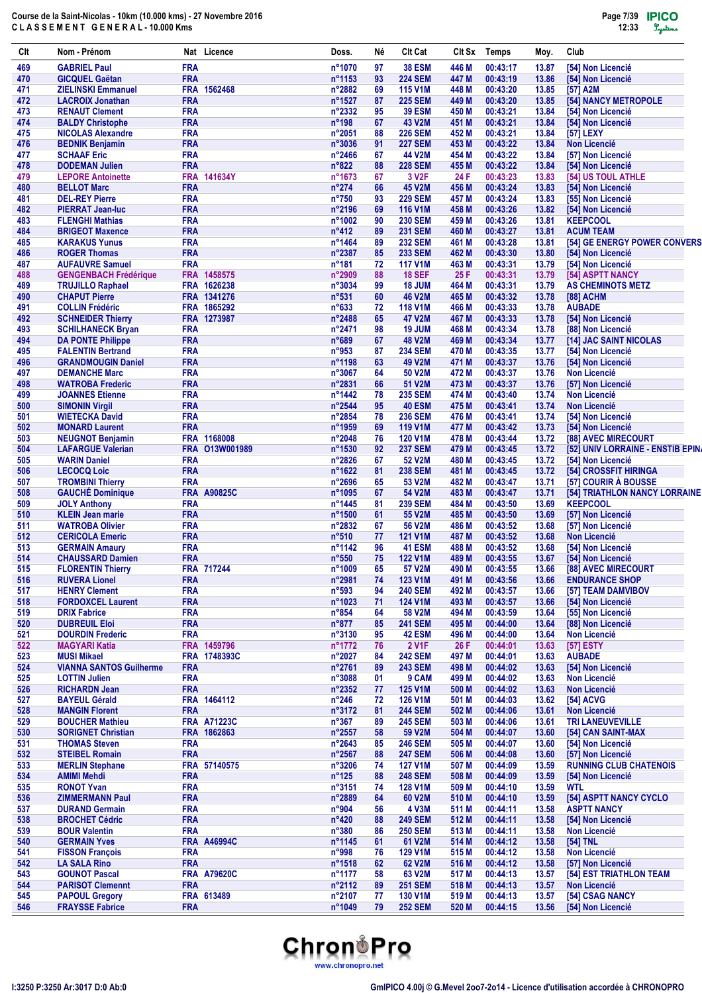| Clt        | Nom - Prénom                                         | Nat Licence                | Doss.                     | Né       | <b>Clt Cat</b>                   | CIt Sx         | <b>Temps</b>         | Moy.           | Club                                         |
|------------|------------------------------------------------------|----------------------------|---------------------------|----------|----------------------------------|----------------|----------------------|----------------|----------------------------------------------|
| 469        | <b>GABRIEL Paul</b>                                  | <b>FRA</b>                 | n°1070                    | 97       | <b>38 ESM</b>                    | 446 M          | 00:43:17             | 13.87          | [54] Non Licencié                            |
| 470        | <b>GICQUEL Gaëtan</b>                                | <b>FRA</b>                 | n°1153                    | 93       | <b>224 SEM</b>                   | 447 M          | 00:43:19             | 13.86          | [54] Non Licencié                            |
| 471        | <b>ZIELINSKI Emmanuel</b>                            | FRA 1562468                | n°2882                    | 69       | <b>115 V1M</b>                   | 448 M          | 00:43:20             | 13.85          | [57] A2M                                     |
| 472        | <b>LACROIX Jonathan</b>                              | <b>FRA</b>                 | n°1527                    | 87       | <b>225 SEM</b>                   | 449 M          | 00:43:20             | 13.85          | [54] NANCY METROPOLE                         |
| 473<br>474 | <b>RENAUT Clement</b><br><b>BALDY Christophe</b>     | <b>FRA</b><br><b>FRA</b>   | n°2332<br>$n^{\circ}$ 198 | 95<br>67 | <b>39 ESM</b><br>43 V2M          | 450 M<br>451 M | 00:43:21<br>00:43:21 | 13.84<br>13.84 | [54] Non Licencié<br>[54] Non Licencié       |
| 475        | <b>NICOLAS Alexandre</b>                             | <b>FRA</b>                 | n°2051                    | 88       | <b>226 SEM</b>                   | 452 M          | 00:43:21             | 13.84          | [57] LEXY                                    |
| 476        | <b>BEDNIK Benjamin</b>                               | <b>FRA</b>                 | n°3036                    | 91       | <b>227 SEM</b>                   | 453 M          | 00:43:22             | 13.84          | <b>Non Licencié</b>                          |
| 477        | <b>SCHAAF Eric</b>                                   | <b>FRA</b>                 | n°2466                    | 67       | 44 V2M                           | 454 M          | 00:43:22             | 13.84          | [57] Non Licencié                            |
| 478        | <b>DODEMAN Julien</b>                                | <b>FRA</b>                 | $n^{\circ}822$            | 88       | <b>228 SEM</b>                   | 455 M          | 00:43:22             | 13.84          | [54] Non Licencié                            |
| 479        | <b>LEPORE Antoinette</b>                             | FRA 141634Y                | n°1673                    | 67       | 3 V <sub>2</sub> F               | 24 F           | 00:43:23             | 13.83          | <b>[54] US TOUL ATHLE</b>                    |
| 480        | <b>BELLOT Marc</b>                                   | <b>FRA</b>                 | $n^{\circ}274$            | 66       | <b>45 V2M</b>                    | 456 M          | 00:43:24             | 13.83          | [54] Non Licencié                            |
| 481        | <b>DEL-REY Pierre</b>                                | <b>FRA</b>                 | $n^{\circ}750$            | 93       | <b>229 SEM</b>                   | 457 M          | 00:43:24             | 13.83          | [55] Non Licencié                            |
| 482        | <b>PIERRAT Jean-luc</b>                              | <b>FRA</b>                 | n°2196                    | 69       | <b>116 V1M</b>                   | 458 M          | 00:43:26             | 13.82          | [54] Non Licencié                            |
| 483        | <b>FLENGHI Mathias</b>                               | <b>FRA</b>                 | n°1002                    | 90       | <b>230 SEM</b>                   | 459 M          | 00:43:26             | 13.81          | <b>KEEPCOOL</b>                              |
| 484        | <b>BRIGEOT Maxence</b>                               | <b>FRA</b>                 | $n^{\circ}412$            | 89       | <b>231 SEM</b>                   | 460 M          | 00:43:27             | 13.81          | <b>ACUM TEAM</b>                             |
| 485<br>486 | <b>KARAKUS Yunus</b><br><b>ROGER Thomas</b>          | <b>FRA</b><br><b>FRA</b>   | n°1464<br>n°2387          | 89<br>85 | <b>232 SEM</b><br><b>233 SEM</b> | 461 M<br>462 M | 00:43:28<br>00:43:30 | 13.81<br>13.80 | [54] GE ENERGY POWER CONVERS                 |
| 487        | <b>AUFAUVRE Samuel</b>                               | <b>FRA</b>                 | $n^{\circ}181$            | 72       | <b>117 V1M</b>                   | 463 M          | 00:43:31             | 13.79          | [54] Non Licencié<br>[54] Non Licencié       |
| 488        | <b>GENGENBACH Frédérique</b>                         | FRA 1458575                | n°2909                    | 88       | <b>18 SEF</b>                    | 25 F           | 00:43:31             | 13.79          | [54] ASPTT NANCY                             |
| 489        | <b>TRUJILLO Raphael</b>                              | FRA 1626238                | n°3034                    | 99       | 18 JUM                           | 464 M          | 00:43:31             | 13.79          | <b>AS CHEMINOTS METZ</b>                     |
| 490        | <b>CHAPUT Pierre</b>                                 | FRA 1341276                | n°531                     | 60       | <b>46 V2M</b>                    | 465 M          | 00:43:32             | 13.78          | [88] ACHM                                    |
| 491        | <b>COLLIN Frédéric</b>                               | FRA 1865292                | $n^{\circ}633$            | 72       | <b>118 V1M</b>                   | 466 M          | 00:43:33             | 13.78          | <b>AUBADE</b>                                |
| 492        | <b>SCHNEIDER Thierry</b>                             | FRA 1273987                | n°2488                    | 65       | 47 V2M                           | 467 M          | 00:43:33             | 13.78          | [54] Non Licencié                            |
| 493        | <b>SCHILHANECK Bryan</b>                             | <b>FRA</b>                 | n°2471                    | 98       | 19 JUM                           | 468 M          | 00:43:34             | 13.78          | [88] Non Licencié                            |
| 494        | <b>DA PONTE Philippe</b>                             | <b>FRA</b>                 | n°689                     | 67       | <b>48 V2M</b>                    | 469 M          | 00:43:34             | 13.77          | [14] JAC SAINT NICOLAS                       |
| 495        | <b>FALENTIN Bertrand</b>                             | <b>FRA</b>                 | n°953                     | 87       | <b>234 SEM</b>                   | 470 M          | 00:43:35             | 13.77          | [54] Non Licencié                            |
| 496        | <b>GRANDMOUGIN Daniel</b>                            | <b>FRA</b>                 | n°1198                    | 63       | 49 V2M                           | 471 M          | 00:43:37             | 13.76          | [54] Non Licencié                            |
| 497        | <b>DEMANCHE Marc</b>                                 | <b>FRA</b>                 | n°3067                    | 64       | 50 V2M                           | 472 M          | 00:43:37             | 13.76          | <b>Non Licencié</b>                          |
| 498        | <b>WATROBA Frederic</b>                              | <b>FRA</b>                 | n°2831                    | 66       | 51 V2M                           | 473 M          | 00:43:37             | 13.76          | [57] Non Licencié                            |
| 499<br>500 | <b>JOANNES Etienne</b><br><b>SIMONIN Virgil</b>      | <b>FRA</b><br><b>FRA</b>   | n°1442<br>n°2544          | 78<br>95 | <b>235 SEM</b><br><b>40 ESM</b>  | 474 M<br>475 M | 00:43:40<br>00:43:41 | 13.74<br>13.74 | <b>Non Licencié</b><br><b>Non Licencié</b>   |
| 501        | <b>WIETECKA David</b>                                | <b>FRA</b>                 | n°2854                    | 78       | <b>236 SEM</b>                   | 476 M          | 00:43:41             | 13.74          | [54] Non Licencié                            |
| 502        | <b>MONARD Laurent</b>                                | <b>FRA</b>                 | n°1959                    | 69       | <b>119 V1M</b>                   | 477 M          | 00:43:42             | 13.73          | [54] Non Licencié                            |
| 503        | <b>NEUGNOT Benjamin</b>                              | FRA 1168008                | n°2048                    | 76       | <b>120 V1M</b>                   | 478 M          | 00:43:44             | 13.72          | [88] AVEC MIRECOURT                          |
| 504        | <b>LAFARGUE Valerian</b>                             | FRA 013W001989             | n°1530                    | 92       | <b>237 SEM</b>                   | 479 M          | 00:43:45             | 13.72          | [52] UNIV LORRAINE - ENSTIB EPINA            |
| 505        | <b>WARIN Daniel</b>                                  | <b>FRA</b>                 | n°2826                    | 67       | 52 V2M                           | 480 M          | 00:43:45             | 13.72          | [54] Non Licencié                            |
| 506        | <b>LECOCQ Loic</b>                                   | <b>FRA</b>                 | n°1622                    | 81       | <b>238 SEM</b>                   | 481 M          | 00:43:45             | 13.72          | [54] CROSSFIT HIRINGA                        |
| 507        | <b>TROMBINI Thierry</b>                              | <b>FRA</b>                 | n°2696                    | 65       | 53 V2M                           | 482 M          | 00:43:47             | 13.71          | [57] COURIR À BOUSSE                         |
| 508        | <b>GAUCHÉ Dominique</b>                              | <b>FRA A90825C</b>         | n°1095                    | 67       | 54 V2M                           | 483 M          | 00:43:47             | 13.71          | [54] TRIATHLON NANCY LORRAINE                |
| 509        | <b>JOLY Anthony</b>                                  | <b>FRA</b>                 | n°1445                    | 81       | <b>239 SEM</b>                   | 484 M          | 00:43:50             | 13.69          | <b>KEEPCOOL</b>                              |
| 510        | <b>KLEIN Jean marie</b>                              | <b>FRA</b>                 | n°1500                    | 61       | 55 V2M                           | 485 M          | 00:43:50             | 13.69          | [57] Non Licencié                            |
| 511<br>512 | <b>WATROBA Olivier</b>                               | <b>FRA</b><br><b>FRA</b>   | n°2832<br>$n^{\circ}510$  | 67<br>77 | 56 V2M<br><b>121 V1M</b>         | 486 M<br>487 M | 00:43:52<br>00:43:52 | 13.68<br>13.68 | [57] Non Licencié<br><b>Non Licencié</b>     |
| 513        | <b>CERICOLA Emeric</b><br><b>GERMAIN Amaury</b>      | <b>FRA</b>                 | n°1142                    | 96       | <b>41 ESM</b>                    | 488 M          | 00:43:52             | 13.68          | [54] Non Licencié                            |
| 514        | <b>CHAUSSARD Damien</b>                              | <b>FRA</b>                 | $n^{\circ}550$            | 75       | <b>122 V1M</b>                   | 489 M          | 00:43:55             | 13.67          | [54] Non Licencié                            |
| 515        | <b>FLORENTIN Thierry</b>                             | FRA 717244                 | n°1009                    | 65       | 57 V2M                           | 490 M          | 00:43:55             | 13.66          | [88] AVEC MIRECOURT                          |
| 516        | <b>RUVERA Lionel</b>                                 | <b>FRA</b>                 | n°2981                    | 74       | <b>123 V1M</b>                   | 491 M          | 00:43:56             | 13.66          | <b>ENDURANCE SHOP</b>                        |
| 517        | <b>HENRY Clement</b>                                 | <b>FRA</b>                 | n°593                     | 94       | <b>240 SEM</b>                   | 492 M          | 00:43:57             | 13.66          | [57] TEAM DAMVIBOV                           |
| 518        | <b>FORDOXCEL Laurent</b>                             | <b>FRA</b>                 | n°1023                    | 71       | <b>124 V1M</b>                   | 493 M          | 00:43:57             | 13.66          | [54] Non Licencié                            |
| 519        | <b>DRIX Fabrice</b>                                  | <b>FRA</b>                 | $n^{\circ}854$            | 64       | 58 V2M                           | 494 M          | 00:43:59             | 13.64          | [55] Non Licencié                            |
| 520        | <b>DUBREUIL Eloi</b>                                 | <b>FRA</b>                 | $n^{\circ}877$            | 85       | <b>241 SEM</b>                   | 495 M          | 00:44:00             | 13.64          | [88] Non Licencié                            |
| 521        | <b>DOURDIN Frederic</b>                              | <b>FRA</b>                 | n°3130                    | 95       | <b>42 ESM</b>                    | 496 M          | 00:44:00             | 13.64          | <b>Non Licencié</b>                          |
| 522        | <b>MAGYARI Katia</b>                                 | FRA 1459796                | n°1772                    | 76       | <b>2 V1F</b>                     | 26 F           | 00:44:01             | 13.63          | [57] ESTY                                    |
| 523        | <b>MUSI Mikael</b><br><b>VIANNA SANTOS Guilherme</b> | FRA 1748393C<br><b>FRA</b> | n°2027                    | 84       | <b>242 SEM</b>                   | 497 M          | 00:44:01             | 13.63          | <b>AUBADE</b>                                |
| 524<br>525 | <b>LOTTIN Julien</b>                                 | <b>FRA</b>                 | n°2761<br>n°3088          | 89<br>01 | <b>243 SEM</b><br>9 CAM          | 498 M<br>499 M | 00:44:02<br>00:44:02 | 13.63<br>13.63 | [54] Non Licencié<br><b>Non Licencié</b>     |
| 526        | <b>RICHARDN Jean</b>                                 | <b>FRA</b>                 | n°2352                    | 77       | 125 V1M                          | 500 M          | 00:44:02             | 13.63          | <b>Non Licencié</b>                          |
| 527        | <b>BAYEUL Gérald</b>                                 | FRA 1464112                | $n^{\circ}246$            | 72       | <b>126 V1M</b>                   | 501 M          | 00:44:03             | 13.62          | [54] ACVG                                    |
| 528        | <b>MANGIN Florent</b>                                | <b>FRA</b>                 | n°3172                    | 81       | <b>244 SEM</b>                   | 502 M          | 00:44:06             | 13.61          | <b>Non Licencié</b>                          |
| 529        | <b>BOUCHER Mathieu</b>                               | <b>FRA A71223C</b>         | $n^{\circ}367$            | 89       | <b>245 SEM</b>                   | 503 M          | 00:44:06             | 13.61          | <b>TRI LANEUVEVILLE</b>                      |
| 530        | <b>SORIGNET Christian</b>                            | FRA 1862863                | n°2557                    | 58       | 59 V2M                           | 504 M          | 00:44:07             | 13.60          | [54] CAN SAINT-MAX                           |
| 531        | <b>THOMAS Steven</b>                                 | <b>FRA</b>                 | n°2643                    | 85       | <b>246 SEM</b>                   | 505 M          | 00:44:07             | 13.60          | [54] Non Licencié                            |
| 532        | <b>STEIBEL Romain</b>                                | <b>FRA</b>                 | n°2567                    | 88       | <b>247 SEM</b>                   | 506 M          | 00:44:08             | 13.60          | [57] Non Licencié                            |
| 533        | <b>MERLIN Stephane</b>                               | FRA 57140575               | n°3206                    | 74       | <b>127 V1M</b>                   | 507 M          | 00:44:09             | 13.59          | <b>RUNNING CLUB CHATENOIS</b>                |
| 534        | <b>AMIMI Mehdi</b>                                   | <b>FRA</b>                 | $n^{\circ}125$            | 88       | <b>248 SEM</b>                   | 508 M          | 00:44:09             | 13.59          | [54] Non Licencié                            |
| 535        | <b>RONOT Yvan</b>                                    | <b>FRA</b><br><b>FRA</b>   | n°3151                    | 74       | <b>128 V1M</b>                   | 509 M          | 00:44:10             | 13.59          | <b>WTL</b>                                   |
| 536<br>537 | <b>ZIMMERMANN Paul</b><br><b>DURAND Germain</b>      | <b>FRA</b>                 | n°2889<br>n°904           | 64<br>56 | 60 V2M<br><b>4 V3M</b>           | 510 M<br>511 M | 00:44:10<br>00:44:11 | 13.59<br>13.58 | [54] ASPTT NANCY CYCLO<br><b>ASPTT NANCY</b> |
| 538        | <b>BROCHET Cédric</b>                                | <b>FRA</b>                 | $n^{\circ}420$            | 88       | <b>249 SEM</b>                   | 512 M          | 00:44:11             | 13.58          | [54] Non Licencié                            |
| 539        | <b>BOUR Valentin</b>                                 | <b>FRA</b>                 | $n^{\circ}380$            | 86       | <b>250 SEM</b>                   | 513 M          | 00:44:11             | 13.58          | <b>Non Licencié</b>                          |
| 540        | <b>GERMAIN Yves</b>                                  | <b>FRA A46994C</b>         | n°1145                    | 61       | 61 V2M                           | 514 M          | 00:44:12             | 13.58          | [54] TNL                                     |
| 541        | <b>FISSON François</b>                               | <b>FRA</b>                 | n°998                     | 76       | <b>129 V1M</b>                   | 515 M          | 00:44:12             | 13.58          | Non Licencié                                 |
| 542        | <b>LA SALA Rino</b>                                  | <b>FRA</b>                 | n°1518                    | 62       | 62 V2M                           | 516 M          | 00:44:12             | 13.58          | [57] Non Licencié                            |
| 543        | <b>GOUNOT Pascal</b>                                 | <b>FRA A79620C</b>         | n°1177                    | 58       | 63 V2M                           | 517 M          | 00:44:13             | 13.57          | [54] EST TRIATHLON TEAM                      |
| 544        | <b>PARISOT Clemennt</b>                              | <b>FRA</b>                 | n°2112                    | 89       | <b>251 SEM</b>                   | 518 M          | 00:44:13             | 13.57          | <b>Non Licencié</b>                          |
| 545        | <b>PAPOUL Gregory</b>                                | FRA 613489                 | n°2107                    | 77       | <b>130 V1M</b>                   | 519 M          | 00:44:13             | 13.57          | [54] CSAG NANCY                              |
| 546        | <b>FRAYSSE Fabrice</b>                               | <b>FRA</b>                 | n°1049                    | 79       | <b>252 SEM</b>                   | 520 M          | 00:44:15             | 13.56          | [54] Non Licencié                            |

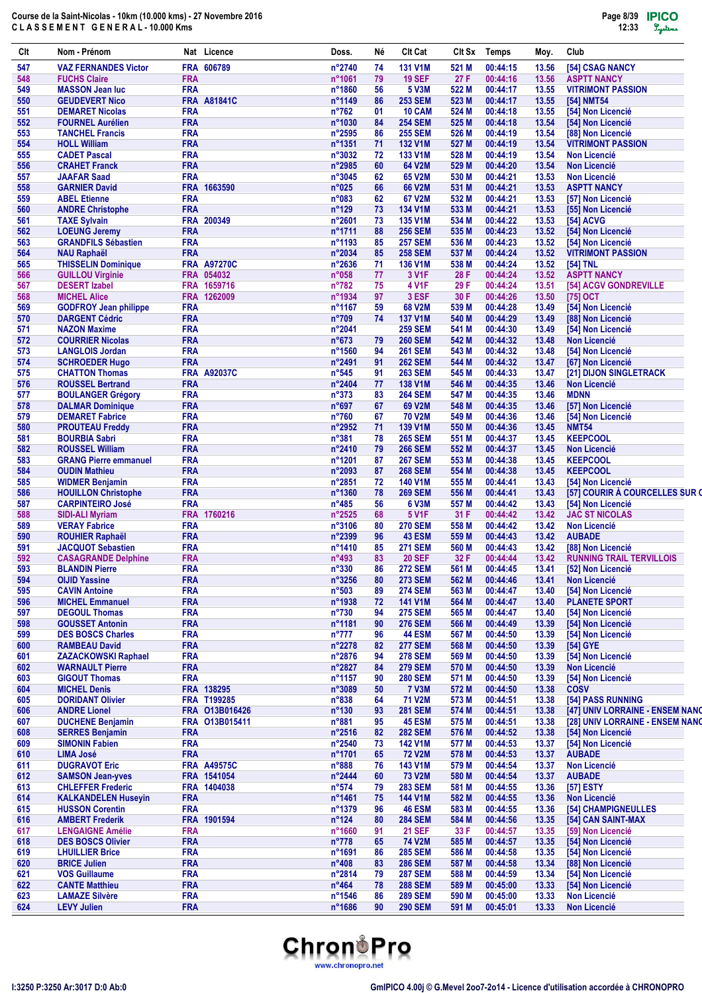| Clt        | Nom - Prénom                                        |                          | Nat Licence        | Doss.                               | Νé       | <b>Clt Cat</b>                   | Clt Sx         | Temps                | Moy.           | Club                                          |
|------------|-----------------------------------------------------|--------------------------|--------------------|-------------------------------------|----------|----------------------------------|----------------|----------------------|----------------|-----------------------------------------------|
| 547        | <b>VAZ FERNANDES Victor</b>                         |                          | FRA 606789         | n°2740                              | 74       | <b>131 V1M</b>                   | 521 M          | 00:44:15             | 13.56          | [54] CSAG NANCY                               |
| 548        | <b>FUCHS Claire</b>                                 | <b>FRA</b>               |                    | n°1061                              | 79       | <b>19 SEF</b>                    | 27 F           | 00:44:16             | 13.56          | <b>ASPTT NANCY</b>                            |
| 549        | <b>MASSON Jean luc</b>                              | <b>FRA</b>               |                    | n°1860                              | 56       | 5 V3M                            | 522 M          | 00:44:17             | 13.55          | <b>VITRIMONT PASSION</b>                      |
| 550        | <b>GEUDEVERT Nico</b>                               |                          | <b>FRA A81841C</b> | n°1149                              | 86       | <b>253 SEM</b>                   | 523 M          | 00:44:17             | 13.55          | [54] NMT54                                    |
| 551        | <b>DEMARET Nicolas</b>                              | <b>FRA</b>               |                    | $n^{\circ}762$                      | 01       | 10 CAM                           | 524 M          | 00:44:18             | 13.55          | [54] Non Licencié                             |
| 552        | <b>FOURNEL Aurélien</b>                             | <b>FRA</b>               |                    | n°1030                              | 84       | <b>254 SEM</b>                   | 525 M          | 00:44:18             | 13.54          | [54] Non Licencié                             |
| 553<br>554 | <b>TANCHEL Francis</b><br><b>HOLL William</b>       | <b>FRA</b><br><b>FRA</b> |                    | $n^{\circ}2595$<br>$n^{\circ}$ 1351 | 86<br>71 | <b>255 SEM</b><br><b>132 V1M</b> | 526 M<br>527 M | 00:44:19<br>00:44:19 | 13.54<br>13.54 | [88] Non Licencié<br><b>VITRIMONT PASSION</b> |
| 555        | <b>CADET Pascal</b>                                 | <b>FRA</b>               |                    | n°3032                              | 72       | <b>133 V1M</b>                   | 528 M          | 00:44:19             | 13.54          | <b>Non Licencié</b>                           |
| 556        | <b>CRAHET Franck</b>                                | <b>FRA</b>               |                    | n°2985                              | 60       | 64 V2M                           | 529 M          | 00:44:20             | 13.54          | <b>Non Licencié</b>                           |
| 557        | <b>JAAFAR Saad</b>                                  | <b>FRA</b>               |                    | n°3045                              | 62       | 65 V2M                           | 530 M          | 00:44:21             | 13.53          | <b>Non Licencié</b>                           |
| 558        | <b>GARNIER David</b>                                |                          | FRA 1663590        | n°025                               | 66       | 66 V2M                           | 531 M          | 00:44:21             | 13.53          | <b>ASPTT NANCY</b>                            |
| 559        | <b>ABEL Etienne</b>                                 | <b>FRA</b>               |                    | n°083                               | 62       | 67 V2M                           | 532 M          | 00:44:21             | 13.53          | [57] Non Licencié                             |
| 560        | <b>ANDRE Christophe</b>                             | <b>FRA</b>               |                    | $n^{\circ}129$                      | 73       | <b>134 V1M</b>                   | 533 M          | 00:44:21             | 13.53          | [55] Non Licencié                             |
| 561        | <b>TAXE Sylvain</b>                                 |                          | FRA 200349         | $n^{\circ}2601$                     | 73       | <b>135 V1M</b>                   | 534 M          | 00:44:22             | 13.53          | [54] ACVG                                     |
| 562        | <b>LOEUNG Jeremy</b>                                | <b>FRA</b>               |                    | n°1711                              | 88       | <b>256 SEM</b>                   | 535 M          | 00:44:23             | 13.52          | [54] Non Licencié                             |
| 563        | <b>GRANDFILS Sébastien</b>                          | <b>FRA</b>               |                    | n°1193                              | 85       | <b>257 SEM</b>                   | 536 M          | 00:44:23             | 13.52          | [54] Non Licencié                             |
| 564        | <b>NAU Raphaël</b>                                  | <b>FRA</b>               |                    | n°2034                              | 85       | <b>258 SEM</b>                   | 537 M          | 00:44:24             | 13.52          | <b>VITRIMONT PASSION</b>                      |
| 565        | <b>THISSELIN Dominique</b>                          |                          | <b>FRA A97270C</b> | n°2636                              | 71       | <b>136 V1M</b>                   | 538 M          | 00:44:24             | 13.52          | [54] TNL                                      |
| 566        | <b>GUILLOU Virginie</b>                             |                          | FRA 054032         | n°058                               | 77       | 3 V <sub>1</sub> F               | 28 F           | 00:44:24             | 13.52          | <b>ASPTT NANCY</b>                            |
| 567        | <b>DESERT</b> Izabel                                |                          | FRA 1659716        | $n^{\circ}782$                      | 75       | 4 V1F                            | 29 F           | 00:44:24             | 13.51          | [54] ACGV GONDREVILLE                         |
| 568        | <b>MICHEL Alice</b>                                 |                          | FRA 1262009        | n°1934                              | 97       | 3 ESF                            | 30 F           | 00:44:26             | 13.50          | [75] OCT                                      |
| 569        | <b>GODFROY Jean philippe</b>                        | <b>FRA</b>               |                    | n°1167                              | 59       | <b>68 V2M</b>                    | 539 M          | 00:44:28             | 13.49          | [54] Non Licencié                             |
| 570        | <b>DARGENT Cédric</b>                               | <b>FRA</b>               |                    | n°709                               | 74       | <b>137 V1M</b>                   | 540 M          | 00:44:29             | 13.49          | [88] Non Licencié                             |
| 571        | <b>NAZON Maxime</b>                                 | <b>FRA</b>               |                    | n°2041                              |          | <b>259 SEM</b>                   | 541 M          | 00:44:30             | 13.49          | [54] Non Licencié                             |
| 572        | <b>COURRIER Nicolas</b>                             | <b>FRA</b>               |                    | $n^{\circ}673$                      | 79       | <b>260 SEM</b>                   | 542 M          | 00:44:32             | 13.48          | <b>Non Licencié</b>                           |
| 573        | <b>LANGLOIS Jordan</b>                              | <b>FRA</b>               |                    | $n^{\circ}$ 1560                    | 94       | <b>261 SEM</b>                   | 543 M          | 00:44:32             | 13.48          | [54] Non Licencié                             |
| 574        | <b>SCHROEDER Hugo</b>                               | <b>FRA</b>               |                    | n°2491                              | 91       | <b>262 SEM</b>                   | 544 M          | 00:44:32             | 13.47          | [67] Non Licencié                             |
| 575        | <b>CHATTON Thomas</b>                               | <b>FRA</b>               | <b>FRA A92037C</b> | $n^{\circ}545$                      | 91       | <b>263 SEM</b><br>138 V1M        | 545 M          | 00:44:33             | 13.47          | [21] DIJON SINGLETRACK                        |
| 576<br>577 | <b>ROUSSEL Bertrand</b>                             | <b>FRA</b>               |                    | n°2404<br>$n^{\circ}373$            | 77<br>83 | <b>264 SEM</b>                   | 546 M<br>547 M | 00:44:35<br>00:44:35 | 13.46<br>13.46 | <b>Non Licencié</b><br><b>MDNN</b>            |
| 578        | <b>BOULANGER Grégory</b><br><b>DALMAR Dominique</b> | <b>FRA</b>               |                    | $n^{\circ}697$                      | 67       | 69 V2M                           | 548 M          | 00:44:35             | 13.46          | [57] Non Licencié                             |
| 579        | <b>DEMARET Fabrice</b>                              | <b>FRA</b>               |                    | $n^{\circ}760$                      | 67       | <b>70 V2M</b>                    | 549 M          | 00:44:36             | 13.46          | [54] Non Licencié                             |
| 580        | <b>PROUTEAU Freddy</b>                              | <b>FRA</b>               |                    | n°2952                              | 71       | 139 V1M                          | 550 M          | 00:44:36             | 13.45          | <b>NMT54</b>                                  |
| 581        | <b>BOURBIA Sabri</b>                                | <b>FRA</b>               |                    | n°381                               | 78       | <b>265 SEM</b>                   | 551 M          | 00:44:37             | 13.45          | <b>KEEPCOOL</b>                               |
| 582        | <b>ROUSSEL William</b>                              | <b>FRA</b>               |                    | n°2410                              | 79       | <b>266 SEM</b>                   | 552 M          | 00:44:37             | 13.45          | <b>Non Licencié</b>                           |
| 583        | <b>GRANG Pierre emmanuel</b>                        | <b>FRA</b>               |                    | n°1201                              | 87       | <b>267 SEM</b>                   | 553 M          | 00:44:38             | 13.45          | <b>KEEPCOOL</b>                               |
| 584        | <b>OUDIN Mathieu</b>                                | <b>FRA</b>               |                    | n°2093                              | 87       | <b>268 SEM</b>                   | 554 M          | 00:44:38             | 13.45          | <b>KEEPCOOL</b>                               |
| 585        | <b>WIDMER Benjamin</b>                              | <b>FRA</b>               |                    | $n^{\circ}2851$                     | 72       | <b>140 V1M</b>                   | 555 M          | 00:44:41             | 13.43          | [54] Non Licencié                             |
| 586        | <b>HOUILLON Christophe</b>                          | <b>FRA</b>               |                    | n°1360                              | 78       | <b>269 SEM</b>                   | 556 M          | 00:44:41             | 13.43          | [57] COURIR À COURCELLES SUR O                |
| 587        | <b>CARPINTEIRO José</b>                             | <b>FRA</b>               |                    | $n^{\circ}485$                      | 56       | 6 V3M                            | 557 M          | 00:44:42             | 13.43          | [54] Non Licencié                             |
| 588        | <b>SIDI-ALI Myriam</b>                              |                          | FRA 1760216        | n°2525                              | 68       | 5 V <sub>1</sub> F               | 31 F           | 00:44:42             | 13.42          | <b>JAC ST NICOLAS</b>                         |
| 589        | <b>VERAY Fabrice</b>                                | <b>FRA</b>               |                    | $n^{\circ}3106$                     | 80       | <b>270 SEM</b>                   | 558 M          | 00:44:42             | 13.42          | <b>Non Licencié</b>                           |
| 590        | <b>ROUHIER Raphaël</b>                              | <b>FRA</b>               |                    | n°2399                              | 96       | <b>43 ESM</b>                    | 559 M          | 00:44:43             | 13.42          | <b>AUBADE</b>                                 |
| 591        | <b>JACQUOT Sebastien</b>                            | <b>FRA</b>               |                    | n°1410                              | 85       | <b>271 SEM</b>                   | 560 M          | 00:44:43             | 13.42          | [88] Non Licencié                             |
| 592        | <b>CASAGRANDE Delphine</b>                          | <b>FRA</b>               |                    | $n^{\circ}493$                      | 83       | <b>20 SEF</b>                    | 32 F           | 00:44:44             | 13.42          | <b>RUNNING TRAIL TERVILLOIS</b>               |
| 593        | <b>BLANDIN Pierre</b>                               | <b>FRA</b>               |                    | n°330                               | 86       | <b>272 SEM</b>                   | 561 M          | 00:44:45             | 13.41          | [52] Non Licencié                             |
| 594        | <b>OIJID Yassine</b>                                | <b>FRA</b>               |                    | n°3256                              | 80       | <b>273 SEM</b>                   | 562 M          | 00:44:46             | 13.41          | Non Licencié                                  |
| 595        | <b>CAVIN Antoine</b>                                | <b>FRA</b>               |                    | n°503                               | 89       | <b>274 SEM</b>                   | 563 M          | 00:44:47             | 13.40          | [54] Non Licencié                             |
| 596        | <b>MICHEL Emmanuel</b>                              | <b>FRA</b>               |                    | n°1938                              | 72       | <b>141 V1M</b>                   | 564 M          | 00:44:47             | 13.40          | <b>PLANETE SPORT</b>                          |
| 597        | <b>DEGOUL Thomas</b>                                | <b>FRA</b>               |                    | n°730                               | 94       | <b>275 SEM</b>                   | 565 M          | 00:44:47             | 13.40          | [54] Non Licencié                             |
| 598        | <b>GOUSSET Antonin</b>                              | <b>FRA</b>               |                    | n°1181                              | 90       | <b>276 SEM</b>                   | 566 M          | 00:44:49             | 13.39          | [54] Non Licencié                             |
| 599        | <b>DES BOSCS Charles</b>                            | <b>FRA</b>               |                    | $n^{\circ}777$                      | 96       | <b>44 ESM</b>                    | 567 M          | 00:44:50             | 13.39          | [54] Non Licencié                             |
| 600        | <b>RAMBEAU David</b>                                | <b>FRA</b>               |                    | n°2278                              | 82       | <b>277 SEM</b>                   | 568 M          | 00:44:50             | 13.39          | [54] GYE                                      |
| 601        | <b>ZAZACKOWSKI Raphael</b>                          | <b>FRA</b>               |                    | n°2876                              | 94       | <b>278 SEM</b>                   | 569 M          | 00:44:50             | 13.39          | [54] Non Licencié                             |
| 602        | <b>WARNAULT Pierre</b><br><b>GIGOUT Thomas</b>      | <b>FRA</b><br><b>FRA</b> |                    | n°2827<br>n°1157                    | 84       | <b>279 SEM</b>                   | 570 M          | 00:44:50             | 13.39          | <b>Non Licencié</b><br>[54] Non Licencié      |
| 603<br>604 | <b>MICHEL Denis</b>                                 |                          | FRA 138295         | n°3089                              | 90<br>50 | <b>280 SEM</b><br><b>7 V3M</b>   | 571 M<br>572 M | 00:44:50<br>00:44:50 | 13.39<br>13.38 | <b>COSV</b>                                   |
| 605        | <b>DORIDANT Olivier</b>                             |                          | FRA T199285        | n°838                               | 64       | 71 V2M                           | 573 M          | 00:44:51             | 13.38          | [54] PASS RUNNING                             |
| 606        | <b>ANDRE Lionel</b>                                 |                          | FRA 013B016426     | n°130                               | 93       | <b>281 SEM</b>                   | 574 M          | 00:44:51             | 13.38          | [47] UNIV LORRAINE - ENSEM NANO               |
| 607        | <b>DUCHENE Benjamin</b>                             |                          | FRA 013B015411     | n°881                               | 95       | <b>45 ESM</b>                    | 575 M          | 00:44:51             | 13.38          | [28] UNIV LORRAINE - ENSEM NANO               |
| 608        | <b>SERRES Benjamin</b>                              | <b>FRA</b>               |                    | n°2516                              | 82       | <b>282 SEM</b>                   | 576 M          | 00:44:52             | 13.38          | [54] Non Licencié                             |
| 609        | <b>SIMONIN Fabien</b>                               | <b>FRA</b>               |                    | n°2540                              | 73       | <b>142 V1M</b>                   | 577 M          | 00:44:53             | 13.37          | [54] Non Licencié                             |
| 610        | <b>LIMA José</b>                                    | <b>FRA</b>               |                    | n°1701                              | 65       | <b>72 V2M</b>                    | 578 M          | 00:44:53             | 13.37          | <b>AUBADE</b>                                 |
| 611        | <b>DUGRAVOT Eric</b>                                |                          | <b>FRA A49575C</b> | $n^{\circ}888$                      | 76       | 143 V1M                          | 579 M          | 00:44:54             | 13.37          | Non Licencié                                  |
| 612        | <b>SAMSON Jean-yves</b>                             |                          | FRA 1541054        | n°2444                              | 60       | <b>73 V2M</b>                    | 580 M          | 00:44:54             | 13.37          | <b>AUBADE</b>                                 |
| 613        | <b>CHLEFFER Frederic</b>                            |                          | FRA 1404038        | $n^{\circ}574$                      | 79       | <b>283 SEM</b>                   | 581 M          | 00:44:55             | 13.36          | [57] ESTY                                     |
| 614        | <b>KALKANDELEN Huseyin</b>                          | <b>FRA</b>               |                    | n°1461                              | 75       | <b>144 V1M</b>                   | 582 M          | 00:44:55             | 13.36          | <b>Non Licencié</b>                           |
| 615        | <b>HUSSON Corentin</b>                              | <b>FRA</b>               |                    | n°1379                              | 96       | <b>46 ESM</b>                    | 583 M          | 00:44:55             | 13.36          | [54] CHAMPIGNEULLES                           |
| 616        | <b>AMBERT Frederik</b>                              |                          | FRA 1901594        | $n^{\circ}124$                      | 80       | <b>284 SEM</b>                   | 584 M          | 00:44:56             | 13.35          | [54] CAN SAINT-MAX                            |
| 617        | <b>LENGAIGNE Amélie</b>                             | <b>FRA</b>               |                    | n°1660                              | 91       | <b>21 SEF</b>                    | 33 F           | 00:44:57             | 13.35          | [59] Non Licencié                             |
| 618        | <b>DES BOSCS Olivier</b>                            | <b>FRA</b>               |                    | $n^{\circ}778$                      | 65       | <b>74 V2M</b>                    | 585 M          | 00:44:57             | 13.35          | [54] Non Licencié                             |
| 619        | <b>LHUILLIER Brice</b>                              | <b>FRA</b>               |                    | n°1691                              | 86       | <b>285 SEM</b>                   | 586 M          | 00:44:58             | 13.35          | [54] Non Licencié                             |
| 620        | <b>BRICE Julien</b>                                 | <b>FRA</b>               |                    | n°408                               | 83       | <b>286 SEM</b>                   | 587 M          | 00:44:58             | 13.34          | [88] Non Licencié                             |
| 621        | <b>VOS Guillaume</b>                                | <b>FRA</b>               |                    | n°2814                              | 79       | <b>287 SEM</b>                   | 588 M          | 00:44:59             | 13.34          | [54] Non Licencié                             |
| 622        | <b>CANTE Matthieu</b>                               | <b>FRA</b>               |                    | $n^{\circ}464$                      | 78       | <b>288 SEM</b>                   | 589 M          | 00:45:00             | 13.33          | [54] Non Licencié                             |
| 623        | <b>LAMAZE Silvère</b>                               | <b>FRA</b>               |                    | n°1546                              | 86       | <b>289 SEM</b>                   | 590 M          | 00:45:00             | 13.33          | Non Licencié                                  |
| 624        | <b>LEVY Julien</b>                                  | <b>FRA</b>               |                    | n°1686                              | 90       | <b>290 SEM</b>                   | 591 M          | 00:45:01             | 13.33          | <b>Non Licencié</b>                           |

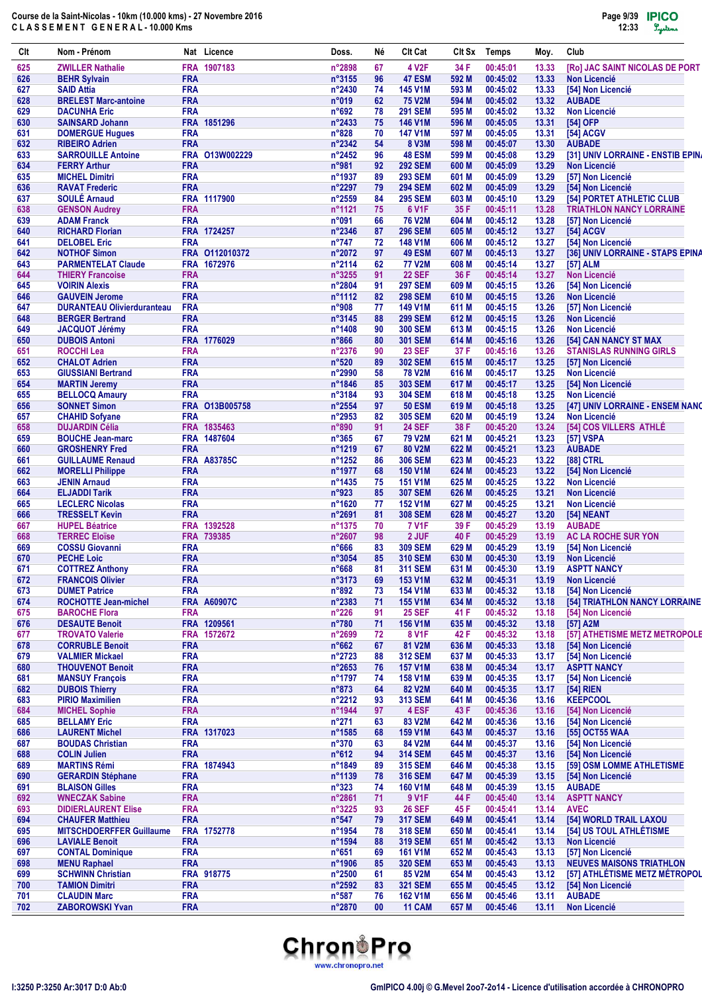| Clt        | Nom - Prénom                                       |                          | Nat Licence        | Doss.                    | Νé       | Clt Cat                             | Clt Sx         | <b>Temps</b>         | Moy.           | Club                                                  |
|------------|----------------------------------------------------|--------------------------|--------------------|--------------------------|----------|-------------------------------------|----------------|----------------------|----------------|-------------------------------------------------------|
| 625        | <b>ZWILLER Nathalie</b>                            |                          | FRA 1907183        | n°2898                   | 67       | 4 V <sub>2</sub> F                  | 34 F           | 00:45:01             | 13.33          | [Ro] JAC SAINT NICOLAS DE PORT                        |
| 626        | <b>BEHR Sylvain</b>                                | <b>FRA</b>               |                    | $n^{\circ}3155$          | 96       | 47 ESM                              | 592 M          | 00:45:02             | 13.33          | <b>Non Licencié</b>                                   |
| 627        | <b>SAID Attia</b>                                  | <b>FRA</b>               |                    | $n^{\circ}$ 2430         | 74       | <b>145 V1M</b>                      | 593 M          | 00:45:02             | 13.33          | [54] Non Licencié                                     |
| 628        | <b>BRELEST Marc-antoine</b>                        | <b>FRA</b>               |                    | n°019                    | 62       | <b>75 V2M</b>                       | 594 M          | 00:45:02             | 13.32          | <b>AUBADE</b>                                         |
| 629        | <b>DACUNHA Eric</b>                                | <b>FRA</b>               |                    | n°692                    | 78       | <b>291 SEM</b>                      | 595 M          | 00:45:02             | 13.32          | <b>Non Licencié</b>                                   |
| 630        | <b>SAINSARD Johann</b>                             |                          | FRA 1851296        | $n^{\circ}$ 2433         | 75       | 146 V1M                             | 596 M          | 00:45:05             | 13.31          | [54] OFP                                              |
| 631        | <b>DOMERGUE Hugues</b>                             | <b>FRA</b>               |                    | $n^{\circ}828$           | 70       | <b>147 V1M</b>                      | 597 M          | 00:45:05             | 13.31          | [54] ACGV                                             |
| 632        | <b>RIBEIRO Adrien</b>                              | <b>FRA</b>               |                    | $n^{\circ}2342$          | 54       | 8 V3M                               | 598 M          | 00:45:07             | 13.30          | <b>AUBADE</b>                                         |
| 633        | <b>SARROUILLE Antoine</b>                          |                          | FRA 013W002229     | $n^{\circ}$ 2452         | 96       | <b>48 ESM</b>                       | 599 M          | 00:45:08             | 13.29          | [31] UNIV LORRAINE - ENSTIB EPINA                     |
| 634        | <b>FERRY Arthur</b>                                | <b>FRA</b>               |                    | n°981                    | 92       | <b>292 SEM</b>                      | 600 M          | 00:45:09             | 13.29          | <b>Non Licencié</b>                                   |
| 635        | <b>MICHEL Dimitri</b>                              | <b>FRA</b>               |                    | n°1937                   | 89       | <b>293 SEM</b>                      | 601 M          | 00:45:09             | 13.29          | [57] Non Licencié                                     |
| 636        | <b>RAVAT Frederic</b>                              | <b>FRA</b>               |                    | n°2297                   | 79       | <b>294 SEM</b>                      | 602 M          | 00:45:09             | 13.29          | [54] Non Licencié                                     |
| 637        | <b>SOULÉ Arnaud</b>                                |                          | FRA 1117900        | n°2559                   | 84       | <b>295 SEM</b>                      | 603 M          | 00:45:10             | 13.29          | [54] PORTET ATHLETIC CLUB                             |
| 638        | <b>GENSON Audrey</b>                               | <b>FRA</b><br><b>FRA</b> |                    | n°1121                   | 75       | 6 V <sub>1</sub> F<br><b>76 V2M</b> | 35 F           | 00:45:11             | 13.28          | <b>TRIATHLON NANCY LORRAINE</b>                       |
| 639        | <b>ADAM Franck</b>                                 |                          | FRA 1724257        | n°091                    | 66       |                                     | 604 M          | 00:45:12             | 13.28          | [57] Non Licencié                                     |
| 640        | <b>RICHARD Florian</b>                             | <b>FRA</b>               |                    | $n^{\circ}$ 2346         | 87       | <b>296 SEM</b>                      | 605 M          | 00:45:12             | 13.27          | [54] ACGV                                             |
| 641<br>642 | <b>DELOBEL Eric</b><br><b>NOTHOF Simon</b>         |                          | FRA 0112010372     | $n^{\circ}747$<br>n°2072 | 72<br>97 | <b>148 V1M</b><br>49 ESM            | 606 M<br>607 M | 00:45:12<br>00:45:13 | 13.27<br>13.27 | [54] Non Licencié<br>[36] UNIV LORRAINE - STAPS EPINA |
| 643        |                                                    |                          | FRA 1672976        | n°2114                   | 62       | <b>77 V2M</b>                       | 608 M          | 00:45:14             | 13.27          |                                                       |
| 644        | <b>PARMENTELAT Claude</b>                          | <b>FRA</b>               |                    | n°3255                   | 91       | <b>22 SEF</b>                       | 36 F           | 00:45:14             | 13.27          | [57] ALM<br><b>Non Licencié</b>                       |
| 645        | <b>THIERY Francoise</b><br><b>VOIRIN Alexis</b>    | <b>FRA</b>               |                    | n°2804                   | 91       | <b>297 SEM</b>                      | 609 M          | 00:45:15             | 13.26          |                                                       |
| 646        | <b>GAUVEIN Jerome</b>                              | <b>FRA</b>               |                    | n°1112                   | 82       | <b>298 SEM</b>                      | 610 M          | 00:45:15             | 13.26          | [54] Non Licencié<br><b>Non Licencié</b>              |
| 647        | <b>DURANTEAU Olivierduranteau</b>                  | <b>FRA</b>               |                    | n°908                    | 77       | <b>149 V1M</b>                      | 611 M          | 00:45:15             | 13.26          | [57] Non Licencié                                     |
| 648        | <b>BERGER Bertrand</b>                             | <b>FRA</b>               |                    | n°3145                   | 88       | <b>299 SEM</b>                      | 612 M          | 00:45:15             | 13.26          | <b>Non Licencié</b>                                   |
| 649        | <b>JACQUOT Jérémy</b>                              | <b>FRA</b>               |                    | n°1408                   | 90       | <b>300 SEM</b>                      | 613 M          | 00:45:15             | 13.26          | <b>Non Licencié</b>                                   |
| 650        | <b>DUBOIS Antoni</b>                               |                          | FRA 1776029        | $n^{\circ}866$           | 80       | <b>301 SEM</b>                      | 614 M          | 00:45:16             | 13.26          | [54] CAN NANCY ST MAX                                 |
| 651        | <b>ROCCHI Lea</b>                                  | <b>FRA</b>               |                    | $n^{\circ}2376$          | 90       | <b>23 SEF</b>                       | 37 F           | 00:45:16             | 13.26          | <b>STANISLAS RUNNING GIRLS</b>                        |
| 652        | <b>CHALOT Adrien</b>                               | <b>FRA</b>               |                    | $n^{\circ}520$           | 89       | <b>302 SEM</b>                      | 615 M          | 00:45:17             | 13.25          | [57] Non Licencié                                     |
| 653        | <b>GIUSSIANI Bertrand</b>                          | <b>FRA</b>               |                    | n°2990                   | 58       | <b>78 V2M</b>                       | 616 M          | 00:45:17             | 13.25          | <b>Non Licencié</b>                                   |
| 654        | <b>MARTIN Jeremy</b>                               | <b>FRA</b>               |                    | n°1846                   | 85       | <b>303 SEM</b>                      | 617 M          | 00:45:17             | 13.25          | [54] Non Licencié                                     |
| 655        | <b>BELLOCQ Amaury</b>                              | <b>FRA</b>               |                    | n°3184                   | 93       | <b>304 SEM</b>                      | 618 M          | 00:45:18             | 13.25          | <b>Non Licencié</b>                                   |
| 656        | <b>SONNET Simon</b>                                |                          | FRA 013B005758     | n°2554                   | 97       | <b>50 ESM</b>                       | 619 M          | 00:45:18             | 13.25          | [47] UNIV LORRAINE - ENSEM NANO                       |
| 657        | <b>CHAHID Sofyane</b>                              | <b>FRA</b>               |                    | $n^{\circ}2953$          | 82       | <b>305 SEM</b>                      | 620 M          | 00:45:19             | 13.24          | <b>Non Licencié</b>                                   |
| 658        | <b>DUJARDIN Célia</b>                              |                          | FRA 1835463        | $n^{\circ}890$           | 91       | <b>24 SEF</b>                       | 38 F           | 00:45:20             | 13.24          | [54] COS VILLERS ATHLE                                |
| 659        | <b>BOUCHE Jean-marc</b>                            |                          | FRA 1487604        | $n^{\circ}365$           | 67       | <b>79 V2M</b>                       | 621 M          | 00:45:21             | 13.23          | [57] VSPA                                             |
| 660        | <b>GROSHENRY Fred</b>                              | <b>FRA</b>               |                    | n°1219                   | 67       | 80 V2M                              | 622 M          | 00:45:21             | 13.23          | <b>AUBADE</b>                                         |
|            |                                                    |                          | <b>FRA A83785C</b> |                          | 86       | <b>306 SEM</b>                      | 623 M          |                      | 13.22          |                                                       |
| 661<br>662 | <b>GUILLAUME Renaud</b><br><b>MORELLI Philippe</b> | <b>FRA</b>               |                    | n°1252<br>n°1977         | 68       | <b>150 V1M</b>                      | 624 M          | 00:45:23<br>00:45:23 | 13.22          | [88] CTRL                                             |
|            |                                                    | <b>FRA</b>               |                    |                          |          |                                     |                |                      |                | [54] Non Licencié                                     |
| 663        | <b>JENIN Arnaud</b>                                | <b>FRA</b>               |                    | $n^{\circ}$ 1435         | 75       | <b>151 V1M</b>                      | 625 M          | 00:45:25             | 13.22          | <b>Non Licencié</b>                                   |
| 664<br>665 | <b>ELJADDI Tarik</b><br><b>LECLERC Nicolas</b>     | <b>FRA</b>               |                    | n°923<br>n°1620          | 85<br>77 | <b>307 SEM</b><br><b>152 V1M</b>    | 626 M<br>627 M | 00:45:25<br>00:45:25 | 13.21<br>13.21 | <b>Non Licencié</b><br><b>Non Licencié</b>            |
| 666        | <b>TRESSELT Kevin</b>                              | <b>FRA</b>               |                    | $n^{\circ}2691$          | 81       | <b>308 SEM</b>                      | 628 M          | 00:45:27             | 13.20          | <b>[54] NEANT</b>                                     |
| 667        | <b>HUPEL Béatrice</b>                              |                          | FRA 1392528        | n°1375                   | 70       | <b>7 V1F</b>                        | 39 F           | 00:45:29             | 13.19          | <b>AUBADE</b>                                         |
| 668        | <b>TERREC Eloïse</b>                               |                          | FRA 739385         | n°2607                   | 98       | 2 JUF                               | 40 F           | 00:45:29             | 13.19          | AC LA ROCHE SUR YON                                   |
| 669        | <b>COSSU Giovanni</b>                              | <b>FRA</b>               |                    | $n^{\circ}666$           | 83       | <b>309 SEM</b>                      | 629 M          | 00:45:29             | 13.19          |                                                       |
| 670        | <b>PECHE Loic</b>                                  | <b>FRA</b>               |                    | n°3054                   | 85       | <b>310 SEM</b>                      | 630 M          | 00:45:30             | 13.19          | [54] Non Licencié<br><b>Non Licencié</b>              |
| 671        | <b>COTTREZ Anthony</b>                             | <b>FRA</b>               |                    | $n^{\circ}668$           | 81       | <b>311 SEM</b>                      | 631 M          | 00:45:30             | 13.19          | <b>ASPTT NANCY</b>                                    |
| 672        | <b>FRANCOIS Olivier</b>                            | <b>FRA</b>               |                    | n°3173                   | 69       | 153 V1M                             | 632 M          | 00:45:31             | 13.19          | Non Licencié                                          |
| 673        | <b>DUMET Patrice</b>                               | <b>FRA</b>               |                    | $n^{\circ}892$           | 73       | <b>154 V1M</b>                      | 633 M          | 00:45:32             | 13.18          | [54] Non Licencié                                     |
| 674        | <b>ROCHOTTE Jean-michel</b>                        |                          | <b>FRA A60907C</b> | n°2383                   | 71       | 155 V1M                             | 634 M          | 00:45:32             | 13.18          | [54] TRIATHLON NANCY LORRAINE                         |
| 675        |                                                    | <b>FRA</b>               |                    | $n^{\circ}226$           | 91       | <b>25 SEF</b>                       |                | 00:45:32             |                |                                                       |
| 676        | <b>BAROCHE Flora</b><br><b>DESAUTE Benoit</b>      |                          | FRA 1209561        | $n^{\circ}780$           | 71       | <b>156 V1M</b>                      | 41 F<br>635 M  | 00:45:32             | 13.18<br>13.18 | [54] Non Licencié<br>[57] A2M                         |
| 677        | <b>TROVATO Valerie</b>                             |                          | FRA 1572672        | n°2699                   | 72       | <b>8 V1F</b>                        | 42 F           | 00:45:32             | 13.18          | [57] ATHETISME METZ METROPOLE                         |
| 678        | <b>CORRUBLE Benoit</b>                             | <b>FRA</b>               |                    | $n^{\circ}662$           | 67       | 81 V2M                              | 636 M          | 00:45:33             | 13.18          | [54] Non Licencié                                     |
| 679        | <b>VALMIER Mickael</b>                             | <b>FRA</b>               |                    | n°2723                   | 88       | <b>312 SEM</b>                      | 637 M          | 00:45:33             | 13.17          | [54] Non Licencié                                     |
| 680        | <b>THOUVENOT Benoit</b>                            | <b>FRA</b>               |                    | n°2653                   | 76       | <b>157 V1M</b>                      | 638 M          | 00:45:34             | 13.17          | <b>ASPTT NANCY</b>                                    |
| 681        | <b>MANSUY François</b>                             | <b>FRA</b>               |                    | n°1797                   | 74       | <b>158 V1M</b>                      | 639 M          | 00:45:35             | 13.17          | [54] Non Licencié                                     |
| 682        | <b>DUBOIS Thierry</b>                              | <b>FRA</b>               |                    | $n^{\circ}873$           | 64       | 82 V2M                              | 640 M          | 00:45:35             | 13.17          | $[54]$ RIEN                                           |
| 683        | <b>PIRIO Maximilien</b>                            | <b>FRA</b>               |                    | n°2212                   | 93       | <b>313 SEM</b>                      | 641 M          | 00:45:36             | 13.16          | <b>KEEPCOOL</b>                                       |
| 684        | <b>MICHEL Sophie</b>                               | <b>FRA</b>               |                    | n°1944                   | 97       | 4 ESF                               | 43 F           | 00:45:36             | 13.16          | [54] Non Licencié                                     |
| 685        | <b>BELLAMY Eric</b>                                | <b>FRA</b>               |                    | $n^{\circ}271$           | 63       | 83 V2M                              | 642 M          | 00:45:36             | 13.16          | [54] Non Licencié                                     |
| 686        | <b>LAURENT Michel</b>                              |                          | FRA 1317023        | n°1585                   | 68       | <b>159 V1M</b>                      | 643 M          | 00:45:37             | 13.16          | [55] OCT55 WAA                                        |
| 687        | <b>BOUDAS Christian</b>                            | <b>FRA</b>               |                    | $n^{\circ}370$           | 63       | 84 V2M                              | 644 M          | 00:45:37             | 13.16          | [54] Non Licencié                                     |
| 688        | <b>COLIN Julien</b>                                | <b>FRA</b>               |                    | $n^{\circ}612$           | 94       | <b>314 SEM</b>                      | 645 M          | 00:45:37             | 13.16          | [54] Non Licencié                                     |
| 689        | <b>MARTINS Rémi</b>                                |                          | FRA 1874943        | n°1849                   | 89       | <b>315 SEM</b>                      | 646 M          | 00:45:38             | 13.15          | [59] OSM LOMME ATHLETISME                             |
| 690        | <b>GERARDIN Stéphane</b>                           | <b>FRA</b>               |                    | n°1139                   | 78       | <b>316 SEM</b>                      | 647 M          | 00:45:39             | 13.15          | [54] Non Licencié                                     |
| 691        | <b>BLAISON Gilles</b>                              | <b>FRA</b>               |                    | $n^{\circ}323$           | 74       | <b>160 V1M</b>                      | 648 M          | 00:45:39             | 13.15          | <b>AUBADE</b>                                         |
| 692        | <b>WNECZAK Sabine</b>                              | <b>FRA</b>               |                    | n°2861                   | 71       | 9 V <sub>1</sub> F                  | 44 F           | 00:45:40             | 13.14          | <b>ASPTT NANCY</b>                                    |
| 693        | <b>DIDIERLAURENT Elise</b>                         | <b>FRA</b>               |                    | n°3225                   | 93       | <b>26 SEF</b>                       | 45 F           | 00:45:41             | 13.14          | <b>AVEC</b>                                           |
| 694        | <b>CHAUFER Matthieu</b>                            | <b>FRA</b>               |                    | $n^{\circ}547$           | 79       | <b>317 SEM</b>                      | 649 M          | 00:45:41             | 13.14          | [54] WORLD TRAIL LAXOU                                |
| 695        | <b>MITSCHDOERFFER Guillaume</b>                    |                          | FRA 1752778        | n°1954                   | 78       | <b>318 SEM</b>                      | 650 M          | 00:45:41             | 13.14          | [54] US TOUL ATHLÉTISME                               |
| 696        | <b>LAVIALE Benoit</b>                              | <b>FRA</b>               |                    | n°1594                   | 88       | <b>319 SEM</b>                      | 651 M          | 00:45:42             | 13.13          | <b>Non Licencié</b>                                   |
| 697        | <b>CONTAL Dominique</b>                            | <b>FRA</b>               |                    | $n^{\circ}651$           | 69       | <b>161 V1M</b>                      | 652 M          | 00:45:43             | 13.13          | [57] Non Licencié                                     |
| 698        | <b>MENU Raphael</b>                                | <b>FRA</b>               |                    | n°1906                   | 85       | <b>320 SEM</b>                      | 653 M          | 00:45:43             | 13.13          | <b>NEUVES MAISONS TRIATHLON</b>                       |
| 699        | <b>SCHWINN Christian</b>                           |                          | FRA 918775         | n°2500                   | 61       | 85 V2M                              | 654 M          | 00:45:43             | 13.12          | [57] ATHLÉTISME METZ MÉTROPOL                         |
| 700        | <b>TAMION Dimitri</b>                              | <b>FRA</b>               |                    | n°2592                   | 83       | <b>321 SEM</b>                      | 655 M          | 00:45:45             | 13.12          | [54] Non Licencié                                     |
| 701        | <b>CLAUDIN Marc</b>                                | <b>FRA</b>               |                    | $n^{\circ}587$           | 76       | <b>162 V1M</b>                      | 656 M          | 00:45:46             | 13.11          | <b>AUBADE</b>                                         |
| 702        | <b>ZABOROWSKI Yvan</b>                             | <b>FRA</b>               |                    | n°2870                   | 00       | 11 CAM                              | 657 M          | 00:45:46             | 13.11          | Non Licencié                                          |
|            |                                                    |                          |                    |                          |          |                                     |                |                      |                |                                                       |

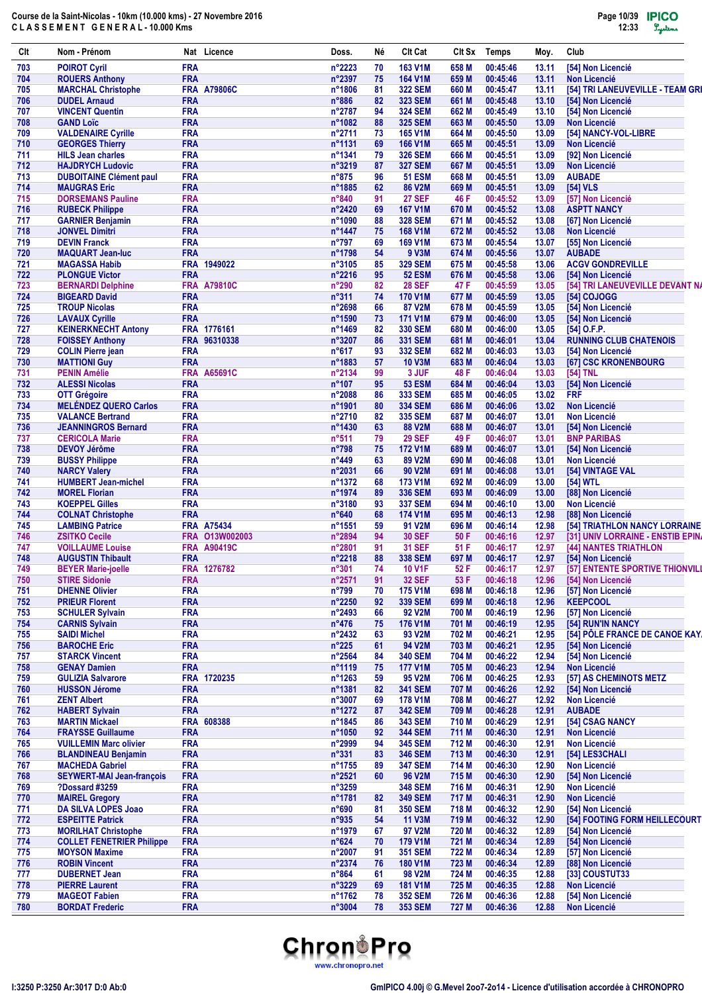| Clt        | Nom - Prénom                                         |                          | Nat Licence        | Doss.                    | Né       | <b>CIt Cat</b>                   | CIt Sx         | <b>Temps</b>         | Moy.           | Club                                        |
|------------|------------------------------------------------------|--------------------------|--------------------|--------------------------|----------|----------------------------------|----------------|----------------------|----------------|---------------------------------------------|
| 703        | <b>POIROT Cyril</b>                                  | <b>FRA</b>               |                    | n°2223                   | 70       | 163 V1M                          | 658 M          | 00:45:46             | 13.11          | [54] Non Licencié                           |
| 704        | <b>ROUERS Anthony</b>                                | <b>FRA</b>               |                    | n°2397                   | 75       | <b>164 V1M</b>                   | 659 M          | 00:45:46             | 13.11          | <b>Non Licencié</b>                         |
| 705        | <b>MARCHAL Christophe</b>                            |                          | <b>FRA A79806C</b> | n°1806                   | 81       | <b>322 SEM</b>                   | 660 M          | 00:45:47             | 13.11          | [54] TRI LANEUVEVILLE - TEAM GRI            |
| 706        | <b>DUDEL Arnaud</b>                                  | <b>FRA</b>               |                    | $n^{\circ}886$           | 82       | <b>323 SEM</b>                   | 661 M          | 00:45:48             | 13.10          | [54] Non Licencié                           |
| 707        | <b>VINCENT Quentin</b>                               | <b>FRA</b>               |                    | n°2787                   | 94       | <b>324 SEM</b>                   | 662 M          | 00:45:49             | 13.10          | [54] Non Licencié                           |
| 708        | <b>GAND Loïc</b>                                     | <b>FRA</b>               |                    | n°1082                   | 88       | <b>325 SEM</b>                   | 663 M          | 00:45:50             | 13.09          | <b>Non Licencié</b>                         |
| 709<br>710 | <b>VALDENAIRE Cyrille</b><br><b>GEORGES Thierry</b>  | <b>FRA</b><br><b>FRA</b> |                    | n°2711<br>n°1131         | 73<br>69 | <b>165 V1M</b><br><b>166 V1M</b> | 664 M<br>665 M | 00:45:50<br>00:45:51 | 13.09<br>13.09 | [54] NANCY-VOL-LIBRE<br><b>Non Licencié</b> |
| 711        | <b>HILS Jean charles</b>                             | <b>FRA</b>               |                    | n°1341                   | 79       | <b>326 SEM</b>                   | 666 M          | 00:45:51             | 13.09          | [92] Non Licencié                           |
| 712        | <b>HAJDRYCH Ludovic</b>                              | <b>FRA</b>               |                    | n°3219                   | 87       | <b>327 SEM</b>                   | 667 M          | 00:45:51             | 13.09          | Non Licencié                                |
| 713        | <b>DUBOITAINE Clément paul</b>                       | <b>FRA</b>               |                    | $n^{\circ}875$           | 96       | <b>51 ESM</b>                    | 668 M          | 00:45:51             | 13.09          | <b>AUBADE</b>                               |
| 714        | <b>MAUGRAS Eric</b>                                  | <b>FRA</b>               |                    | n°1885                   | 62       | <b>86 V2M</b>                    | 669 M          | 00:45:51             | 13.09          | [54] VLS                                    |
| 715        | <b>DORSEMANS Pauline</b>                             | <b>FRA</b>               |                    | n°840                    | 91       | <b>27 SEF</b>                    | 46 F           | 00:45:52             | 13.09          | [57] Non Licencié                           |
| 716        | <b>RUBECK Philippe</b>                               | <b>FRA</b>               |                    | n°2420                   | 69       | <b>167 V1M</b>                   | 670 M          | 00:45:52             | 13.08          | <b>ASPTT NANCY</b>                          |
| 717        | <b>GARNIER Benjamin</b>                              | <b>FRA</b>               |                    | n°1090                   | 88       | <b>328 SEM</b>                   | 671 M          | 00:45:52             | 13.08          | [67] Non Licencié                           |
| 718        | <b>JONVEL Dimitri</b>                                | <b>FRA</b>               |                    | n°1447                   | 75       | <b>168 V1M</b>                   | 672 M          | 00:45:52             | 13.08          | <b>Non Licencié</b>                         |
| 719        | <b>DEVIN Franck</b>                                  | <b>FRA</b>               |                    | $n^{\circ}797$           | 69       | <b>169 V1M</b>                   | 673 M          | 00:45:54             | 13.07          | [55] Non Licencié                           |
| 720        | <b>MAQUART Jean-luc</b>                              | <b>FRA</b>               |                    | n°1798                   | 54       | 9 V3M                            | 674 M          | 00:45:56             | 13.07          | <b>AUBADE</b>                               |
| 721        | <b>MAGASSA Habib</b>                                 |                          | FRA 1949022        | n°3105                   | 85       | <b>329 SEM</b>                   | 675 M          | 00:45:58             | 13.06          | <b>ACGV GONDREVILLE</b>                     |
| 722        | <b>PLONGUE Victor</b>                                | <b>FRA</b>               |                    | n°2216                   | 95       | <b>52 ESM</b>                    | 676 M          | 00:45:58             | 13.06          | [54] Non Licencié                           |
| 723        | <b>BERNARDI Delphine</b>                             | <b>FRA</b>               | A79810C            | n°290                    | 82       | <b>28 SEF</b>                    | 47 F           | 00:45:59             | 13.05          | [54] TRI LANEUVEVILLE DEVANT NA             |
| 724        | <b>BIGEARD David</b>                                 | <b>FRA</b>               |                    | $n^{\circ}311$           | 74       | <b>170 V1M</b>                   | 677 M          | 00:45:59             | 13.05          | [54] COJOGG                                 |
| 725        | <b>TROUP Nicolas</b>                                 | <b>FRA</b>               |                    | n°2698                   | 66       | 87 V2M                           | 678 M          | 00:45:59             | 13.05          | [54] Non Licencié                           |
| 726        | <b>LAVAUX Cyrille</b>                                | <b>FRA</b>               |                    | n°1590                   | 73       | <b>171 V1M</b>                   | 679 M          | 00:46:00             | 13.05          | [54] Non Licencié                           |
| 727        | <b>KEINERKNECHT Antony</b>                           |                          | FRA 1776161        | n°1469                   | 82       | <b>330 SEM</b>                   | 680 M          | 00:46:00             | 13.05          | $[54]$ O.F.P.                               |
| 728        | <b>FOISSEY Anthony</b>                               | <b>FRA</b>               | 96310338           | n°3207                   | 86       | <b>331 SEM</b>                   | 681 M          | 00:46:01             | 13.04          | <b>RUNNING CLUB CHATENOIS</b>               |
| 729        | <b>COLIN Pierre jean</b>                             | <b>FRA</b>               |                    | $n^{\circ}617$           | 93       | <b>332 SEM</b>                   | 682 M          | 00:46:03             | 13.03          | [54] Non Licencié                           |
| 730        | <b>MATTIONI Guy</b>                                  | <b>FRA</b>               |                    | n°1883                   | 57       | <b>10 V3M</b>                    | 683 M          | 00:46:04             | 13.03          | [67] CSC KRONENBOURG                        |
| 731        | <b>PENIN Amélie</b>                                  |                          | <b>FRA A65691C</b> | n°2134                   | 99       | 3 JUF                            | 48 F           | 00:46:04             | 13.03          | [54] TNL                                    |
| 732        | <b>ALESSI Nicolas</b>                                | <b>FRA</b>               |                    | $n^{\circ}107$           | 95       | <b>53 ESM</b>                    | 684 M          | 00:46:04             | 13.03          | [54] Non Licencié                           |
| 733        | <b>OTT Grégoire</b>                                  | <b>FRA</b>               |                    | n°2088                   | 86       | <b>333 SEM</b>                   | 685 M          | 00:46:05             | 13.02          | <b>FRF</b>                                  |
| 734        | <b>MELÉNDEZ QUERO Carlos</b>                         | <b>FRA</b>               |                    | $n^{\circ}$ 1901         | 80       | <b>334 SEM</b>                   | 686 M          | 00:46:06             | 13.02          | <b>Non Licencié</b>                         |
| 735        | <b>VALANCE Bertrand</b>                              | <b>FRA</b>               |                    | n°2710                   | 82       | <b>335 SEM</b>                   | 687 M          | 00:46:07             | 13.01          | <b>Non Licencié</b>                         |
| 736        | <b>JEANNINGROS Bernard</b>                           | <b>FRA</b>               |                    | n°1430                   | 63       | 88 V2M                           | 688 M          | 00:46:07             | 13.01          | [54] Non Licencié                           |
| 737        | <b>CERICOLA Marie</b>                                | <b>FRA</b>               |                    | $n^{\circ}511$           | 79       | <b>29 SEF</b>                    | 49 F           | 00:46:07             | 13.01          | <b>BNP PARIBAS</b>                          |
| 738        | <b>DEVOY Jérôme</b>                                  | <b>FRA</b>               |                    | $n^{\circ}798$           | 75       | <b>172 V1M</b>                   | 689 M          | 00:46:07             | 13.01          | [54] Non Licencié                           |
| 739        | <b>BUSSY Philippe</b>                                | <b>FRA</b>               |                    | n°449                    | 63       | 89 V2M                           | 690 M          | 00:46:08             | 13.01          | <b>Non Licencié</b>                         |
| 740        | <b>NARCY Valery</b>                                  | <b>FRA</b>               |                    | n°2031                   | 66       | 90 V2M                           | 691 M          | 00:46:08             | 13.01          | [54] VINTAGE VAL                            |
| 741        | <b>HUMBERT Jean-michel</b>                           | <b>FRA</b>               |                    | n°1372                   | 68       | <b>173 V1M</b>                   | 692 M          | 00:46:09             | 13.00          | [54] WTL                                    |
| 742        | <b>MOREL Florian</b>                                 | <b>FRA</b>               |                    | n°1974                   | 89       | <b>336 SEM</b>                   | 693 M          | 00:46:09             | 13.00          | [88] Non Licencié                           |
| 743        | <b>KOEPPEL Gilles</b>                                | <b>FRA</b>               |                    | n°3180                   | 93       | <b>337 SEM</b>                   | 694 M          | 00:46:10             | 13.00          | <b>Non Licencié</b>                         |
| 744        | <b>COLNAT Christophe</b>                             | <b>FRA</b>               |                    | $n^{\circ}640$           | 68       | <b>174 V1M</b>                   | 695 M          | 00:46:13             | 12.98          | [88] Non Licencié                           |
| 745        | <b>LAMBING Patrice</b>                               |                          | <b>FRA A75434</b>  | n°1551                   | 59       | 91 V2M                           | 696 M          | 00:46:14             | 12.98          | <b>[54] TRIATHLON NANCY LORRAINE</b>        |
| 746        | <b>ZSITKO Cecile</b>                                 |                          | FRA 013W002003     | n°2894                   | 94       | <b>30 SEF</b>                    | 50 F           | 00:46:16             | 12.97          | [31] UNIV LORRAINE - ENSTIB EPIN.           |
| 747        | <b>VOILLAUME Louise</b>                              |                          | <b>FRA A90419C</b> | n°2801                   | 91       | <b>31 SEF</b>                    | 51 F           | 00:46:17             | 12.97          | [44] NANTES TRIATHLON                       |
| 748        | <b>AUGUSTIN Thibault</b>                             | <b>FRA</b>               |                    | $n^{\circ}2218$          | 88       | <b>338 SEM</b>                   | 697 M          | 00:46:17             | 12.97          | [54] Non Licencié                           |
| 749        | <b>BEYER Marie-joelle</b>                            |                          | FRA 1276782        | n°301                    | 74       | <b>10 V1F</b>                    | 52 F           | 00:46:17             | 12.97          | [57] ENTENTE SPORTIVE THIONVILI             |
| 750        | <b>STIRE Sidonie</b>                                 | <b>FRA</b>               |                    | n°2571                   | 91       | <b>32 SEF</b>                    | 53 F           | 00:46:18             | 12.96          | [54] Non Licencié                           |
| 751        | <b>DHENNE Olivier</b>                                | <b>FRA</b>               |                    | $n^{\circ}799$           | 70       | <b>175 V1M</b>                   | 698 M          | 00:46:18             | 12.96          | [57] Non Licencié                           |
| 752        | <b>PRIEUR Florent</b>                                | <b>FRA</b>               |                    | n°2250                   | 92       | <b>339 SEM</b>                   | 699 M          | 00:46:18             | 12.96          | <b>KEEPCOOL</b>                             |
| 753        | <b>SCHULER Sylvain</b>                               | <b>FRA</b>               |                    | n°2493                   | 66       | 92 V2M                           | 700 M          | 00:46:19             | 12.96          | [57] Non Licencié                           |
| 754        | <b>CARNIS Sylvain</b>                                | <b>FRA</b>               |                    | $n^{\circ}476$           | 75       | 176 V1M                          | 701 M          | 00:46:19             | 12.95          | [54] RUN'IN NANCY                           |
| 755        | <b>SAIDI Michel</b>                                  | <b>FRA</b>               |                    | n°2432                   | 63       | 93 V2M                           | 702 M          | 00:46:21             | 12.95          | [54] PÔLE FRANCE DE CANOE KAY.              |
| 756        | <b>BAROCHE Eric</b>                                  | <b>FRA</b>               |                    | $n^{\circ}225$           | 61       | 94 V2M                           | 703 M          | 00:46:21             | 12.95          | [54] Non Licencié                           |
| 757        | <b>STARCK Vincent</b>                                | <b>FRA</b>               |                    | n°2564                   | 84       | <b>340 SEM</b>                   | 704 M          | 00:46:22             | 12.94          | [54] Non Licencié                           |
| 758        | <b>GENAY Damien</b>                                  | <b>FRA</b>               |                    | n°1119                   | 75       | <b>177 V1M</b>                   | 705 M          | 00:46:23             | 12.94          | <b>Non Licencié</b>                         |
| 759        | <b>GULIZIA Salvarore</b>                             | <b>FRA</b>               | 1720235            | n°1263                   | 59       | 95 V2M                           | 706 M          | 00:46:25             | 12.93          | [57] AS CHEMINOTS METZ                      |
| 760        | <b>HUSSON Jérome</b>                                 | <b>FRA</b>               |                    | n°1381                   | 82       | <b>341 SEM</b>                   | 707 M          | 00:46:26             | 12.92          | [54] Non Licencié                           |
| 761        | <b>ZENT Albert</b>                                   | <b>FRA</b>               |                    | n°3007                   | 69       | <b>178 V1M</b>                   | 708 M          | 00:46:27             | 12.92          | <b>Non Licencié</b>                         |
| 762        | <b>HABERT Sylvain</b>                                | <b>FRA</b>               |                    | n°1272                   | 87       | <b>342 SEM</b>                   | 709 M          | 00:46:28             | 12.91          | <b>AUBADE</b>                               |
| 763        | <b>MARTIN Mickael</b>                                | <b>FRA</b>               | 608388             | n°1845                   | 86       | <b>343 SEM</b>                   | 710 M          | 00:46:29             | 12.91          | [54] CSAG NANCY                             |
| 764        | <b>FRAYSSE Guillaume</b>                             | <b>FRA</b>               |                    | n°1050                   | 92       | <b>344 SEM</b>                   | 711 M          | 00:46:30             | 12.91          | <b>Non Licencié</b>                         |
| 765        | <b>VUILLEMIN Marc olivier</b>                        | <b>FRA</b>               |                    | n°2999                   | 94       | <b>345 SEM</b>                   | 712 M          | 00:46:30             | 12.91          | Non Licencié                                |
| 766<br>767 | <b>BLANDINEAU Benjamin</b><br><b>MACHEDA Gabriel</b> | <b>FRA</b><br><b>FRA</b> |                    | $n^{\circ}331$<br>n°1755 | 83<br>89 | <b>346 SEM</b><br><b>347 SEM</b> | 713 M<br>714 M | 00:46:30<br>00:46:30 | 12.91<br>12.90 | [54] LES3CHALI<br>Non Licencié              |
| 768        | <b>SEYWERT-MAI Jean-françois</b>                     | <b>FRA</b>               |                    | n°2521                   | 60       | 96 V2M                           | 715 M          | 00:46:30             | 12.90          | [54] Non Licencié                           |
| 769        | <b>?Dossard #3259</b>                                | <b>FRA</b>               |                    | n°3259                   |          | <b>348 SEM</b>                   | 716 M          | 00:46:31             | 12.90          | Non Licencié                                |
| 770        | <b>MAIREL Gregory</b>                                | <b>FRA</b>               |                    | n°1781                   | 82       | <b>349 SEM</b>                   | 717 M          | 00:46:31             | 12.90          | <b>Non Licencié</b>                         |
| 771        | <b>DA SILVA LOPES Joao</b>                           | <b>FRA</b>               |                    | $n^{\circ}690$           | 81       | <b>350 SEM</b>                   | 718 M          | 00:46:32             | 12.90          | [54] Non Licencié                           |
| 772        | <b>ESPEITTE Patrick</b>                              | <b>FRA</b>               |                    | n°935                    | 54       | <b>11 V3M</b>                    | 719 M          | 00:46:32             | 12.90          | [54] FOOTING FORM HEILLECOURT               |
| 773        | <b>MORILHAT Christophe</b>                           | <b>FRA</b>               |                    | n°1979                   | 67       | 97 V2M                           | 720 M          | 00:46:32             | 12.89          | [54] Non Licencié                           |
| 774        | <b>COLLET FENETRIER Philippe</b>                     | <b>FRA</b>               |                    | $n^{\circ}624$           | 70       | 179 V1M                          | 721 M          | 00:46:34             | 12.89          | [54] Non Licencié                           |
| 775        | <b>MOYSON Maxime</b>                                 | <b>FRA</b>               |                    | n°2007                   | 91       | <b>351 SEM</b>                   | 722 M          | 00:46:34             | 12.89          | [57] Non Licencié                           |
| 776        | <b>ROBIN Vincent</b>                                 | <b>FRA</b>               |                    | n°2374                   | 76       | <b>180 V1M</b>                   | 723 M          | 00:46:34             | 12.89          | [88] Non Licencié                           |
| 777        | <b>DUBERNET Jean</b>                                 | <b>FRA</b>               |                    | $n^{\circ}864$           | 61       | 98 V <sub>2</sub> M              | 724 M          | 00:46:35             | 12.88          | [33] COUSTUT33                              |
| 778        | <b>PIERRE Laurent</b>                                | <b>FRA</b>               |                    | n°3229                   | 69       | <b>181 V1M</b>                   | 725 M          | 00:46:35             | 12.88          | <b>Non Licencié</b>                         |
| 779        | <b>MAGEOT Fabien</b>                                 | <b>FRA</b>               |                    | n°1762                   | 78       | <b>352 SEM</b>                   | 726 M          | 00:46:36             | 12.88          | [54] Non Licencié                           |
| 780        | <b>BORDAT Frederic</b>                               | <b>FRA</b>               |                    | n°3004                   | 78       | 353 SEM                          | 727 M          | 00:46:36             | 12.88          | <b>Non Licencié</b>                         |
|            |                                                      |                          |                    |                          |          |                                  |                |                      |                |                                             |

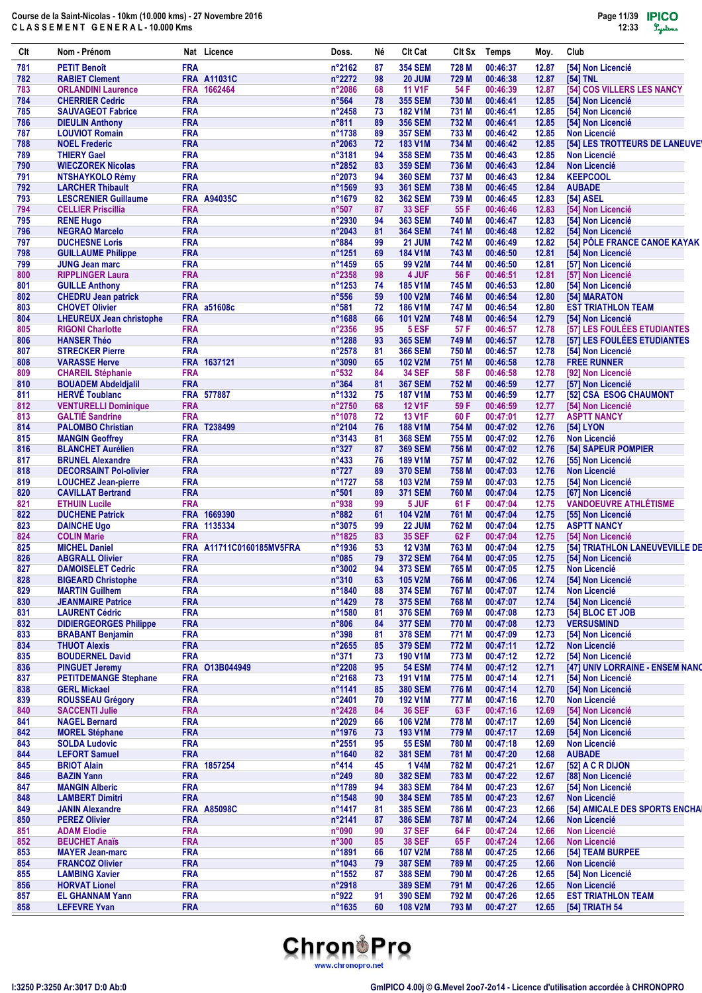| Clt        | Nom - Prénom                                             |                          | Nat Licence              | Doss.                     | Νé       | <b>CIt Cat</b>                   | CIt Sx         | Temps                | Moy.           | Club                                                  |
|------------|----------------------------------------------------------|--------------------------|--------------------------|---------------------------|----------|----------------------------------|----------------|----------------------|----------------|-------------------------------------------------------|
| 781        | <b>PETIT Benoît</b>                                      | <b>FRA</b>               |                          | n°2162                    | 87       | <b>354 SEM</b>                   | 728 M          | 00:46:37             | 12.87          | [54] Non Licencié                                     |
| 782        | <b>RABIET Clement</b>                                    |                          | <b>FRA A11031C</b>       | $n^{\circ}2272$           | 98       | <b>20 JUM</b>                    | 729 M          | 00:46:38             | 12.87          | [54] TNL                                              |
| 783        | <b>ORLANDINI Laurence</b>                                |                          | FRA 1662464              | $n^{\circ}2086$           | 68       | <b>11 V1F</b>                    | 54 F           | 00:46:39             | 12.87          | [54] COS VILLERS LES NANCY                            |
| 784        | <b>CHERRIER Cedric</b>                                   | <b>FRA</b>               |                          | $n^{\circ}564$            | 78       | <b>355 SEM</b>                   | 730 M          | 00:46:41             | 12.85          | [54] Non Licencié                                     |
| 785        | <b>SAUVAGEOT Fabrice</b>                                 | <b>FRA</b>               |                          | $n^{\circ}$ 2458          | 73       | <b>182 V1M</b>                   | 731 M          | 00:46:41             | 12.85          | [54] Non Licencié                                     |
| 786        | <b>DIEULIN Anthony</b>                                   | <b>FRA</b><br><b>FRA</b> |                          | $n^{\circ}811$            | 89       | <b>356 SEM</b>                   | 732 M          | 00:46:41             | 12.85          | [54] Non Licencié                                     |
| 787<br>788 | <b>LOUVIOT Romain</b><br><b>NOEL Frederic</b>            | <b>FRA</b>               |                          | n°1738<br>$n^{\circ}2063$ | 89<br>72 | <b>357 SEM</b><br><b>183 V1M</b> | 733 M<br>734 M | 00:46:42<br>00:46:42 | 12.85<br>12.85 | <b>Non Licencié</b><br>[54] LES TROTTEURS DE LANEUVEY |
| 789        | <b>THIERY Gael</b>                                       | <b>FRA</b>               |                          | $n^{\circ}3181$           | 94       | <b>358 SEM</b>                   | 735 M          | 00:46:43             | 12.85          | <b>Non Licencié</b>                                   |
| 790        | <b>WIECZOREK Nicolas</b>                                 | <b>FRA</b>               |                          | n°2852                    | 83       | <b>359 SEM</b>                   | 736 M          | 00:46:43             | 12.84          | <b>Non Licencié</b>                                   |
| 791        | <b>NTSHAYKOLO Rémy</b>                                   | <b>FRA</b>               |                          | n°2073                    | 94       | <b>360 SEM</b>                   | 737 M          | 00:46:43             | 12.84          | <b>KEEPCOOL</b>                                       |
| 792        | <b>LARCHER Thibault</b>                                  | <b>FRA</b>               |                          | n°1569                    | 93       | <b>361 SEM</b>                   | 738 M          | 00:46:45             | 12.84          | <b>AUBADE</b>                                         |
| 793        | <b>LESCRENIER Guillaume</b>                              |                          | <b>FRA A94035C</b>       | n°1679                    | 82       | <b>362 SEM</b>                   | 739 M          | 00:46:45             | 12.83          | [54] ASEL                                             |
| 794        | <b>CELLIER Priscillia</b>                                | <b>FRA</b>               |                          | $n^{\circ}507$            | 87       | <b>33 SEF</b>                    | 55 F           | 00:46:46             | 12.83          | [54] Non Licencié                                     |
| 795        | <b>RENE Hugo</b>                                         | <b>FRA</b>               |                          | n°2930                    | 94       | <b>363 SEM</b>                   | 740 M          | 00:46:47             | 12.83          | [54] Non Licencié                                     |
| 796        | <b>NEGRAO Marcelo</b>                                    | <b>FRA</b>               |                          | $n^{\circ}2043$           | 81       | <b>364 SEM</b>                   | 741 M          | 00:46:48             | 12.82          | [54] Non Licencié                                     |
| 797        | <b>DUCHESNE Loris</b>                                    | <b>FRA</b>               |                          | $n^{\circ}884$            | 99       | <b>21 JUM</b>                    | 742 M          | 00:46:49             | 12.82          | [54] PÔLE FRANCE CANOE KAYAK                          |
| 798        | <b>GUILLAUME Philippe</b>                                | <b>FRA</b>               |                          | $n^{\circ}$ 1251          | 69       | <b>184 V1M</b>                   | 743 M          | 00:46:50             | 12.81          | [54] Non Licencié                                     |
| 799        | <b>JUNG Jean marc</b>                                    | <b>FRA</b>               |                          | n°1459                    | 65       | 99 V2M                           | 744 M          | 00:46:50             | 12.81          | [57] Non Licencié                                     |
| 800        | <b>RIPPLINGER Laura</b>                                  | <b>FRA</b>               |                          | n°2358                    | 98       | 4 JUF                            | 56 F           | 00:46:51             | 12.81          | [57] Non Licencié                                     |
| 801        | <b>GUILLE Anthony</b>                                    | <b>FRA</b>               |                          | $n^{\circ}$ 1253          | 74       | <b>185 V1M</b>                   | 745 M          | 00:46:53             | 12.80          | [54] Non Licencié                                     |
| 802        | <b>CHEDRU Jean patrick</b>                               | <b>FRA</b>               |                          | $n^{\circ}556$            | 59       | <b>100 V2M</b>                   | 746 M          | 00:46:54             | 12.80          | [54] MARATON                                          |
| 803        | <b>CHOVET Olivier</b><br><b>LHEUREUX Jean christophe</b> | <b>FRA</b>               | FRA a51608c              | $n^{\circ}581$<br>n°1688  | 72<br>66 | <b>186 V1M</b><br><b>101 V2M</b> | 747 M<br>748 M | 00:46:54<br>00:46:54 | 12.80<br>12.79 | <b>EST TRIATHLON TEAM</b><br>[54] Non Licencié        |
| 804<br>805 | <b>RIGONI Charlotte</b>                                  | <b>FRA</b>               |                          | n°2356                    | 95       | 5 ESF                            | 57 F           | 00:46:57             | 12.78          | [57] LES FOULÉES ETUDIANTES                           |
| 806        | <b>HANSER Théo</b>                                       | <b>FRA</b>               |                          | n°1288                    | 93       | <b>365 SEM</b>                   | 749 M          | 00:46:57             | 12.78          | [57] LES FOULÉES ETUDIANTES                           |
| 807        | <b>STRECKER Pierre</b>                                   | <b>FRA</b>               |                          | $n^{\circ}2578$           | 81       | <b>366 SEM</b>                   | 750 M          | 00:46:57             | 12.78          | [54] Non Licencié                                     |
| 808        | <b>VARASSE Herve</b>                                     |                          | FRA 1637121              | n°3090                    | 65       | <b>102 V2M</b>                   | 751 M          | 00:46:58             | 12.78          | <b>FREE RUNNER</b>                                    |
| 809        | <b>CHAREIL Stéphanie</b>                                 | <b>FRA</b>               |                          | $n^{\circ}532$            | 84       | <b>34 SEF</b>                    | 58 F           | 00:46:58             | 12.78          | [92] Non Licencié                                     |
| 810        | <b>BOUADEM Abdeldjalil</b>                               | <b>FRA</b>               |                          | $n^{\circ}364$            | 81       | <b>367 SEM</b>                   | 752 M          | 00:46:59             | 12.77          | [57] Non Licencié                                     |
| 811        | <b>HERVÉ Toublanc</b>                                    |                          | FRA 577887               | n°1332                    | 75       | <b>187 V1M</b>                   | 753 M          | 00:46:59             | 12.77          | [52] CSA ESOG CHAUMONT                                |
| 812        | <b>VENTURELLI Dominique</b>                              | <b>FRA</b>               |                          | n°2750                    | 68       | <b>12 V1F</b>                    | 59 F           | 00:46:59             | 12.77          | [54] Non Licencié                                     |
| 813        | <b>GALTIE Sandrine</b>                                   | <b>FRA</b>               |                          | n°1078                    | 72       | <b>13 V1F</b>                    | 60 F           | 00:47:01             | 12.77          | <b>ASPTT NANCY</b>                                    |
| 814        | <b>PALOMBO Christian</b>                                 |                          | <b>FRA T238499</b>       | n°2104                    | 76       | <b>188 V1M</b>                   | 754 M          | 00:47:02             | 12.76          | [54] LYON                                             |
| 815        | <b>MANGIN Geoffrey</b>                                   | <b>FRA</b>               |                          | $n^{\circ}3143$           | 81       | <b>368 SEM</b>                   | 755 M          | 00:47:02             | 12.76          | <b>Non Licencié</b>                                   |
| 816        | <b>BLANCHET Aurélien</b>                                 | <b>FRA</b>               |                          | $n^{\circ}327$            | 87       | <b>369 SEM</b>                   | 756 M          | 00:47:02             | 12.76          | [54] SAPEUR POMPIER                                   |
| 817        | <b>BRUNEL Alexandre</b>                                  | <b>FRA</b>               |                          | $n^{\circ}433$            | 76       | <b>189 V1M</b>                   | 757 M          | 00:47:02             | 12.76          | [55] Non Licencié                                     |
| 818        | <b>DECORSAINT Pol-olivier</b>                            | <b>FRA</b>               |                          | $n^{\circ}727$            | 89       | <b>370 SEM</b>                   | 758 M          | 00:47:03             | 12.76          | <b>Non Licencié</b>                                   |
| 819        | <b>LOUCHEZ Jean-pierre</b>                               | <b>FRA</b>               |                          | n°1727                    | 58       | <b>103 V2M</b>                   | 759 M          | 00:47:03             | 12.75          | [54] Non Licencié                                     |
| 820        | <b>CAVILLAT Bertrand</b>                                 | <b>FRA</b>               |                          | $n^{\circ}501$            | 89       | <b>371 SEM</b>                   | 760 M          | 00:47:04             | 12.75          | [67] Non Licencié                                     |
| 821        | <b>ETHUIN Lucile</b>                                     | <b>FRA</b>               |                          | n°938                     | 99       | 5 JUF                            | 61 F           | 00:47:04             | 12.75          | <b>VANDOEUVRE ATHLÉTISME</b>                          |
| 822        | <b>DUCHENE Patrick</b>                                   |                          | FRA 1669390              | $n^{\circ}882$            | 61       | <b>104 V2M</b>                   | 761 M          | 00:47:04             | 12.75          | [55] Non Licencié                                     |
| 823        | <b>DAINCHE Ugo</b>                                       |                          | FRA 1135334              | n°3075                    | 99       | <b>22 JUM</b>                    | 762 M          | 00:47:04             | 12.75          | <b>ASPTT NANCY</b>                                    |
| 824        | <b>COLIN Marie</b>                                       | <b>FRA</b>               |                          | n°1825                    | 83       | <b>35 SEF</b>                    | 62 F           | 00:47:04             | 12.75          | [54] Non Licencié                                     |
| 825        | <b>MICHEL Daniel</b>                                     |                          | FRA A11711C0160185MV5FRA | $n^{\circ}$ 1936          | 53       | <b>12 V3M</b>                    | 763 M          | 00:47:04             | 12.75          | [54] TRIATHLON LANEUVEVILLE DE                        |
| 826        | <b>ABGRALL Olivier</b>                                   | <b>FRA</b>               |                          | $n^{\circ}085$            | 79       | <b>372 SEM</b>                   | 764 M          | 00:47:05             | 12.75          | [54] Non Licencié                                     |
| 827        | <b>DAMOISELET Cedric</b>                                 | <b>FRA</b>               |                          | n°3002                    | 94       | 373 SEM                          | 765 M          | 00:47:05             | 12.75          | Non Licencié<br>[54] Non Licencié                     |
| 828<br>829 | <b>BIGEARD Christophe</b><br><b>MARTIN Guilhem</b>       | <b>FRA</b><br><b>FRA</b> |                          | n°310<br>n°1840           | 63       | <b>105 V2M</b>                   | 766 M          | 00:47:06<br>00:47:07 | 12.74<br>12.74 | Non Licencié                                          |
| 830        | <b>JEANMAIRE Patrice</b>                                 | <b>FRA</b>               |                          | n°1429                    | 88<br>78 | <b>374 SEM</b><br><b>375 SEM</b> | 767 M<br>768 M | 00:47:07             | 12.74          | [54] Non Licencié                                     |
| 831        | <b>LAURENT Cédric</b>                                    | <b>FRA</b>               |                          | n°1580                    | 81       | <b>376 SEM</b>                   | 769 M          | 00:47:08             | 12.73          | [54] BLOC ET JOB                                      |
| 832        | <b>DIDIERGEORGES Philippe</b>                            | <b>FRA</b>               |                          | $n^{\circ}806$            | 84       | <b>377 SEM</b>                   | 770 M          | 00:47:08             | 12.73          | <b>VERSUSMIND</b>                                     |
| 833        | <b>BRABANT Benjamin</b>                                  | <b>FRA</b>               |                          | $n^{\circ}398$            | 81       | <b>378 SEM</b>                   | 771 M          | 00:47:09             | 12.73          | [54] Non Licencié                                     |
| 834        | <b>THUOT Alexis</b>                                      | <b>FRA</b>               |                          | n°2655                    | 85       | <b>379 SEM</b>                   | 772 M          | 00:47:11             | 12.72          | Non Licencié                                          |
| 835        | <b>BOUDERNEL David</b>                                   | <b>FRA</b>               |                          | $n^{\circ}371$            | 73       | <b>190 V1M</b>                   | 773 M          | 00:47:12             | 12.72          | [54] Non Licencié                                     |
| 836        | <b>PINGUET Jeremy</b>                                    |                          | FRA 013B044949           | n°2208                    | 95       | <b>54 ESM</b>                    | 774 M          | 00:47:12             | 12.71          | [47] UNIV LORRAINE - ENSEM NANC                       |
| 837        | <b>PETITDEMANGE Stephane</b>                             | <b>FRA</b>               |                          | n°2168                    | 73       | <b>191 V1M</b>                   | 775 M          | 00:47:14             | 12.71          | [54] Non Licencié                                     |
| 838        | <b>GERL Mickael</b>                                      | <b>FRA</b>               |                          | $n^{\circ}$ 1141          | 85       | <b>380 SEM</b>                   | 776 M          | 00:47:14             | 12.70          | [54] Non Licencié                                     |
| 839        | <b>ROUSSEAU Grégory</b>                                  | <b>FRA</b>               |                          | $n^{\circ}$ 2401          | 70       | <b>192 V1M</b>                   | 777 M          | 00:47:16             | 12.70          | Non Licencié                                          |
| 840        | <b>SACCENTI Julie</b>                                    | <b>FRA</b>               |                          | n°2428                    | 84       | <b>36 SEF</b>                    | 63 F           | 00:47:16             | 12.69          | [54] Non Licencié                                     |
| 841        | <b>NAGEL Bernard</b>                                     | <b>FRA</b>               |                          | n°2029                    | 66       | <b>106 V2M</b>                   | 778 M          | 00:47:17             | 12.69          | [54] Non Licencié                                     |
| 842        | <b>MOREL Stéphane</b>                                    | <b>FRA</b>               |                          | n°1976                    | 73       | 193 V1M                          | 779 M          | 00:47:17             | 12.69          | [54] Non Licencié                                     |
| 843        | <b>SOLDA Ludovic</b>                                     | <b>FRA</b>               |                          | $n^{\circ}2551$           | 95       | <b>55 ESM</b>                    | 780 M          | 00:47:18             | 12.69          | Non Licencié                                          |
| 844        | <b>LEFORT Samuel</b>                                     | <b>FRA</b>               |                          | n°1640                    | 82       | <b>381 SEM</b>                   | 781 M          | 00:47:20             | 12.68          | <b>AUBADE</b>                                         |
| 845        | <b>BRIOT Alain</b>                                       |                          | FRA 1857254              | $n^{\circ}414$            | 45       | <b>1 V4M</b>                     | 782 M          | 00:47:21             | 12.67          | [52] A C R DIJON                                      |
| 846        | <b>BAZIN Yann</b>                                        | <b>FRA</b>               |                          | $n^{\circ}249$            | 80       | <b>382 SEM</b>                   | 783 M          | 00:47:22             | 12.67          | [88] Non Licencié                                     |
| 847        | <b>MANGIN Alberic</b>                                    | <b>FRA</b>               |                          | n°1789                    | 94       | <b>383 SEM</b>                   | 784 M          | 00:47:23             | 12.67          | [54] Non Licencié                                     |
| 848        | <b>LAMBERT Dimitri</b>                                   | <b>FRA</b>               |                          | n°1548                    | 90       | <b>384 SEM</b>                   | 785 M          | 00:47:23             | 12.67          | <b>Non Licencié</b>                                   |
| 849        | <b>JANIN Alexandre</b>                                   |                          | <b>FRA A85098C</b>       | n°1417                    | 81       | <b>385 SEM</b>                   | 786 M          | 00:47:23             | 12.66          | [54] AMICALE DES SPORTS ENCHAI                        |
| 850        | <b>PEREZ Olivier</b>                                     | <b>FRA</b>               |                          | $n^{\circ}2141$           | 87       | <b>386 SEM</b>                   | 787 M          | 00:47:24             | 12.66          | Non Licencié                                          |
| 851        | <b>ADAM Elodie</b>                                       | <b>FRA</b>               |                          | n°090                     | 90       | <b>37 SEF</b>                    | 64 F           | 00:47:24             | 12.66          | <b>Non Licencié</b>                                   |
| 852        | <b>BEUCHET Anaïs</b>                                     | <b>FRA</b>               |                          | $n^{\circ}300$            | 85       | <b>38 SEF</b>                    | 65F            | 00:47:24             | 12.66          | Non Licencié                                          |
| 853        | <b>MAYER Jean-marc</b>                                   | <b>FRA</b><br><b>FRA</b> |                          | n°1891                    | 66       | <b>107 V2M</b>                   | 788 M          | 00:47:25             | 12.66          | [54] TEAM BURPEE                                      |
| 854        | <b>FRANCOZ Olivier</b><br><b>LAMBING Xavier</b>          | <b>FRA</b>               |                          | n°1043<br>n°1552          | 79       | <b>387 SEM</b><br><b>388 SEM</b> | 789 M          | 00:47:25<br>00:47:26 | 12.66          | <b>Non Licencié</b>                                   |
| 855<br>856 | <b>HORVAT Lionel</b>                                     | <b>FRA</b>               |                          | n°2918                    | 87       | <b>389 SEM</b>                   | 790 M<br>791 M | 00:47:26             | 12.65<br>12.65 | [54] Non Licencié<br>Non Licencié                     |
| 857        | <b>EL GHANNAM Yann</b>                                   | <b>FRA</b>               |                          | n°922                     | 91       | <b>390 SEM</b>                   | 792 M          | 00:47:26             | 12.65          | <b>EST TRIATHLON TEAM</b>                             |
| 858        | <b>LEFEVRE Yvan</b>                                      | <b>FRA</b>               |                          | n°1635                    | 60       | <b>108 V2M</b>                   | 793 M          | 00:47:27             | 12.65          | [54] TRIATH 54                                        |
|            |                                                          |                          |                          |                           |          |                                  |                |                      |                |                                                       |

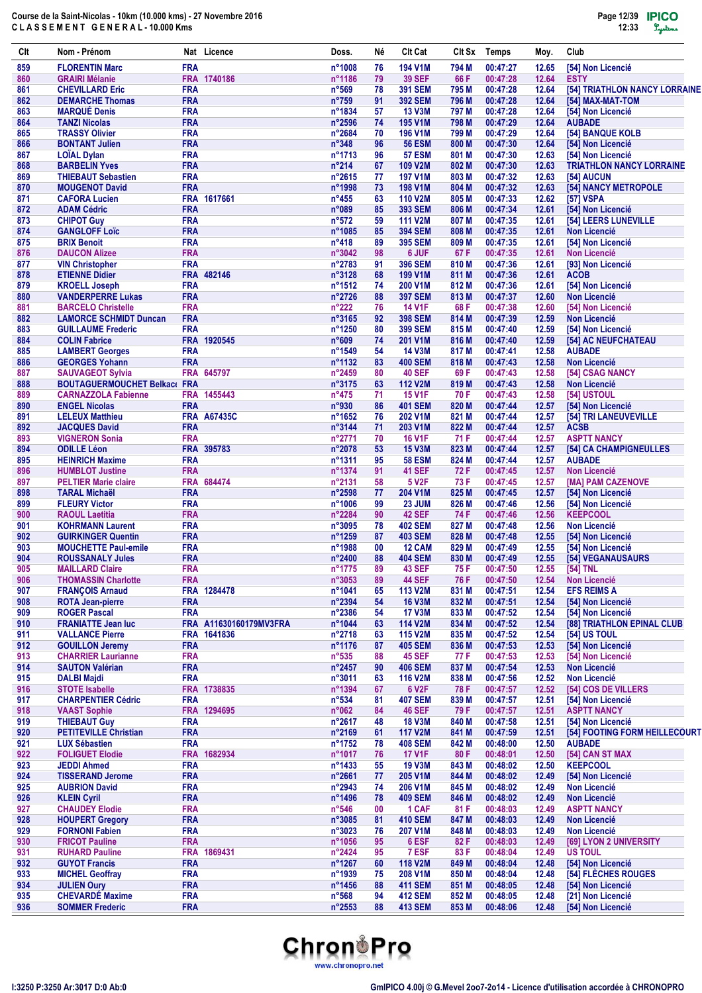| Clt        | Nom - Prénom                                                  |                          | Nat Licence                           | Doss.                    | Νé       | <b>CIt Cat</b>                   | CIt Sx         | <b>Temps</b>         | Moy.           | Club                                     |
|------------|---------------------------------------------------------------|--------------------------|---------------------------------------|--------------------------|----------|----------------------------------|----------------|----------------------|----------------|------------------------------------------|
| 859        | <b>FLORENTIN Marc</b>                                         | <b>FRA</b>               |                                       | n°1008                   | 76       | <b>194 V1M</b>                   | 794 M          | 00:47:27             | 12.65          | [54] Non Licencié                        |
| 860        | <b>GRAIRI Mélanie</b>                                         |                          | FRA 1740186                           | n°1186                   | 79       | <b>39 SEF</b>                    | 66 F           | 00:47:28             | 12.64          | <b>ESTY</b>                              |
| 861        | <b>CHEVILLARD Eric</b>                                        | <b>FRA</b>               |                                       | $n^{\circ}569$           | 78       | <b>391 SEM</b>                   | 795 M          | 00:47:28             | 12.64          | [54] TRIATHLON NANCY LORRAINE            |
| 862        | <b>DEMARCHE Thomas</b>                                        | <b>FRA</b>               |                                       | $n^{\circ}759$           | 91       | <b>392 SEM</b>                   | 796 M          | 00:47:28             | 12.64          | [54] MAX-MAT-TOM                         |
| 863        | <b>MARQUÉ Denis</b>                                           | <b>FRA</b>               |                                       | n°1834                   | 57       | <b>13 V3M</b>                    | 797 M          | 00:47:28             | 12.64          | [54] Non Licencié                        |
| 864<br>865 | <b>TANZI Nicolas</b>                                          | <b>FRA</b>               |                                       | $n^{\circ}2596$          | 74       | <b>195 V1M</b>                   | 798 M          | 00:47:29             | 12.64          | <b>AUBADE</b>                            |
| 866        | <b>TRASSY Olivier</b><br><b>BONTANT Julien</b>                | <b>FRA</b><br><b>FRA</b> |                                       | n°2684<br>$n^{\circ}348$ | 70<br>96 | <b>196 V1M</b><br><b>56 ESM</b>  | 799 M<br>800 M | 00:47:29<br>00:47:30 | 12.64<br>12.64 | [54] BANQUE KOLB<br>[54] Non Licencié    |
| 867        | <b>LOÏAL Dylan</b>                                            | <b>FRA</b>               |                                       | n°1713                   | 96       | <b>57 ESM</b>                    | 801 M          | 00:47:30             | 12.63          | [54] Non Licencié                        |
| 868        | <b>BARBELIN Yves</b>                                          | <b>FRA</b>               |                                       | $n^{\circ}214$           | 67       | <b>109 V2M</b>                   | 802 M          | 00:47:30             | 12.63          | <b>TRIATHLON NANCY LORRAINE</b>          |
| 869        | <b>THIEBAUT Sebastien</b>                                     | <b>FRA</b>               |                                       | n°2615                   | 77       | <b>197 V1M</b>                   | 803 M          | 00:47:32             | 12.63          | <b>1541 AUCUN</b>                        |
| 870        | <b>MOUGENOT David</b>                                         | <b>FRA</b>               |                                       | n°1998                   | 73       | <b>198 V1M</b>                   | 804 M          | 00:47:32             | 12.63          | <b>[54] NANCY METROPOLE</b>              |
| 871        | <b>CAFORA Lucien</b>                                          |                          | FRA 1617661                           | $n^{\circ}455$           | 63       | <b>110 V2M</b>                   | 805 M          | 00:47:33             | 12.62          | [57] VSPA                                |
| 872        | <b>ADAM Cédric</b>                                            | <b>FRA</b>               |                                       | n°089                    | 85       | <b>393 SEM</b>                   | 806 M          | 00:47:34             | 12.61          | [54] Non Licencié                        |
| 873        | <b>CHIPOT Guy</b>                                             | <b>FRA</b>               |                                       | $n^{\circ}572$           | 59       | <b>111 V2M</b>                   | 807 M          | 00:47:35             | 12.61          | [54] LEERS LUNEVILLE                     |
| 874        | <b>GANGLOFF Loïc</b>                                          | <b>FRA</b>               |                                       | n°1085                   | 85       | <b>394 SEM</b>                   | 808 M          | 00:47:35             | 12.61          | <b>Non Licencié</b>                      |
| 875<br>876 | <b>BRIX Benoit</b>                                            | <b>FRA</b><br><b>FRA</b> |                                       | $n^{\circ}418$<br>n°3042 | 89       | <b>395 SEM</b><br>6 JUF          | 809 M          | 00:47:35             | 12.61          | [54] Non Licencié                        |
| 877        | <b>DAUCON Alizee</b><br><b>VIN Christopher</b>                | <b>FRA</b>               |                                       | n°2783                   | 98<br>91 | <b>396 SEM</b>                   | 67 F<br>810 M  | 00:47:35<br>00:47:36 | 12.61<br>12.61 | <b>Non Licencié</b><br>[93] Non Licencié |
| 878        | <b>ETIENNE Didier</b>                                         |                          | FRA 482146                            | n°3128                   | 68       | <b>199 V1M</b>                   | 811 M          | 00:47:36             | 12.61          | <b>ACOB</b>                              |
| 879        | <b>KROELL Joseph</b>                                          | <b>FRA</b>               |                                       | n°1512                   | 74       | <b>200 V1M</b>                   | 812 M          | 00:47:36             | 12.61          | [54] Non Licencié                        |
| 880        | <b>VANDERPERRE Lukas</b>                                      | <b>FRA</b>               |                                       | $n^{\circ}2726$          | 88       | <b>397 SEM</b>                   | 813 M          | 00:47:37             | 12.60          | <b>Non Licencié</b>                      |
| 881        | <b>BARCELO Christelle</b>                                     | <b>FRA</b>               |                                       | $n^{\circ}222$           | 76       | <b>14 V1F</b>                    | 68 F           | 00:47:38             | 12.60          | [54] Non Licencié                        |
| 882        | <b>LAMORCE SCHMIDT Duncan</b>                                 | <b>FRA</b>               |                                       | n°3165                   | 92       | <b>398 SEM</b>                   | 814 M          | 00:47:39             | 12.59          | <b>Non Licencié</b>                      |
| 883        | <b>GUILLAUME Frederic</b>                                     | <b>FRA</b>               |                                       | n°1250                   | 80       | <b>399 SEM</b>                   | 815 M          | 00:47:40             | 12.59          | [54] Non Licencié                        |
| 884        | <b>COLIN Fabrice</b>                                          |                          | FRA 1920545                           | $n^{\circ}609$           | 74       | 201 V1M                          | 816 M          | 00:47:40             | 12.59          | [54] AC NEUFCHATEAU                      |
| 885        | <b>LAMBERT Georges</b>                                        | <b>FRA</b>               |                                       | n°1549                   | 54       | <b>14 V3M</b>                    | 817 M          | 00:47:41             | 12.58          | <b>AUBADE</b>                            |
| 886        | <b>GEORGES Yohann</b>                                         | <b>FRA</b>               |                                       | n°1132                   | 83       | <b>400 SEM</b>                   | 818 M          | 00:47:43             | 12.58          | <b>Non Licencié</b>                      |
| 887<br>888 | <b>SAUVAGEOT Sylvia</b>                                       | <b>FRA</b>               | FRA 645797                            | n°2459                   | 80       | <b>40 SEF</b>                    | 69 F           | 00:47:43<br>00:47:43 | 12.58          | [54] CSAG NANCY                          |
| 889        | <b>BOUTAGUERMOUCHET Belkace</b><br><b>CARNAZZOLA Fabienne</b> |                          | FRA 1455443                           | n°3175<br>$n^{\circ}475$ | 63<br>71 | <b>112 V2M</b><br><b>15 V1F</b>  | 819 M<br>70 F  | 00:47:43             | 12.58<br>12.58 | <b>Non Licencié</b><br>[54] USTOUL       |
| 890        | <b>ENGEL Nicolas</b>                                          | <b>FRA</b>               |                                       | n°930                    | 86       | <b>401 SEM</b>                   | 820 M          | 00:47:44             | 12.57          | [54] Non Licencié                        |
| 891        | <b>LELEUX Matthieu</b>                                        |                          | <b>FRA A67435C</b>                    | $n^{\circ}1652$          | 76       | <b>202 V1M</b>                   | 821 M          | 00:47:44             | 12.57          | [54] TRI LANEUVEVILLE                    |
| 892        | <b>JACQUES David</b>                                          | <b>FRA</b>               |                                       | n°3144                   | 71       | 203 V1M                          | 822 M          | 00:47:44             | 12.57          | <b>ACSB</b>                              |
| 893        | <b>VIGNERON Sonia</b>                                         | <b>FRA</b>               |                                       | n°2771                   | 70       | <b>16 V1F</b>                    | 71 F           | 00:47:44             | 12.57          | <b>ASPTT NANCY</b>                       |
| 894        | <b>ODILLE Léon</b>                                            |                          | FRA 395783                            | n°2078                   | 53       | <b>15 V3M</b>                    | 823 M          | 00:47:44             | 12.57          | [54] CA CHAMPIGNEULLES                   |
| 895        | <b>HEINRICH Maxime</b>                                        | <b>FRA</b>               |                                       | n°1311                   | 95       | <b>58 ESM</b>                    | 824 M          | 00:47:44             | 12.57          | <b>AUBADE</b>                            |
| 896        | <b>HUMBLOT Justine</b>                                        | <b>FRA</b>               |                                       | n°1374                   | 91       | <b>41 SEF</b>                    | 72 F           | 00:47:45             | 12.57          | <b>Non Licencié</b>                      |
| 897        | <b>PELTIER Marie claire</b>                                   |                          | FRA 684474                            | n°2131                   | 58       | 5 V <sub>2</sub> F               | 73 F           | 00:47:45             | 12.57          | [MA] PAM CAZENOVE                        |
| 898        | <b>TARAL Michaël</b>                                          | <b>FRA</b>               |                                       | $n^{\circ}2598$          | 77       | <b>204 V1M</b>                   | 825 M          | 00:47:45             | 12.57          | [54] Non Licencié                        |
| 899        | <b>FLEURY Victor</b>                                          | <b>FRA</b><br><b>FRA</b> |                                       | n°1006<br>n°2284         | 99       | 23 JUM<br><b>42 SEF</b>          | 826 M          | 00:47:46             | 12.56          | [54] Non Licencié                        |
| 900<br>901 | <b>RAOUL Laetitia</b><br><b>KOHRMANN Laurent</b>              | <b>FRA</b>               |                                       | n°3095                   | 90<br>78 | <b>402 SEM</b>                   | 74 F<br>827 M  | 00:47:46<br>00:47:48 | 12.56<br>12.56 | <b>KEEPCOOL</b><br><b>Non Licencié</b>   |
| 902        | <b>GUIRKINGER Quentin</b>                                     | <b>FRA</b>               |                                       | n°1259                   | 87       | <b>403 SEM</b>                   | 828 M          | 00:47:48             | 12.55          | [54] Non Licencié                        |
| 903        | <b>MOUCHETTE Paul-emile</b>                                   | <b>FRA</b>               |                                       | n°1988                   | 00       | 12 CAM                           | 829 M          | 00:47:49             | 12.55          | [54] Non Licencié                        |
| 904        | <b>ROUSSANALY Jules</b>                                       | <b>FRA</b>               |                                       | n°2400                   | 88       | <b>404 SEM</b>                   | 830 M          | 00:47:49             | 12.55          | [54] VEGANAUSAURS                        |
| 905        | <b>MAILLARD Claire</b>                                        | <b>FRA</b>               |                                       | n°1775                   | 89       | <b>43 SEF</b>                    | 75 F           | 00:47:50             | 12.55          | [54] TNL                                 |
| 906        | <b>THOMASSIN Charlotte</b>                                    | <b>FRA</b>               |                                       | n°3053                   | 89       | <b>44 SEF</b>                    | 76 F           | 00:47:50             | 12.54          | Non Licencié                             |
| 907        | <b>FRANÇOIS Arnaud</b>                                        |                          | FRA 1284478                           | n°1041                   | 65       | <b>113 V2M</b>                   | 831 M          | 00:47:51             | 12.54          | <b>EFS REIMS A</b>                       |
| 908        | <b>ROTA Jean-pierre</b>                                       | <b>FRA</b>               |                                       | $n^{\circ}$ 2394         | 54       | <b>16 V3M</b>                    | 832 M          | 00:47:51             | 12.54          | [54] Non Licencié                        |
| 909        | <b>ROGER Pascal</b>                                           | <b>FRA</b>               |                                       | $n^{\circ}$ 2386         | 54       | <b>17 V3M</b>                    | 833 M          | 00:47:52             | 12.54          | <b>[54] Non Licencié</b>                 |
| 910        | <b>FRANIATTE Jean luc</b><br><b>VALLANCE Pierre</b>           |                          | FRA A11630160179MV3FRA<br>FRA 1641836 | n°1044                   | 63       | <b>114 V2M</b>                   | 834 M          | 00:47:52             | 12.54          | [88] TRIATHLON EPINAL CLUB               |
| 911<br>912 | <b>GOUILLON Jeremy</b>                                        | <b>FRA</b>               |                                       | n°2718<br>n°1176         | 63<br>87 | 115 V2M<br><b>405 SEM</b>        | 835 M<br>836 M | 00:47:52<br>00:47:53 | 12.54<br>12.53 | <b>[54] US TOUL</b><br>[54] Non Licencié |
| 913        | <b>CHARRIER Laurianne</b>                                     | <b>FRA</b>               |                                       | $n^{\circ}535$           | 88       | <b>45 SEF</b>                    | 77 F           | 00:47:53             | 12.53          | [54] Non Licencié                        |
| 914        | <b>SAUTON Valérian</b>                                        | <b>FRA</b>               |                                       | n°2457                   | 90       | <b>406 SEM</b>                   | 837 M          | 00:47:54             | 12.53          | <b>Non Licencié</b>                      |
| 915        | <b>DALBI Majdi</b>                                            | <b>FRA</b>               |                                       | n°3011                   | 63       | 116 V2M                          | 838 M          | 00:47:56             | 12.52          | <b>Non Licencié</b>                      |
| 916        | <b>STOTE Isabelle</b>                                         |                          | FRA 1738835                           | n°1394                   | 67       | 6 V2F                            | 78 F           | 00:47:57             | 12.52          | [54] COS DE VILLERS                      |
| 917        | <b>CHARPENTIER Cédric</b>                                     | <b>FRA</b>               |                                       | $n^{\circ}534$           | 81       | <b>407 SEM</b>                   | 839 M          | 00:47:57             | 12.51          | [54] Non Licencié                        |
| 918        | <b>VAAST Sophie</b>                                           |                          | FRA 1294695                           | $n^{\circ}062$           | 84       | <b>46 SEF</b>                    | 79 F           | 00:47:57             | 12.51          | <b>ASPTT NANCY</b>                       |
| 919        | <b>THIEBAUT Guy</b>                                           | <b>FRA</b>               |                                       | n°2617                   | 48       | <b>18 V3M</b>                    | 840 M          | 00:47:58             | 12.51          | [54] Non Licencié                        |
| 920        | <b>PETITEVILLE Christian</b>                                  | <b>FRA</b>               |                                       | n°2169                   | 61       | <b>117 V2M</b>                   | 841 M          | 00:47:59             | 12.51          | [54] FOOTING FORM HEILLECOURT            |
| 921        | <b>LUX Sébastien</b>                                          | <b>FRA</b>               |                                       | n°1752                   | 78       | <b>408 SEM</b>                   | 842 M          | 00:48:00             | 12.50          | <b>AUBADE</b>                            |
| 922        | <b>FOLIGUET Elodie</b>                                        |                          | FRA 1682934                           | n°1017                   | 76       | <b>17 V1F</b>                    | 80 F           | 00:48:01             | 12.50          | [54] CAN ST MAX                          |
| 923<br>924 | <b>JEDDI Ahmed</b><br><b>TISSERAND Jerome</b>                 | <b>FRA</b><br><b>FRA</b> |                                       | n°1433<br>n°2661         | 55<br>77 | <b>19 V3M</b><br>205 V1M         | 843 M<br>844 M | 00:48:02<br>00:48:02 | 12.50<br>12.49 | <b>KEEPCOOL</b><br>[54] Non Licencié     |
| 925        | <b>AUBRION David</b>                                          | <b>FRA</b>               |                                       | n°2943                   | 74       | 206 V1M                          | 845 M          | 00:48:02             | 12.49          | <b>Non Licencié</b>                      |
| 926        | <b>KLEIN Cyril</b>                                            | <b>FRA</b>               |                                       | n°1496                   | 78       | <b>409 SEM</b>                   | 846 M          | 00:48:02             | 12.49          | <b>Non Licencié</b>                      |
| 927        | <b>CHAUDEY Elodie</b>                                         | <b>FRA</b>               |                                       | $n^{\circ}546$           | 00       | 1 CAF                            | 81 F           | 00:48:03             | 12.49          | <b>ASPTT NANCY</b>                       |
| 928        | <b>HOUPERT Gregory</b>                                        | <b>FRA</b>               |                                       | n°3085                   | 81       | <b>410 SEM</b>                   | 847 M          | 00:48:03             | 12.49          | <b>Non Licencié</b>                      |
| 929        | <b>FORNONI Fabien</b>                                         | <b>FRA</b>               |                                       | n°3023                   | 76       | 207 V1M                          | 848 M          | 00:48:03             | 12.49          | <b>Non Licencié</b>                      |
| 930        | <b>FRICOT Pauline</b>                                         | <b>FRA</b>               |                                       | n°1056                   | 95       | 6 ESF                            | 82 F           | 00:48:03             | 12.49          | [69] LYON 2 UNIVERSITY                   |
| 931        | <b>RUHARD Pauline</b>                                         |                          | FRA 1869431                           | n°2424                   | 95       | 7 ESF                            | 83 F           | 00:48:04             | 12.49          | <b>US TOUL</b>                           |
| 932        | <b>GUYOT Francis</b>                                          | <b>FRA</b>               |                                       | n°1267                   | 60       | 118 V2M                          | 849 M          | 00:48:04             | 12.48          | [54] Non Licencié                        |
| 933        | <b>MICHEL Geoffray</b>                                        | <b>FRA</b>               |                                       | n°1939                   | 75       | 208 V1M                          | 850 M          | 00:48:04             | 12.48          | [54] FLÈCHES ROUGES                      |
| 934        | <b>JULIEN Oury</b><br><b>CHEVARDÉ Maxime</b>                  | <b>FRA</b>               |                                       | n°1456                   | 88       | <b>411 SEM</b>                   | 851 M          | 00:48:05             | 12.48          | [54] Non Licencié                        |
| 935<br>936 | <b>SOMMER Frederic</b>                                        | <b>FRA</b><br><b>FRA</b> |                                       | $n^{\circ}568$<br>n°2553 | 94<br>88 | <b>412 SEM</b><br><b>413 SEM</b> | 852 M<br>853 M | 00:48:05<br>00:48:06 | 12.48<br>12.48 | [21] Non Licencié<br>[54] Non Licencié   |
|            |                                                               |                          |                                       |                          |          |                                  |                |                      |                |                                          |

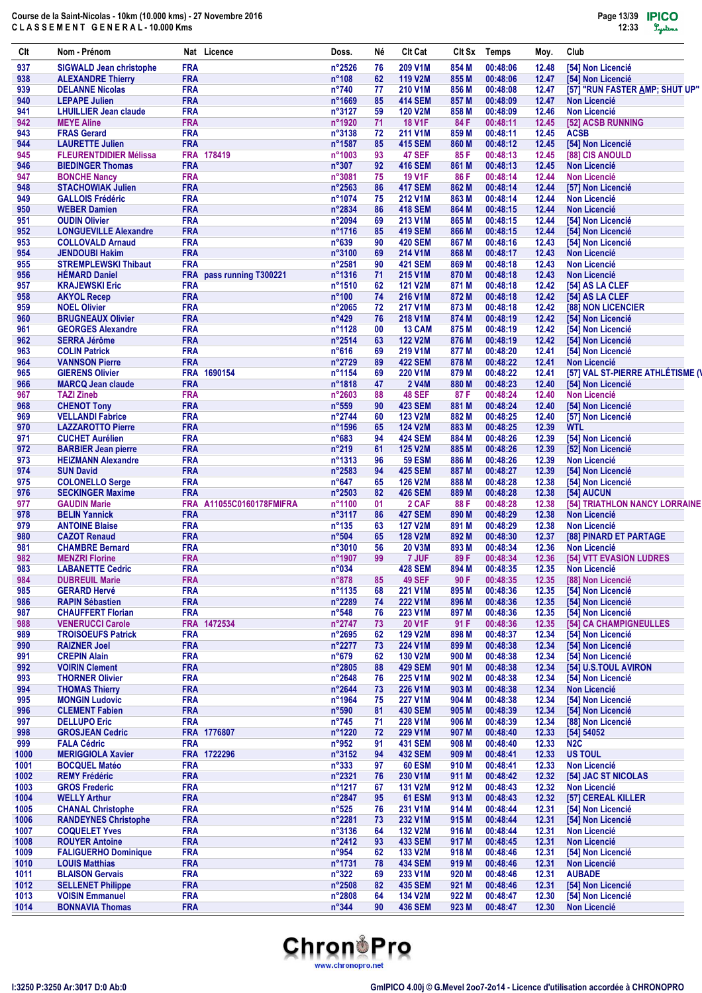| Clt          | Nom - Prénom                                            |                          | Nat Licence              | Doss.                            | Νé       | <b>Clt Cat</b>                   | Clt Sx         | <b>Temps</b>         | Moy.           | Club                                   |
|--------------|---------------------------------------------------------|--------------------------|--------------------------|----------------------------------|----------|----------------------------------|----------------|----------------------|----------------|----------------------------------------|
| 937          | <b>SIGWALD Jean christophe</b>                          | <b>FRA</b>               |                          | n°2526                           | 76       | 209 V1M                          | 854 M          | 00:48:06             | 12.48          | [54] Non Licencié                      |
| 938          | <b>ALEXANDRE Thierry</b>                                | <b>FRA</b>               |                          | $n^{\circ}108$                   | 62       | <b>119 V2M</b>                   | 855 M          | 00:48:06             | 12.47          | [54] Non Licencié                      |
| 939          | <b>DELANNE Nicolas</b>                                  | <b>FRA</b>               |                          | $n^{\circ}740$                   | 77       | 210 V1M                          | 856 M          | 00:48:08             | 12.47          | [57] "RUN FASTER AMP; SHUT UP"         |
| 940          | <b>LEPAPE Julien</b>                                    | <b>FRA</b>               |                          | n°1669                           | 85       | <b>414 SEM</b>                   | 857 M          | 00:48:09             | 12.47          | <b>Non Licencié</b>                    |
| 941          | <b>LHUILLIER Jean claude</b>                            | <b>FRA</b>               |                          | n°3127                           | 59       | <b>120 V2M</b>                   | 858 M          | 00:48:09             | 12.46          | <b>Non Licencié</b>                    |
| 942          | <b>MEYE Aline</b>                                       | <b>FRA</b>               |                          | n°1920                           | 71       | <b>18 V1F</b>                    | 84 F           | 00:48:11             | 12.45          | [52] ACSB RUNNING                      |
| 943          | <b>FRAS Gerard</b>                                      | <b>FRA</b><br><b>FRA</b> |                          | n°3138                           | 72<br>85 | 211 V1M                          | 859 M          | 00:48:11             | 12.45          | <b>ACSB</b>                            |
| 944<br>945   | <b>LAURETTE Julien</b><br><b>FLEURENTDIDIER Mélissa</b> |                          | FRA 178419               | n°1587<br>n°1003                 | 93       | <b>415 SEM</b><br><b>47 SEF</b>  | 860 M<br>85 F  | 00:48:12<br>00:48:13 | 12.45<br>12.45 | [54] Non Licencié<br>[88] CIS ANOULD   |
| 946          | <b>BIEDINGER Thomas</b>                                 | <b>FRA</b>               |                          | $n^{\circ}307$                   | 92       | <b>416 SEM</b>                   | 861 M          | 00:48:13             | 12.45          | <b>Non Licencié</b>                    |
| 947          | <b>BONCHE Nancy</b>                                     | <b>FRA</b>               |                          | n°3081                           | 75       | <b>19 V1F</b>                    | 86 F           | 00:48:14             | 12.44          | <b>Non Licencié</b>                    |
| 948          | <b>STACHOWIAK Julien</b>                                | <b>FRA</b>               |                          | n°2563                           | 86       | <b>417 SEM</b>                   | 862 M          | 00:48:14             | 12.44          | [57] Non Licencié                      |
| 949          | <b>GALLOIS Frédéric</b>                                 | <b>FRA</b>               |                          | n°1074                           | 75       | 212 V1M                          | 863 M          | 00:48:14             | 12.44          | <b>Non Licencié</b>                    |
| 950          | <b>WEBER Damien</b>                                     | <b>FRA</b>               |                          | n°2834                           | 86       | <b>418 SEM</b>                   | 864 M          | 00:48:15             | 12.44          | <b>Non Licencié</b>                    |
| 951          | <b>OUDIN Olivier</b>                                    | <b>FRA</b>               |                          | n°2094                           | 69       | 213 V1M                          | 865 M          | 00:48:15             | 12.44          | [54] Non Licencié                      |
| 952          | <b>LONGUEVILLE Alexandre</b>                            | <b>FRA</b>               |                          | n°1716                           | 85       | <b>419 SEM</b>                   | 866 M          | 00:48:15             | 12.44          | [54] Non Licencié                      |
| 953          | <b>COLLOVALD Arnaud</b>                                 | <b>FRA</b>               |                          | n°639                            | 90       | <b>420 SEM</b>                   | 867 M          | 00:48:16             | 12.43          | [54] Non Licencié                      |
| 954          | <b>JENDOUBI Hakim</b>                                   | <b>FRA</b>               |                          | n°3100                           | 69       | 214 V1M                          | 868 M          | 00:48:17             | 12.43          | <b>Non Licencié</b>                    |
| 955          | <b>STREMPLEWSKI Thibaut</b>                             | <b>FRA</b>               |                          | n°2581                           | 90       | <b>421 SEM</b>                   | 869 M          | 00:48:18             | 12.43          | <b>Non Licencié</b>                    |
| 956          | <b>HÉMARD Daniel</b>                                    | <b>FRA</b>               | pass running T300221     | n°1316                           | 71       | 215 V1M                          | 870 M          | 00:48:18             | 12.43          | <b>Non Licencié</b>                    |
| 957<br>958   | <b>KRAJEWSKI Eric</b><br><b>AKYOL Recep</b>             | <b>FRA</b><br><b>FRA</b> |                          | n°1510<br>n°100                  | 62<br>74 | <b>121 V2M</b><br>216 V1M        | 871 M<br>872 M | 00:48:18<br>00:48:18 | 12.42<br>12.42 | [54] AS LA CLEF<br>[54] AS LA CLEF     |
| 959          | <b>NOEL Olivier</b>                                     | <b>FRA</b>               |                          | n°2065                           | 72       | 217 V1M                          | 873 M          | 00:48:18             | 12.42          | [88] NON LICENCIER                     |
| 960          | <b>BRUGNEAUX Olivier</b>                                | <b>FRA</b>               |                          | $n^{\circ}429$                   | 76       | 218 V1M                          | 874 M          | 00:48:19             | 12.42          | [54] Non Licencié                      |
| 961          | <b>GEORGES Alexandre</b>                                | <b>FRA</b>               |                          | n°1128                           | 00       | 13 CAM                           | 875 M          | 00:48:19             | 12.42          | [54] Non Licencié                      |
| 962          | <b>SERRA Jérôme</b>                                     | <b>FRA</b>               |                          | n°2514                           | 63       | <b>122 V2M</b>                   | 876 M          | 00:48:19             | 12.42          | [54] Non Licencié                      |
| 963          | <b>COLIN Patrick</b>                                    | <b>FRA</b>               |                          | $n^{\circ}616$                   | 69       | 219 V1M                          | 877 M          | 00:48:20             | 12.41          | [54] Non Licencié                      |
| 964          | <b>VANNSON Pierre</b>                                   | <b>FRA</b>               |                          | n°2729                           | 89       | <b>422 SEM</b>                   | 878 M          | 00:48:22             | 12.41          | <b>Non Licencié</b>                    |
| 965          | <b>GIERENS Olivier</b>                                  | <b>FRA</b>               | 1690154                  | n°1154                           | 69       | 220 V1M                          | 879 M          | 00:48:22             | 12.41          | [57] VAL ST-PIERRE ATHLÉTISME (\       |
| 966          | <b>MARCQ Jean claude</b>                                | <b>FRA</b>               |                          | n°1818                           | 47       | <b>2 V4M</b>                     | 880 M          | 00:48:23             | 12.40          | [54] Non Licencié                      |
| 967          | <b>TAZI Zineb</b>                                       | <b>FRA</b>               |                          | n°2603                           | 88       | <b>48 SEF</b>                    | 87 F           | 00:48:24             | 12.40          | <b>Non Licencié</b>                    |
| 968          | <b>CHENOT Tony</b>                                      | <b>FRA</b>               |                          | $n^{\circ}559$                   | 90       | <b>423 SEM</b>                   | 881 M          | 00:48:24             | 12.40          | [54] Non Licencié                      |
| 969          | <b>VELLANDI Fabrice</b>                                 | <b>FRA</b>               |                          | n°2744                           | 60       | <b>123 V2M</b>                   | 882 M          | 00:48:25             | 12.40          | [57] Non Licencié                      |
| 970          | <b>LAZZAROTTO Pierre</b>                                | <b>FRA</b><br><b>FRA</b> |                          | n°1596                           | 65       | <b>124 V2M</b>                   | 883 M          | 00:48:25             | 12.39          | <b>WTL</b>                             |
| 971<br>972   | <b>CUCHET Aurélien</b><br><b>BARBIER Jean pierre</b>    | <b>FRA</b>               |                          | $n^{\circ}683$<br>$n^{\circ}219$ | 94<br>61 | <b>424 SEM</b><br><b>125 V2M</b> | 884 M<br>885 M | 00:48:26<br>00:48:26 | 12.39<br>12.39 | [54] Non Licencié<br>[52] Non Licencié |
| 973          | <b>HEIZMANN Alexandre</b>                               | <b>FRA</b>               |                          | n°1313                           | 96       | <b>59 ESM</b>                    | 886 M          | 00:48:26             | 12.39          | <b>Non Licencié</b>                    |
| 974          | <b>SUN David</b>                                        | <b>FRA</b>               |                          | n°2583                           | 94       | <b>425 SEM</b>                   | 887 M          | 00:48:27             | 12.39          | [54] Non Licencié                      |
| 975          | <b>COLONELLO Serge</b>                                  | <b>FRA</b>               |                          | $n^{\circ}647$                   | 65       | <b>126 V2M</b>                   | 888 M          | 00:48:28             | 12.38          | [54] Non Licencié                      |
| 976          | <b>SECKINGER Maxime</b>                                 | <b>FRA</b>               |                          | n°2503                           | 82       | <b>426 SEM</b>                   | 889 M          | 00:48:28             | 12.38          | [54] AUCUN                             |
| 977          | <b>GAUDIN Marie</b>                                     |                          | FRA A11055C0160178FMIFRA | n°1100                           | 01       | 2 CAF                            | 88 F           | 00:48:28             | 12.38          | [54] TRIATHLON NANCY LORRAINE          |
| 978          | <b>BELIN Yannick</b>                                    | <b>FRA</b>               |                          | n°3117                           | 86       | <b>427 SEM</b>                   | 890 M          | 00:48:29             | 12.38          | <b>Non Licencié</b>                    |
| 979          | <b>ANTOINE Blaise</b>                                   | <b>FRA</b>               |                          | n°135                            | 63       | <b>127 V2M</b>                   | 891 M          | 00:48:29             | 12.38          | <b>Non Licencié</b>                    |
| 980          | <b>CAZOT Renaud</b>                                     | <b>FRA</b>               |                          | n°504                            | 65       | <b>128 V2M</b>                   | 892 M          | 00:48:30             | 12.37          | <b>[88] PINARD ET PARTAGE</b>          |
| 981          | <b>CHAMBRE Bernard</b>                                  | <b>FRA</b>               |                          | n°3010                           | 56       | <b>20 V3M</b>                    | 893 M          | 00:48:34             | 12.36          | <b>Non Licencié</b>                    |
| 982          | <b>MENZRI Florine</b>                                   | <b>FRA</b>               |                          | n°1907                           | 99       | 7 JUF                            | 89 F           | 00:48:34             | 12.36          | [54] VTT EVASION LUDRES                |
| 983          | <b>LABANETTE Cedric</b>                                 | <b>FRA</b>               |                          | n°034                            |          | <b>428 SEM</b>                   | 894 M          | 00:48:35             | 12.35          | <b>Non Licencié</b>                    |
| 984<br>985   | <b>DUBREUIL Marie</b><br><b>GERARD Hervé</b>            | <b>FRA</b><br><b>FRA</b> |                          | n°878<br>n°1135                  | 85<br>68 | <b>49 SEF</b><br>221 V1M         | 90 F<br>895 M  | 00:48:35<br>00:48:36 | 12.35<br>12.35 | [88] Non Licencié<br>[54] Non Licencié |
| 986          | <b>RAPIN Sébastien</b>                                  | <b>FRA</b>               |                          | n°2289                           | 74       | <b>222 V1M</b>                   | 896 M          | 00:48:36             | 12.35          | [54] Non Licencié                      |
| 987          | <b>CHAUFFERT Florian</b>                                | <b>FRA</b>               |                          | $n^{\circ}548$                   | 76       | 223 V1M                          | 897 M          | 00:48:36             | 12.35          | [54] Non Licencié                      |
| 988          | <b>VENERUCCI Carole</b>                                 |                          | FRA 1472534              | $n^{\circ}2747$                  | 73       | 20 V1F                           | 91 F           | 00:48:36             | 12.35          | [54] CA CHAMPIGNEULLES                 |
| 989          | <b>TROISOEUFS Patrick</b>                               | <b>FRA</b>               |                          | n°2695                           | 62       | <b>129 V2M</b>                   | 898 M          | 00:48:37             | 12.34          | [54] Non Licencié                      |
| 990          | <b>RAIZNER Joel</b>                                     | <b>FRA</b>               |                          | $n^{\circ}2277$                  | 73       | 224 V1M                          | 899 M          | 00:48:38             | 12.34          | [54] Non Licencié                      |
| 991          | <b>CREPIN Alain</b>                                     | <b>FRA</b>               |                          | $n^{\circ}679$                   | 62       | <b>130 V2M</b>                   | 900 M          | 00:48:38             | 12.34          | [54] Non Licencié                      |
| 992          | <b>VOIRIN Clement</b>                                   | <b>FRA</b>               |                          | n°2805                           | 88       | <b>429 SEM</b>                   | 901 M          | 00:48:38             | 12.34          | [54] U.S.TOUL AVIRON                   |
| 993          | <b>THORNER Olivier</b>                                  | <b>FRA</b>               |                          | $n^{\circ}2648$                  | 76       | 225 V1M                          | 902 M          | 00:48:38             | 12.34          | [54] Non Licencié                      |
| 994          | <b>THOMAS Thierry</b>                                   | <b>FRA</b>               |                          | n°2644                           | 73       | 226 V1M                          | 903 M          | 00:48:38             | 12.34          | <b>Non Licencié</b>                    |
| 995          | <b>MONGIN Ludovic</b>                                   | <b>FRA</b>               |                          | n°1964                           | 75       | <b>227 V1M</b>                   | 904 M          | 00:48:38             | 12.34          | [54] Non Licencié                      |
| 996          | <b>CLEMENT Fabien</b>                                   | <b>FRA</b>               |                          | n°590                            | 81       | <b>430 SEM</b>                   | 905 M          | 00:48:39             | 12.34          | [54] Non Licencié                      |
| 997<br>998   | <b>DELLUPO Eric</b><br><b>GROSJEAN Cedric</b>           | <b>FRA</b>               | FRA 1776807              | $n^{\circ}745$<br>n°1220         | 71<br>72 | 228 V1M<br>229 V1M               | 906 M<br>907 M | 00:48:39<br>00:48:40 | 12.34<br>12.33 | [88] Non Licencié<br>[54] 54052        |
| 999          | <b>FALA Cédric</b>                                      | <b>FRA</b>               |                          | $n^{\circ}952$                   | 91       | <b>431 SEM</b>                   | 908 M          | 00:48:40             | 12.33          | N <sub>2</sub> C                       |
| 1000         | <b>MERIGGIOLA Xavier</b>                                |                          | FRA 1722296              | n°3152                           | 94       | <b>432 SEM</b>                   | 909 M          | 00:48:41             | 12.33          | <b>US TOUL</b>                         |
| 1001         | <b>BOCQUEL Matéo</b>                                    | <b>FRA</b>               |                          | $n^{\circ}333$                   | 97       | <b>60 ESM</b>                    | 910 M          | 00:48:41             | 12.33          | Non Licencié                           |
| 1002         | <b>REMY Frédéric</b>                                    | <b>FRA</b>               |                          | n°2321                           | 76       | 230 V1M                          | 911 M          | 00:48:42             | 12.32          | [54] JAC ST NICOLAS                    |
| 1003         | <b>GROS Frederic</b>                                    | <b>FRA</b>               |                          | n°1217                           | 67       | <b>131 V2M</b>                   | 912 M          | 00:48:43             | 12.32          | Non Licencié                           |
| 1004         | <b>WELLY Arthur</b>                                     | <b>FRA</b>               |                          | n°2847                           | 95       | <b>61 ESM</b>                    | 913 M          | 00:48:43             | 12.32          | [57] CEREAL KILLER                     |
| 1005         | <b>CHANAL Christophe</b>                                | <b>FRA</b>               |                          | $n^{\circ}525$                   | 76       | 231 V1M                          | 914 M          | 00:48:44             | 12.31          | [54] Non Licencié                      |
| 1006         | <b>RANDEYNES Christophe</b>                             | <b>FRA</b>               |                          | n°2281                           | 73       | 232 V1M                          | 915 M          | 00:48:44             | 12.31          | [54] Non Licencié                      |
| 1007         | <b>COQUELET Yves</b>                                    | <b>FRA</b>               |                          | n°3136                           | 64       | <b>132 V2M</b>                   | 916 M          | 00:48:44             | 12.31          | <b>Non Licencié</b>                    |
| 1008         | <b>ROUYER Antoine</b>                                   | <b>FRA</b>               |                          | n°2412                           | 93       | <b>433 SEM</b>                   | 917 M          | 00:48:45             | 12.31          | Non Licencié                           |
| 1009<br>1010 | <b>FALIGUERHO Dominique</b><br><b>LOUIS Matthias</b>    | <b>FRA</b><br><b>FRA</b> |                          | n°954<br>n°1731                  | 62<br>78 | 133 V2M<br><b>434 SEM</b>        | 918 M<br>919 M | 00:48:46<br>00:48:46 | 12.31<br>12.31 | [54] Non Licencié<br>Non Licencié      |
| 1011         | <b>BLAISON Gervais</b>                                  | <b>FRA</b>               |                          | $n^{\circ}322$                   | 69       | 233 V1M                          | 920 M          | 00:48:46             | 12.31          | <b>AUBADE</b>                          |
| 1012         | <b>SELLENET Philippe</b>                                | <b>FRA</b>               |                          | n°2508                           | 82       | <b>435 SEM</b>                   | 921 M          | 00:48:46             | 12.31          | [54] Non Licencié                      |
| 1013         | <b>VOISIN Emmanuel</b>                                  | <b>FRA</b>               |                          | n°2808                           | 64       | <b>134 V2M</b>                   | 922 M          | 00:48:47             | 12.30          | [54] Non Licencié                      |
| 1014         | <b>BONNAVIA Thomas</b>                                  | <b>FRA</b>               |                          | $n^{\circ}344$                   | 90       | <b>436 SEM</b>                   | 923 M          | 00:48:47             | 12.30          | <b>Non Licencié</b>                    |

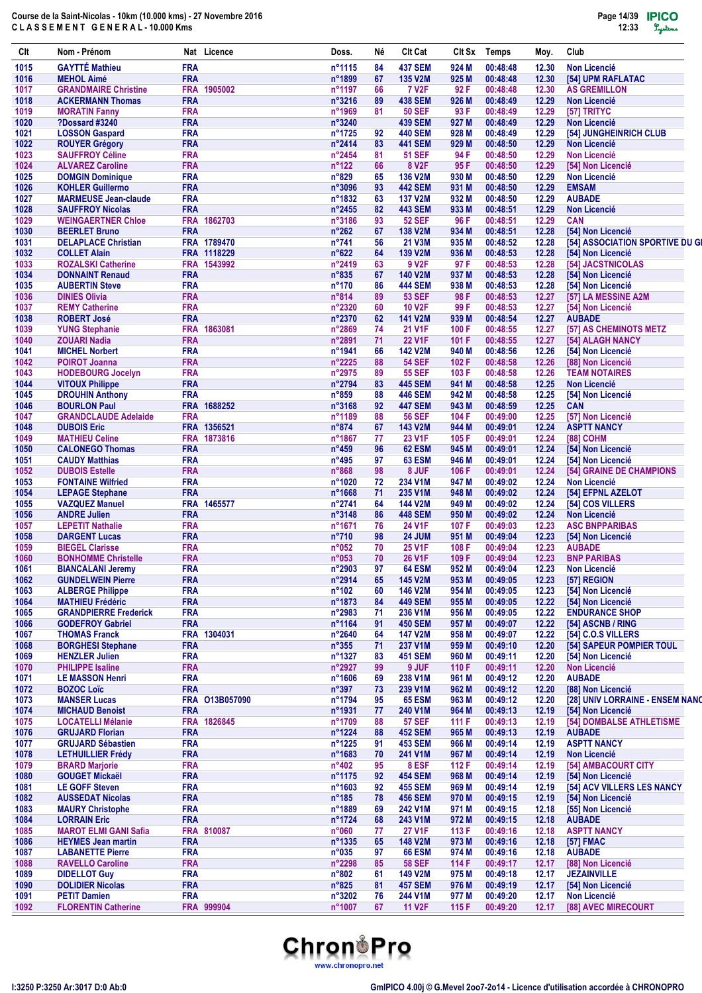| Clt          | Nom - Prénom                                              |                          | Nat Licence    | Doss.                            | Νé       | <b>CIt Cat</b>                   | Clt Sx           | <b>Temps</b>         | Moy.           | Club                                          |
|--------------|-----------------------------------------------------------|--------------------------|----------------|----------------------------------|----------|----------------------------------|------------------|----------------------|----------------|-----------------------------------------------|
| 1015         | <b>GAYTTÉ Mathieu</b>                                     | <b>FRA</b>               |                | n°1115                           | 84       | <b>437 SEM</b>                   | 924 M            | 00:48:48             | 12.30          | <b>Non Licencié</b>                           |
| 1016         | <b>MEHOL Aimé</b>                                         | <b>FRA</b>               |                | n°1899                           | 67       | <b>135 V2M</b>                   | 925 M            | 00:48:48             | 12.30          | [54] UPM RAFLATAC                             |
| 1017         | <b>GRANDMAIRE Christine</b>                               |                          | FRA 1905002    | n°1197                           | 66       | <b>7 V2F</b>                     | 92 F             | 00:48:48             | 12.30          | <b>AS GREMILLON</b>                           |
| 1018         | <b>ACKERMANN Thomas</b>                                   | <b>FRA</b>               |                | $n^{\circ}3216$                  | 89       | <b>438 SEM</b>                   | 926 M            | 00:48:49             | 12.29          | <b>Non Licencié</b>                           |
| 1019         | <b>MORATIN Fanny</b>                                      | <b>FRA</b>               |                | n°1969                           | 81       | <b>50 SEF</b>                    | 93 F             | 00:48:49             | 12.29          | [57] TRITYC                                   |
| 1020         | ?Dossard #3240                                            | <b>FRA</b>               |                | n°3240                           |          | <b>439 SEM</b>                   | 927 M            | 00:48:49             | 12.29          | <b>Non Licencié</b>                           |
| 1021<br>1022 | <b>LOSSON Gaspard</b>                                     | <b>FRA</b><br><b>FRA</b> |                | n°1725<br>n°2414                 | 92<br>83 | <b>440 SEM</b><br><b>441 SEM</b> | 928 M<br>929 M   | 00:48:49<br>00:48:50 | 12.29<br>12.29 | [54] JUNGHEINRICH CLUB<br><b>Non Licencié</b> |
| 1023         | <b>ROUYER Grégory</b><br><b>SAUFFROY Céline</b>           | <b>FRA</b>               |                | n°2454                           | 81       | <b>51 SEF</b>                    | 94 F             | 00:48:50             | 12.29          | <b>Non Licencié</b>                           |
| 1024         | <b>ALVAREZ Caroline</b>                                   | <b>FRA</b>               |                | $n^{\circ}122$                   | 66       | 8 V <sub>2</sub> F               | 95 F             | 00:48:50             | 12.29          | [54] Non Licencié                             |
| 1025         | <b>DOMGIN Dominique</b>                                   | <b>FRA</b>               |                | n°829                            | 65       | <b>136 V2M</b>                   | 930 M            | 00:48:50             | 12.29          | <b>Non Licencié</b>                           |
| 1026         | <b>KOHLER Guillermo</b>                                   | <b>FRA</b>               |                | n°3096                           | 93       | <b>442 SEM</b>                   | 931 M            | 00:48:50             | 12.29          | <b>EMSAM</b>                                  |
| 1027         | <b>MARMEUSE Jean-claude</b>                               | <b>FRA</b>               |                | n°1832                           | 63       | <b>137 V2M</b>                   | 932 M            | 00:48:50             | 12.29          | <b>AUBADE</b>                                 |
| 1028         | <b>SAUFFROY Nicolas</b>                                   | <b>FRA</b>               |                | n°2455                           | 82       | <b>443 SEM</b>                   | 933 M            | 00:48:51             | 12.29          | <b>Non Licencié</b>                           |
| 1029         | <b>WEINGAERTNER Chloe</b>                                 |                          | FRA 1862703    | n°3186                           | 93       | <b>52 SEF</b>                    | 96 F             | 00:48:51             | 12.29          | <b>CAN</b>                                    |
| 1030         | <b>BEERLET Bruno</b>                                      | <b>FRA</b>               |                | $n^{\circ}262$                   | 67       | <b>138 V2M</b>                   | 934 M            | 00:48:51             | 12.28          | [54] Non Licencié                             |
| 1031         | <b>DELAPLACE Christian</b>                                |                          | FRA 1789470    | $n^{\circ}741$                   | 56       | 21 V3M                           | 935 M            | 00:48:52             | 12.28          | [54] ASSOCIATION SPORTIVE DU GI               |
| 1032         | <b>COLLET Alain</b>                                       |                          | FRA 1118229    | n°622                            | 64       | <b>139 V2M</b>                   | 936 M            | 00:48:53             | 12.28          | [54] Non Licencié                             |
| 1033         | <b>ROZALSKI Catherine</b>                                 |                          | FRA 1543992    | n°2419                           | 63       | 9 V <sub>2F</sub>                | 97 F             | 00:48:53             | 12.28          | [54] JACSTNICOLAS                             |
| 1034         | <b>DONNAINT Renaud</b>                                    | <b>FRA</b><br><b>FRA</b> |                | $n^{\circ}835$                   | 67       | <b>140 V2M</b>                   | 937 M            | 00:48:53<br>00:48:53 | 12.28          | [54] Non Licencié                             |
| 1035<br>1036 | <b>AUBERTIN Steve</b><br><b>DINIES Olivia</b>             | <b>FRA</b>               |                | $n^{\circ}170$<br>$n^{\circ}814$ | 86<br>89 | <b>444 SEM</b><br><b>53 SEF</b>  | 938 M<br>98 F    | 00:48:53             | 12.28<br>12.27 | [54] Non Licencié<br>[57] LA MESSINE A2M      |
| 1037         | <b>REMY Catherine</b>                                     | <b>FRA</b>               |                | n°2320                           | 60       | <b>10 V2F</b>                    | 99 F             | 00:48:53             | 12.27          | [54] Non Licencié                             |
| 1038         | <b>ROBERT José</b>                                        | <b>FRA</b>               |                | n°2370                           | 62       | <b>141 V2M</b>                   | 939 M            | 00:48:54             | 12.27          | <b>AUBADE</b>                                 |
| 1039         | <b>YUNG Stephanie</b>                                     |                          | FRA 1863081    | n°2869                           | 74       | 21 V1F                           | 100 F            | 00:48:55             | 12.27          | [57] AS CHEMINOTS METZ                        |
| 1040         | <b>ZOUARI Nadia</b>                                       | <b>FRA</b>               |                | n°2891                           | 71       | <b>22 V1F</b>                    | 101 F            | 00:48:55             | 12.27          | [54] ALAGH NANCY                              |
| 1041         | <b>MICHEL Norbert</b>                                     | <b>FRA</b>               |                | n°1941                           | 66       | <b>142 V2M</b>                   | 940 M            | 00:48:56             | 12.26          | [54] Non Licencié                             |
| 1042         | <b>POIROT Joanna</b>                                      | <b>FRA</b>               |                | $n^{\circ}2225$                  | 88       | <b>54 SEF</b>                    | 102 F            | 00:48:58             | 12.26          | [88] Non Licencié                             |
| 1043         | <b>HODEBOURG Jocelyn</b>                                  | <b>FRA</b>               |                | n°2975                           | 89       | <b>55 SEF</b>                    | 103 F            | 00:48:58             | 12.26          | <b>TEAM NOTAIRES</b>                          |
| 1044         | <b>VITOUX Philippe</b>                                    | <b>FRA</b>               |                | n°2794                           | 83       | <b>445 SEM</b>                   | 941 M            | 00:48:58             | 12.25          | <b>Non Licencié</b>                           |
| 1045         | <b>DROUHIN Anthony</b>                                    | <b>FRA</b>               |                | n°859                            | 88       | <b>446 SEM</b>                   | 942 M            | 00:48:58             | 12.25          | [54] Non Licencié                             |
| 1046         | <b>BOURLON Paul</b>                                       |                          | FRA 1688252    | n°3168                           | 92       | <b>447 SEM</b>                   | 943 M            | 00:48:59             | 12.25          | <b>CAN</b>                                    |
| 1047         | <b>GRANDCLAUDE Adelaide</b>                               | <b>FRA</b>               |                | n°1189                           | 88       | <b>56 SEF</b>                    | 104 F            | 00:49:00             | 12.25          | [57] Non Licencié                             |
| 1048         | <b>DUBOIS Eric</b>                                        |                          | FRA 1356521    | $n^{\circ}874$                   | 67       | <b>143 V2M</b>                   | 944 M            | 00:49:01             | 12.24          | <b>ASPTT NANCY</b>                            |
| 1049         | <b>MATHIEU Celine</b>                                     |                          | FRA 1873816    | n°1867                           | 77       | 23 V1F                           | 105 F            | 00:49:01             | 12.24          | [88] COHM                                     |
| 1050         | <b>CALONEGO Thomas</b>                                    | <b>FRA</b>               |                | $n^{\circ}459$                   | 96       | 62 ESM                           | 945 M            | 00:49:01             | 12.24          | [54] Non Licencié                             |
| 1051         | <b>CAUDY Matthias</b>                                     | <b>FRA</b><br><b>FRA</b> |                | $n^{\circ}495$                   | 97       | 63 ESM                           | 946 M            | 00:49:01             | 12.24          | [54] Non Licencié                             |
| 1052         | <b>DUBOIS Estelle</b>                                     |                          |                | $n^{\circ}868$                   | 98       | 8 JUF                            | 106 F            | 00:49:01             | 12.24          | [54] GRAINE DE CHAMPIONS                      |
| 1053<br>1054 | <b>FONTAINE Wilfried</b><br><b>LEPAGE Stephane</b>        | <b>FRA</b><br><b>FRA</b> |                | n°1020<br>$n^{\circ}$ 1668       | 72<br>71 | 234 V1M<br>235 V1M               | 947 M<br>948 M   | 00:49:02<br>00:49:02 | 12.24<br>12.24 | <b>Non Licencié</b><br>[54] EFPNL AZELOT      |
| 1055         | <b>VAZQUEZ Manuel</b>                                     |                          | FRA 1465577    | n°2741                           | 64       | <b>144 V2M</b>                   | 949 M            | 00:49:02             | 12.24          | [54] COS VILLERS                              |
| 1056         | <b>ANDRE Julien</b>                                       | <b>FRA</b>               |                | n°3148                           | 86       | <b>448 SEM</b>                   | 950 M            | 00:49:02             | 12.24          | <b>Non Licencié</b>                           |
| 1057         | <b>LEPETIT Nathalie</b>                                   | <b>FRA</b>               |                | n°1671                           | 76       | 24 V1F                           | 107 F            | 00:49:03             | 12.23          | <b>ASC BNPPARIBAS</b>                         |
| 1058         | <b>DARGENT Lucas</b>                                      | <b>FRA</b>               |                | $n^{\circ}710$                   | 98       | <b>24 JUM</b>                    | 951 M            | 00:49:04             | 12.23          | [54] Non Licencié                             |
| 1059         | <b>BIEGEL Clarisse</b>                                    | <b>FRA</b>               |                | n°052                            | 70       | <b>25 V1F</b>                    | 108 F            | 00:49:04             | 12.23          | <b>AUBADE</b>                                 |
| 1060         | <b>BONHOMME Christelle</b>                                | <b>FRA</b>               |                | n°053                            | 70       | <b>26 V1F</b>                    | 109 F            | 00:49:04             | 12.23          | <b>BNP PARIBAS</b>                            |
| 1061         | <b>BIANCALANI Jeremy</b>                                  | <b>FRA</b>               |                | n°2903                           | 97       | <b>64 ESM</b>                    | 952 M            | 00:49:04             | 12.23          | <b>Non Licencié</b>                           |
| 1062         | <b>GUNDELWEIN Pierre</b>                                  | <b>FRA</b>               |                | n°2914                           | 65       | 145 V2M                          | 953 M            | 00:49:05             | 12.23          | [57] REGION                                   |
| 1063         | <b>ALBERGE Philippe</b>                                   | <b>FRA</b>               |                | $n^{\circ}102$                   | 60       | 146 V2M                          | 954 M            | 00:49:05             | 12.23          | [54] Non Licencié                             |
| 1064         | <b>MATHIEU Frédéric</b>                                   | <b>FRA</b>               |                | n°1873                           | 84       | <b>449 SEM</b>                   | 955 M            | 00:49:05             | 12.22          | [54] Non Licencié                             |
| 1065         | <b>GRANDPIERRE Frederick</b>                              | <b>FRA</b>               |                | n°2983                           | 71       | 236 V1M                          | 956 M            | 00:49:05             | 12.22          | <b>ENDURANCE SHOP</b>                         |
| 1066         | <b>GODEFROY Gabriel</b>                                   | <b>FRA</b>               |                | n°1164                           | 91       | <b>450 SEM</b>                   | 957 M            | 00:49:07             | 12.22          | [54] ASCNB / RING                             |
| 1067         | <b>THOMAS Franck</b>                                      |                          | FRA 1304031    | n°2640                           | 64       | <b>147 V2M</b>                   | 958 M            | 00:49:07             | 12.22          | [54] C.O.S VILLERS                            |
| 1068         | <b>BORGHESI Stephane</b><br><b>HENZLER Julien</b>         | <b>FRA</b>               |                | $n^{\circ}355$                   | 71       | 237 V1M                          | 959 M            | 00:49:10             | 12.20          | [54] SAPEUR POMPIER TOUL                      |
| 1069         | <b>PHILIPPE Isaline</b>                                   | <b>FRA</b><br><b>FRA</b> |                | n°1327<br>n°2927                 | 83<br>99 | <b>451 SEM</b><br>9 JUF          | 960 M            | 00:49:11             | 12.20          | [54] Non Licencié<br>Non Licencié             |
| 1070<br>1071 | <b>LE MASSON Henri</b>                                    | <b>FRA</b>               |                | $n^{\circ}1606$                  | 69       | 238 V1M                          | 110 $F$<br>961 M | 00:49:11<br>00:49:12 | 12.20<br>12.20 | <b>AUBADE</b>                                 |
| 1072         | <b>BOZOC Loïc</b>                                         | <b>FRA</b>               |                | $n^{\circ}397$                   | 73       | 239 V1M                          | 962 M            | 00:49:12             | 12.20          | [88] Non Licencié                             |
| 1073         | <b>MANSER Lucas</b>                                       |                          | FRA 013B057090 | n°1794                           | 95       | <b>65 ESM</b>                    | 963 M            | 00:49:12             | 12.20          | [28] UNIV LORRAINE - ENSEM NANO               |
| 1074         | <b>MICHAUD Benoist</b>                                    | <b>FRA</b>               |                | n°1931                           | 77       | 240 V1M                          | 964 M            | 00:49:13             | 12.19          | [54] Non Licencié                             |
| 1075         | <b>LOCATELLI Mélanie</b>                                  |                          | FRA 1826845    | n°1709                           | 88       | <b>57 SEF</b>                    | 111 F            | 00:49:13             | 12.19          | [54] DOMBALSE ATHLETISME                      |
| 1076         | <b>GRUJARD Florian</b>                                    | <b>FRA</b>               |                | n°1224                           | 88       | <b>452 SEM</b>                   | 965 M            | 00:49:13             | 12.19          | <b>AUBADE</b>                                 |
| 1077         | <b>GRUJARD Sébastien</b>                                  | <b>FRA</b>               |                | n°1225                           | 91       | <b>453 SEM</b>                   | 966 M            | 00:49:14             | 12.19          | <b>ASPTT NANCY</b>                            |
| 1078         | <b>LETHUILLIER Frédy</b>                                  | <b>FRA</b>               |                | n°1683                           | 70       | 241 V1M                          | 967 M            | 00:49:14             | 12.19          | <b>Non Licencié</b>                           |
| 1079         | <b>BRARD Marjorie</b>                                     | <b>FRA</b>               |                | n°402                            | 95       | 8 ESF                            | 112 F            | 00:49:14             | 12.19          | [54] AMBACOURT CITY                           |
| 1080         | <b>GOUGET Mickaël</b>                                     | <b>FRA</b>               |                | n°1175                           | 92       | <b>454 SEM</b>                   | 968 M            | 00:49:14             | 12.19          | [54] Non Licencié                             |
| 1081         | <b>LE GOFF Steven</b>                                     | <b>FRA</b>               |                | n°1603                           | 92       | <b>455 SEM</b>                   | 969 M            | 00:49:14             | 12.19          | [54] ACV VILLERS LES NANCY                    |
| 1082         | <b>AUSSEDAT Nicolas</b>                                   | <b>FRA</b>               |                | n°185                            | 78       | <b>456 SEM</b>                   | 970 M            | 00:49:15             | 12.19          | [54] Non Licencié                             |
| 1083         | <b>MAURY Christophe</b>                                   | <b>FRA</b>               |                | n°1889                           | 69       | 242 V1M                          | 971 M            | 00:49:15             | 12.18          | [55] Non Licencié                             |
| 1084         | <b>LORRAIN Eric</b>                                       | <b>FRA</b>               |                | n°1724                           | 68       | 243 V1M                          | 972 M            | 00:49:15             | 12.18          | <b>AUBADE</b>                                 |
| 1085<br>1086 | <b>MAROT ELMI GANI Safia</b><br><b>HEYMES Jean martin</b> | <b>FRA</b>               | FRA 810087     | $n^{\circ}060$<br>n°1335         | 77<br>65 | <b>27 V1F</b><br><b>148 V2M</b>  | 113 F<br>973 M   | 00:49:16<br>00:49:16 | 12.18<br>12.18 | <b>ASPTT NANCY</b><br>[57] FMAC               |
| 1087         | <b>LABANETTE Pierre</b>                                   | <b>FRA</b>               |                | n°035                            | 97       | <b>66 ESM</b>                    | 974 M            | 00:49:16             | 12.18          | <b>AUBADE</b>                                 |
| 1088         | <b>RAVELLO Caroline</b>                                   | <b>FRA</b>               |                | n°2298                           | 85       | <b>58 SEF</b>                    | 114 F            | 00:49:17             | 12.17          | [88] Non Licencié                             |
| 1089         | <b>DIDELLOT Guy</b>                                       | <b>FRA</b>               |                | n°802                            | 61       | 149 V2M                          | 975 M            | 00:49:18             | 12.17          | <b>JEZAINVILLE</b>                            |
| 1090         | <b>DOLIDIER Nicolas</b>                                   | <b>FRA</b>               |                | $n^{\circ}825$                   | 81       | <b>457 SEM</b>                   | 976 M            | 00:49:19             | 12.17          | [54] Non Licencié                             |
| 1091         | <b>PETIT Damien</b>                                       | <b>FRA</b>               |                | n°3202                           | 76       | 244 V1M                          | 977 M            | 00:49:20             | 12.17          | <b>Non Licencié</b>                           |
| 1092         | <b>FLORENTIN Catherine</b>                                |                          | FRA 999904     | n°1007                           | 67       | <b>11 V2F</b>                    | 115 F            | 00:49:20             | 12.17          | [88] AVEC MIRECOURT                           |

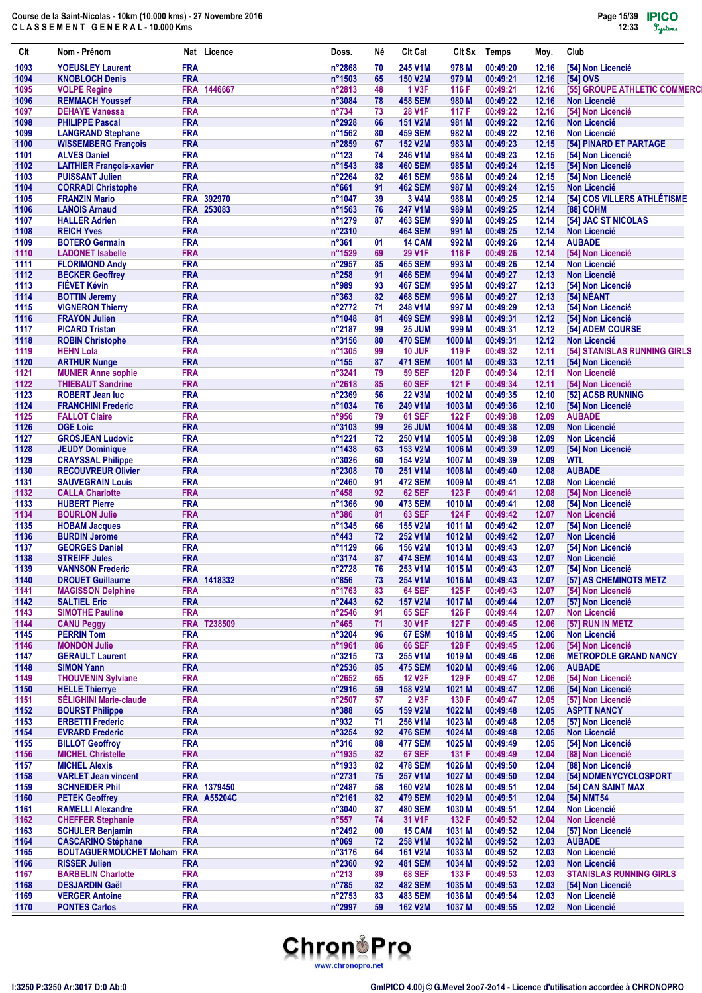| Clt          | Nom - Prénom                                                   |                          | Nat Licence        | Doss.                    | Νé       | Clt Cat                          | CIt Sx            | Temps                | Moy.           | Club                                                 |
|--------------|----------------------------------------------------------------|--------------------------|--------------------|--------------------------|----------|----------------------------------|-------------------|----------------------|----------------|------------------------------------------------------|
| 1093         | <b>YOEUSLEY Laurent</b>                                        | <b>FRA</b>               |                    | n°2868                   | 70       | 245 V1M                          | 978 M             | 00:49:20             | 12.16          | [54] Non Licencié                                    |
| 1094         | <b>KNOBLOCH Denis</b>                                          | <b>FRA</b>               |                    | n°1503                   | 65       | <b>150 V2M</b>                   | 979 M             | 00:49:21             | 12.16          | [54] OVS                                             |
| 1095<br>1096 | <b>VOLPE Regine</b><br><b>REMMACH Youssef</b>                  | <b>FRA</b>               | FRA 1446667        | n°2813<br>n°3084         | 48<br>78 | <b>1 V3F</b><br><b>458 SEM</b>   | 116 F<br>980 M    | 00:49:21<br>00:49:22 | 12.16<br>12.16 | [55] GROUPE ATHLETIC COMMERCI<br><b>Non Licencié</b> |
| 1097         | <b>DEHAYE Vanessa</b>                                          | <b>FRA</b>               |                    | $n^{\circ}734$           | 73       | <b>28 V1F</b>                    | 117 F             | 00:49:22             | 12.16          | [54] Non Licencié                                    |
| 1098         | <b>PHILIPPE Pascal</b>                                         | <b>FRA</b>               |                    | n°2928                   | 66       | <b>151 V2M</b>                   | 981 M             | 00:49:22             | 12.16          | <b>Non Licencié</b>                                  |
| 1099         | <b>LANGRAND Stephane</b>                                       | <b>FRA</b>               |                    | n°1562                   | 80       | <b>459 SEM</b>                   | 982 M             | 00:49:22             | 12.16          | <b>Non Licencié</b>                                  |
| 1100         | <b>WISSEMBERG François</b>                                     | <b>FRA</b>               |                    | n°2859                   | 67       | <b>152 V2M</b>                   | 983 M             | 00:49:23             | 12.15          | [54] PINARD ET PARTAGE                               |
| 1101         | <b>ALVES Daniel</b>                                            | <b>FRA</b><br><b>FRA</b> |                    | $n^{\circ}123$           | 74       | 246 V1M                          | 984 M             | 00:49:23             | 12.15          | [54] Non Licencié<br>[54] Non Licencié               |
| 1102<br>1103 | <b>LAITHIER François-xavier</b><br><b>PUISSANT Julien</b>      | <b>FRA</b>               |                    | n°1543<br>n°2264         | 88<br>82 | <b>460 SEM</b><br><b>461 SEM</b> | 985 M<br>986 M    | 00:49:24<br>00:49:24 | 12.15<br>12.15 | [54] Non Licencié                                    |
| 1104         | <b>CORRADI Christophe</b>                                      | <b>FRA</b>               |                    | n°661                    | 91       | <b>462 SEM</b>                   | 987 M             | 00:49:24             | 12.15          | <b>Non Licencié</b>                                  |
| 1105         | <b>FRANZIN Mario</b>                                           | <b>FRA</b>               | 392970             | n°1047                   | 39       | 3 V4M                            | 988 M             | 00:49:25             | 12.14          | [54] COS VILLERS ATHLÉTISME                          |
| 1106         | <b>LANOIS Arnaud</b>                                           |                          | FRA 253083         | n°1563                   | 76       | 247 V1M                          | 989 M             | 00:49:25             | 12.14          | [88] COHM                                            |
| 1107         | <b>HALLER Adrien</b>                                           | <b>FRA</b>               |                    | n°1279                   | 87       | <b>463 SEM</b>                   | 990 M             | 00:49:25             | 12.14          | [54] JAC ST NICOLAS                                  |
| 1108<br>1109 | <b>REICH Yves</b><br><b>BOTERO Germain</b>                     | <b>FRA</b><br><b>FRA</b> |                    | n°2310<br>$n^{\circ}361$ | 01       | <b>464 SEM</b><br><b>14 CAM</b>  | 991 M<br>992 M    | 00:49:25<br>00:49:26 | 12.14<br>12.14 | <b>Non Licencié</b><br><b>AUBADE</b>                 |
| 1110         | <b>LADONET Isabelle</b>                                        | <b>FRA</b>               |                    | n°1529                   | 69       | <b>29 V1F</b>                    | 118 F             | 00:49:26             | 12.14          | [54] Non Licencié                                    |
| 1111         | <b>FLORIMOND Andy</b>                                          | <b>FRA</b>               |                    | n°2957                   | 85       | <b>465 SEM</b>                   | 993 M             | 00:49:26             | 12.14          | <b>Non Licencié</b>                                  |
| 1112         | <b>BECKER Geoffrey</b>                                         | <b>FRA</b>               |                    | $n^{\circ}258$           | 91       | <b>466 SEM</b>                   | 994 M             | 00:49:27             | 12.13          | <b>Non Licencié</b>                                  |
| 1113         | <b>FIEVET Kévin</b>                                            | <b>FRA</b>               |                    | n°989                    | 93       | <b>467 SEM</b>                   | 995 M             | 00:49:27             | 12.13          | [54] Non Licencié                                    |
| 1114         | <b>BOTTIN Jeremy</b>                                           | <b>FRA</b>               |                    | n°363                    | 82       | <b>468 SEM</b>                   | 996 M             | 00:49:27             | 12.13          | [54] NÉANT                                           |
| 1115<br>1116 | <b>VIGNERON Thierry</b><br><b>FRAYON Julien</b>                | <b>FRA</b><br><b>FRA</b> |                    | n°2772<br>n°1048         | 71<br>81 | 248 V1M<br><b>469 SEM</b>        | 997 M<br>998 M    | 00:49:29<br>00:49:31 | 12.13<br>12.12 | [54] Non Licencié<br>[54] Non Licencié               |
| 1117         | <b>PICARD Tristan</b>                                          | <b>FRA</b>               |                    | n°2187                   | 99       | <b>25 JUM</b>                    | 999 M             | 00:49:31             | 12.12          | [54] ADEM COURSE                                     |
| 1118         | <b>ROBIN Christophe</b>                                        | <b>FRA</b>               |                    | n°3156                   | 80       | <b>470 SEM</b>                   | 1000 M            | 00:49:31             | 12.12          | <b>Non Licencié</b>                                  |
| 1119         | <b>HEHN Lola</b>                                               | <b>FRA</b>               |                    | n°1305                   | 99       | 10 JUF                           | 119 F             | 00:49:32             | 12.11          | [54] STANISLAS RUNNING GIRLS                         |
| 1120         | <b>ARTHUR Nunge</b>                                            | <b>FRA</b>               |                    | $n^{\circ}155$           | 87       | <b>471 SEM</b>                   | 1001 M            | 00:49:33             | 12.11          | [54] Non Licencié                                    |
| 1121         | <b>MUNIER Anne sophie</b>                                      | <b>FRA</b>               |                    | n°3241                   | 79       | <b>59 SEF</b>                    | 120 F             | 00:49:34             | 12.11          | <b>Non Licencié</b>                                  |
| 1122<br>1123 | <b>THIEBAUT Sandrine</b><br><b>ROBERT Jean luc</b>             | <b>FRA</b><br><b>FRA</b> |                    | n°2618<br>n°2369         | 85<br>56 | <b>60 SEF</b><br><b>22 V3M</b>   | 121 F<br>1002 M   | 00:49:34<br>00:49:35 | 12.11<br>12.10 | [54] Non Licencié<br>[52] ACSB RUNNING               |
| 1124         | <b>FRANCHINI Frederic</b>                                      | <b>FRA</b>               |                    | n°1034                   | 76       | 249 V1M                          | 1003 M            | 00:49:36             | 12.10          | [54] Non Licencié                                    |
| 1125         | <b>FALLOT Claire</b>                                           | <b>FRA</b>               |                    | n°956                    | 79       | <b>61 SEF</b>                    | 122 F             | 00:49:38             | 12.09          | <b>AUBADE</b>                                        |
| 1126         | <b>OGE Loic</b>                                                | <b>FRA</b>               |                    | n°3103                   | 99       | 26 JUM                           | 1004 M            | 00:49:38             | 12.09          | <b>Non Licencié</b>                                  |
| 1127         | <b>GROSJEAN Ludovic</b>                                        | <b>FRA</b>               |                    | n°1221                   | 72       | 250 V1M                          | 1005 <sub>M</sub> | 00:49:38             | 12.09          | <b>Non Licencié</b>                                  |
| 1128         | <b>JEUDY Dominique</b>                                         | <b>FRA</b><br><b>FRA</b> |                    | n°1438<br>n°3026         | 63       | 153 V2M<br><b>154 V2M</b>        | 1006 M            | 00:49:39<br>00:49:39 | 12.09<br>12.09 | [54] Non Licencié<br><b>WTL</b>                      |
| 1129<br>1130 | <b>CRAYSSAL Philippe</b><br><b>RECOUVREUR Olivier</b>          | <b>FRA</b>               |                    | n°2308                   | 60<br>70 | 251 V1M                          | 1007 M<br>1008 M  | 00:49:40             | 12.08          | <b>AUBADE</b>                                        |
| 1131         | <b>SAUVEGRAIN Louis</b>                                        | <b>FRA</b>               |                    | n°2460                   | 91       | <b>472 SEM</b>                   | 1009 M            | 00:49:41             | 12.08          | <b>Non Licencié</b>                                  |
| 1132         | <b>CALLA Charlotte</b>                                         | <b>FRA</b>               |                    | $n^{\circ}458$           | 92       | <b>62 SEF</b>                    | 123 F             | 00:49:41             | 12.08          | [54] Non Licencié                                    |
| 1133         | <b>HUBERT Pierre</b>                                           | <b>FRA</b>               |                    | n°1366                   | 90       | <b>473 SEM</b>                   | 1010 M            | 00:49:41             | 12.08          | [54] Non Licencié                                    |
| 1134         | <b>BOURLON Julie</b>                                           | <b>FRA</b>               |                    | $n^{\circ}386$           | 81       | <b>63 SEF</b>                    | 124 F             | 00:49:42             | 12.07          | <b>Non Licencié</b>                                  |
| 1135<br>1136 | <b>HOBAM Jacques</b><br><b>BURDIN Jerome</b>                   | <b>FRA</b><br><b>FRA</b> |                    | n°1345<br>$n^{\circ}443$ | 66<br>72 | <b>155 V2M</b><br>252 V1M        | 1011 M<br>1012 M  | 00:49:42<br>00:49:42 | 12.07<br>12.07 | [54] Non Licencié<br><b>Non Licencié</b>             |
| 1137         | <b>GEORGES Daniel</b>                                          | <b>FRA</b>               |                    | n°1129                   | 66       | <b>156 V2M</b>                   | 1013 M            | 00:49:43             | 12.07          | [54] Non Licencié                                    |
| 1138         | <b>STREIFF Jules</b>                                           | <b>FRA</b>               |                    | n°3174                   | 87       | <b>474 SEM</b>                   | 1014 M            | 00:49:43             | 12.07          | <b>Non Licencié</b>                                  |
| 1139         | <b>VANNSON Frederic</b>                                        | <b>FRA</b>               |                    | $n^{\circ}2728$          | 76       | 253 V1M                          | 1015 <sub>M</sub> | 00:49:43             | 12.07          | [54] Non Licencié                                    |
| 1140         | <b>DROUET Guillaume</b>                                        |                          | FRA 1418332        | $n^{\circ}856$           | 73       | 254 V1M                          | 1016 M            | 00:49:43             | 12.07          | [57] AS CHEMINOTS METZ                               |
| 1141         | <b>MAGISSON Delphine</b>                                       | <b>FRA</b>               |                    | n°1763                   | 83       | <b>64 SEF</b>                    | 125 F             | 00:49:43             | 12.07          | [54] Non Licencié                                    |
| 1142<br>1143 | <b>SALTIEL Eric</b><br><b>SIMOTHE Pauline</b>                  | <b>FRA</b><br><b>FRA</b> |                    | n°2443<br>n°2546         | 62<br>91 | <b>157 V2M</b><br><b>65 SEF</b>  | 1017 M            | 00:49:44<br>00:49:44 | 12.07          | [57] Non Licencié<br><b>Non Licencié</b>             |
| 1144         | <b>CANU Peggy</b>                                              | <b>FRA</b>               | T238509            | $n^{\circ}465$           | 71       | 30 V1F                           | 126 F<br>127 F    | 00:49:45             | 12.07<br>12.06 | [57] RUN IN METZ                                     |
| 1145         | <b>PERRIN Tom</b>                                              | <b>FRA</b>               |                    | n°3204                   | 96       | 67 ESM                           | 1018 M            | 00:49:45             | 12.06          | <b>Non Licencié</b>                                  |
| 1146         | <b>MONDON Julie</b>                                            | <b>FRA</b>               |                    | n°1961                   | 86       | <b>66 SEF</b>                    | 128 F             | 00:49:45             | 12.06          | [54] Non Licencié                                    |
| 1147         | <b>GERAULT Laurent</b>                                         | <b>FRA</b>               |                    | $n^{\circ}3215$          | 73       | 255 V1M                          | 1019 M            | 00:49:46             | 12.06          | <b>METROPOLE GRAND NANCY</b>                         |
| 1148         | <b>SIMON Yann</b>                                              | <b>FRA</b>               |                    | n°2536                   | 85       | <b>475 SEM</b>                   | 1020 M            | 00:49:46             | 12.06          | <b>AUBADE</b>                                        |
| 1149<br>1150 | <b>THOUVENIN Sylviane</b><br><b>HELLE Thierrye</b>             | <b>FRA</b><br><b>FRA</b> |                    | n°2652<br>n°2916         | 65       | <b>12 V2F</b><br><b>158 V2M</b>  | 129 F<br>1021 M   | 00:49:47<br>00:49:47 | 12.06          | [54] Non Licencié<br>[54] Non Licencié               |
| 1151         | <b>SÉLIGHINI Marie-claude</b>                                  | <b>FRA</b>               |                    | n°2507                   | 59<br>57 | 2 V3F                            | 130 F             | 00:49:47             | 12.06<br>12.05 | [57] Non Licencié                                    |
| 1152         | <b>BOURST Philippe</b>                                         | <b>FRA</b>               |                    | $n^{\circ}388$           | 65       | <b>159 V2M</b>                   | 1022 M            | 00:49:48             | 12.05          | <b>ASPTT NANCY</b>                                   |
| 1153         | <b>ERBETTI Frederic</b>                                        | <b>FRA</b>               |                    | n°932                    | 71       | 256 V1M                          | 1023 M            | 00:49:48             | 12.05          | [57] Non Licencié                                    |
| 1154         | <b>EVRARD Frederic</b>                                         | <b>FRA</b>               |                    | n°3254                   | 92       | <b>476 SEM</b>                   | 1024 M            | 00:49:48             | 12.05          | <b>Non Licencié</b>                                  |
| 1155         | <b>BILLOT Geoffroy</b>                                         | <b>FRA</b>               |                    | $n^{\circ}316$           | 88       | <b>477 SEM</b>                   | 1025 M            | 00:49:49             | 12.05          | [54] Non Licencié                                    |
| 1156<br>1157 | <b>MICHEL Christelle</b><br><b>MICHEL Alexis</b>               | <b>FRA</b><br><b>FRA</b> |                    | n°1935<br>n°1933         | 82<br>82 | <b>67 SEF</b><br><b>478 SEM</b>  | 131 F<br>1026 M   | 00:49:49<br>00:49:50 | 12.04<br>12.04 | [88] Non Licencié<br>[88] Non Licencié               |
| 1158         | <b>VARLET Jean vincent</b>                                     | <b>FRA</b>               |                    | n°2731                   | 75       | 257 V1M                          | 1027 M            | 00:49:50             | 12.04          | [54] NOMENYCYCLOSPORT                                |
| 1159         | <b>SCHNEIDER Phil</b>                                          |                          | FRA 1379450        | n°2487                   | 58       | <b>160 V2M</b>                   | 1028 M            | 00:49:51             | 12.04          | [54] CAN SAINT MAX                                   |
| 1160         | <b>PETEK Geoffrey</b>                                          |                          | <b>FRA A55204C</b> | n°2161                   | 82       | <b>479 SEM</b>                   | 1029 M            | 00:49:51             | 12.04          | [54] NMT54                                           |
| 1161         | <b>RAMELLI Alexandre</b>                                       | <b>FRA</b>               |                    | n°3040                   | 87       | <b>480 SEM</b>                   | 1030 M            | 00:49:51             | 12.04          | Non Licencié                                         |
| 1162         | <b>CHEFFER Stephanie</b>                                       | <b>FRA</b>               |                    | $n^{\circ}557$           | 74       | 31 V1F                           | 132 F             | 00:49:52             | 12.04          | <b>Non Licencié</b>                                  |
| 1163         | <b>SCHULER Benjamin</b>                                        | <b>FRA</b>               |                    | n°2492                   | 00       | 15 CAM                           | 1031 M            | 00:49:52             | 12.04          | [57] Non Licencié                                    |
| 1164<br>1165 | <b>CASCARINO Stéphane</b><br><b>BOUTAGUERMOUCHET Moham FRA</b> | <b>FRA</b>               |                    | n°069<br>n°3176          | 72<br>64 | 258 V1M<br><b>161 V2M</b>        | 1032 M<br>1033 M  | 00:49:52<br>00:49:52 | 12.03<br>12.03 | <b>AUBADE</b><br><b>Non Licencié</b>                 |
| 1166         | <b>RISSER Julien</b>                                           | <b>FRA</b>               |                    | n°2360                   | 92       | <b>481 SEM</b>                   | 1034 M            | 00:49:52             | 12.03          | <b>Non Licencié</b>                                  |
| 1167         | <b>BARBELIN Charlotte</b>                                      | <b>FRA</b>               |                    | $n^{\circ}213$           | 89       | <b>68 SEF</b>                    | 133 F             | 00:49:53             | 12.03          | <b>STANISLAS RUNNING GIRLS</b>                       |
| 1168         | <b>DESJARDIN Gaël</b>                                          | <b>FRA</b>               |                    | $n^{\circ}785$           | 82       | <b>482 SEM</b>                   | 1035 M            | 00:49:53             | 12.03          | [54] Non Licencié                                    |
| 1169         | <b>VERGER Antoine</b>                                          | <b>FRA</b>               |                    | n°2753                   | 83       | <b>483 SEM</b>                   | 1036 M            | 00:49:54             | 12.03          | <b>Non Licencié</b>                                  |
| 1170         | <b>PONTES Carlos</b>                                           | <b>FRA</b>               |                    | n°2997                   | 59       | <b>162 V2M</b>                   | 1037 M            | 00:49:55             | 12.02          | <b>Non Licencié</b>                                  |

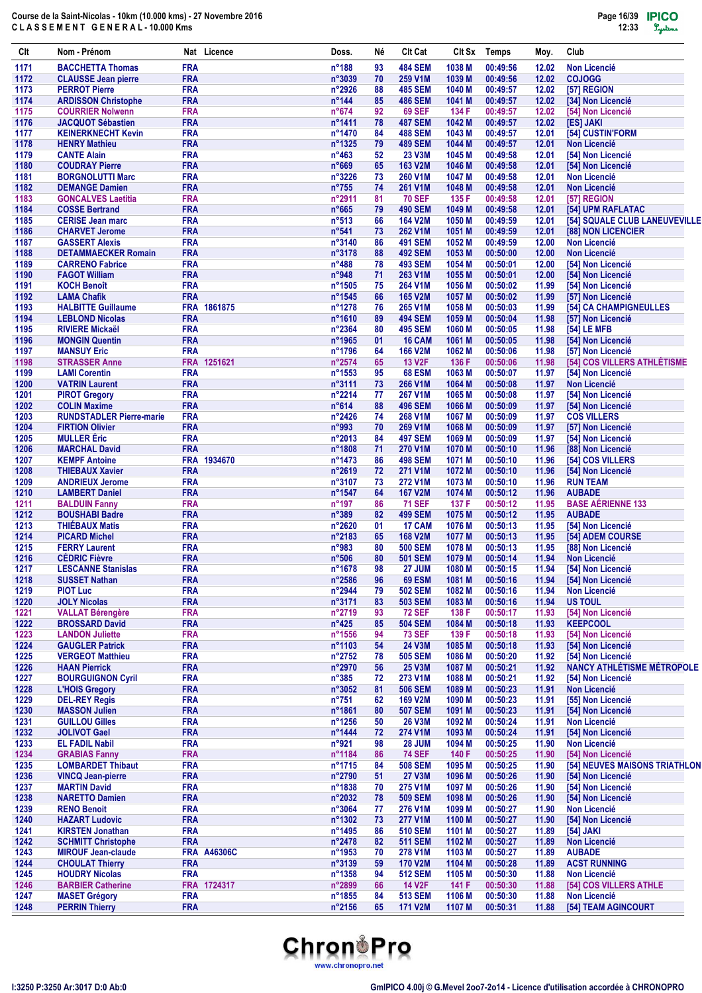| Clt          | Nom - Prénom                                         |                          | Nat Licence        | Doss.                     | Νé       | <b>Clt Cat</b>                   | Clt Sx           | <b>Temps</b>         | Moy.           | Club                                               |
|--------------|------------------------------------------------------|--------------------------|--------------------|---------------------------|----------|----------------------------------|------------------|----------------------|----------------|----------------------------------------------------|
| 1171         | <b>BACCHETTA Thomas</b>                              | <b>FRA</b>               |                    | $n^{\circ}$ 188           | 93       | <b>484 SEM</b>                   | 1038 M           | 00:49:56             | 12.02          | <b>Non Licencié</b>                                |
| 1172         | <b>CLAUSSE Jean pierre</b>                           | <b>FRA</b>               |                    | n°3039                    | 70       | 259 V1M                          | 1039 M           | 00:49:56             | 12.02          | <b>COJOGG</b>                                      |
| 1173<br>1174 | <b>PERROT Pierre</b><br><b>ARDISSON Christophe</b>   | <b>FRA</b><br><b>FRA</b> |                    | n°2926<br>$n^{\circ}$ 144 | 88<br>85 | <b>485 SEM</b><br><b>486 SEM</b> | 1040 M<br>1041 M | 00:49:57<br>00:49:57 | 12.02<br>12.02 | [57] REGION<br>[34] Non Licencié                   |
| 1175         | <b>COURRIER Nolwenn</b>                              | <b>FRA</b>               |                    | $n^o$ 674                 | 92       | <b>69 SEF</b>                    | 134 F            | 00:49:57             | 12.02          | [54] Non Licencié                                  |
| 1176         | <b>JACQUOT Sébastien</b>                             | <b>FRA</b>               |                    | n°1411                    | 78       | <b>487 SEM</b>                   | 1042 M           | 00:49:57             | 12.02          | [ES] JAKI                                          |
| 1177         | <b>KEINERKNECHT Kevin</b>                            | <b>FRA</b>               |                    | n°1470                    | 84       | <b>488 SEM</b>                   | 1043 M           | 00:49:57             | 12.01          | [54] CUSTIN'FORM                                   |
| 1178         | <b>HENRY Mathieu</b>                                 | <b>FRA</b>               |                    | n°1325                    | 79       | <b>489 SEM</b>                   | 1044 M           | 00:49:57             | 12.01          | <b>Non Licencié</b>                                |
| 1179         | <b>CANTE Alain</b>                                   | <b>FRA</b>               |                    | $n^{\circ}463$            | 52       | 23 V3M                           | 1045 M           | 00:49:58             | 12.01          | [54] Non Licencié                                  |
| 1180         | <b>COUDRAY Pierre</b>                                | <b>FRA</b>               |                    | n°669                     | 65       | 163 V2M                          | 1046 M           | 00:49:58             | 12.01          | [54] Non Licencié                                  |
| 1181         | <b>BORGNOLUTTI Marc</b><br><b>DEMANGE Damien</b>     | <b>FRA</b>               |                    | n°3226                    | 73<br>74 | 260 V1M                          | 1047 M           | 00:49:58             | 12.01          | <b>Non Licencié</b>                                |
| 1182<br>1183 | <b>GONCALVES Laetitia</b>                            | <b>FRA</b><br><b>FRA</b> |                    | $n^{\circ}755$<br>n°2911  | 81       | 261 V1M<br><b>70 SEF</b>         | 1048 M<br>135 F  | 00:49:58<br>00:49:58 | 12.01<br>12.01 | <b>Non Licencié</b><br>[57] REGION                 |
| 1184         | <b>COSSE Bertrand</b>                                | <b>FRA</b>               |                    | $n^{\circ}665$            | 79       | <b>490 SEM</b>                   | 1049 M           | 00:49:58             | 12.01          | [54] UPM RAFLATAC                                  |
| 1185         | <b>CERISE Jean marc</b>                              | <b>FRA</b>               |                    | $n^{\circ}513$            | 66       | <b>164 V2M</b>                   | 1050 M           | 00:49:59             | 12.01          | [54] SQUALE CLUB LANEUVEVILLE                      |
| 1186         | <b>CHARVET Jerome</b>                                | <b>FRA</b>               |                    | n°541                     | 73       | 262 V1M                          | 1051 M           | 00:49:59             | 12.01          | [88] NON LICENCIER                                 |
| 1187         | <b>GASSERT Alexis</b>                                | <b>FRA</b>               |                    | n°3140                    | 86       | <b>491 SEM</b>                   | 1052 M           | 00:49:59             | 12.00          | <b>Non Licencié</b>                                |
| 1188         | <b>DETAMMAECKER Romain</b>                           | <b>FRA</b>               |                    | n°3178                    | 88       | <b>492 SEM</b>                   | 1053 M           | 00:50:00             | 12.00          | <b>Non Licencié</b>                                |
| 1189         | <b>CARRENO Fabrice</b>                               | <b>FRA</b>               |                    | $n^{\circ}488$            | 78       | <b>493 SEM</b>                   | 1054 M           | 00:50:01             | 12.00          | [54] Non Licencié                                  |
| 1190<br>1191 | <b>FAGOT William</b><br><b>KOCH Benoît</b>           | <b>FRA</b><br><b>FRA</b> |                    | n°948<br>n°1505           | 71<br>75 | 263 V1M<br>264 V1M               | 1055 M<br>1056 M | 00:50:01<br>00:50:02 | 12.00<br>11.99 | [54] Non Licencié<br>[54] Non Licencié             |
| 1192         | <b>LAMA Chafik</b>                                   | <b>FRA</b>               |                    | n°1545                    | 66       | <b>165 V2M</b>                   | 1057 M           | 00:50:02             | 11.99          | [57] Non Licencié                                  |
| 1193         | <b>HALBITTE Guillaume</b>                            |                          | FRA 1861875        | n°1278                    | 76       | 265 V1M                          | 1058 M           | 00:50:03             | 11.99          | [54] CA CHAMPIGNEULLES                             |
| 1194         | <b>LEBLOND Nicolas</b>                               | <b>FRA</b>               |                    | n°1610                    | 89       | <b>494 SEM</b>                   | 1059 M           | 00:50:04             | 11.98          | [57] Non Licencié                                  |
| 1195         | <b>RIVIERE Mickaël</b>                               | <b>FRA</b>               |                    | n°2364                    | 80       | <b>495 SEM</b>                   | 1060 M           | 00:50:05             | 11.98          | [54] LE MFB                                        |
| 1196         | <b>MONGIN Quentin</b>                                | <b>FRA</b>               |                    | n°1965                    | 01       | 16 CAM                           | 1061 M           | 00:50:05             | 11.98          | [54] Non Licencié                                  |
| 1197         | <b>MANSUY Eric</b>                                   | <b>FRA</b>               |                    | n°1796                    | 64       | <b>166 V2M</b>                   | 1062 M           | 00:50:06             | 11.98          | [57] Non Licencié                                  |
| 1198         | <b>STRASSER Anne</b>                                 | <b>FRA</b>               | 1251621            | n°2574                    | 65       | <b>13 V2F</b>                    | 136 F            | 00:50:06             | 11.98          | [54] COS VILLERS ATHLÉTISME                        |
| 1199         | <b>LAMI Corentin</b>                                 | <b>FRA</b><br><b>FRA</b> |                    | n°1553                    | 95       | 68 ESM                           | 1063 M           | 00:50:07             | 11.97          | [54] Non Licencié                                  |
| 1200<br>1201 | <b>VATRIN Laurent</b><br><b>PIROT Gregory</b>        | <b>FRA</b>               |                    | n°3111<br>n°2214          | 73<br>77 | 266 V1M<br>267 V1M               | 1064 M<br>1065 M | 00:50:08<br>00:50:08 | 11.97<br>11.97 | <b>Non Licencié</b><br>[54] Non Licencié           |
| 1202         | <b>COLIN Maxime</b>                                  | <b>FRA</b>               |                    | n°614                     | 88       | <b>496 SEM</b>                   | 1066 M           | 00:50:09             | 11.97          | [54] Non Licencié                                  |
| 1203         | <b>RUNDSTADLER Pierre-marie</b>                      | <b>FRA</b>               |                    | n°2426                    | 74       | 268 V1M                          | 1067 M           | 00:50:09             | 11.97          | <b>COS VILLERS</b>                                 |
| 1204         | <b>FIRTION Olivier</b>                               | <b>FRA</b>               |                    | n°993                     | 70       | 269 V1M                          | 1068 M           | 00:50:09             | 11.97          | [57] Non Licencié                                  |
| 1205         | <b>MULLER</b> Éric                                   | <b>FRA</b>               |                    | n°2013                    | 84       | <b>497 SEM</b>                   | 1069 M           | 00:50:09             | 11.97          | [54] Non Licencié                                  |
| 1206         | <b>MARCHAL David</b>                                 | <b>FRA</b>               |                    | n°1808                    | 71       | 270 V1M                          | 1070 M           | 00:50:10             | 11.96          | [88] Non Licencié                                  |
| 1207         | <b>KEMPF Antoine</b>                                 | <b>FRA</b>               | 1934670            | n°1473                    | 86       | <b>498 SEM</b>                   | 1071 M           | 00:50:10             | 11.96          | [54] COS VILLERS                                   |
| 1208         | <b>THIEBAUX Xavier</b>                               | <b>FRA</b>               |                    | n°2619                    | 72       | 271 V1M                          | 1072 M           | 00:50:10             | 11.96          | [54] Non Licencié                                  |
| 1209<br>1210 | <b>ANDRIEUX Jerome</b><br><b>LAMBERT Daniel</b>      | <b>FRA</b><br><b>FRA</b> |                    | n°3107<br>n°1547          | 73<br>64 | 272 V1M<br><b>167 V2M</b>        | 1073 M<br>1074 M | 00:50:10<br>00:50:12 | 11.96<br>11.96 | <b>RUN TEAM</b><br><b>AUBADE</b>                   |
| $1211$       | <b>BALDUIN Fanny</b>                                 | <b>FRA</b>               |                    | n°197                     | 86       | <b>71 SEF</b>                    | 137 F            | 00:50:12             | 11.95          | <b>BASE AÉRIENNE 133</b>                           |
| 1212         | <b>BOUSHABI Badre</b>                                | <b>FRA</b>               |                    | n°389                     | 82       | <b>499 SEM</b>                   | 1075 M           | 00:50:12             | 11.95          | <b>AUBADE</b>                                      |
| 1213         | <b>THIÉBAUX Matis</b>                                | <b>FRA</b>               |                    | n°2620                    | 01       | 17 CAM                           | 1076 M           | 00:50:13             | 11.95          | [54] Non Licencié                                  |
| 1214         | <b>PICARD Michel</b>                                 | <b>FRA</b>               |                    | n°2183                    | 65       | <b>168 V2M</b>                   | 1077 M           | 00:50:13             | 11.95          | [54] ADEM COURSE                                   |
| 1215         | <b>FERRY Laurent</b>                                 | <b>FRA</b>               |                    | n°983                     | 80       | <b>500 SEM</b>                   | 1078 M           | 00:50:13             | 11.95          | [88] Non Licencié                                  |
| 1216         | <b>CÉDRIC Fièvre</b>                                 | <b>FRA</b>               |                    | $n^{\circ}506$            | 80       | <b>501 SEM</b>                   | 1079 M           | 00:50:14             | 11.94          | <b>Non Licencié</b>                                |
| 1217         | <b>LESCANNE Stanislas</b>                            | <b>FRA</b>               |                    | $n^{\circ}$ 1678          | 98       | <b>27 JUM</b>                    | 1080 M           | 00:50:15             | 11.94          | [54] Non Licencié                                  |
| 1218<br>1219 | <b>SUSSET Nathan</b><br><b>PIOT Luc</b>              | <b>FRA</b><br><b>FRA</b> |                    | n°2586<br>n°2944          | 96<br>79 | 69 ESM<br><b>502 SEM</b>         | 1081 M<br>1082 M | 00:50:16<br>00:50:16 | 11.94<br>11.94 | [54] Non Licencié<br>Non Licencié                  |
| 1220         | <b>JOLY Nicolas</b>                                  | <b>FRA</b>               |                    | n°3171                    | 83       | <b>503 SEM</b>                   | 1083 M           | 00:50:16             | 11.94          | <b>US TOUL</b>                                     |
| 1221         | <b>VALLAT Bérengère</b>                              | <b>FRA</b>               |                    | n°2719                    | 93       | <b>72 SEF</b>                    | 138 F            | 00:50:17             | 11.93          | [54] Non Licencié                                  |
| 1222         | <b>BROSSARD David</b>                                | <b>FRA</b>               |                    | $n^{\circ}425$            | 85       | <b>504 SEM</b>                   | 1084 M           | 00:50:18             | 11.93          | <b>KEEPCOOL</b>                                    |
| 1223         | <b>LANDON Juliette</b>                               | <b>FRA</b>               |                    | n°1556                    | 94       | <b>73 SEF</b>                    | 139 F            | 00:50:18             | 11.93          | [54] Non Licencié                                  |
| 1224         | <b>GAUGLER Patrick</b>                               | <b>FRA</b>               |                    | n°1103                    | 54       | 24 V3M                           | 1085 M           | 00:50:18             | 11.93          | [54] Non Licencié                                  |
| 1225         | <b>VERGEOT Matthieu</b>                              | <b>FRA</b>               |                    | n°2752                    | 78       | <b>505 SEM</b>                   | 1086 M           | 00:50:20             | 11.92          | [54] Non Licencié                                  |
| 1226         | <b>HAAN Pierrick</b>                                 | <b>FRA</b>               |                    | n°2970                    | 56       | 25 V3M                           | 1087 M           | 00:50:21             | 11.92          | <b>NANCY ATHLÉTISME MÉTROPOLE</b>                  |
| 1227<br>1228 | <b>BOURGUIGNON Cyril</b><br><b>L'HOIS Gregory</b>    | <b>FRA</b><br><b>FRA</b> |                    | $n^{\circ}385$<br>n°3052  | 72<br>81 | 273 V1M<br><b>506 SEM</b>        | 1088 M<br>1089 M | 00:50:21<br>00:50:23 | 11.92<br>11.91 | [54] Non Licencié<br><b>Non Licencié</b>           |
| 1229         | <b>DEL-REY Regis</b>                                 | <b>FRA</b>               |                    | $n^{\circ}751$            | 62       | <b>169 V2M</b>                   | 1090 M           | 00:50:23             | 11.91          | [55] Non Licencié                                  |
| 1230         | <b>MASSON Julien</b>                                 | <b>FRA</b>               |                    | n°1861                    | 80       | <b>507 SEM</b>                   | 1091 M           | 00:50:23             | 11.91          | [54] Non Licencié                                  |
| 1231         | <b>GUILLOU Gilles</b>                                | <b>FRA</b>               |                    | n°1256                    | 50       | <b>26 V3M</b>                    | 1092 M           | 00:50:24             | 11.91          | <b>Non Licencié</b>                                |
| 1232         | <b>JOLIVOT Gael</b>                                  | <b>FRA</b>               |                    | n°1444                    | 72       | 274 V1M                          | 1093 M           | 00:50:24             | 11.91          | [54] Non Licencié                                  |
| 1233         | <b>EL FADIL Nabil</b>                                | <b>FRA</b>               |                    | n°921                     | 98       | <b>28 JUM</b>                    | 1094 M           | 00:50:25             | 11.90          | <b>Non Licencié</b>                                |
| 1234         | <b>GRABIAS Fanny</b>                                 | <b>FRA</b>               |                    | n°1184                    | 86       | <b>74 SEF</b>                    | 140 F            | 00:50:25             | 11.90          | [54] Non Licencié                                  |
| 1235         | <b>LOMBARDET Thibaut</b><br><b>VINCQ Jean-pierre</b> | <b>FRA</b><br><b>FRA</b> |                    | n°1715<br>n°2790          | 84<br>51 | <b>508 SEM</b><br><b>27 V3M</b>  | 1095 M           | 00:50:25<br>00:50:26 | 11.90          | [54] NEUVES MAISONS TRIATHLON<br>[54] Non Licencié |
| 1236<br>1237 | <b>MARTIN David</b>                                  | <b>FRA</b>               |                    | n°1838                    | 70       | 275 V1M                          | 1096 M<br>1097 M | 00:50:26             | 11.90<br>11.90 | [54] Non Licencié                                  |
| 1238         | <b>NARETTO Damien</b>                                | <b>FRA</b>               |                    | n°2032                    | 78       | <b>509 SEM</b>                   | 1098 M           | 00:50:26             | 11.90          | [54] Non Licencié                                  |
| 1239         | <b>RENO Benoit</b>                                   | <b>FRA</b>               |                    | n°3064                    | 77       | 276 V1M                          | 1099 M           | 00:50:27             | 11.90          | Non Licencié                                       |
| 1240         | <b>HAZART Ludovic</b>                                | <b>FRA</b>               |                    | n°1302                    | 73       | <b>277 V1M</b>                   | 1100 M           | 00:50:27             | 11.90          | [54] Non Licencié                                  |
| 1241         | <b>KIRSTEN Jonathan</b>                              | <b>FRA</b>               |                    | n°1495                    | 86       | <b>510 SEM</b>                   | 1101 M           | 00:50:27             | 11.89          | [54] JAKI                                          |
| 1242         | <b>SCHMITT Christophe</b>                            | <b>FRA</b>               |                    | n°2478                    | 82       | <b>511 SEM</b>                   | 1102 M           | 00:50:27             | 11.89          | <b>Non Licencié</b>                                |
| 1243         | <b>MIROUF Jean-claude</b>                            |                          | <b>FRA A46306C</b> | n°1953                    | 70       | 278 V1M                          | 1103 M           | 00:50:27             | 11.89          | <b>AUBADE</b>                                      |
| 1244         | <b>CHOULAT Thierry</b>                               | <b>FRA</b>               |                    | n°3139                    | 59       | <b>170 V2M</b>                   | 1104 M           | 00:50:28             | 11.89          | <b>ACST RUNNING</b>                                |
| 1245         | <b>HOUDRY Nicolas</b>                                | <b>FRA</b>               |                    | n°1358                    | 94       | <b>512 SEM</b>                   | 1105 M           | 00:50:30             | 11.88          | Non Licencié                                       |
| 1246<br>1247 | <b>BARBIER Catherine</b><br><b>MASET Grégory</b>     | <b>FRA</b>               | FRA 1724317        | n°2899<br>n°1855          | 66<br>84 | <b>14 V2F</b><br><b>513 SEM</b>  | 141 F<br>1106 M  | 00:50:30<br>00:50:30 | 11.88<br>11.88 | [54] COS VILLERS ATHLE<br><b>Non Licencié</b>      |
| 1248         | <b>PERRIN Thierry</b>                                | <b>FRA</b>               |                    | n°2156                    | 65       | 171 V2M                          | 1107 M           | 00:50:31             | 11.88          | [54] TEAM AGINCOURT                                |
|              |                                                      |                          |                    |                           |          |                                  |                  |                      |                |                                                    |

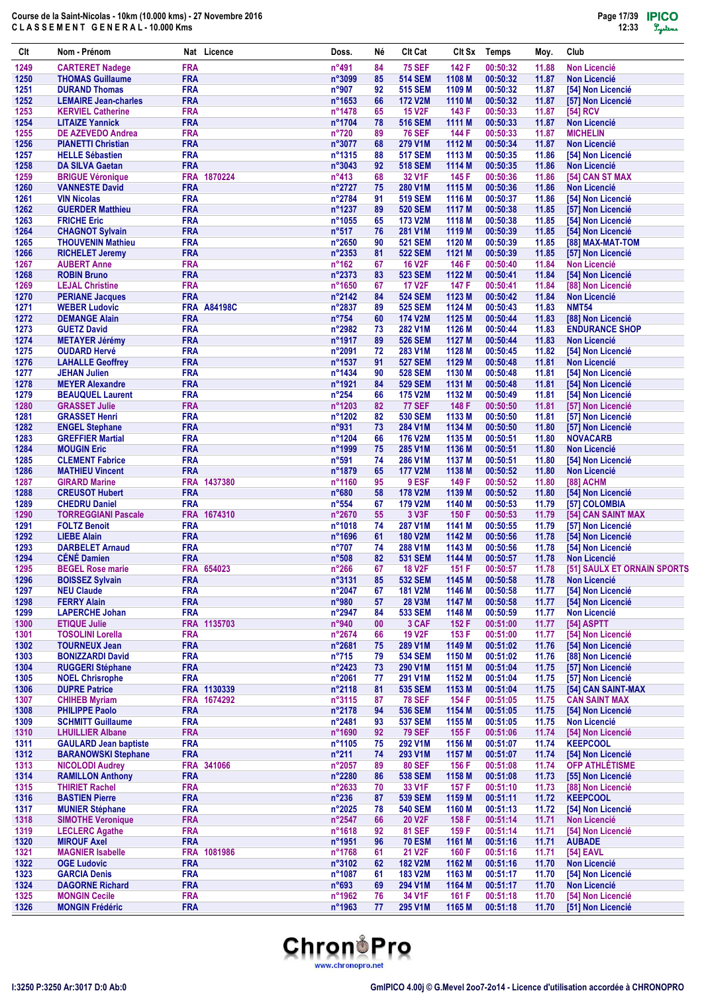| Clt          | Nom - Prénom                                       |                          | Nat Licence        | Doss.                    | Νé       | <b>Clt Cat</b>                   | CIt Sx           | <b>Temps</b>         | Moy.           | Club                                     |
|--------------|----------------------------------------------------|--------------------------|--------------------|--------------------------|----------|----------------------------------|------------------|----------------------|----------------|------------------------------------------|
| 1249         | <b>CARTERET Nadege</b>                             | <b>FRA</b>               |                    | n°491                    | 84       | <b>75 SEF</b>                    | 142 F            | 00:50:32             | 11.88          | <b>Non Licencié</b>                      |
| 1250         | <b>THOMAS Guillaume</b>                            | <b>FRA</b>               |                    | n°3099                   | 85       | <b>514 SEM</b>                   | 1108 M           | 00:50:32             | 11.87          | <b>Non Licencié</b>                      |
| 1251         | <b>DURAND Thomas</b>                               | <b>FRA</b>               |                    | n°907                    | 92       | <b>515 SEM</b>                   | 1109 M           | 00:50:32             | 11.87          | [54] Non Licencié                        |
| 1252         | <b>LEMAIRE Jean-charles</b>                        | <b>FRA</b>               |                    | n°1653                   | 66       | <b>172 V2M</b>                   | 1110 M           | 00:50:32             | 11.87          | [57] Non Licencié                        |
| 1253         | <b>KERVIEL Catherine</b>                           | <b>FRA</b>               |                    | n°1478                   | 65       | <b>15 V2F</b>                    | 143 F            | 00:50:33             | 11.87          | [54] RCV                                 |
| 1254         | <b>LITAIZE Yannick</b><br><b>DE AZEVEDO Andrea</b> | <b>FRA</b>               |                    | n°1704                   | 78<br>89 | <b>516 SEM</b>                   | 1111 M           | 00:50:33             | 11.87          | <b>Non Licencié</b>                      |
| 1255<br>1256 | <b>PIANETTI Christian</b>                          | <b>FRA</b><br><b>FRA</b> |                    | $n^{\circ}720$<br>n°3077 | 68       | <b>76 SEF</b><br>279 V1M         | 144 F<br>1112 M  | 00:50:33<br>00:50:34 | 11.87<br>11.87 | <b>MICHELIN</b><br><b>Non Licencié</b>   |
| 1257         | <b>HELLE Sébastien</b>                             | <b>FRA</b>               |                    | $n^{\circ}1315$          | 88       | <b>517 SEM</b>                   | 1113 M           | 00:50:35             | 11.86          | [54] Non Licencié                        |
| 1258         | <b>DA SILVA Gaetan</b>                             | <b>FRA</b>               |                    | $n^{\circ}3043$          | 92       | <b>518 SEM</b>                   | 1114 M           | 00:50:35             | 11.86          | <b>Non Licencié</b>                      |
| 1259         | <b>BRIGUE Véronique</b>                            | <b>FRA</b>               | 1870224            | $n^{\circ}413$           | 68       | 32 V1F                           | 145 F            | 00:50:36             | 11.86          | [54] CAN ST MAX                          |
| 1260         | <b>VANNESTE David</b>                              | <b>FRA</b>               |                    | n°2727                   | 75       | 280 V1M                          | 1115 M           | 00:50:36             | 11.86          | <b>Non Licencié</b>                      |
| 1261         | <b>VIN Nicolas</b>                                 | <b>FRA</b>               |                    | n°2784                   | 91       | <b>519 SEM</b>                   | 1116 M           | 00:50:37             | 11.86          | [54] Non Licencié                        |
| 1262         | <b>GUERDER Matthieu</b>                            | <b>FRA</b>               |                    | n°1237                   | 89       | <b>520 SEM</b>                   | 1117 M           | 00:50:38             | 11.85          | [57] Non Licencié                        |
| 1263         | <b>FRICHE Eric</b>                                 | <b>FRA</b>               |                    | n°1055                   | 65       | 173 V2M                          | 1118 M           | 00:50:38             | 11.85          | [54] Non Licencié                        |
| 1264         | <b>CHAGNOT Sylvain</b>                             | <b>FRA</b>               |                    | $n^{\circ}517$           | 76       | 281 V1M                          | 1119 M           | 00:50:39             | 11.85          | [54] Non Licencié                        |
| 1265         | <b>THOUVENIN Mathieu</b>                           | <b>FRA</b>               |                    | n°2650                   | 90       | <b>521 SEM</b>                   | 1120 M           | 00:50:39             | 11.85          | [88] MAX-MAT-TOM                         |
| 1266         | <b>RICHELET Jeremy</b>                             | <b>FRA</b>               |                    | n°2353                   | 81       | <b>522 SEM</b>                   | 1121 M           | 00:50:39             | 11.85          | [57] Non Licencié                        |
| 1267         | <b>AUBERT Anne</b>                                 | <b>FRA</b>               |                    | $n^{\circ}162$           | 67       | <b>16 V2F</b>                    | 146 F            | 00:50:40             | 11.84          | <b>Non Licencié</b>                      |
| 1268<br>1269 | <b>ROBIN Bruno</b>                                 | <b>FRA</b><br><b>FRA</b> |                    | n°2373<br>n°1650         | 83<br>67 | <b>523 SEM</b><br><b>17 V2F</b>  | 1122 M<br>147 F  | 00:50:41<br>00:50:41 | 11.84<br>11.84 | [54] Non Licencié<br>[88] Non Licencié   |
| 1270         | <b>LEJAL Christine</b><br><b>PERIANE Jacques</b>   | <b>FRA</b>               |                    | n°2142                   | 84       | <b>524 SEM</b>                   | 1123 M           | 00:50:42             | 11.84          | <b>Non Licencié</b>                      |
| 1271         | <b>WEBER Ludovic</b>                               |                          | <b>FRA A84198C</b> | n°2837                   | 89       | <b>525 SEM</b>                   | 1124 M           | 00:50:43             | 11.83          | <b>NMT54</b>                             |
| 1272         | <b>DEMANGE Alain</b>                               | <b>FRA</b>               |                    | $n^{\circ}754$           | 60       | <b>174 V2M</b>                   | 1125 M           | 00:50:44             | 11.83          | [88] Non Licencié                        |
| 1273         | <b>GUETZ David</b>                                 | <b>FRA</b>               |                    | n°2982                   | 73       | 282 V1M                          | 1126 M           | 00:50:44             | 11.83          | <b>ENDURANCE SHOP</b>                    |
| 1274         | <b>METAYER Jérémy</b>                              | <b>FRA</b>               |                    | n°1917                   | 89       | <b>526 SEM</b>                   | 1127 M           | 00:50:44             | 11.83          | <b>Non Licencié</b>                      |
| 1275         | <b>OUDARD Hervé</b>                                | <b>FRA</b>               |                    | n°2091                   | 72       | 283 V1M                          | 1128 M           | 00:50:45             | 11.82          | [54] Non Licencié                        |
| 1276         | <b>LAHALLE Geoffrey</b>                            | <b>FRA</b>               |                    | n°1537                   | 91       | <b>527 SEM</b>                   | 1129 M           | 00:50:48             | 11.81          | <b>Non Licencié</b>                      |
| 1277         | <b>JEHAN Julien</b>                                | <b>FRA</b>               |                    | n°1434                   | 90       | <b>528 SEM</b>                   | 1130 M           | 00:50:48             | 11.81          | [54] Non Licencié                        |
| 1278         | <b>MEYER Alexandre</b>                             | <b>FRA</b>               |                    | n°1921                   | 84       | <b>529 SEM</b>                   | 1131 M           | 00:50:48             | 11.81          | [54] Non Licencié                        |
| 1279         | <b>BEAUQUEL Laurent</b>                            | <b>FRA</b>               |                    | $n^{\circ}254$           | 66       | <b>175 V2M</b>                   | 1132 M           | 00:50:49             | 11.81          | [54] Non Licencié                        |
| 1280         | <b>GRASSET Julie</b>                               | <b>FRA</b>               |                    | n°1203                   | 82       | <b>77 SEF</b>                    | 148 F            | 00:50:50             | 11.81          | [57] Non Licencié                        |
| 1281         | <b>GRASSET Henri</b>                               | <b>FRA</b>               |                    | $n^{\circ}$ 1202         | 82       | <b>530 SEM</b>                   | 1133 M           | 00:50:50             | 11.81          | [57] Non Licencié                        |
| 1282         | <b>ENGEL Stephane</b>                              | <b>FRA</b>               |                    | n°931                    | 73       | 284 V1M                          | 1134 M           | 00:50:50             | 11.80          | [57] Non Licencié                        |
| 1283         | <b>GREFFIER Martial</b>                            | <b>FRA</b>               |                    | n°1204                   | 66       | <b>176 V2M</b>                   | 1135 M           | 00:50:51             | 11.80          | <b>NOVACARB</b>                          |
| 1284         | <b>MOUGIN Eric</b>                                 | <b>FRA</b>               |                    | n°1999                   | 75       | 285 V1M                          | 1136 M           | 00:50:51             | 11.80          | <b>Non Licencié</b>                      |
| 1285         | <b>CLEMENT Fabrice</b>                             | <b>FRA</b>               |                    | n°591                    | 74       | 286 V1M                          | 1137 M           | 00:50:51             | 11.80          | [54] Non Licencié                        |
| 1286<br>1287 | <b>MATHIEU Vincent</b>                             | <b>FRA</b><br><b>FRA</b> | 1437380            | n°1879                   | 65<br>95 | <b>177 V2M</b><br>9 ESF          | 1138 M           | 00:50:52             | 11.80          | <b>Non Licencié</b>                      |
| 1288         | <b>GIRARD Marine</b>                               | <b>FRA</b>               |                    | n°1160<br>$n^{\circ}680$ | 58       | <b>178 V2M</b>                   | 149 F<br>1139 M  | 00:50:52<br>00:50:52 | 11.80          | [88] ACHM<br>[54] Non Licencié           |
| 1289         | <b>CREUSOT Hubert</b><br><b>CHEDRU Daniel</b>      | <b>FRA</b>               |                    | $n^{\circ}554$           | 67       | <b>179 V2M</b>                   | 1140 M           | 00:50:53             | 11.80<br>11.79 | [57] COLOMBIA                            |
| 1290         | <b>TORREGGIANI Pascale</b>                         |                          | FRA 1674310        | n°2670                   | 55       | 3 V3F                            | 150 F            | 00:50:53             | 11.79          | [54] CAN SAINT MAX                       |
| 1291         | <b>FOLTZ Benoit</b>                                | <b>FRA</b>               |                    | n°1018                   | 74       | <b>287 V1M</b>                   | 1141 M           | 00:50:55             | 11.79          | [57] Non Licencié                        |
| 1292         | <b>LIEBE Alain</b>                                 | <b>FRA</b>               |                    | n°1696                   | 61       | <b>180 V2M</b>                   | 1142 M           | 00:50:56             | 11.78          | [54] Non Licencié                        |
| 1293         | <b>DARBELET Arnaud</b>                             | <b>FRA</b>               |                    | $n^{\circ}707$           | 74       | 288 V1M                          | 1143 M           | 00:50:56             | 11.78          | [54] Non Licencié                        |
| 1294         | <b>CÉNÉ Damien</b>                                 | <b>FRA</b>               |                    | $n^{\circ}508$           | 82       | <b>531 SEM</b>                   | 1144 M           | 00:50:57             | 11.78          | <b>Non Licencié</b>                      |
| 1295         | <b>BEGEL Rose marie</b>                            |                          | FRA 654023         | $n^{\circ}266$           | 67       | <b>18 V2F</b>                    | 151 F            | 00:50:57             | 11.78          | [51] SAULX ET ORNAIN SPORTS              |
| 1296         | <b>BOISSEZ Sylvain</b>                             | <b>FRA</b>               |                    | n°3131                   | 85       | <b>532 SEM</b>                   | 1145 M           | 00:50:58             | 11.78          | <b>Non Licencié</b>                      |
| 1297         | <b>NEU Claude</b>                                  | <b>FRA</b>               |                    | n°2047                   | 67       | <b>181 V2M</b>                   | 1146 M           | 00:50:58             | 11.77          | [54] Non Licencié                        |
| 1298         | <b>FERRY Alain</b>                                 | <b>FRA</b>               |                    | n°980                    | 57       | <b>28 V3M</b>                    | 1147 M           | 00:50:58             | 11.77          | [54] Non Licencié                        |
| 1299         | <b>LAPERCHE Johan</b>                              | <b>FRA</b>               |                    | $n^{\circ}2947$          | 84       | <b>533 SEM</b>                   | 1148 M           | 00:50:59             | 11.77          | <b>Non Licencié</b>                      |
| 1300         | <b>ETIQUE Julie</b>                                | <b>FRA</b>               | 1135703            | n°940                    | 00       | 3 CAF                            | 152 F            | 00:51:00             | 11.77          | [54] ASPTT                               |
| 1301         | <b>TOSOLINI Lorella</b>                            | <b>FRA</b>               |                    | n°2674                   | 66       | <b>19 V2F</b>                    | 153 F            | 00:51:00             | 11.77          | [54] Non Licencié                        |
| 1302         | <b>TOURNEUX Jean</b>                               | <b>FRA</b>               |                    | n°2681                   | 75       | 289 V1M                          | 1149 M           | 00:51:02             | 11.76          | [54] Non Licencié                        |
| 1303<br>1304 | <b>BONIZZARDI David</b><br><b>RUGGERI Stéphane</b> | <b>FRA</b><br><b>FRA</b> |                    | $n^{\circ}715$<br>n°2423 | 79<br>73 | <b>534 SEM</b><br>290 V1M        | 1150 M<br>1151 M | 00:51:02<br>00:51:04 | 11.76<br>11.75 | [88] Non Licencié<br>[57] Non Licencié   |
| 1305         | <b>NOEL Chrisrophe</b>                             | <b>FRA</b>               |                    | n°2061                   | 77       | 291 V1M                          | 1152 M           | 00:51:04             | 11.75          | [57] Non Licencié                        |
| 1306         | <b>DUPRE Patrice</b>                               |                          | FRA 1130339        | n°2118                   | 81       | <b>535 SEM</b>                   | 1153 M           | 00:51:04             | 11.75          | [54] CAN SAINT-MAX                       |
| 1307         | <b>CHIHEB Myriam</b>                               | <b>FRA</b>               | 1674292            | n°3115                   | 87       | <b>78 SEF</b>                    | 154 F            | 00:51:05             | 11.75          | <b>CAN SAINT MAX</b>                     |
| 1308         | <b>PHILIPPE Paolo</b>                              | <b>FRA</b>               |                    | n°2178                   | 94       | <b>536 SEM</b>                   | 1154 M           | 00:51:05             | 11.75          | [54] Non Licencié                        |
| 1309         | <b>SCHMITT Guillaume</b>                           | <b>FRA</b>               |                    | n°2481                   | 93       | <b>537 SEM</b>                   | 1155 M           | 00:51:05             | 11.75          | <b>Non Licencié</b>                      |
| 1310         | <b>LHUILLIER Albane</b>                            | <b>FRA</b>               |                    | n°1690                   | 92       | <b>79 SEF</b>                    | 155 F            | 00:51:06             | 11.74          | [54] Non Licencié                        |
| 1311         | <b>GAULARD Jean baptiste</b>                       | <b>FRA</b>               |                    | n°1105                   | 75       | 292 V1M                          | 1156 M           | 00:51:07             | 11.74          | <b>KEEPCOOL</b>                          |
| 1312         | <b>BARANOWSKI Stephane</b>                         | <b>FRA</b>               |                    | $n^{\circ}211$           | 74       | 293 V1M                          | 1157 M           | 00:51:07             | 11.74          | [54] Non Licencié                        |
| 1313         | <b>NICOLODI Audrey</b>                             | <b>FRA</b>               | 341066             | n°2057                   | 89       | <b>80 SEF</b>                    | 156 F            | 00:51:08             | 11.74          | <b>OFP ATHLÉTISME</b>                    |
| 1314         | <b>RAMILLON Anthony</b>                            | <b>FRA</b>               |                    | $n^{\circ}2280$          | 86       | <b>538 SEM</b>                   | 1158 M           | 00:51:08             | 11.73          | [55] Non Licencié                        |
| 1315         | <b>THIRIET Rachel</b>                              | <b>FRA</b>               |                    | n°2633                   | 70       | 33 V1F                           | 157 F            | 00:51:10             | 11.73          | [88] Non Licencié                        |
| 1316         | <b>BASTIEN Pierre</b>                              | <b>FRA</b>               |                    | $n^{\circ}236$           | 87       | <b>539 SEM</b>                   | 1159 M           | 00:51:11             | 11.72          | <b>KEEPCOOL</b>                          |
| 1317         | <b>MUNIER Stéphane</b>                             | <b>FRA</b>               |                    | n°2025                   | 78       | <b>540 SEM</b>                   | 1160 M           | 00:51:13             | 11.72          | [54] Non Licencié                        |
| 1318         | <b>SIMOTHE Veronique</b>                           | <b>FRA</b>               |                    | n°2547                   | 66       | <b>20 V2F</b>                    | 158 F            | 00:51:14             | 11.71          | <b>Non Licencié</b>                      |
| 1319         | <b>LECLERC Agathe</b>                              | <b>FRA</b>               |                    | n°1618                   | 92       | <b>81 SEF</b>                    | 159 F            | 00:51:14             | 11.71          | [54] Non Licencié                        |
| 1320         | <b>MIROUF Axel</b>                                 | <b>FRA</b>               |                    | n°1951                   | 96       | <b>70 ESM</b>                    | 1161 M           | 00:51:16             | 11.71          | <b>AUBADE</b>                            |
| 1321         | <b>MAGNIER Isabelle</b>                            | <b>FRA</b>               | 1081986            | n°1768                   | 61       | <b>21 V2F</b>                    | 160 F            | 00:51:16             | 11.71          | [54] EAVL                                |
| 1322<br>1323 | <b>OGE Ludovic</b>                                 | <b>FRA</b><br><b>FRA</b> |                    | n°3102<br>n°1087         | 62       | <b>182 V2M</b><br><b>183 V2M</b> | 1162 M           | 00:51:16             | 11.70          | <b>Non Licencié</b><br>[54] Non Licencié |
| 1324         | <b>GARCIA Denis</b><br><b>DAGORNE Richard</b>      | <b>FRA</b>               |                    | $n^{\circ}693$           | 61<br>69 | 294 V1M                          | 1163 M<br>1164 M | 00:51:17<br>00:51:17 | 11.70<br>11.70 | <b>Non Licencié</b>                      |
| 1325         | <b>MONGIN Cecile</b>                               | <b>FRA</b>               |                    | n°1962                   | 76       | 34 V1F                           | 161 F            | 00:51:18             | 11.70          | [54] Non Licencié                        |
| 1326         | <b>MONGIN Frédéric</b>                             | <b>FRA</b>               |                    | n°1963                   | 77       | 295 V1M                          | 1165 M           | 00:51:18             | 11.70          | [51] Non Licencié                        |
|              |                                                    |                          |                    |                          |          |                                  |                  |                      |                |                                          |

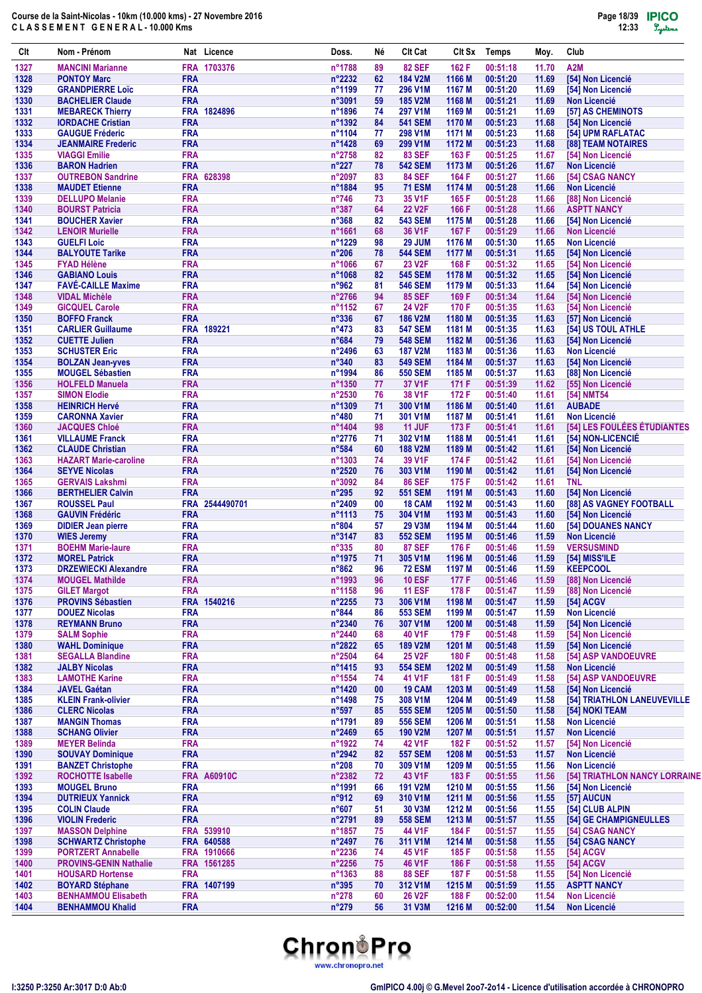| Clt          | Nom - Prénom                                       |                          | Nat Licence        | Doss.                            | Né       | CIt Cat                         | Clt Sx           | <b>Temps</b>         | Moy.           | Club                                               |
|--------------|----------------------------------------------------|--------------------------|--------------------|----------------------------------|----------|---------------------------------|------------------|----------------------|----------------|----------------------------------------------------|
| 1327         | <b>MANCINI Marianne</b>                            |                          | FRA 1703376        | n°1788                           | 89       | <b>82 SEF</b>                   | 162 F            | 00:51:18             | 11.70          | A2M                                                |
| 1328         | <b>PONTOY Marc</b>                                 | <b>FRA</b>               |                    | n°2232                           | 62       | <b>184 V2M</b>                  | 1166 M           | 00:51:20             | 11.69          | [54] Non Licencié                                  |
| 1329         | <b>GRANDPIERRE Loïc</b>                            | <b>FRA</b>               |                    | n°1199                           | 77       | 296 V1M                         | 1167 M           | 00:51:20             | 11.69          | [54] Non Licencié                                  |
| 1330         | <b>BACHELIER Claude</b>                            | <b>FRA</b>               |                    | n°3091                           | 59       | <b>185 V2M</b>                  | 1168 M           | 00:51:21             | 11.69          | <b>Non Licencié</b>                                |
| 1331         | <b>MEBARECK Thierry</b>                            |                          | FRA 1824896        | n°1896                           | 74       | 297 V1M                         | 1169 M           | 00:51:21             | 11.69          | [57] AS CHEMINOTS                                  |
| 1332<br>1333 | <b>IORDACHE Cristian</b><br><b>GAUGUE Fréderic</b> | <b>FRA</b><br><b>FRA</b> |                    | n°1392<br>n°1104                 | 84<br>77 | <b>541 SEM</b><br>298 V1M       | 1170 M<br>1171 M | 00:51:23<br>00:51:23 | 11.68<br>11.68 | [54] Non Licencié<br>[54] UPM RAFLATAC             |
| 1334         | <b>JEANMAIRE Frederic</b>                          | <b>FRA</b>               |                    | n°1428                           | 69       | 299 V1M                         | 1172 M           | 00:51:23             | 11.68          | [88] TEAM NOTAIRES                                 |
| 1335         | <b>VIAGGI Emilie</b>                               | <b>FRA</b>               |                    | n°2758                           | 82       | <b>83 SEF</b>                   | 163 F            | 00:51:25             | 11.67          | [54] Non Licencié                                  |
| 1336         | <b>BARON Hadrien</b>                               | <b>FRA</b>               |                    | $n^{\circ}227$                   | 78       | <b>542 SEM</b>                  | 1173 M           | 00:51:26             | 11.67          | <b>Non Licencié</b>                                |
| 1337         | <b>OUTREBON Sandrine</b>                           |                          | FRA 628398         | n°2097                           | 83       | <b>84 SEF</b>                   | 164 F            | 00:51:27             | 11.66          | [54] CSAG NANCY                                    |
| 1338         | <b>MAUDET Etienne</b>                              | <b>FRA</b>               |                    | n°1884                           | 95       | <b>71 ESM</b>                   | 1174 M           | 00:51:28             | 11.66          | <b>Non Licencié</b>                                |
| 1339         | <b>DELLUPO Melanie</b>                             | <b>FRA</b>               |                    | $n^{\circ}746$                   | 73       | 35 V1F                          | 165 F            | 00:51:28             | 11.66          | [88] Non Licencié                                  |
| 1340         | <b>BOURST Patricia</b>                             | <b>FRA</b>               |                    | $n^{\circ}387$                   | 64       | <b>22 V2F</b>                   | 166 F            | 00:51:28             | 11.66          | <b>ASPTT NANCY</b>                                 |
| 1341         | <b>BOUCHER Xavier</b>                              | <b>FRA</b>               |                    | $n^{\circ}368$                   | 82       | <b>543 SEM</b>                  | 1175 M           | 00:51:28             | 11.66          | [54] Non Licencié                                  |
| 1342         | <b>LENOIR Murielle</b>                             | <b>FRA</b>               |                    | n°1661                           | 68       | 36 V1F                          | 167 F            | 00:51:29             | 11.66          | <b>Non Licencié</b>                                |
| 1343         | <b>GUELFI Loic</b>                                 | <b>FRA</b>               |                    | n°1229                           | 98       | <b>29 JUM</b>                   | 1176 M           | 00:51:30             | 11.65          | <b>Non Licencié</b>                                |
| 1344         | <b>BALYOUTE Tarike</b>                             | <b>FRA</b>               |                    | $n^{\circ}206$                   | 78       | <b>544 SEM</b>                  | 1177 M           | 00:51:31             | 11.65          | [54] Non Licencié                                  |
| 1345<br>1346 | <b>FYAD Hélène</b><br><b>GABIANO Louis</b>         | <b>FRA</b><br><b>FRA</b> |                    | n°1066<br>n°1068                 | 67<br>82 | <b>23 V2F</b><br><b>545 SEM</b> | 168 F<br>1178 M  | 00:51:32<br>00:51:32 | 11.65<br>11.65 | [54] Non Licencié<br>[54] Non Licencié             |
| 1347         | <b>FAVÉ-CAILLE Maxime</b>                          | <b>FRA</b>               |                    | $n^{\circ}962$                   | 81       | <b>546 SEM</b>                  | 1179 M           | 00:51:33             | 11.64          | [54] Non Licencié                                  |
| 1348         | <b>VIDAL Michèle</b>                               | <b>FRA</b>               |                    | n°2766                           | 94       | <b>85 SEF</b>                   | 169 F            | 00:51:34             | 11.64          | [54] Non Licencié                                  |
| 1349         | <b>GICQUEL Carole</b>                              | <b>FRA</b>               |                    | n°1152                           | 67       | 24 V2F                          | 170 F            | 00:51:35             | 11.63          | [54] Non Licencié                                  |
| 1350         | <b>BOFFO Franck</b>                                | <b>FRA</b>               |                    | $n^{\circ}336$                   | 67       | <b>186 V2M</b>                  | 1180 M           | 00:51:35             | 11.63          | [57] Non Licencié                                  |
| 1351         | <b>CARLIER Guillaume</b>                           |                          | FRA 189221         | $n^{\circ}473$                   | 83       | <b>547 SEM</b>                  | 1181 M           | 00:51:35             | 11.63          | [54] US TOUL ATHLE                                 |
| 1352         | <b>CUETTE Julien</b>                               | <b>FRA</b>               |                    | $n^{\circ}684$                   | 79       | <b>548 SEM</b>                  | 1182 M           | 00:51:36             | 11.63          | [54] Non Licencié                                  |
| 1353         | <b>SCHUSTER Eric</b>                               | <b>FRA</b>               |                    | n°2496                           | 63       | <b>187 V2M</b>                  | 1183 M           | 00:51:36             | 11.63          | Non Licencié                                       |
| 1354         | <b>BOLZAN Jean-yves</b>                            | <b>FRA</b>               |                    | $n^{\circ}340$                   | 83       | <b>549 SEM</b>                  | 1184 M           | 00:51:37             | 11.63          | [54] Non Licencié                                  |
| 1355         | <b>MOUGEL Sébastien</b>                            | <b>FRA</b>               |                    | n°1994                           | 86       | <b>550 SEM</b>                  | 1185 M           | 00:51:37             | 11.63          | [88] Non Licencié                                  |
| 1356         | <b>HOLFELD Manuela</b>                             | <b>FRA</b>               |                    | n°1350                           | 77       | 37 V1F                          | 171 F            | 00:51:39             | 11.62          | [55] Non Licencié                                  |
| 1357         | <b>SIMON Elodie</b>                                | <b>FRA</b>               |                    | n°2530                           | 76       | 38 V1F                          | 172 F            | 00:51:40             | 11.61          | [54] NMT54                                         |
| 1358         | <b>HEINRICH Hervé</b>                              | <b>FRA</b>               |                    | n°1309                           | 71       | 300 V1M                         | 1186 M           | 00:51:40             | 11.61          | <b>AUBADE</b>                                      |
| 1359<br>1360 | <b>CARONNA Xavier</b>                              | <b>FRA</b><br><b>FRA</b> |                    | $n^{\circ}480$                   | 71       | 301 V1M                         | 1187 M           | 00:51:41             | 11.61          | <b>Non Licencié</b><br>[54] LES FOULÉES ÉTUDIANTES |
| 1361         | <b>JACQUES Chloé</b><br><b>VILLAUME Franck</b>     | <b>FRA</b>               |                    | n°1404<br>n°2776                 | 98<br>71 | <b>11 JUF</b><br>302 V1M        | 173 F<br>1188 M  | 00:51:41<br>00:51:41 | 11.61<br>11.61 | [54] NON-LICENCIÉ                                  |
| 1362         | <b>CLAUDE Christian</b>                            | <b>FRA</b>               |                    | $n^{\circ}584$                   | 60       | <b>188 V2M</b>                  | 1189 M           | 00:51:42             | 11.61          | [54] Non Licencié                                  |
| 1363         | <b>HAZART Marie-caroline</b>                       | <b>FRA</b>               |                    | n°1303                           | 74       | 39 V1F                          | 174 F            | 00:51:42             | 11.61          | [54] Non Licencié                                  |
| 1364         | <b>SEYVE Nicolas</b>                               | <b>FRA</b>               |                    | n°2520                           | 76       | 303 V1M                         | 1190 M           | 00:51:42             | 11.61          | [54] Non Licencié                                  |
| 1365         | <b>GERVAIS Lakshmi</b>                             | <b>FRA</b>               |                    | n°3092                           | 84       | <b>86 SEF</b>                   | 175 F            | 00:51:42             | 11.61          | <b>TNL</b>                                         |
| 1366         | <b>BERTHELIER Calvin</b>                           | <b>FRA</b>               |                    | $n^{\circ}295$                   | 92       | <b>551 SEM</b>                  | 1191 M           | 00:51:43             | 11.60          | [54] Non Licencié                                  |
| 1367         | <b>ROUSSEL Paul</b>                                |                          | FRA 2544490701     | n°2409                           | 00       | 18 CAM                          | 1192 M           | 00:51:43             | 11.60          | [88] AS VAGNEY FOOTBALL                            |
| 1368         | <b>GAUVIN Frédéric</b>                             | <b>FRA</b>               |                    | n°1113                           | 75       | 304 V1M                         | 1193 M           | 00:51:43             | 11.60          | [54] Non Licencié                                  |
| 1369         | <b>DIDIER Jean pierre</b>                          | <b>FRA</b>               |                    | $n^{\circ}804$                   | 57       | <b>29 V3M</b>                   | 1194 M           | 00:51:44             | 11.60          | [54] DOUANES NANCY                                 |
| 1370         | <b>WIES Jeremy</b>                                 | <b>FRA</b>               |                    | n°3147                           | 83       | <b>552 SEM</b>                  | 1195 M           | 00:51:46             | 11.59          | Non Licencié                                       |
| 1371         | <b>BOEHM Marie-laure</b>                           | <b>FRA</b>               |                    | $n^{\circ}335$                   | 80       | <b>87 SEF</b>                   | 176 F            | 00:51:46             | 11.59          | <b>VERSUSMIND</b>                                  |
| 1372         | <b>MOREL Patrick</b>                               | <b>FRA</b>               |                    | n°1975                           | 71       | 305 V1M                         | 1196 M           | 00:51:46             | 11.59          | [54] MISS'ILE                                      |
| 1373         | <b>DRZEWIECKI Alexandre</b>                        | <b>FRA</b>               |                    | $n^{\circ}862$                   | 96       | <b>72 ESM</b>                   | 1197 M           | 00:51:46             | 11.59          | <b>KEEPCOOL</b>                                    |
| 1374         | <b>MOUGEL Mathilde</b>                             | <b>FRA</b>               |                    | n°1993                           | 96       | <b>10 ESF</b>                   | 177 F            | 00:51:46             | 11.59          | [88] Non Licencié                                  |
| 1375         | <b>GILET Margot</b>                                | <b>FRA</b>               |                    | n°1158                           | 96       | <b>11 ESF</b>                   | 178 F            | 00:51:47             | 11.59          | [88] Non Licencié                                  |
| 1376         | <b>PROVINS Sébastien</b>                           |                          | FRA 1540216        | n°2255                           | 73       | 306 V1M                         | 1198 M           | 00:51:47             | 11.59          | [54] ACGV                                          |
| 1377<br>1378 | <b>DOUEZ Nicolas</b><br><b>REYMANN Bruno</b>       | <b>FRA</b><br><b>FRA</b> |                    | $n^{\circ}844$<br>n°2340         | 86<br>76 | <b>553 SEM</b><br>307 V1M       | 1199 M<br>1200 M | 00:51:47<br>00:51:48 | 11.59<br>11.59 | <b>Non Licencié</b><br>[54] Non Licencié           |
| 1379         | <b>SALM Sophie</b>                                 | <b>FRA</b>               |                    | n°2440                           | 68       | 40 V1F                          | 179 F            | 00:51:48             | 11.59          | [54] Non Licencié                                  |
| 1380         | <b>WAHL Dominique</b>                              | <b>FRA</b>               |                    | n°2822                           | 65       | <b>189 V2M</b>                  | 1201 M           | 00:51:48             | 11.59          | [54] Non Licencié                                  |
| 1381         | <b>SEGALLA Blandine</b>                            | <b>FRA</b>               |                    | n°2504                           | 64       | <b>25 V2F</b>                   | 180 F            | 00:51:48             | 11.58          | [54] ASP VANDOEUVRE                                |
| 1382         | <b>JALBY Nicolas</b>                               | <b>FRA</b>               |                    | n°1415                           | 93       | <b>554 SEM</b>                  | 1202 M           | 00:51:49             | 11.58          | Non Licencié                                       |
| 1383         | <b>LAMOTHE Karine</b>                              | <b>FRA</b>               |                    | n°1554                           | 74       | 41 V1F                          | 181 F            | 00:51:49             | 11.58          | [54] ASP VANDOEUVRE                                |
| 1384         | <b>JAVEL Gaétan</b>                                | <b>FRA</b>               |                    | n°1420                           | 00       | 19 CAM                          | 1203 M           | 00:51:49             | 11.58          | [54] Non Licencié                                  |
| 1385         | <b>KLEIN Frank-olivier</b>                         | <b>FRA</b>               |                    | n°1498                           | 75       | 308 V1M                         | 1204 M           | 00:51:49             | 11.58          | [54] TRIATHLON LANEUVEVILLE                        |
| 1386         | <b>CLERC Nicolas</b>                               | <b>FRA</b>               |                    | $n^{\circ}597$                   | 85       | <b>555 SEM</b>                  | 1205 M           | 00:51:50             | 11.58          | [54] NOKI TEAM                                     |
| 1387         | <b>MANGIN Thomas</b>                               | <b>FRA</b>               |                    | n°1791                           | 89       | <b>556 SEM</b>                  | 1206 M           | 00:51:51             | 11.58          | <b>Non Licencié</b>                                |
| 1388         | <b>SCHANG Olivier</b>                              | <b>FRA</b>               |                    | n°2469                           | 65       | <b>190 V2M</b>                  | 1207 M           | 00:51:51             | 11.57          | <b>Non Licencié</b>                                |
| 1389         | <b>MEYER Belinda</b>                               | <b>FRA</b>               |                    | n°1922                           | 74       | <b>42 V1F</b>                   | 182 F            | 00:51:52             | 11.57          | [54] Non Licencié                                  |
| 1390         | <b>SOUVAY Dominique</b>                            | <b>FRA</b>               |                    | n°2942                           | 82       | <b>557 SEM</b>                  | 1208 M           | 00:51:53             | 11.57          | <b>Non Licencié</b>                                |
| 1391         | <b>BANZET Christophe</b>                           | <b>FRA</b>               |                    | $n^{\circ}208$                   | 70       | 309 V1M                         | 1209 M           | 00:51:55             | 11.56          | <b>Non Licencié</b>                                |
| 1392         | <b>ROCHOTTE Isabelle</b>                           |                          | <b>FRA A60910C</b> | n°2382                           | 72       | 43 V1F                          | 183 F            | 00:51:55             | 11.56          | [54] TRIATHLON NANCY LORRAINE                      |
| 1393         | <b>MOUGEL Bruno</b>                                | <b>FRA</b>               |                    | n°1991                           | 66       | <b>191 V2M</b>                  | 1210 M           | 00:51:55             | 11.56          | [54] Non Licencié                                  |
| 1394<br>1395 | <b>DUTRIEUX Yannick</b><br><b>COLIN Claude</b>     | <b>FRA</b><br><b>FRA</b> |                    | $n^{\circ}912$<br>$n^{\circ}607$ | 69       | 310 V1M<br>30 V3M               | 1211 M<br>1212 M | 00:51:56<br>00:51:56 | 11.55          | [57] AUCUN<br>[54] CLUB ALPIN                      |
| 1396         | <b>VIOLIN Frederic</b>                             | <b>FRA</b>               |                    | n°2791                           | 51<br>89 | <b>558 SEM</b>                  | 1213 M           | 00:51:57             | 11.55<br>11.55 | [54] GE CHAMPIGNEULLES                             |
| 1397         | <b>MASSON Delphine</b>                             |                          | FRA 539910         | n°1857                           | 75       | 44 V1F                          | 184 F            | 00:51:57             | 11.55          | [54] CSAG NANCY                                    |
| 1398         | <b>SCHWARTZ Christophe</b>                         |                          | FRA 640588         | n°2497                           | 76       | 311 V1M                         | 1214 M           | 00:51:58             | 11.55          | [54] CSAG NANCY                                    |
| 1399         | <b>PORTZERT Annabelle</b>                          |                          | FRA 1910666        | n°2236                           | 74       | 45 V1F                          | 185 F            | 00:51:58             | 11.55          | [54] ACGV                                          |
| 1400         | <b>PROVINS-GENIN Nathalie</b>                      |                          | FRA 1561285        | n°2256                           | 75       | 46 V1F                          | 186 F            | 00:51:58             | 11.55          | [54] ACGV                                          |
| 1401         | <b>HOUSARD Hortense</b>                            | <b>FRA</b>               |                    | nº1363                           | 88       | <b>88 SEF</b>                   | 187 F            | 00:51:58             | 11.55          | [54] Non Licencié                                  |
| 1402         | <b>BOYARD Stéphane</b>                             |                          | FRA 1407199        | $n^{\circ}395$                   | 70       | 312 V1M                         | 1215 M           | 00:51:59             | 11.55          | <b>ASPTT NANCY</b>                                 |
| 1403         | <b>BENHAMMOU Elisabeth</b>                         | <b>FRA</b>               |                    | $n^{\circ}278$                   | 60       | <b>26 V2F</b>                   | 188 F            | 00:52:00             | 11.54          | <b>Non Licencié</b>                                |
| 1404         | <b>BENHAMMOU Khalid</b>                            | <b>FRA</b>               |                    | $n^{\circ}279$                   | 56       | 31 V3M                          | 1216 M           | 00:52:00             | 11.54          | <b>Non Licencié</b>                                |

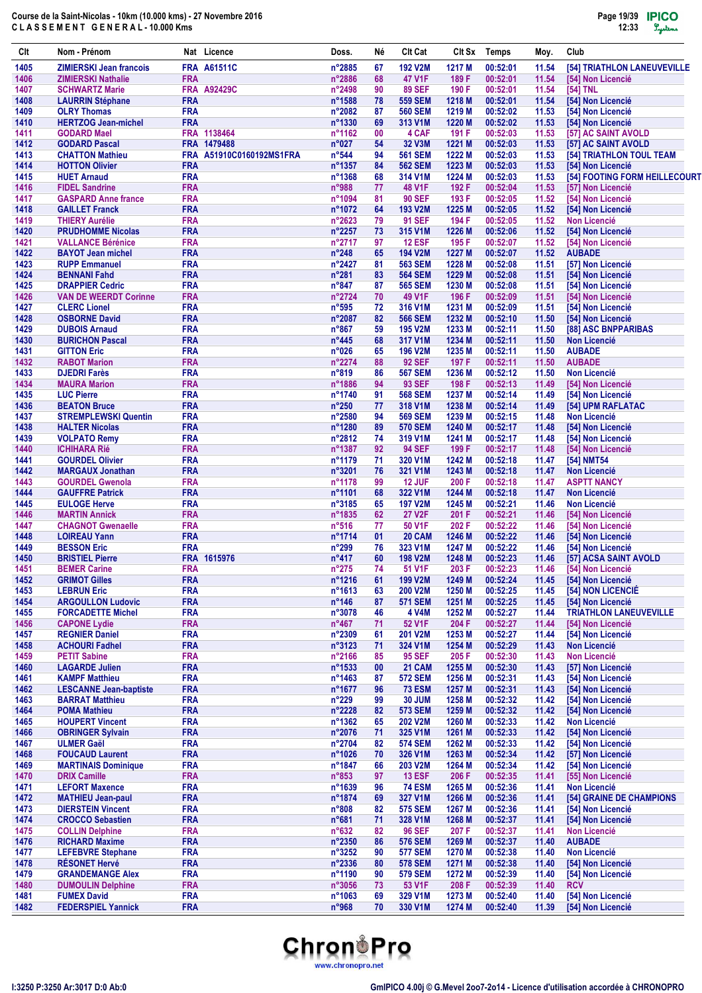| Clt          | Nom - Prénom                                         |                          | Nat Licence              | Doss.                     | Né       | <b>CIt Cat</b>                   | CIt Sx           | <b>Temps</b>         | Moy.           | Club                                       |
|--------------|------------------------------------------------------|--------------------------|--------------------------|---------------------------|----------|----------------------------------|------------------|----------------------|----------------|--------------------------------------------|
| 1405         | <b>ZIMIERSKI Jean francois</b>                       |                          | <b>FRA A61511C</b>       | n°2885                    | 67       | <b>192 V2M</b>                   | 1217 M           | 00:52:01             | 11.54          | [54] TRIATHLON LANEUVEVILLE                |
| 1406         | <b>ZIMIERSKI Nathalie</b>                            | <b>FRA</b>               |                          | n°2886                    | 68       | 47 V1F                           | 189 F            | 00:52:01             | 11.54          | [54] Non Licencié                          |
| 1407         | <b>SCHWARTZ Marie</b>                                |                          | <b>FRA A92429C</b>       | n°2498                    | 90       | <b>89 SEF</b>                    | 190 F            | 00:52:01             | 11.54          | [54] TNL                                   |
| 1408         | <b>LAURRIN Stéphane</b>                              | <b>FRA</b>               |                          | n°1588                    | 78       | <b>559 SEM</b>                   | 1218 M           | 00:52:01             | 11.54          | [54] Non Licencié                          |
| 1409<br>1410 | <b>OLRY Thomas</b><br><b>HERTZOG Jean-michel</b>     | <b>FRA</b><br><b>FRA</b> |                          | n°2082<br>n°1330          | 87<br>69 | <b>560 SEM</b><br>313 V1M        | 1219 M<br>1220 M | 00:52:02<br>00:52:02 | 11.53<br>11.53 | [54] Non Licencié<br>[54] Non Licencié     |
| 1411         | <b>GODARD Mael</b>                                   |                          | FRA 1138464              | n°1162                    | 00       | 4 CAF                            | 191 F            | 00:52:03             | 11.53          | [57] AC SAINT AVOLD                        |
| 1412         | <b>GODARD Pascal</b>                                 |                          | FRA 1479488              | n°027                     | 54       | 32 V3M                           | 1221 M           | 00:52:03             | 11.53          | [57] AC SAINT AVOLD                        |
| 1413         | <b>CHATTON Mathieu</b>                               |                          | FRA A51910C0160192MS1FRA | $n^{\circ}$ 544           | 94       | <b>561 SEM</b>                   | 1222 M           | 00:52:03             | 11.53          | [54] TRIATHLON TOUL TEAM                   |
| 1414         | <b>HOTTON Olivier</b>                                | <b>FRA</b>               |                          | n°1357                    | 84       | <b>562 SEM</b>                   | 1223 M           | 00:52:03             | 11.53          | [54] Non Licencié                          |
| 1415         | <b>HUET Arnaud</b>                                   | <b>FRA</b>               |                          | n°1368                    | 68       | 314 V1M                          | 1224 M           | 00:52:03             | 11.53          | [54] FOOTING FORM HEILLECOURT              |
| 1416         | <b>FIDEL Sandrine</b>                                | <b>FRA</b>               |                          | n°988                     | 77       | 48 V1F                           | 192 F            | 00:52:04             | 11.53          | [57] Non Licencié                          |
| 1417         | <b>GASPARD Anne france</b>                           | <b>FRA</b>               |                          | n°1094                    | 81       | <b>90 SEF</b>                    | 193 F            | 00:52:05             | 11.52          | [54] Non Licencié                          |
| 1418<br>1419 | <b>GAILLET Franck</b><br><b>THIERY Aurélie</b>       | <b>FRA</b><br><b>FRA</b> |                          | n°1072<br>$n^{\circ}2623$ | 64<br>79 | <b>193 V2M</b><br><b>91 SEF</b>  | 1225 M<br>194 F  | 00:52:05<br>00:52:05 | 11.52<br>11.52 | [54] Non Licencié<br><b>Non Licencié</b>   |
| 1420         | <b>PRUDHOMME Nicolas</b>                             | <b>FRA</b>               |                          | n°2257                    | 73       | 315 V1M                          | 1226 M           | 00:52:06             | 11.52          | [54] Non Licencié                          |
| 1421         | <b>VALLANCE Bérénice</b>                             | <b>FRA</b>               |                          | n°2717                    | 97       | <b>12 ESF</b>                    | 195 F            | 00:52:07             | 11.52          | [54] Non Licencié                          |
| 1422         | <b>BAYOT Jean michel</b>                             | <b>FRA</b>               |                          | $n^{\circ}248$            | 65       | 194 V2M                          | 1227 M           | 00:52:07             | 11.52          | <b>AUBADE</b>                              |
| 1423         | <b>RUPP Emmanuel</b>                                 | <b>FRA</b>               |                          | n°2427                    | 81       | <b>563 SEM</b>                   | 1228 M           | 00:52:08             | 11.51          | [57] Non Licencié                          |
| 1424         | <b>BENNANI Fahd</b>                                  | <b>FRA</b>               |                          | n°281                     | 83       | <b>564 SEM</b>                   | 1229 M           | 00:52:08             | 11.51          | [54] Non Licencié                          |
| 1425         | <b>DRAPPIER Cedric</b>                               | <b>FRA</b>               |                          | $n^{\circ}847$            | 87       | <b>565 SEM</b>                   | 1230 M           | 00:52:08             | 11.51          | [54] Non Licencié                          |
| 1426<br>1427 | <b>VAN DE WEERDT Corinne</b><br><b>CLERC Lionel</b>  | <b>FRA</b><br><b>FRA</b> |                          | n°2724<br>$n^{\circ}595$  | 70<br>72 | 49 V1F<br>316 V1M                | 196 F<br>1231 M  | 00:52:09<br>00:52:09 | 11.51<br>11.51 | [54] Non Licencié<br>[54] Non Licencié     |
| 1428         | <b>OSBORNE David</b>                                 | <b>FRA</b>               |                          | n°2087                    | 82       | <b>566 SEM</b>                   | 1232 M           | 00:52:10             | 11.50          | [54] Non Licencié                          |
| 1429         | <b>DUBOIS Arnaud</b>                                 | <b>FRA</b>               |                          | $n^{\circ}867$            | 59       | <b>195 V2M</b>                   | 1233 M           | 00:52:11             | 11.50          | [88] ASC BNPPARIBAS                        |
| 1430         | <b>BURICHON Pascal</b>                               | <b>FRA</b>               |                          | $n^{\circ}445$            | 68       | 317 V1M                          | 1234 M           | 00:52:11             | 11.50          | <b>Non Licencié</b>                        |
| 1431         | <b>GITTON Eric</b>                                   | <b>FRA</b>               |                          | n°026                     | 65       | <b>196 V2M</b>                   | 1235 M           | 00:52:11             | 11.50          | <b>AUBADE</b>                              |
| 1432         | <b>RABOT Marion</b>                                  | <b>FRA</b>               |                          | $n^{\circ}2274$           | 88       | <b>92 SEF</b>                    | 197 F            | 00:52:11             | 11.50          | <b>AUBADE</b>                              |
| 1433         | <b>DJEDRI Farès</b>                                  | <b>FRA</b>               |                          | $n^{\circ}819$            | 86       | <b>567 SEM</b>                   | 1236 M           | 00:52:12             | 11.50          | <b>Non Licencié</b>                        |
| 1434         | <b>MAURA Marion</b>                                  | <b>FRA</b>               |                          | n°1886                    | 94       | <b>93 SEF</b>                    | 198 F            | 00:52:13             | 11.49          | [54] Non Licencié                          |
| 1435<br>1436 | <b>LUC Pierre</b><br><b>BEATON Bruce</b>             | <b>FRA</b><br><b>FRA</b> |                          | n°1740<br>$n^{\circ}250$  | 91<br>77 | <b>568 SEM</b><br>318 V1M        | 1237 M<br>1238 M | 00:52:14<br>00:52:14 | 11.49<br>11.49 | [54] Non Licencié<br>[54] UPM RAFLATAC     |
| 1437         | <b>STREMPLEWSKI Quentin</b>                          | <b>FRA</b>               |                          | $n^{\circ}2580$           | 94       | <b>569 SEM</b>                   | 1239 M           | 00:52:15             | 11.48          | <b>Non Licencié</b>                        |
| 1438         | <b>HALTER Nicolas</b>                                | <b>FRA</b>               |                          | n°1280                    | 89       | <b>570 SEM</b>                   | 1240 M           | 00:52:17             | 11.48          | [54] Non Licencié                          |
| 1439         | <b>VOLPATO Remy</b>                                  | <b>FRA</b>               |                          | n°2812                    | 74       | 319 V1M                          | 1241 M           | 00:52:17             | 11.48          | [54] Non Licencié                          |
| 1440         | <b>ICHIHARA Rié</b>                                  | <b>FRA</b>               |                          | n°1387                    | 92       | <b>94 SEF</b>                    | 199 F            | 00:52:17             | 11.48          | [54] Non Licencié                          |
| 1441         | <b>GOURDEL Olivier</b>                               | <b>FRA</b>               |                          | n°1179                    | 71       | 320 V1M                          | 1242 M           | 00:52:18             | 11.47          | [54] NMT54                                 |
| 1442         | <b>MARGAUX Jonathan</b>                              | <b>FRA</b>               |                          | $n^{\circ}3201$           | 76       | 321 V1M                          | 1243 M           | 00:52:18             | 11.47          | <b>Non Licencié</b>                        |
| 1443         | <b>GOURDEL Gwenola</b>                               | <b>FRA</b>               |                          | n°1178                    | 99       | <b>12 JUF</b>                    | 200 F            | 00:52:18             | 11.47          | <b>ASPTT NANCY</b>                         |
| 1444<br>1445 | <b>GAUFFRE Patrick</b><br><b>EULOGE Herve</b>        | <b>FRA</b><br><b>FRA</b> |                          | n°1101<br>n°3185          | 68<br>65 | 322 V1M<br><b>197 V2M</b>        | 1244 M<br>1245 M | 00:52:18<br>00:52:21 | 11.47<br>11.46 | <b>Non Licencié</b><br><b>Non Licencié</b> |
| 1446         | <b>MARTIN Annick</b>                                 | <b>FRA</b>               |                          | n°1835                    | 62       | <b>27 V2F</b>                    | 201 F            | 00:52:21             | 11.46          | [54] Non Licencié                          |
| 1447         | <b>CHAGNOT Gwenaelle</b>                             | <b>FRA</b>               |                          | $n^{\circ}516$            | 77       | 50 V1F                           | 202 F            | 00:52:22             | 11.46          | [54] Non Licencié                          |
| 1448         | <b>LOIREAU Yann</b>                                  | <b>FRA</b>               |                          | n°1714                    | 01       | 20 CAM                           | 1246 M           | 00:52:22             | 11.46          | [54] Non Licencié                          |
| 1449         | <b>BESSON Eric</b>                                   | <b>FRA</b>               |                          | $n^{\circ}299$            | 76       | 323 V1M                          | 1247 M           | 00:52:22             | 11.46          | [54] Non Licencié                          |
| 1450         | <b>BRISTIEL Pierre</b>                               |                          | FRA 1615976              | $n^{\circ}417$            | 60       | <b>198 V2M</b>                   | 1248 M           | 00:52:23             | 11.46          | [57] ACSA SAINT AVOLD                      |
| 1451         | <b>BEMER Carine</b>                                  | <b>FRA</b>               |                          | $n^{\circ}275$            | 74       | 51 V1F                           | 203 F            | 00:52:23             | 11.46          | [54] Non Licencié                          |
| 1452<br>1453 | <b>GRIMOT Gilles</b><br><b>LEBRUN Eric</b>           | <b>FRA</b><br><b>FRA</b> |                          | n°1216<br>n°1613          | 61<br>63 | 199 V2M<br>200 V2M               | 1249 M<br>1250 M | 00:52:24<br>00:52:25 | 11.45<br>11.45 | [54] Non Licencié<br>[54] NON LICENCIÉ     |
| 1454         | <b>ARGOULLON Ludovic</b>                             | <b>FRA</b>               |                          | $n^{\circ}$ 146           | 87       | <b>571 SEM</b>                   | 1251 M           | 00:52:25             | 11.45          | [54] Non Licencié                          |
| 1455         | <b>FORCADETTE Michel</b>                             | <b>FRA</b>               |                          | n°3078                    | 46       | 4 V4M                            | 1252 M           | 00:52:27             | 11.44          | <b>TRIATHLON LANEUVEVILLE</b>              |
| 1456         | <b>CAPONE Lydie</b>                                  | <b>FRA</b>               |                          | $n^{\circ}467$            | 71       | 52 V1F                           | 204 F            | 00:52:27             | 11.44          | [54] Non Licencié                          |
| 1457         | <b>REGNIER Daniel</b>                                | <b>FRA</b>               |                          | n°2309                    | 61       | 201 V2M                          | 1253 M           | 00:52:27             | 11.44          | [54] Non Licencié                          |
| 1458         | <b>ACHOURI Fadhel</b>                                | <b>FRA</b>               |                          | n°3123                    | 71       | 324 V1M                          | 1254 M           | 00:52:29             | 11.43          | <b>Non Licencié</b>                        |
| 1459         | <b>PETIT Sabine</b>                                  | <b>FRA</b>               |                          | n°2166                    | 85       | <b>95 SEF</b>                    | 205 F            | 00:52:30             | 11.43          | <b>Non Licencié</b>                        |
| 1460<br>1461 | <b>LAGARDE Julien</b><br><b>KAMPF Matthieu</b>       | <b>FRA</b><br><b>FRA</b> |                          | n°1533<br>n°1463          | 00<br>87 | <b>21 CAM</b><br><b>572 SEM</b>  | 1255 M<br>1256 M | 00:52:30<br>00:52:31 | 11.43<br>11.43 | [57] Non Licencié<br>[54] Non Licencié     |
| 1462         | <b>LESCANNE Jean-baptiste</b>                        | <b>FRA</b>               |                          | n°1677                    | 96       | <b>73 ESM</b>                    | 1257 M           | 00:52:31             | 11.43          | [54] Non Licencié                          |
| 1463         | <b>BARRAT Matthieu</b>                               | <b>FRA</b>               |                          | $n^{\circ}229$            | 99       | <b>30 JUM</b>                    | 1258 M           | 00:52:32             | 11.42          | [54] Non Licencié                          |
| 1464         | <b>POMA Mathieu</b>                                  | <b>FRA</b>               |                          | n°2228                    | 82       | <b>573 SEM</b>                   | 1259 M           | 00:52:32             | 11.42          | [54] Non Licencié                          |
| 1465         | <b>HOUPERT Vincent</b>                               | <b>FRA</b>               |                          | n°1362                    | 65       | 202 V2M                          | 1260 M           | 00:52:33             | 11.42          | Non Licencié                               |
| 1466         | <b>OBRINGER Sylvain</b>                              | <b>FRA</b>               |                          | n°2076                    | 71       | 325 V1M                          | 1261 M           | 00:52:33             | 11.42          | [54] Non Licencié                          |
| 1467         | <b>ULMER Gaël</b>                                    | <b>FRA</b>               |                          | n°2704                    | 82       | <b>574 SEM</b>                   | 1262 M           | 00:52:33             | 11.42          | [54] Non Licencié                          |
| 1468<br>1469 | <b>FOUCAUD Laurent</b><br><b>MARTINAIS Dominique</b> | <b>FRA</b><br><b>FRA</b> |                          | n°1026<br>n°1847          | 70       | 326 V1M<br>203 V2M               | 1263 M<br>1264 M | 00:52:34<br>00:52:34 | 11.42          | [57] Non Licencié<br>[54] Non Licencié     |
| 1470         | <b>DRIX Camille</b>                                  | <b>FRA</b>               |                          | $n^{\circ}853$            | 66<br>97 | <b>13 ESF</b>                    | 206 F            | 00:52:35             | 11.42<br>11.41 | [55] Non Licencié                          |
| 1471         | <b>LEFORT Maxence</b>                                | <b>FRA</b>               |                          | n°1639                    | 96       | <b>74 ESM</b>                    | 1265 M           | 00:52:36             | 11.41          | Non Licencié                               |
| 1472         | <b>MATHIEU Jean-paul</b>                             | <b>FRA</b>               |                          | n°1874                    | 69       | 327 V1M                          | 1266 M           | 00:52:36             | 11.41          | [54] GRAINE DE CHAMPIONS                   |
| 1473         | <b>DIERSTEIN Vincent</b>                             | <b>FRA</b>               |                          | n°808                     | 82       | <b>575 SEM</b>                   | 1267 M           | 00:52:36             | 11.41          | [54] Non Licencié                          |
| 1474         | <b>CROCCO Sebastien</b>                              | <b>FRA</b>               |                          | $n^{\circ}681$            | 71       | 328 V1M                          | 1268 M           | 00:52:37             | 11.41          | [54] Non Licencié                          |
| 1475         | <b>COLLIN Delphine</b>                               | <b>FRA</b>               |                          | $n^{\circ}632$            | 82       | <b>96 SEF</b>                    | 207 F            | 00:52:37             | 11.41          | <b>Non Licencié</b>                        |
| 1476         | <b>RICHARD Maxime</b>                                | <b>FRA</b>               |                          | n°2350                    | 86       | <b>576 SEM</b>                   | 1269 M           | 00:52:37             | 11.40          | <b>AUBADE</b>                              |
| 1477<br>1478 | <b>LEFEBVRE Stephane</b><br><b>RÉSONET Hervé</b>     | <b>FRA</b><br><b>FRA</b> |                          | n°3252<br>n°2336          | 90<br>80 | <b>577 SEM</b><br><b>578 SEM</b> | 1270 M<br>1271 M | 00:52:38<br>00:52:38 | 11.40<br>11.40 | <b>Non Licencié</b><br>[54] Non Licencié   |
| 1479         | <b>GRANDEMANGE Alex</b>                              | <b>FRA</b>               |                          | n°1190                    | 90       | <b>579 SEM</b>                   | 1272 M           | 00:52:39             | 11.40          | [54] Non Licencié                          |
| 1480         | <b>DUMOULIN Delphine</b>                             | <b>FRA</b>               |                          | n°3056                    | 73       | 53 V1F                           | 208 F            | 00:52:39             | 11.40          | <b>RCV</b>                                 |
| 1481         | <b>FUMEX David</b>                                   | <b>FRA</b>               |                          | n°1063                    | 69       | 329 V1M                          | 1273 M           | 00:52:40             | 11.40          | [54] Non Licencié                          |
| 1482         | <b>FEDERSPIEL Yannick</b>                            | <b>FRA</b>               |                          | n°968                     | 70       | 330 V1M                          | 1274 M           | 00:52:40             | 11.39          | [54] Non Licencié                          |

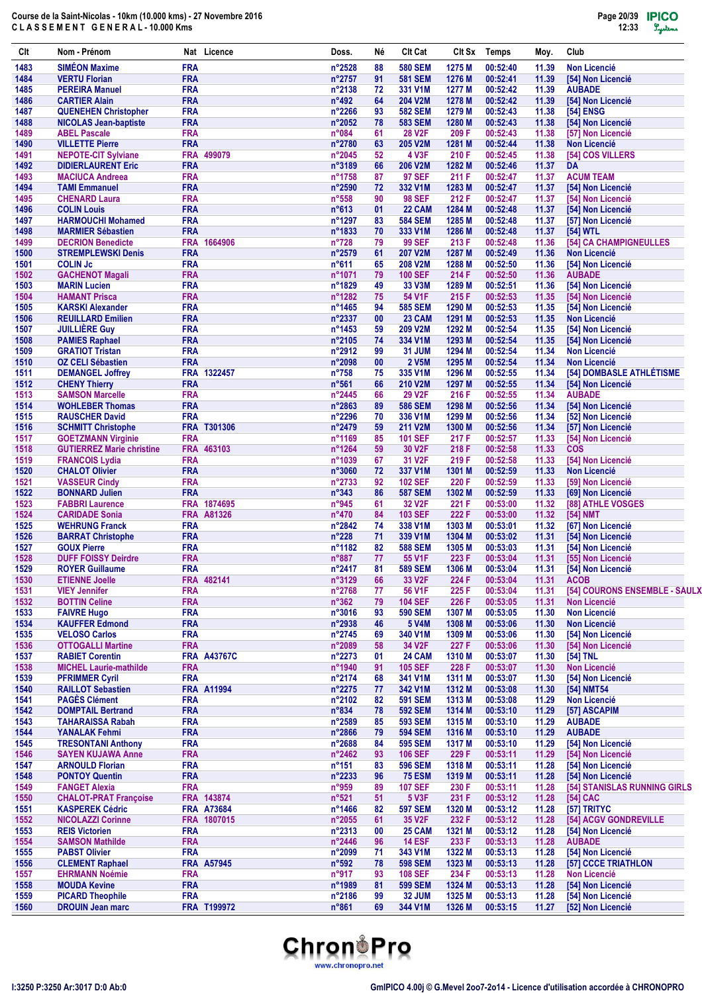| Clt          | Nom - Prénom                                           |                          | Nat Licence        | Doss.                            | Né       | <b>Clt Cat</b>            | CIt Sx           | <b>Temps</b>         | Moy.           | Club                                          |
|--------------|--------------------------------------------------------|--------------------------|--------------------|----------------------------------|----------|---------------------------|------------------|----------------------|----------------|-----------------------------------------------|
| 1483         | <b>SIMÉON Maxime</b>                                   | <b>FRA</b>               |                    | $n^{\circ}2528$                  | 88       | <b>580 SEM</b>            | 1275 M           | 00:52:40             | 11.39          | <b>Non Licencié</b>                           |
| 1484         | <b>VERTU Florian</b>                                   | <b>FRA</b>               |                    | n°2757                           | 91       | <b>581 SEM</b>            | 1276 M           | 00:52:41             | 11.39          | [54] Non Licencié                             |
| 1485         | <b>PEREIRA Manuel</b>                                  | <b>FRA</b>               |                    | n°2138                           | 72       | 331 V1M                   | 1277 M           | 00:52:42             | 11.39          | <b>AUBADE</b>                                 |
| 1486         | <b>CARTIER Alain</b>                                   | <b>FRA</b>               |                    | $n^{\circ}492$                   | 64       | <b>204 V2M</b>            | 1278 M           | 00:52:42             | 11.39          | [54] Non Licencié                             |
| 1487         | <b>QUENEHEN Christopher</b>                            | <b>FRA</b>               |                    | n°2266                           | 93       | <b>582 SEM</b>            | 1279 M           | 00:52:43             | 11.38          | [54] ENSG                                     |
| 1488         | <b>NICOLAS Jean-baptiste</b>                           | <b>FRA</b>               |                    | $n^{\circ}2052$                  | 78       | <b>583 SEM</b>            | 1280 M           | 00:52:43             | 11.38          | [54] Non Licencié                             |
| 1489         | <b>ABEL Pascale</b>                                    | <b>FRA</b><br><b>FRA</b> |                    | n°084                            | 61       | <b>28 V2F</b><br>205 V2M  | 209 F            | 00:52:43             | 11.38          | [57] Non Licencié                             |
| 1490<br>1491 | <b>VILLETTE Pierre</b><br><b>NEPOTE-CIT Sylviane</b>   |                          | FRA 499079         | n°2780<br>n°2045                 | 63<br>52 | <b>4 V3F</b>              | 1281 M<br>210 F  | 00:52:44<br>00:52:45 | 11.38<br>11.38 | <b>Non Licencié</b><br>[54] COS VILLERS       |
| 1492         | <b>DIDIERLAURENT Eric</b>                              | <b>FRA</b>               |                    | n°3189                           | 66       | <b>206 V2M</b>            | 1282 M           | 00:52:46             | 11.37          | DA                                            |
| 1493         | <b>MACIUCA Andreea</b>                                 | <b>FRA</b>               |                    | n°1758                           | 87       | <b>97 SEF</b>             | 211 F            | 00:52:47             | 11.37          | <b>ACUM TEAM</b>                              |
| 1494         | <b>TAMI Emmanuel</b>                                   | <b>FRA</b>               |                    | n°2590                           | 72       | 332 V1M                   | 1283 M           | 00:52:47             | 11.37          | [54] Non Licencié                             |
| 1495         | <b>CHENARD Laura</b>                                   | <b>FRA</b>               |                    | $n^{\circ}558$                   | 90       | <b>98 SEF</b>             | 212 F            | 00:52:47             | 11.37          | [54] Non Licencié                             |
| 1496         | <b>COLIN Louis</b>                                     | <b>FRA</b>               |                    | $n^{\circ}613$                   | 01       | 22 CAM                    | 1284 M           | 00:52:48             | 11.37          | [54] Non Licencié                             |
| 1497         | <b>HARMOUCHI Mohamed</b>                               | <b>FRA</b>               |                    | n°1297                           | 83       | <b>584 SEM</b>            | 1285 M           | 00:52:48             | 11.37          | [57] Non Licencié                             |
| 1498         | <b>MARMIER Sébastien</b>                               | <b>FRA</b>               |                    | n°1833                           | 70       | 333 V1M                   | 1286 M           | 00:52:48             | 11.37          | [54] WTL                                      |
| 1499         | <b>DECRION Benedicte</b>                               | <b>FRA</b>               | 1664906            | $n^{\circ}728$                   | 79       | <b>99 SEF</b>             | 213 F            | 00:52:48             | 11.36          | [54] CA CHAMPIGNEULLES                        |
| 1500         | <b>STREMPLEWSKI Denis</b>                              | <b>FRA</b>               |                    | n°2579                           | 61       | <b>207 V2M</b>            | 1287 M           | 00:52:49             | 11.36          | <b>Non Licencié</b>                           |
| 1501         | <b>COLIN Jc</b>                                        | <b>FRA</b>               |                    | $n^{\circ}611$                   | 65       | <b>208 V2M</b>            | 1288 M           | 00:52:50             | 11.36          | [54] Non Licencié                             |
| 1502         | <b>GACHENOT Magali</b>                                 | <b>FRA</b>               |                    | n°1071                           | 79       | <b>100 SEF</b>            | 214 F            | 00:52:50             | 11.36          | <b>AUBADE</b>                                 |
| 1503         | <b>MARIN Lucien</b>                                    | <b>FRA</b>               |                    | n°1829                           | 49       | 33 V3M                    | 1289 M           | 00:52:51             | 11.36          | [54] Non Licencié                             |
| 1504         | <b>HAMANT Prisca</b>                                   | <b>FRA</b>               |                    | n°1282                           | 75       | 54 V1F                    | 215 F            | 00:52:53             | 11.35          | [54] Non Licencié                             |
| 1505         | <b>KARSKI Alexander</b>                                | <b>FRA</b>               |                    | n°1465                           | 94       | <b>585 SEM</b>            | 1290 M           | 00:52:53             | 11.35          | [54] Non Licencié                             |
| 1506         | <b>REUILLARD Emilien</b>                               | <b>FRA</b>               |                    | n°2337                           | 00       | <b>23 CAM</b>             | 1291 M           | 00:52:53             | 11.35          | <b>Non Licencié</b>                           |
| 1507         | <b>JUILLIÈRE Guy</b>                                   | <b>FRA</b>               |                    | n°1453                           | 59       | <b>209 V2M</b>            | 1292 M           | 00:52:54             | 11.35          | [54] Non Licencié                             |
| 1508         | <b>PAMIES Raphael</b>                                  | <b>FRA</b>               |                    | n°2105                           | 74       | 334 V1M                   | 1293 M           | 00:52:54             | 11.35          | [54] Non Licencié                             |
| 1509         | <b>GRATIOT Tristan</b>                                 | <b>FRA</b>               |                    | n°2912                           | 99       | <b>31 JUM</b>             | 1294 M           | 00:52:54             | 11.34          | <b>Non Licencié</b>                           |
| 1510         | <b>OZ CELI Sébastien</b>                               | <b>FRA</b>               |                    | n°2098                           | 00       | 2 V5M                     | 1295 M           | 00:52:54             | 11.34          | <b>Non Licencié</b>                           |
| 1511<br>1512 | <b>DEMANGEL Joffrey</b>                                | <b>FRA</b>               | FRA 1322457        | $n^{\circ}758$<br>$n^{\circ}561$ | 75<br>66 | 335 V1M<br><b>210 V2M</b> | 1296 M<br>1297 M | 00:52:55<br>00:52:55 | 11.34<br>11.34 | [54] DOMBASLE ATHLÉTISME<br>[54] Non Licencié |
| 1513         | <b>CHENY Thierry</b><br><b>SAMSON Marcelle</b>         | <b>FRA</b>               |                    | $n^{\circ}$ 2445                 | 66       | <b>29 V2F</b>             | 216 F            | 00:52:55             | 11.34          | <b>AUBADE</b>                                 |
| 1514         | <b>WOHLEBER Thomas</b>                                 | <b>FRA</b>               |                    | n°2863                           | 89       | <b>586 SEM</b>            | 1298 M           | 00:52:56             | 11.34          | [54] Non Licencié                             |
| 1515         | <b>RAUSCHER David</b>                                  | <b>FRA</b>               |                    | n°2296                           | 70       | 336 V1M                   | 1299 M           | 00:52:56             | 11.34          | [52] Non Licencié                             |
| 1516         | <b>SCHMITT Christophe</b>                              |                          | FRA T301306        | n°2479                           | 59       | 211 V2M                   | 1300 M           | 00:52:56             | 11.34          | [57] Non Licencié                             |
| 1517         | <b>GOETZMANN Virginie</b>                              | <b>FRA</b>               |                    | n°1169                           | 85       | <b>101 SEF</b>            | 217 F            | 00:52:57             | 11.33          | [54] Non Licencié                             |
| 1518         | <b>GUTIERREZ Marie christine</b>                       |                          | FRA 463103         | n°1264                           | 59       | 30 V <sub>2</sub> F       | 218 F            | 00:52:58             | 11.33          | <b>COS</b>                                    |
| 1519         | <b>FRANCOIS Lydia</b>                                  | <b>FRA</b>               |                    | n°1039                           | 67       | 31 V <sub>2</sub> F       | 219 F            | 00:52:58             | 11.33          | [54] Non Licencié                             |
| 1520         | <b>CHALOT Olivier</b>                                  | <b>FRA</b>               |                    | n°3060                           | 72       | 337 V1M                   | 1301 M           | 00:52:59             | 11.33          | <b>Non Licencié</b>                           |
| 1521         | <b>VASSEUR Cindy</b>                                   | <b>FRA</b>               |                    | $n^{\circ}2733$                  | 92       | <b>102 SEF</b>            | 220 F            | 00:52:59             | 11.33          | [59] Non Licencié                             |
| 1522         | <b>BONNARD Julien</b>                                  | <b>FRA</b>               |                    | $n^{\circ}343$                   | 86       | <b>587 SEM</b>            | 1302 M           | 00:52:59             | 11.33          | [69] Non Licencié                             |
| 1523         | <b>FABBRI Laurence</b>                                 |                          | FRA 1874695        | n°945                            | 61       | 32 V <sub>2</sub> F       | 221 F            | 00:53:00             | 11.32          | [88] ATHLE VOSGES                             |
| 1524         | <b>CARIDADE Sonia</b>                                  |                          | <b>FRA A81326</b>  | $n^{\circ}470$                   | 84       | <b>103 SEF</b>            | 222 F            | 00:53:00             | 11.32          | [54] NMT                                      |
| 1525         | <b>WEHRUNG Franck</b>                                  | <b>FRA</b>               |                    | $n^{\circ}2842$                  | 74       | 338 V1M                   | 1303 M           | 00:53:01             | 11.32          | [67] Non Licencié                             |
| 1526         | <b>BARRAT Christophe</b>                               | <b>FRA</b>               |                    | $n^{\circ}228$                   | 71       | 339 V1M                   | 1304 M           | 00:53:02             | 11.31          | [54] Non Licencié                             |
| 1527         | <b>GOUX Pierre</b>                                     | <b>FRA</b>               |                    | n°1182                           | 82       | <b>588 SEM</b>            | 1305 M           | 00:53:03             | 11.31          | [54] Non Licencié                             |
| 1528         | <b>DUFF FOISSY Deirdre</b>                             | <b>FRA</b>               |                    | $n^{\circ}887$                   | 77       | 55 V1F                    | 223 F            | 00:53:04             | 11.31          | [55] Non Licencié                             |
| 1529         | <b>ROYER Guillaume</b>                                 | <b>FRA</b>               |                    | n°2417                           | 81       | <b>589 SEM</b>            | 1306 M           | 00:53:04             | 11.31          | [54] Non Licencié                             |
| 1530         | <b>ETIENNE Joelle</b>                                  |                          | FRA 482141         | n°3129                           | 66       | 33 V2F                    | 224 F            | 00:53:04             | 11.31          | <b>ACOB</b>                                   |
| 1531         | <b>VIEY Jennifer</b>                                   | <b>FRA</b>               |                    | $n^{\circ}2768$                  | 77       | 56 V1F                    | 225 F            | 00:53:04             | 11.31          | [54] COURONS ENSEMBLE - SAULX                 |
| 1532         | <b>BOTTIN Celine</b>                                   | <b>FRA</b>               |                    | $n^{\circ}362$                   | 79       | <b>104 SEF</b>            | 226 F            | 00:53:05             | 11.31          | <b>Non Licencié</b>                           |
| 1533         | <b>FAIVRE Hugo</b>                                     | <b>FRA</b>               |                    | n°3016                           | 93       | <b>590 SEM</b>            | 1307 M           | 00:53:05             | 11.30          | <b>Non Licencié</b>                           |
| 1534         | <b>KAUFFER Edmond</b>                                  | <b>FRA</b>               |                    | n°2938                           | 46       | <b>5 V4M</b>              | 1308 M           | 00:53:06             | 11.30          | <b>Non Licencié</b>                           |
| 1535         | <b>VELOSO Carlos</b>                                   | <b>FRA</b>               |                    | n°2745                           | 69       | 340 V1M                   | 1309 M           | 00:53:06             | 11.30          | [54] Non Licencié                             |
| 1536         | <b>OTTOGALLI Martine</b>                               | <b>FRA</b>               |                    | n°2089                           | 58       | 34 V2F                    | 227 F            | 00:53:06             | 11.30          | [54] Non Licencié                             |
| 1537         | <b>RABIET Corentin</b>                                 |                          | <b>FRA A43767C</b> | n°2273                           | 01       | <b>24 CAM</b>             | 1310 M           | 00:53:07             | 11.30          | [54] TNL<br><b>Non Licencié</b>               |
| 1538         | <b>MICHEL Laurie-mathilde</b><br><b>PFRIMMER Cyril</b> | <b>FRA</b><br><b>FRA</b> |                    | n°1940                           | 91<br>68 | <b>105 SEF</b>            | 228 F            | 00:53:07             | 11.30          |                                               |
| 1539<br>1540 | <b>RAILLOT Sebastien</b>                               |                          | <b>FRA A11994</b>  | n°2174<br>n°2275                 | 77       | 341 V1M<br>342 V1M        | 1311 M<br>1312 M | 00:53:07<br>00:53:08 | 11.30<br>11.30 | [54] Non Licencié<br>[54] NMT54               |
| 1541         | <b>PAGÈS Clément</b>                                   | <b>FRA</b>               |                    | n°2102                           | 82       | <b>591 SEM</b>            | 1313 M           | 00:53:08             | 11.29          | Non Licencié                                  |
| 1542         | <b>DOMPTAIL Bertrand</b>                               | <b>FRA</b>               |                    | $n^{\circ}834$                   | 78       | <b>592 SEM</b>            | 1314 M           | 00:53:10             | 11.29          | [57] ASCAPIM                                  |
| 1543         | <b>TAHARAISSA Rabah</b>                                | <b>FRA</b>               |                    | n°2589                           | 85       | <b>593 SEM</b>            | 1315 M           | 00:53:10             | 11.29          | <b>AUBADE</b>                                 |
| 1544         | <b>YANALAK Fehmi</b>                                   | <b>FRA</b>               |                    | n°2866                           | 79       | <b>594 SEM</b>            | 1316 M           | 00:53:10             | 11.29          | <b>AUBADE</b>                                 |
| 1545         | <b>TRESONTANI Anthony</b>                              | <b>FRA</b>               |                    | n°2688                           | 84       | <b>595 SEM</b>            | 1317 M           | 00:53:10             | 11.29          | [54] Non Licencié                             |
| 1546         | <b>SAYEN KUJAWA Anne</b>                               | <b>FRA</b>               |                    | $n^{\circ}2462$                  | 93       | <b>106 SEF</b>            | 229 F            | 00:53:11             | 11.29          | [54] Non Licencié                             |
| 1547         | <b>ARNOULD Florian</b>                                 | <b>FRA</b>               |                    | $n^{\circ}151$                   | 83       | <b>596 SEM</b>            | 1318 M           | 00:53:11             | 11.28          | [54] Non Licencié                             |
| 1548         | <b>PONTOY Quentin</b>                                  | <b>FRA</b>               |                    | n°2233                           | 96       | <b>75 ESM</b>             | 1319 M           | 00:53:11             | 11.28          | [54] Non Licencié                             |
| 1549         | <b>FANGET Alexia</b>                                   | <b>FRA</b>               |                    | n°959                            | 89       | <b>107 SEF</b>            | 230 F            | 00:53:11             | 11.28          | [54] STANISLAS RUNNING GIRLS                  |
| 1550         | <b>CHALOT-PRAT Françoise</b>                           |                          | FRA 143874         | $n^{\circ}521$                   | 51       | <b>5 V3F</b>              | 231 F            | 00:53:12             | 11.28          | $[54]$ CAC                                    |
| 1551         | <b>KASPEREK Cédric</b>                                 |                          | <b>FRA A73684</b>  | $n^{\circ}$ 1466                 | 82       | <b>597 SEM</b>            | 1320 M           | 00:53:12             | 11.28          | [57] TRITYC                                   |
| 1552         | <b>NICOLAZZI Corinne</b>                               |                          | FRA 1807015        | n°2055                           | 61       | 35 V2F                    | 232 F            | 00:53:12             | 11.28          | [54] ACGV GONDREVILLE                         |
| 1553         | <b>REIS Victorien</b>                                  | <b>FRA</b>               |                    | n°2313                           | 00       | <b>25 CAM</b>             | 1321 M           | 00:53:12             | 11.28          | [54] Non Licencié                             |
| 1554         | <b>SAMSON Mathilde</b>                                 | <b>FRA</b>               |                    | $n^{\circ}$ 2446                 | 96       | <b>14 ESF</b>             | 233 F            | 00:53:13             | 11.28          | <b>AUBADE</b>                                 |
| 1555         | <b>PABST Olivier</b>                                   | <b>FRA</b>               |                    | n°2099                           | 71       | 343 V1M                   | 1322 M           | 00:53:13             | 11.28          | [54] Non Licencié                             |
| 1556         | <b>CLEMENT Raphael</b>                                 |                          | <b>FRA A57945</b>  | $n^{\circ}592$                   | 78       | <b>598 SEM</b>            | 1323 M           | 00:53:13             | 11.28          | [57] CCCE TRIATHLON                           |
| 1557         | <b>EHRMANN Noémie</b>                                  | <b>FRA</b>               |                    | n°917                            | 93       | <b>108 SEF</b>            | 234 F            | 00:53:13             | 11.28          | <b>Non Licencié</b>                           |
| 1558         | <b>MOUDA Kevine</b>                                    | <b>FRA</b>               |                    | n°1989                           | 81       | <b>599 SEM</b>            | 1324 M           | 00:53:13             | 11.28          | [54] Non Licencié                             |
| 1559         | <b>PICARD Theophile</b>                                | <b>FRA</b>               |                    | n°2186                           | 99       | 32 JUM                    | 1325 M           | 00:53:13             | 11.28          | [54] Non Licencié                             |
| 1560         | <b>DROUIN Jean marc</b>                                |                          | FRA T199972        | $n^{\circ}861$                   | 69       | 344 V1M                   | 1326 M           | 00:53:15             | 11.27          | [52] Non Licencié                             |

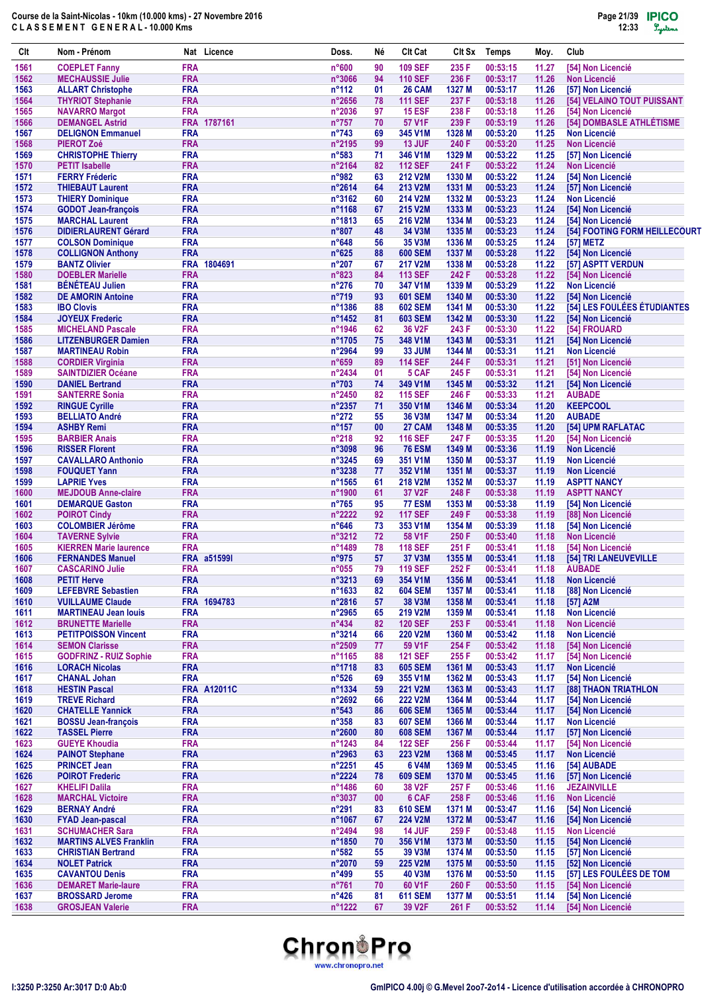| Clt          | Nom - Prénom                                           |                          | Nat Licence        | Doss.                    | Né       | <b>Clt Cat</b>                   | Clt Sx           | <b>Temps</b>         | Moy.           | Club                                         |
|--------------|--------------------------------------------------------|--------------------------|--------------------|--------------------------|----------|----------------------------------|------------------|----------------------|----------------|----------------------------------------------|
| 1561         | <b>COEPLET Fanny</b>                                   | <b>FRA</b>               |                    | n°600                    | 90       | <b>109 SEF</b>                   | 235 F            | 00:53:15             | 11.27          | [54] Non Licencié                            |
| 1562         | <b>MECHAUSSIE Julie</b>                                | <b>FRA</b>               |                    | $n^{\circ}3066$          | 94       | <b>110 SEF</b>                   | 236 F            | 00:53:17             | 11.26          | <b>Non Licencié</b>                          |
| 1563         | <b>ALLART Christophe</b>                               | <b>FRA</b>               |                    | $n^{\circ}112$           | 01       | <b>26 CAM</b>                    | 1327 M           | 00:53:17             | 11.26          | <b>[57] Non Licencié</b>                     |
| 1564         | <b>THYRIOT Stephanie</b>                               | <b>FRA</b>               |                    | $n^{\circ}2656$          | 78       | <b>111 SEF</b>                   | 237 F            | 00:53:18             | 11.26          | [54] VELAINO TOUT PUISSANT                   |
| 1565         | <b>NAVARRO Margot</b>                                  | <b>FRA</b>               |                    | n°2036                   | 97       | <b>15 ESF</b>                    | 238 F            | 00:53:18             | 11.26          | [54] Non Licencié                            |
| 1566         | <b>DEMANGEL Astrid</b>                                 |                          | FRA 1787161        | $n^{\circ}757$           | 70       | <b>57 V1F</b>                    | 239 F            | 00:53:19             | 11.26          | [54] DOMBASLE ATHLÉTISME                     |
| 1567<br>1568 | <b>DELIGNON Emmanuel</b>                               | <b>FRA</b><br><b>FRA</b> |                    | $n^{\circ}743$<br>n°2195 | 69<br>99 | 345 V1M<br><b>13 JUF</b>         | 1328 M<br>240 F  | 00:53:20<br>00:53:20 | 11.25<br>11.25 | <b>Non Licencié</b><br><b>Non Licencié</b>   |
| 1569         | <b>PIEROT Zoé</b><br><b>CHRISTOPHE Thierry</b>         | <b>FRA</b>               |                    | $n^{\circ}583$           | 71       | 346 V1M                          | 1329 M           | 00:53:22             | 11.25          | [57] Non Licencié                            |
| 1570         | <b>PETIT Isabelle</b>                                  | <b>FRA</b>               |                    | n°2164                   | 82       | <b>112 SEF</b>                   | 241 F            | 00:53:22             | 11.24          | <b>Non Licencié</b>                          |
| 1571         | <b>FERRY Fréderic</b>                                  | <b>FRA</b>               |                    | n°982                    | 63       | <b>212 V2M</b>                   | 1330 M           | 00:53:22             | 11.24          | [54] Non Licencié                            |
| 1572         | <b>THIEBAUT Laurent</b>                                | <b>FRA</b>               |                    | n°2614                   | 64       | 213 V2M                          | 1331 M           | 00:53:23             | 11.24          | [57] Non Licencié                            |
| 1573         | <b>THIERY Dominique</b>                                | <b>FRA</b>               |                    | n°3162                   | 60       | 214 V2M                          | 1332 M           | 00:53:23             | 11.24          | <b>Non Licencié</b>                          |
| 1574         | <b>GODOT Jean-françois</b>                             | <b>FRA</b>               |                    | n°1168                   | 67       | 215 V2M                          | 1333 M           | 00:53:23             | 11.24          | [54] Non Licencié                            |
| 1575         | <b>MARCHAL Laurent</b>                                 | <b>FRA</b>               |                    | n°1813                   | 65       | 216 V2M                          | 1334 M           | 00:53:23             | 11.24          | [54] Non Licencié                            |
| 1576         | <b>DIDIERLAURENT Gérard</b>                            | <b>FRA</b>               |                    | $n^{\circ}807$           | 48       | 34 V3M                           | 1335 M           | 00:53:23             | 11.24          | [54] FOOTING FORM HEILLECOURT                |
| 1577         | <b>COLSON Dominique</b>                                | <b>FRA</b>               |                    | $n^{\circ}648$           | 56       | 35 V3M                           | 1336 M           | 00:53:25             | 11.24          | [57] METZ                                    |
| 1578         | <b>COLLIGNON Anthony</b>                               | <b>FRA</b>               |                    | $n^{\circ}625$           | 88       | <b>600 SEM</b>                   | 1337 M           | 00:53:28             | 11.22          | [54] Non Licencié                            |
| 1579         | <b>BANTZ Olivier</b>                                   |                          | FRA 1804691        | $n^{\circ}207$           | 67       | <b>217 V2M</b>                   | 1338 M           | 00:53:28             | 11.22          | [57] ASPTT VERDUN                            |
| 1580         | <b>DOEBLER Marielle</b>                                | <b>FRA</b>               |                    | $n^{\circ}823$           | 84       | <b>113 SEF</b>                   | 242 F            | 00:53:28             | 11.22          | [54] Non Licencié                            |
| 1581         | <b>BÉNÉTEAU Julien</b>                                 | <b>FRA</b>               |                    | $n^{\circ}276$<br>n°719  | 70       | 347 V1M                          | 1339 M           | 00:53:29             | 11.22          | <b>Non Licencié</b><br>[54] Non Licencié     |
| 1582<br>1583 | <b>DE AMORIN Antoine</b><br><b>IBO Clovis</b>          | <b>FRA</b><br><b>FRA</b> |                    | n°1386                   | 93<br>88 | <b>601 SEM</b><br><b>602 SEM</b> | 1340 M<br>1341 M | 00:53:30<br>00:53:30 | 11.22<br>11.22 | [54] LES FOULÉES ÉTUDIANTES                  |
| 1584         | <b>JOYEUX Frederic</b>                                 | <b>FRA</b>               |                    | n°1452                   | 81       | <b>603 SEM</b>                   | 1342 M           | 00:53:30             | 11.22          | [54] Non Licencié                            |
| 1585         | <b>MICHELAND Pascale</b>                               | <b>FRA</b>               |                    | n°1946                   | 62       | 36 V2F                           | 243 F            | 00:53:30             | 11.22          | [54] FROUARD                                 |
| 1586         | <b>LITZENBURGER Damien</b>                             | <b>FRA</b>               |                    | n°1705                   | 75       | 348 V1M                          | 1343 M           | 00:53:31             | 11.21          | [54] Non Licencié                            |
| 1587         | <b>MARTINEAU Robin</b>                                 | <b>FRA</b>               |                    | n°2964                   | 99       | <b>33 JUM</b>                    | 1344 M           | 00:53:31             | 11.21          | <b>Non Licencié</b>                          |
| 1588         | <b>CORDIER Virginia</b>                                | <b>FRA</b>               |                    | $n^{\circ}659$           | 89       | <b>114 SEF</b>                   | 244 F            | 00:53:31             | 11.21          | [51] Non Licencié                            |
| 1589         | <b>SAINTDIZIER Océane</b>                              | <b>FRA</b>               |                    | n°2434                   | 01       | 5 CAF                            | 245 F            | 00:53:31             | 11.21          | [54] Non Licencié                            |
| 1590         | <b>DANIEL Bertrand</b>                                 | <b>FRA</b>               |                    | $n^{\circ}703$           | 74       | 349 V1M                          | 1345 M           | 00:53:32             | 11.21          | [54] Non Licencié                            |
| 1591         | <b>SANTERRE Sonia</b>                                  | <b>FRA</b>               |                    | n°2450                   | 82       | <b>115 SEF</b>                   | 246 F            | 00:53:33             | 11.21          | <b>AUBADE</b>                                |
| 1592         | <b>RINGUE Cyrille</b>                                  | <b>FRA</b>               |                    | n°2357                   | 71       | 350 V1M                          | 1346 M           | 00:53:34             | 11.20          | <b>KEEPCOOL</b>                              |
| 1593         | <b>BELLIATO André</b>                                  | <b>FRA</b>               |                    | $n^{\circ}272$           | 55       | 36 V3M                           | 1347 M           | 00:53:34             | 11.20          | <b>AUBADE</b>                                |
| 1594         | <b>ASHBY Remi</b>                                      | <b>FRA</b>               |                    | $n^{\circ}$ 157          | 00       | 27 CAM                           | 1348 M           | 00:53:35             | 11.20          | [54] UPM RAFLATAC                            |
| 1595         | <b>BARBIER Anais</b>                                   | <b>FRA</b>               |                    | $n^{\circ}218$           | 92       | <b>116 SEF</b>                   | 247 F            | 00:53:35             | 11.20          | [54] Non Licencié                            |
| 1596         | <b>RISSER Florent</b>                                  | <b>FRA</b>               |                    | n°3098                   | 96       | <b>76 ESM</b>                    | 1349 M           | 00:53:36             | 11.19          | <b>Non Licencié</b>                          |
| 1597         | <b>CAVALLARO Anthonio</b>                              | <b>FRA</b>               |                    | n°3245                   | 69       | 351 V1M                          | 1350 M           | 00:53:37             | 11.19          | <b>Non Licencié</b>                          |
| 1598         | <b>FOUQUET Yann</b>                                    | <b>FRA</b>               |                    | n°3238                   | 77       | 352 V1M                          | 1351 M           | 00:53:37             | 11.19          | <b>Non Licencié</b>                          |
| 1599         | <b>LAPRIE Yves</b>                                     | <b>FRA</b>               |                    | $n^{\circ}$ 1565         | 61       | 218 V2M                          | 1352 M           | 00:53:37             | 11.19          | <b>ASPTT NANCY</b>                           |
| 1600<br>1601 | <b>MEJDOUB Anne-claire</b><br><b>DEMARQUE Gaston</b>   | <b>FRA</b><br><b>FRA</b> |                    | n°1900<br>$n^{\circ}765$ | 61<br>95 | 37 V2F<br><b>77 ESM</b>          | 248 F<br>1353 M  | 00:53:38<br>00:53:38 | 11.19<br>11.19 | <b>ASPTT NANCY</b><br>[54] Non Licencié      |
| 1602         | <b>POIROT Cindy</b>                                    | <b>FRA</b>               |                    | n°2222                   | 92       | <b>117 SEF</b>                   | 249 F            | 00:53:38             | 11.19          | [88] Non Licencié                            |
| 1603         | <b>COLOMBIER Jérôme</b>                                | <b>FRA</b>               |                    | $n^{\circ}646$           | 73       | 353 V1M                          | 1354 M           | 00:53:39             | 11.18          | [54] Non Licencié                            |
| 1604         | <b>TAVERNE Sylvie</b>                                  | <b>FRA</b>               |                    | n°3212                   | 72       | 58 V1F                           | 250 F            | 00:53:40             | 11.18          | <b>Non Licencié</b>                          |
| 1605         | <b>KIERREN Marie laurence</b>                          | <b>FRA</b>               |                    | n°1489                   | 78       | <b>118 SEF</b>                   | 251 F            | 00:53:41             | 11.18          | [54] Non Licencié                            |
| 1606         | <b>FERNANDES Manuel</b>                                |                          | <b>FRA a515991</b> | n°975                    | 57       | 37 V3M                           | 1355 M           | 00:53:41             | 11.18          | [54] TRI LANEUVEVILLE                        |
| 1607         | <b>CASCARINO Julie</b>                                 | <b>FRA</b>               |                    | $n^{\circ}055$           | 79       | <b>119 SEF</b>                   | 252 F            | 00:53:41             | 11.18          | <b>AUBADE</b>                                |
| 1608         | <b>PETIT Herve</b>                                     | <b>FRA</b>               |                    | n°3213                   | 69       | 354 V1M                          | 1356 M           | 00:53:41             | 11.18          | <b>Non Licencié</b>                          |
| 1609         | <b>LEFEBVRE Sebastien</b>                              | <b>FRA</b>               |                    | n°1633                   | 82       | <b>604 SEM</b>                   | 1357 M           | 00:53:41             | 11.18          | [88] Non Licencié                            |
| 1610         | <b>VUILLAUME Claude</b>                                |                          | FRA 1694783        | n°2816                   | 57       | 38 V3M                           | 1358 M           | 00:53:41             | 11.18          | [57] A2M                                     |
| 1611         | <b>MARTINEAU Jean louis</b>                            | <b>FRA</b>               |                    | n°2965                   | 65       | 219 V2M                          | 1359 M           | 00:53:41             | 11.18          | <b>Non Licencié</b>                          |
| 1612         | <b>BRUNETTE Marielle</b>                               | <b>FRA</b>               |                    | $n^{\circ}434$           | 82       | <b>120 SEF</b>                   | 253 F            | 00:53:41             | 11.18          | <b>Non Licencié</b>                          |
| 1613         | <b>PETITPOISSON Vincent</b>                            | <b>FRA</b>               |                    | n°3214                   | 66       | <b>220 V2M</b>                   | 1360 M           | 00:53:42             | 11.18          | <b>Non Licencié</b>                          |
| 1614         | <b>SEMON Clarisse</b>                                  | <b>FRA</b>               |                    | n°2509                   | 77       | 59 V1F                           | 254 F            | 00:53:42             | 11.18          | [54] Non Licencié                            |
| 1615<br>1616 | <b>GODFRINZ - RUIZ Sophie</b><br><b>LORACH Nicolas</b> | <b>FRA</b><br><b>FRA</b> |                    | n°1165<br>n°1718         | 88<br>83 | <b>121 SEF</b><br><b>605 SEM</b> | 255 F<br>1361 M  | 00:53:42<br>00:53:43 | 11.17<br>11.17 | [54] Non Licencié<br><b>Non Licencié</b>     |
| 1617         | <b>CHANAL Johan</b>                                    | <b>FRA</b>               |                    | $n^{\circ}526$           | 69       | 355 V1M                          | 1362 M           | 00:53:43             | 11.17          | [54] Non Licencié                            |
| 1618         | <b>HESTIN Pascal</b>                                   |                          | <b>FRA A12011C</b> | n°1334                   | 59       | <b>221 V2M</b>                   | 1363 M           | 00:53:43             | 11.17          | <b>[88] THAON TRIATHLON</b>                  |
| 1619         | <b>TREVE Richard</b>                                   | <b>FRA</b>               |                    | $n^{\circ}2692$          | 66       | <b>222 V2M</b>                   | 1364 M           | 00:53:44             | 11.17          | [54] Non Licencié                            |
| 1620         | <b>CHATELLE Yannick</b>                                | <b>FRA</b>               |                    | $n^{\circ}543$           | 86       | <b>606 SEM</b>                   | 1365 M           | 00:53:44             | 11.17          | [54] Non Licencié                            |
| 1621         | <b>BOSSU Jean-françois</b>                             | <b>FRA</b>               |                    | $n^{\circ}358$           | 83       | <b>607 SEM</b>                   | 1366 M           | 00:53:44             | 11.17          | <b>Non Licencié</b>                          |
| 1622         | <b>TASSEL Pierre</b>                                   | <b>FRA</b>               |                    | n°2600                   | 80       | <b>608 SEM</b>                   | 1367 M           | 00:53:44             | 11.17          | [57] Non Licencié                            |
| 1623         | <b>GUEYE Khoudia</b>                                   | <b>FRA</b>               |                    | n°1243                   | 84       | <b>122 SEF</b>                   | 256 F            | 00:53:44             | 11.17          | [54] Non Licencié                            |
| 1624         | <b>PAINOT Stephane</b>                                 | <b>FRA</b>               |                    | n°2963                   | 63       | 223 V2M                          | 1368 M           | 00:53:45             | 11.17          | <b>Non Licencié</b>                          |
| 1625         | <b>PRINCET Jean</b>                                    | <b>FRA</b>               |                    | n°2251                   | 45       | 6 V4M                            | 1369 M           | 00:53:45             | 11.16          | [54] AUBADE                                  |
| 1626         | <b>POIROT Frederic</b>                                 | <b>FRA</b>               |                    | n°2224                   | 78       | <b>609 SEM</b>                   | 1370 M           | 00:53:45             | 11.16          | [57] Non Licencié                            |
| 1627         | <b>KHELIFI Dalila</b>                                  | <b>FRA</b>               |                    | n°1486                   | 60       | 38 V2F                           | 257 F            | 00:53:46             | 11.16          | <b>JEZAINVILLE</b>                           |
| 1628         | <b>MARCHAL Victoire</b>                                | <b>FRA</b>               |                    | n°3037                   | 00       | 6 CAF                            | 258 F            | 00:53:46             | 11.16          | <b>Non Licencié</b>                          |
| 1629         | <b>BERNAY André</b>                                    | <b>FRA</b>               |                    | $n^{\circ}291$           | 83       | <b>610 SEM</b>                   | 1371 M           | 00:53:47             | 11.16          | [54] Non Licencié                            |
| 1630         | <b>FYAD Jean-pascal</b>                                | <b>FRA</b>               |                    | n°1067                   | 67       | <b>224 V2M</b>                   | 1372 M           | 00:53:47             | 11.16          | [54] Non Licencié                            |
| 1631         | <b>SCHUMACHER Sara</b>                                 | <b>FRA</b>               |                    | n°2494                   | 98       | <b>14 JUF</b>                    | 259 F            | 00:53:48             | 11.15          | <b>Non Licencié</b>                          |
| 1632         | <b>MARTINS ALVES Franklin</b>                          | <b>FRA</b>               |                    | n°1850                   | 70       | 356 V1M                          | 1373 M           | 00:53:50             | 11.15          | [54] Non Licencié                            |
| 1633         | <b>CHRISTIAN Bertrand</b>                              | <b>FRA</b>               |                    | $n^{\circ}582$           | 55       | 39 V3M                           | 1374 M           | 00:53:50             | 11.15          | [57] Non Licencié                            |
| 1634<br>1635 | <b>NOLET Patrick</b><br><b>CAVANTOU Denis</b>          | <b>FRA</b><br><b>FRA</b> |                    | n°2070<br>$n^{\circ}499$ | 59<br>55 | 225 V2M<br>40 V3M                | 1375 M<br>1376 M | 00:53:50<br>00:53:50 | 11.15<br>11.15 | [52] Non Licencié<br>[57] LES FOULÉES DE TOM |
| 1636         | <b>DEMARET Marie-laure</b>                             | <b>FRA</b>               |                    | n°761                    | 70       | 60 V1F                           | 260 F            | 00:53:50             | 11.15          | [54] Non Licencié                            |
| 1637         | <b>BROSSARD Jerome</b>                                 | <b>FRA</b>               |                    | $n^{\circ}426$           | 81       | <b>611 SEM</b>                   | 1377 M           | 00:53:51             | 11.14          | [54] Non Licencié                            |
| 1638         | <b>GROSJEAN Valerie</b>                                | <b>FRA</b>               |                    | n°1222                   | 67       | 39 V2F                           | 261 F            | 00:53:52             | 11.14          | [54] Non Licencié                            |
|              |                                                        |                          |                    |                          |          |                                  |                  |                      |                |                                              |

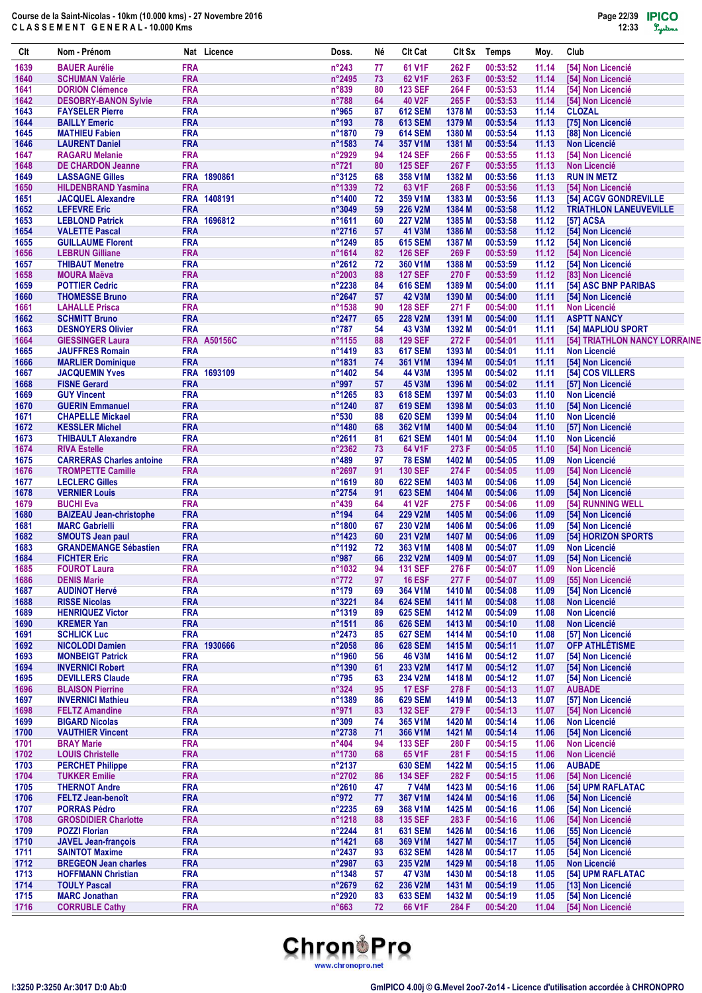| Clt          | Nom - Prénom                                                |                          | Nat Licence        | Doss.                     | Né       | <b>CIt Cat</b>                         | CIt Sx           | Temps                | Moy.           | Club                                       |
|--------------|-------------------------------------------------------------|--------------------------|--------------------|---------------------------|----------|----------------------------------------|------------------|----------------------|----------------|--------------------------------------------|
| 1639         | <b>BAUER Aurélie</b>                                        | <b>FRA</b>               |                    | $n^{\circ}243$            | 77       | 61 V1F                                 | 262 F            | 00:53:52             | 11.14          | [54] Non Licencié                          |
| 1640         | <b>SCHUMAN Valérie</b>                                      | <b>FRA</b>               |                    | n°2495                    | 73       | 62 V1F                                 | 263 F            | 00:53:52             | 11.14          | [54] Non Licencié                          |
| 1641         | <b>DORION Clémence</b>                                      | <b>FRA</b>               |                    | $n^{\circ}839$            | 80       | <b>123 SEF</b>                         | 264 F            | 00:53:53             | 11.14          | [54] Non Licencié                          |
| 1642<br>1643 | <b>DESOBRY-BANON Sylvie</b><br><b>FAYSELER Pierre</b>       | <b>FRA</b><br><b>FRA</b> |                    | $n^{\circ}788$<br>n°965   | 64<br>87 | 40 V2F<br><b>612 SEM</b>               | 265 F<br>1378 M  | 00:53:53<br>00:53:53 | 11.14<br>11.14 | [54] Non Licencié<br><b>CLOZAL</b>         |
| 1644         | <b>BAILLY Emeric</b>                                        | <b>FRA</b>               |                    | n°193                     | 78       | <b>613 SEM</b>                         | 1379 M           | 00:53:54             | 11.13          | [75] Non Licencié                          |
| 1645         | <b>MATHIEU Fabien</b>                                       | <b>FRA</b>               |                    | n°1870                    | 79       | <b>614 SEM</b>                         | 1380 M           | 00:53:54             | 11.13          | [88] Non Licencié                          |
| 1646         | <b>LAURENT Daniel</b>                                       | <b>FRA</b>               |                    | n°1583                    | 74       | 357 V1M                                | 1381 M           | 00:53:54             | 11.13          | <b>Non Licencié</b>                        |
| 1647         | <b>RAGARU Melanie</b>                                       | <b>FRA</b>               |                    | n°2929                    | 94       | <b>124 SEF</b>                         | 266 F            | 00:53:55             | 11.13          | [54] Non Licencié                          |
| 1648         | <b>DE CHARDON Jeanne</b>                                    | <b>FRA</b>               |                    | $n^{\circ}721$            | 80       | <b>125 SEF</b>                         | 267 F            | 00:53:55             | 11.13          | <b>Non Licencié</b>                        |
| 1649<br>1650 | <b>LASSAGNE Gilles</b><br><b>HILDENBRAND Yasmina</b>        | <b>FRA</b>               | FRA 1890861        | $n^{\circ}3125$<br>n°1339 | 68<br>72 | 358 V1M<br>63 V1F                      | 1382 M<br>268 F  | 00:53:56<br>00:53:56 | 11.13<br>11.13 | <b>RUN IN METZ</b><br>[54] Non Licencié    |
| 1651         | <b>JACQUEL Alexandre</b>                                    |                          | FRA 1408191        | n°1400                    | 72       | 359 V1M                                | 1383 M           | 00:53:56             | 11.13          | [54] ACGV GONDREVILLE                      |
| 1652         | <b>LEFEVRE Eric</b>                                         | <b>FRA</b>               |                    | n°3049                    | 59       | <b>226 V2M</b>                         | 1384 M           | 00:53:58             | 11.12          | <b>TRIATHLON LANEUVEVILLE</b>              |
| 1653         | <b>LEBLOND Patrick</b>                                      |                          | FRA 1696812        | n°1611                    | 60       | <b>227 V2M</b>                         | 1385 M           | 00:53:58             | 11.12          | [57] ACSA                                  |
| 1654         | <b>VALETTE Pascal</b>                                       | <b>FRA</b>               |                    | n°2716                    | 57       | 41 V3M                                 | 1386 M           | 00:53:58             | 11.12          | [54] Non Licencié                          |
| 1655         | <b>GUILLAUME Florent</b>                                    | <b>FRA</b>               |                    | n°1249                    | 85       | <b>615 SEM</b>                         | 1387 M           | 00:53:59             | 11.12          | [54] Non Licencié                          |
| 1656         | <b>LEBRUN Gilliane</b>                                      | <b>FRA</b><br><b>FRA</b> |                    | n°1614                    | 82       | <b>126 SEF</b>                         | 269 F            | 00:53:59             | 11.12          | [54] Non Licencié                          |
| 1657<br>1658 | <b>THIBAUT Menetre</b><br><b>MOURA Maëva</b>                | <b>FRA</b>               |                    | n°2612<br>n°2003          | 72<br>88 | 360 V1M<br><b>127 SEF</b>              | 1388 M<br>270 F  | 00:53:59<br>00:53:59 | 11.12<br>11.12 | [54] Non Licencié<br>[83] Non Licencié     |
| 1659         | <b>POTTIER Cedric</b>                                       | <b>FRA</b>               |                    | n°2238                    | 84       | <b>616 SEM</b>                         | 1389 M           | 00:54:00             | 11.11          | [54] ASC BNP PARIBAS                       |
| 1660         | <b>THOMESSE Bruno</b>                                       | <b>FRA</b>               |                    | n°2647                    | 57       | <b>42 V3M</b>                          | 1390 M           | 00:54:00             | 11.11          | [54] Non Licencié                          |
| 1661         | <b>LAHALLE Prisca</b>                                       | <b>FRA</b>               |                    | n°1538                    | 90       | <b>128 SEF</b>                         | 271 F            | 00:54:00             | 11.11          | <b>Non Licencié</b>                        |
| 1662         | <b>SCHMITT Bruno</b>                                        | <b>FRA</b>               |                    | n°2477                    | 65       | <b>228 V2M</b>                         | 1391 M           | 00:54:00             | 11.11          | <b>ASPTT NANCY</b>                         |
| 1663         | <b>DESNOYERS Olivier</b>                                    | <b>FRA</b>               |                    | $n^{\circ}787$            | 54       | 43 V3M                                 | 1392 M           | 00:54:01             | 11.11          | [54] MAPLIOU SPORT                         |
| 1664         | <b>GIESSINGER Laura</b>                                     |                          | <b>FRA A50156C</b> | n°1155                    | 88       | <b>129 SEF</b>                         | 272 F            | 00:54:01             | 11.11          | [54] TRIATHLON NANCY LORRAINE              |
| 1665         | <b>JAUFFRES Romain</b>                                      | <b>FRA</b>               |                    | n°1419                    | 83       | <b>617 SEM</b>                         | 1393 M           | 00:54:01             | 11.11          | <b>Non Licencié</b>                        |
| 1666<br>1667 | <b>MARLIER Dominique</b><br><b>JACQUEMIN Yves</b>           | <b>FRA</b>               | FRA 1693109        | n°1831<br>n°1402          | 74<br>54 | 361 V1M<br>44 V3M                      | 1394 M<br>1395 M | 00:54:01<br>00:54:02 | 11.11<br>11.11 | [54] Non Licencié<br>[54] COS VILLERS      |
| 1668         | <b>FISNE Gerard</b>                                         | <b>FRA</b>               |                    | n°997                     | 57       | 45 V3M                                 | 1396 M           | 00:54:02             | 11.11          | [57] Non Licencié                          |
| 1669         | <b>GUY Vincent</b>                                          | <b>FRA</b>               |                    | $n^{\circ}$ 1265          | 83       | <b>618 SEM</b>                         | 1397 M           | 00:54:03             | 11.10          | <b>Non Licencié</b>                        |
| 1670         | <b>GUERIN Emmanuel</b>                                      | <b>FRA</b>               |                    | n°1240                    | 87       | <b>619 SEM</b>                         | 1398 M           | 00:54:03             | 11.10          | [54] Non Licencié                          |
| 1671         | <b>CHAPELLE Mickael</b>                                     | <b>FRA</b>               |                    | $n^{\circ}530$            | 88       | <b>620 SEM</b>                         | 1399 M           | 00:54:04             | 11.10          | <b>Non Licencié</b>                        |
| 1672         | <b>KESSLER Michel</b>                                       | <b>FRA</b>               |                    | n°1480                    | 68       | 362 V1M                                | 1400 M           | 00:54:04             | 11.10          | [57] Non Licencié                          |
| 1673         | <b>THIBAULT Alexandre</b>                                   | <b>FRA</b>               |                    | n°2611                    | 81       | <b>621 SEM</b>                         | 1401 M           | 00:54:04             | 11.10          | <b>Non Licencié</b>                        |
| 1674         | <b>RIVA Estelle</b>                                         | <b>FRA</b>               |                    | n°2362                    | 73       | 64 V1F                                 | 273 F            | 00:54:05             | 11.10          | [54] Non Licencié                          |
| 1675<br>1676 | <b>CARRERAS Charles antoine</b><br><b>TROMPETTE Camille</b> | <b>FRA</b><br><b>FRA</b> |                    | $n^{\circ}489$<br>n°2697  | 97<br>91 | <b>78 ESM</b><br><b>130 SEF</b>        | 1402 M<br>274 F  | 00:54:05<br>00:54:05 | 11.09<br>11.09 | <b>Non Licencié</b><br>[54] Non Licencié   |
| 1677         | <b>LECLERC Gilles</b>                                       | <b>FRA</b>               |                    | n°1619                    | 80       | <b>622 SEM</b>                         | 1403 M           | 00:54:06             | 11.09          | [54] Non Licencié                          |
| 1678         | <b>VERNIER Louis</b>                                        | <b>FRA</b>               |                    | n°2754                    | 91       | <b>623 SEM</b>                         | 1404 M           | 00:54:06             | 11.09          | [54] Non Licencié                          |
| 1679         | <b>BUCHI Eva</b>                                            | <b>FRA</b>               |                    | $n^{\circ}439$            | 64       | 41 V2F                                 | 275 F            | 00:54:06             | 11.09          | [54] RUNNING WELL                          |
| 1680         | <b>BAIZEAU Jean-christophe</b>                              | <b>FRA</b>               |                    | $n^{\circ}$ 194           | 64       | <b>229 V2M</b>                         | 1405 M           | 00:54:06             | 11.09          | [54] Non Licencié                          |
| 1681         | <b>MARC Gabrielli</b>                                       | <b>FRA</b>               |                    | n°1800                    | 67       | <b>230 V2M</b>                         | 1406 M           | 00:54:06             | 11.09          | [54] Non Licencié                          |
| 1682         | <b>SMOUTS Jean paul</b>                                     | <b>FRA</b>               |                    | n°1423                    | 60       | 231 V2M                                | 1407 M           | 00:54:06             | 11.09          | [54] HORIZON SPORTS                        |
| 1683<br>1684 | <b>GRANDEMANGE Sébastien</b><br><b>FICHTER Eric</b>         | <b>FRA</b><br><b>FRA</b> |                    | n°1192<br>$n^{\circ}987$  | 72<br>66 | 363 V1M<br>232 V2M                     | 1408 M<br>1409 M | 00:54:07<br>00:54:07 | 11.09          | <b>Non Licencié</b><br>[54] Non Licencié   |
| 1685         | <b>FOUROT Laura</b>                                         | <b>FRA</b>               |                    | n°1032                    | 94       | <b>131 SEF</b>                         | 276 F            | 00:54:07             | 11.09<br>11.09 | Non Licencié                               |
| 1686         | <b>DENIS Marie</b>                                          | <b>FRA</b>               |                    | $n^{\circ}772$            | 97       | <b>16 ESF</b>                          | 277 F            | 00:54:07             | 11.09          | [55] Non Licencié                          |
| 1687         | <b>AUDINOT Hervé</b>                                        | <b>FRA</b>               |                    | $n^{\circ}$ 179           | 69       | 364 V1M                                | 1410 M           | 00:54:08             | 11.09          | [54] Non Licencié                          |
| 1688         | <b>RISSE Nicolas</b>                                        | <b>FRA</b>               |                    | n°3221                    | 84       | <b>624 SEM</b>                         | 1411 M           | 00:54:08             | 11.08          | <b>Non Licencié</b>                        |
| 1689         | <b>HENRIQUEZ Victor</b>                                     | <b>FRA</b>               |                    | n°1319                    | 89       | <b>625 SEM</b>                         | 1412 M           | 00:54:09             | 11.08          | <b>Non Licencié</b>                        |
| 1690         | <b>KREMER Yan</b>                                           | <b>FRA</b>               |                    | n°1511                    | 86       | <b>626 SEM</b>                         | 1413 M           | 00:54:10             | 11.08          | <b>Non Licencié</b>                        |
| 1691         | <b>SCHLICK Luc</b>                                          | <b>FRA</b>               |                    | n°2473                    | 85       | <b>627 SEM</b>                         | 1414 M           | 00:54:10             | 11.08          | [57] Non Licencié                          |
| 1692<br>1693 | <b>NICOLODI Damien</b><br><b>MONBEIGT Patrick</b>           | <b>FRA</b>               | FRA 1930666        | $n^{\circ}2058$<br>n°1960 | 86<br>56 | <b>628 SEM</b><br><b>46 V3M</b>        | 1415 M<br>1416 M | 00:54:11<br>00:54:12 | 11.07<br>11.07 | <b>OFP ATHLÉTISME</b><br>[54] Non Licencié |
| 1694         | <b>INVERNICI Robert</b>                                     | <b>FRA</b>               |                    | n°1390                    | 61       | 233 V2M                                | 1417 M           | 00:54:12             | 11.07          | [54] Non Licencié                          |
| 1695         | <b>DEVILLERS Claude</b>                                     | <b>FRA</b>               |                    | $n^{\circ}795$            | 63       | 234 V2M                                | 1418 M           | 00:54:12             | 11.07          | [54] Non Licencié                          |
| 1696         | <b>BLAISON Pierrine</b>                                     | <b>FRA</b>               |                    | $n^{\circ}324$            | 95       | <b>17 ESF</b>                          | 278 F            | 00:54:13             | 11.07          | <b>AUBADE</b>                              |
| 1697         | <b>INVERNICI Mathieu</b>                                    | <b>FRA</b>               |                    | n°1389                    | 86       | <b>629 SEM</b>                         | 1419 M           | 00:54:13             | 11.07          | [57] Non Licencié                          |
| 1698         | <b>FELTZ Amandine</b>                                       | <b>FRA</b>               |                    | $n^{\circ}971$            | 83       | <b>132 SEF</b>                         | 279 F            | 00:54:13             | 11.07          | [54] Non Licencié                          |
| 1699         | <b>BIGARD Nicolas</b>                                       | <b>FRA</b>               |                    | $n^{\circ}309$            | 74       | 365 V1M                                | 1420 M           | 00:54:14             | 11.06          | <b>Non Licencié</b>                        |
| 1700         | <b>VAUTHIER Vincent</b>                                     | <b>FRA</b>               |                    | n°2738                    | 71       | 366 V1M                                | 1421 M           | 00:54:14             | 11.06          | [54] Non Licencié                          |
| 1701<br>1702 | <b>BRAY Marie</b><br><b>LOUIS Christelle</b>                | <b>FRA</b><br><b>FRA</b> |                    | $n^{\circ}404$<br>n°1730  | 94<br>68 | <b>133 SEF</b><br>65 V1F               | 280 F<br>281 F   | 00:54:15<br>00:54:15 | 11.06<br>11.06 | <b>Non Licencié</b><br><b>Non Licencié</b> |
| 1703         | <b>PERCHET Philippe</b>                                     | <b>FRA</b>               |                    | n°2137                    |          | <b>630 SEM</b>                         | 1422 M           | 00:54:15             | 11.06          | <b>AUBADE</b>                              |
| 1704         | <b>TUKKER Emilie</b>                                        | <b>FRA</b>               |                    | n°2702                    | 86       | <b>134 SEF</b>                         | 282 F            | 00:54:15             | 11.06          | [54] Non Licencié                          |
| 1705         | <b>THERNOT Andre</b>                                        | <b>FRA</b>               |                    | $n^{\circ}2610$           | 47       | <b>7 V4M</b>                           | 1423 M           | 00:54:16             | 11.06          | [54] UPM RAFLATAC                          |
| 1706         | <b>FELTZ Jean-benoît</b>                                    | <b>FRA</b>               |                    | n°972                     | 77       | 367 V1M                                | 1424 M           | 00:54:16             | 11.06          | [54] Non Licencié                          |
| 1707         | <b>PORRAS Pédro</b>                                         | <b>FRA</b>               |                    | n°2235                    | 69       | 368 V1M                                | 1425 M           | 00:54:16             | 11.06          | [54] Non Licencié                          |
| 1708         | <b>GROSDIDIER Charlotte</b>                                 | <b>FRA</b>               |                    | n°1218                    | 88       | <b>135 SEF</b>                         | 283 F            | 00:54:16             | 11.06          | [54] Non Licencié                          |
| 1709         | <b>POZZI Florian</b>                                        | <b>FRA</b>               |                    | n°2244                    | 81       | <b>631 SEM</b>                         | 1426 M           | 00:54:16             | 11.06          | [55] Non Licencié                          |
| 1710<br>1711 | <b>JAVEL Jean-françois</b><br><b>SAINTOT Maxime</b>         | <b>FRA</b><br><b>FRA</b> |                    | n°1421<br>n°2437          | 68<br>93 | 369 V <sub>1</sub> M<br><b>632 SEM</b> | 1427 M           | 00:54:17<br>00:54:17 | 11.05          | [54] Non Licencié<br>[54] Non Licencié     |
| 1712         | <b>BREGEON Jean charles</b>                                 | <b>FRA</b>               |                    | n°2987                    | 63       | 235 V2M                                | 1428 M<br>1429 M | 00:54:18             | 11.05<br>11.05 | <b>Non Licencié</b>                        |
| 1713         | <b>HOFFMANN Christian</b>                                   | <b>FRA</b>               |                    | n°1348                    | 57       | 47 V3M                                 | 1430 M           | 00:54:18             | 11.05          | [54] UPM RAFLATAC                          |
| 1714         | <b>TOULY Pascal</b>                                         | <b>FRA</b>               |                    | n°2679                    | 62       | 236 V2M                                | 1431 M           | 00:54:19             | 11.05          | [13] Non Licencié                          |
| 1715         | <b>MARC Jonathan</b>                                        | <b>FRA</b>               |                    | n°2920                    | 83       | <b>633 SEM</b>                         | 1432 M           | 00:54:19             | 11.05          | [54] Non Licencié                          |
| 1716         | <b>CORRUBLE Cathy</b>                                       | <b>FRA</b>               |                    | $n^{\circ}663$            | 72       | 66 V1F                                 | 284 F            | 00:54:20             | 11.04          | [54] Non Licencié                          |

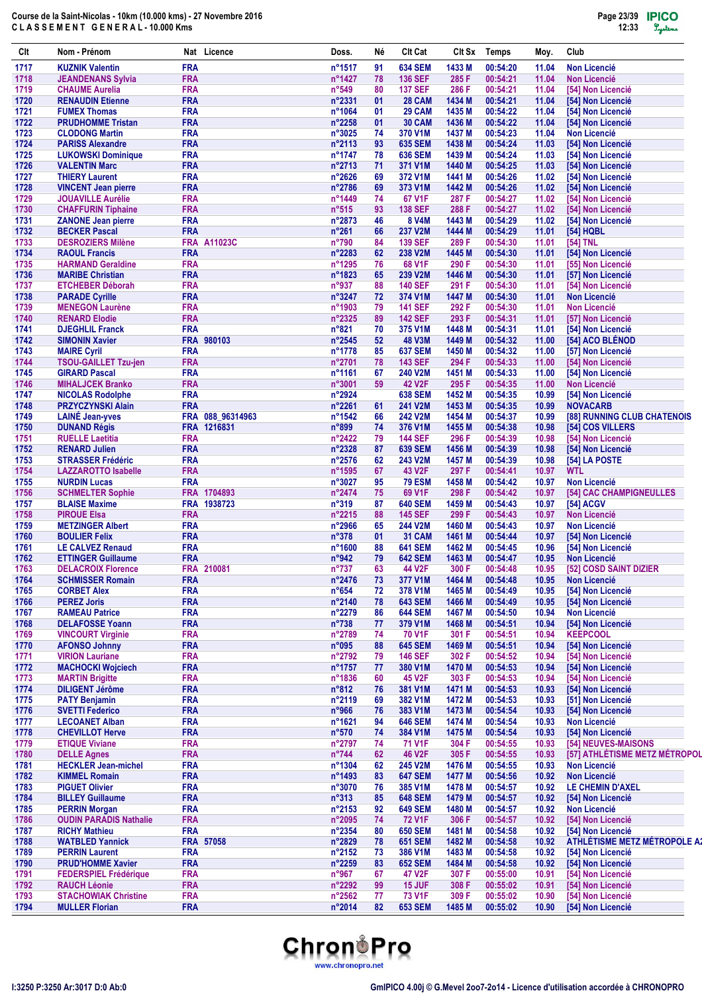| Clt          | Nom - Prénom                                         | Nat Licence                | Doss.                              | Νé       | <b>Clt Cat</b>                   | Clt Sx           | <b>Temps</b>         | Moy.           | Club                                     |
|--------------|------------------------------------------------------|----------------------------|------------------------------------|----------|----------------------------------|------------------|----------------------|----------------|------------------------------------------|
| 1717         | <b>KUZNIK Valentin</b>                               | <b>FRA</b>                 | n°1517                             | 91       | <b>634 SEM</b>                   | 1433 M           | 00:54:20             | 11.04          | <b>Non Licencié</b>                      |
| 1718         | <b>JEANDENANS Sylvia</b>                             | <b>FRA</b>                 | n°1427                             | 78       | <b>136 SEF</b>                   | 285 F            | 00:54:21             | 11.04          | <b>Non Licencié</b>                      |
| 1719         | <b>CHAUME Aurelia</b>                                | <b>FRA</b>                 | $n^{\circ}549$                     | 80       | <b>137 SEF</b>                   | 286 F            | 00:54:21             | 11.04          | [54] Non Licencié                        |
| 1720<br>1721 | <b>RENAUDIN Etienne</b><br><b>FUMEX Thomas</b>       | <b>FRA</b><br><b>FRA</b>   | n°2331<br>n°1064                   | 01<br>01 | <b>28 CAM</b><br><b>29 CAM</b>   | 1434 M<br>1435 M | 00:54:21<br>00:54:22 | 11.04<br>11.04 | [54] Non Licencié<br>[54] Non Licencié   |
| 1722         | <b>PRUDHOMME Tristan</b>                             | <b>FRA</b>                 | n°2258                             | 01       | <b>30 CAM</b>                    | 1436 M           | 00:54:22             | 11.04          | [54] Non Licencié                        |
| 1723         | <b>CLODONG Martin</b>                                | <b>FRA</b>                 | n°3025                             | 74       | 370 V1M                          | 1437 M           | 00:54:23             | 11.04          | <b>Non Licencié</b>                      |
| 1724         | <b>PARISS Alexandre</b>                              | <b>FRA</b>                 | $n^{\circ}2113$                    | 93       | <b>635 SEM</b>                   | 1438 M           | 00:54:24             | 11.03          | [54] Non Licencié                        |
| 1725         | <b>LUKOWSKI Dominique</b>                            | <b>FRA</b>                 | n°1747                             | 78       | <b>636 SEM</b>                   | 1439 M           | 00:54:24             | 11.03          | [54] Non Licencié                        |
| 1726         | <b>VALENTIN Marc</b>                                 | <b>FRA</b>                 | $n^{\circ}2713$                    | 71       | 371 V1M                          | 1440 M           | 00:54:25             | 11.03          | [54] Non Licencié                        |
| 1727<br>1728 | <b>THIERY Laurent</b><br><b>VINCENT Jean pierre</b>  | <b>FRA</b><br><b>FRA</b>   | n°2626<br>n°2786                   | 69<br>69 | 372 V1M<br>373 V1M               | 1441 M<br>1442 M | 00:54:26<br>00:54:26 | 11.02<br>11.02 | [54] Non Licencié                        |
| 1729         | <b>JOUAVILLE Aurélie</b>                             | <b>FRA</b>                 | n°1449                             | 74       | 67 V1F                           | 287 F            | 00:54:27             | 11.02          | [54] Non Licencié<br>[54] Non Licencié   |
| 1730         | <b>CHAFFURIN Tiphaine</b>                            | <b>FRA</b>                 | $n^{\circ}515$                     | 93       | <b>138 SEF</b>                   | 288 F            | 00:54:27             | 11.02          | [54] Non Licencié                        |
| 1731         | <b>ZANONE Jean pierre</b>                            | <b>FRA</b>                 | $n^{\circ}2873$                    | 46       | 8 V4M                            | 1443 M           | 00:54:29             | 11.02          | [54] Non Licencié                        |
| 1732         | <b>BECKER Pascal</b>                                 | <b>FRA</b>                 | $n^{\circ}261$                     | 66       | <b>237 V2M</b>                   | 1444 M           | 00:54:29             | 11.01          | [54] HQBL                                |
| 1733         | <b>DESROZIERS Milène</b>                             | <b>FRA A11023C</b>         | n°790                              | 84       | <b>139 SEF</b>                   | 289 F            | 00:54:30             | 11.01          | [54] TNL                                 |
| 1734         | <b>RAOUL Francis</b>                                 | <b>FRA</b>                 | n°2283                             | 62       | 238 V2M                          | 1445 M           | 00:54:30             | 11.01          | [54] Non Licencié                        |
| 1735         | <b>HARMAND Geraldine</b>                             | <b>FRA</b>                 | n°1295                             | 76       | 68 V1F                           | 290 F            | 00:54:30             | 11.01          | [55] Non Licencié                        |
| 1736<br>1737 | <b>MARIBE Christian</b><br><b>ETCHEBER Déborah</b>   | <b>FRA</b><br><b>FRA</b>   | $n^{\circ}$ 1823<br>n°937          | 65<br>88 | 239 V2M<br><b>140 SEF</b>        | 1446 M<br>291 F  | 00:54:30<br>00:54:30 | 11.01<br>11.01 | [57] Non Licencié<br>[54] Non Licencié   |
| 1738         | <b>PARADE Cyrille</b>                                | <b>FRA</b>                 | $n^{\circ}3247$                    | 72       | 374 V1M                          | 1447 M           | 00:54:30             | 11.01          | <b>Non Licencié</b>                      |
| 1739         | <b>MENEGON Laurène</b>                               | <b>FRA</b>                 | n°1903                             | 79       | <b>141 SEF</b>                   | 292 F            | 00:54:30             | 11.01          | <b>Non Licencié</b>                      |
| 1740         | <b>RENARD Elodie</b>                                 | <b>FRA</b>                 | n°2325                             | 89       | <b>142 SEF</b>                   | 293 F            | 00:54:31             | 11.01          | [57] Non Licencié                        |
| 1741         | <b>DJEGHLIL Franck</b>                               | <b>FRA</b>                 | n°821                              | 70       | 375 V1M                          | 1448 M           | 00:54:31             | 11.01          | [54] Non Licencié                        |
| 1742         | <b>SIMONIN Xavier</b>                                | FRA 980103                 | $n^{\circ}2545$                    | 52       | <b>48 V3M</b>                    | 1449 M           | 00:54:32             | 11.00          | [54] ACO BLÉNOD                          |
| 1743         | <b>MAIRE Cyril</b>                                   | <b>FRA</b>                 | n°1778                             | 85       | <b>637 SEM</b>                   | 1450 M           | 00:54:32             | 11.00          | [57] Non Licencié                        |
| 1744         | <b>TSOU-GAILLET Tzu-ien</b>                          | <b>FRA</b>                 | n°2701                             | 78       | <b>143 SEF</b>                   | 294 F            | 00:54:33             | 11.00          | [54] Non Licencié                        |
| 1745         | <b>GIRARD Pascal</b>                                 | <b>FRA</b>                 | n°1161                             | 67       | <b>240 V2M</b>                   | 1451 M           | 00:54:33             | 11.00          | [54] Non Licencié                        |
| 1746<br>1747 | <b>MIHALJCEK Branko</b>                              | <b>FRA</b><br><b>FRA</b>   | n°3001<br>$n^{\circ}2924$          | 59       | 42 V2F<br><b>638 SEM</b>         | 295 F<br>1452 M  | 00:54:35<br>00:54:35 | 11.00<br>10.99 | <b>Non Licencié</b>                      |
| 1748         | <b>NICOLAS Rodolphe</b><br><b>PRZYCZYNSKI Alain</b>  | <b>FRA</b>                 | n°2261                             | 61       | 241 V2M                          | 1453 M           | 00:54:35             | 10.99          | [54] Non Licencié<br><b>NOVACARB</b>     |
| 1749         | <b>LAINÉ Jean-yves</b>                               | FRA 088_96314963           | $n^{\circ}$ 1542                   | 66       | <b>242 V2M</b>                   | 1454 M           | 00:54:37             | 10.99          | [88] RUNNING CLUB CHATENOIS              |
| 1750         | <b>DUNAND Régis</b>                                  | FRA 1216831                | $n^{\circ}899$                     | 74       | 376 V1M                          | 1455 M           | 00:54:38             | 10.98          | [54] COS VILLERS                         |
| 1751         | <b>RUELLE Laetitia</b>                               | <b>FRA</b>                 | $n^{\circ}$ 2422                   | 79       | <b>144 SEF</b>                   | 296 F            | 00:54:39             | 10.98          | [54] Non Licencié                        |
| 1752         | <b>RENARD Julien</b>                                 | <b>FRA</b>                 | n°2328                             | 87       | <b>639 SEM</b>                   | 1456 M           | 00:54:39             | 10.98          | [54] Non Licencié                        |
| 1753         | <b>STRASSER Frédéric</b>                             | <b>FRA</b>                 | n°2576                             | 62       | 243 V2M                          | 1457 M           | 00:54:39             | 10.98          | [54] LA POSTE                            |
| 1754         | <b>LAZZAROTTO Isabelle</b>                           | <b>FRA</b>                 | n°1595                             | 67       | 43 V2F                           | 297 F            | 00:54:41             | 10.97          | <b>WTL</b>                               |
| 1755         | <b>NURDIN Lucas</b>                                  | <b>FRA</b>                 | n°3027                             | 95       | <b>79 ESM</b>                    | 1458 M           | 00:54:42             | 10.97          | <b>Non Licencié</b>                      |
| 1756<br>1757 | <b>SCHMELTER Sophie</b><br><b>BLAISE Maxime</b>      | FRA 1704893<br>FRA 1938723 | $n^{\circ}$ 2474<br>$n^{\circ}319$ | 75<br>87 | 69 V1F<br><b>640 SEM</b>         | 298 F<br>1459 M  | 00:54:42<br>00:54:43 | 10.97<br>10.97 | [54] CAC CHAMPIGNEULLES<br>[54] ACGV     |
| 1758         | <b>PIROUE Elsa</b>                                   | <b>FRA</b>                 | n°2215                             | 88       | <b>145 SEF</b>                   | 299 F            | 00:54:43             | 10.97          | <b>Non Licencié</b>                      |
| 1759         | <b>METZINGER Albert</b>                              | <b>FRA</b>                 | $n^{\circ}2966$                    | 65       | <b>244 V2M</b>                   | 1460 M           | 00:54:43             | 10.97          | <b>Non Licencié</b>                      |
| 1760         | <b>BOULIER Felix</b>                                 | <b>FRA</b>                 | $n^{\circ}378$                     | 01       | <b>31 CAM</b>                    | 1461 M           | 00:54:44             | 10.97          | [54] Non Licencié                        |
| 1761         | <b>LE CALVEZ Renaud</b>                              | <b>FRA</b>                 | n°1600                             | 88       | <b>641 SEM</b>                   | 1462 M           | 00:54:45             | 10.96          | [54] Non Licencié                        |
| 1762         | <b>ETTINGER Guillaume</b>                            | <b>FRA</b>                 | n°942                              | 79       | <b>642 SEM</b>                   | 1463 M           | 00:54:47             | 10.95          | <b>Non Licencié</b>                      |
| 1763         | <b>DELACROIX Florence</b>                            | FRA 210081                 | $n^{\circ}737$                     | 63       | 44 V2F                           | 300 F            | 00:54:48             | 10.95          | [52] COSD SAINT DIZIER                   |
| 1764         | <b>SCHMISSER Romain</b>                              | <b>FRA</b>                 | n°2476                             | 73       | 377 V1M                          | 1464 M           | 00:54:48             | 10.95          | <b>Non Licencié</b>                      |
| 1765<br>1766 | <b>CORBET Alex</b><br><b>PEREZ Joris</b>             | <b>FRA</b><br><b>FRA</b>   | $n^{\circ}654$<br>n°2140           | 72<br>78 | 378 V1M<br><b>643 SEM</b>        | 1465 M<br>1466 M | 00:54:49<br>00:54:49 | 10.95<br>10.95 | [54] Non Licencié<br>[54] Non Licencié   |
| 1767         | <b>RAMEAU Patrice</b>                                | <b>FRA</b>                 | n°2279                             | 86       | <b>644 SEM</b>                   | 1467 M           | 00:54:50             | 10.94          | <b>Non Licencié</b>                      |
| 1768         | <b>DELAFOSSE Yoann</b>                               | <b>FRA</b>                 | $n^{\circ}738$                     | 77       | 379 V1M                          | 1468 M           | 00:54:51             | 10.94          | [54] Non Licencié                        |
| 1769         | <b>VINCOURT Virginie</b>                             | <b>FRA</b>                 | $n^{\circ}2789$                    | 74       | 70 V1F                           | 301 F            | 00:54:51             | 10.94          | <b>KEEPCOOL</b>                          |
| 1770         | <b>AFONSO Johnny</b>                                 | <b>FRA</b>                 | n°095                              | 88       | <b>645 SEM</b>                   | 1469 M           | 00:54:51             | 10.94          | [54] Non Licencié                        |
| 1771         | <b>VIRION Lauriane</b>                               | <b>FRA</b>                 | n°2792                             | 79       | <b>146 SEF</b>                   | 302 F            | 00:54:52             | 10.94          | [54] Non Licencié                        |
| 1772         | <b>MACHOCKI Wojciech</b>                             | <b>FRA</b>                 | n°1757                             | 77       | 380 V1M                          | 1470 M           | 00:54:53             | 10.94          | [54] Non Licencié                        |
| 1773         | <b>MARTIN Brigitte</b>                               | <b>FRA</b>                 | $n^{\circ}$ 1836                   | 60       | 45 V2F                           | 303 F            | 00:54:53             | 10.94          | [54] Non Licencié                        |
| 1774         | <b>DILIGENT Jérôme</b>                               | <b>FRA</b>                 | $n^{\circ}812$                     | 76       | 381 V1M                          | 1471 M           | 00:54:53             | 10.93          | [54] Non Licencié                        |
| 1775<br>1776 | <b>PATY Benjamin</b><br><b>SVETTI Federico</b>       | <b>FRA</b><br><b>FRA</b>   | n°2119<br>n°966                    | 69<br>76 | 382 V1M<br>383 V1M               | 1472 M<br>1473 M | 00:54:53<br>00:54:54 | 10.93<br>10.93 | [51] Non Licencié<br>[54] Non Licencié   |
| 1777         | <b>LECOANET Alban</b>                                | <b>FRA</b>                 | n°1621                             | 94       | <b>646 SEM</b>                   | 1474 M           | 00:54:54             | 10.93          | <b>Non Licencié</b>                      |
| 1778         | <b>CHEVILLOT Herve</b>                               | <b>FRA</b>                 | $n^{\circ}570$                     | 74       | 384 V1M                          | 1475 M           | 00:54:54             | 10.93          | [54] Non Licencié                        |
| 1779         | <b>ETIQUE Viviane</b>                                | <b>FRA</b>                 | $n^{\circ}2797$                    | 74       | 71 V1F                           | 304 F            | 00:54:55             | 10.93          | [54] NEUVES-MAISONS                      |
| 1780         | <b>DELLE Agnes</b>                                   | <b>FRA</b>                 | $n^{\circ}744$                     | 62       | 46 V2F                           | 305 F            | 00:54:55             | 10.93          | [57] ATHLÉTISME METZ MÉTROPOL            |
| 1781         | <b>HECKLER Jean-michel</b>                           | <b>FRA</b>                 | $n^{\circ}$ 1304                   | 62       | 245 V2M                          | 1476 M           | 00:54:55             | 10.93          | <b>Non Licencié</b>                      |
| 1782         | <b>KIMMEL Romain</b>                                 | <b>FRA</b>                 | n°1493                             | 83       | <b>647 SEM</b>                   | 1477 M           | 00:54:56             | 10.92          | <b>Non Licencié</b>                      |
| 1783         | <b>PIGUET Olivier</b>                                | <b>FRA</b><br><b>FRA</b>   | n°3070                             | 76       | 385 V1M                          | 1478 M           | 00:54:57             | 10.92          | <b>LE CHEMIN D'AXEL</b>                  |
| 1784<br>1785 | <b>BILLEY Guillaume</b><br><b>PERRIN Morgan</b>      | <b>FRA</b>                 | $n^{\circ}313$<br>n°2153           | 85<br>92 | <b>648 SEM</b><br><b>649 SEM</b> | 1479 M<br>1480 M | 00:54:57<br>00:54:57 | 10.92<br>10.92 | [54] Non Licencié<br><b>Non Licencié</b> |
| 1786         | <b>OUDIN PARADIS Nathalie</b>                        | <b>FRA</b>                 | $n^{\circ}2095$                    | 74       | <b>72 V1F</b>                    | 306 F            | 00:54:57             | 10.92          | [54] Non Licencié                        |
| 1787         | <b>RICHY Mathieu</b>                                 | <b>FRA</b>                 | $n^{\circ}2354$                    | 80       | <b>650 SEM</b>                   | 1481 M           | 00:54:58             | 10.92          | [54] Non Licencié                        |
| 1788         | <b>WATBLED Yannick</b>                               | FRA 57058                  | n°2829                             | 78       | <b>651 SEM</b>                   | 1482 M           | 00:54:58             | 10.92          | ATHLÉTISME METZ MÉTROPOLE A2             |
| 1789         | <b>PERRIN Laurent</b>                                | <b>FRA</b>                 | n°2152                             | 73       | 386 V1M                          | 1483 M           | 00:54:58             | 10.92          | [54] Non Licencié                        |
| 1790         | <b>PRUD'HOMME Xavier</b>                             | <b>FRA</b>                 | n°2259                             | 83       | <b>652 SEM</b>                   | 1484 M           | 00:54:58             | 10.92          | [54] Non Licencié                        |
| 1791         | <b>FEDERSPIEL Frédérique</b>                         | <b>FRA</b>                 | $n^{\circ}967$                     | 67       | 47 V2F                           | 307 F            | 00:55:00             | 10.91          | [54] Non Licencié                        |
| 1792         | <b>RAUCH Léonie</b>                                  | <b>FRA</b>                 | n°2292                             | 99       | <b>15 JUF</b><br><b>73 V1F</b>   | 308 F            | 00:55:02             | 10.91          | [54] Non Licencié                        |
| 1793<br>1794 | <b>STACHOWIAK Christine</b><br><b>MULLER Florian</b> | <b>FRA</b><br><b>FRA</b>   | n°2562<br>n°2014                   | 77<br>82 | <b>653 SEM</b>                   | 309 F<br>1485 M  | 00:55:02<br>00:55:02 | 10.90<br>10.90 | [54] Non Licencié<br>[54] Non Licencié   |
|              |                                                      |                            |                                    |          |                                  |                  |                      |                |                                          |

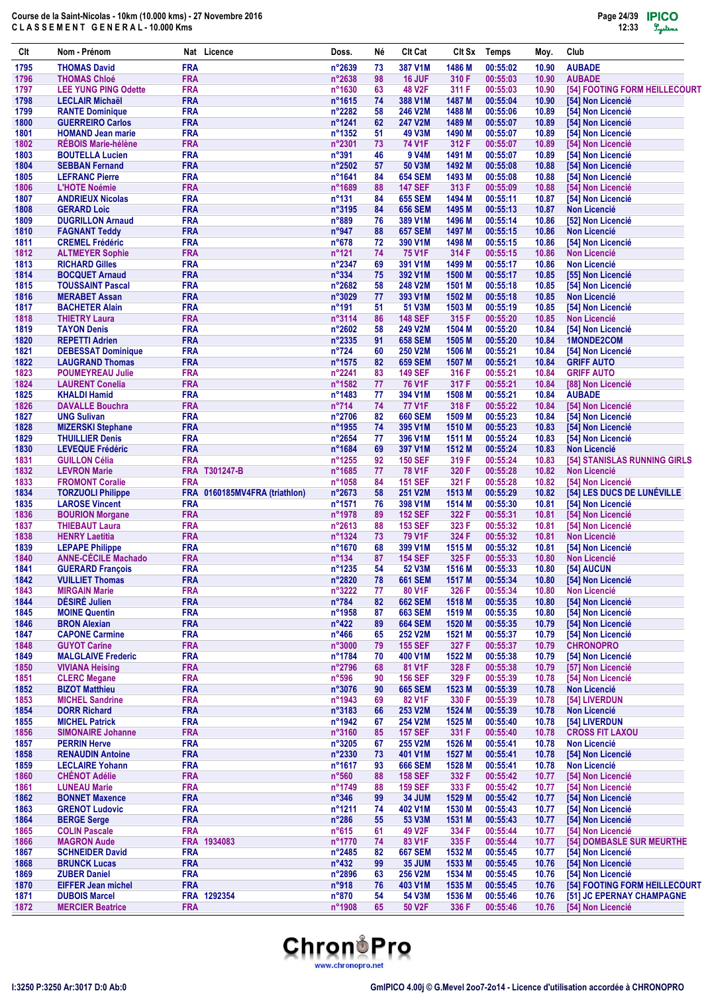| CIt          | Nom - Prénom                                      |                          | Nat Licence                   | Doss.                    | Né       | Clt Cat                          | Clt Sx           | Temps                | Moy.           | Club                                     |
|--------------|---------------------------------------------------|--------------------------|-------------------------------|--------------------------|----------|----------------------------------|------------------|----------------------|----------------|------------------------------------------|
| 1795         | <b>THOMAS David</b>                               | <b>FRA</b>               |                               | n°2639                   | 73       | 387 V1M                          | 1486 M           | 00:55:02             | 10.90          | <b>AUBADE</b>                            |
| 1796         | <b>THOMAS Chloé</b>                               | <b>FRA</b>               |                               | n°2638                   | 98       | 16 JUF                           | 310 F            | 00:55:03             | 10.90          | <b>AUBADE</b>                            |
| 1797         | <b>LEE YUNG PING Odette</b>                       | <b>FRA</b>               |                               | n°1630                   | 63       | <b>48 V2F</b>                    | 311 F            | 00:55:03             | 10.90          | [54] FOOTING FORM HEILLECOURT            |
| 1798         | <b>LECLAIR Michaël</b>                            | <b>FRA</b>               |                               | n°1615                   | 74       | 388 V1M                          | 1487 M           | 00:55:04             | 10.90          | [54] Non Licencié                        |
| 1799<br>1800 | <b>RANTE Dominique</b><br><b>GUERREIRO Carlos</b> | <b>FRA</b><br><b>FRA</b> |                               | n°2282<br>n°1241         | 58<br>62 | 246 V2M<br><b>247 V2M</b>        | 1488 M<br>1489 M | 00:55:06<br>00:55:07 | 10.89<br>10.89 | [54] Non Licencié<br>[54] Non Licencié   |
| 1801         | <b>HOMAND Jean marie</b>                          | <b>FRA</b>               |                               | $n^{\circ}$ 1352         | 51       | <b>49 V3M</b>                    | 1490 M           | 00:55:07             | 10.89          | [54] Non Licencié                        |
| 1802         | <b>RÉBOIS Marie-hélène</b>                        | <b>FRA</b>               |                               | n°2301                   | 73       | 74 V1F                           | 312 F            | 00:55:07             | 10.89          | [54] Non Licencié                        |
| 1803         | <b>BOUTELLA Lucien</b>                            | <b>FRA</b>               |                               | n°391                    | 46       | 9 V4M                            | 1491 M           | 00:55:07             | 10.89          | [54] Non Licencié                        |
| 1804         | <b>SEBBAN Fernand</b>                             | <b>FRA</b>               |                               | n°2502                   | 57       | 50 V3M                           | 1492 M           | 00:55:08             | 10.88          | [54] Non Licencié                        |
| 1805         | <b>LEFRANC Pierre</b>                             | <b>FRA</b>               |                               | n°1641                   | 84       | <b>654 SEM</b>                   | 1493 M           | 00:55:08             | 10.88          | [54] Non Licencié                        |
| 1806         | <b>L'HOTE Noémie</b>                              | <b>FRA</b>               |                               | n°1689                   | 88       | <b>147 SEF</b>                   | 313 F            | 00:55:09             | 10.88          | [54] Non Licencié                        |
| 1807         | <b>ANDRIEUX Nicolas</b><br><b>GERARD Loic</b>     | <b>FRA</b>               |                               | $n^{\circ}131$           | 84       | <b>655 SEM</b>                   | 1494 M           | 00:55:11             | 10.87          | [54] Non Licencié                        |
| 1808<br>1809 | <b>DUGRILLON Arnaud</b>                           | <b>FRA</b><br><b>FRA</b> |                               | n°3195<br>$n^{\circ}889$ | 84<br>76 | <b>656 SEM</b><br>389 V1M        | 1495 M<br>1496 M | 00:55:13<br>00:55:14 | 10.87<br>10.86 | <b>Non Licencié</b><br>[52] Non Licencié |
| 1810         | <b>FAGNANT Teddy</b>                              | <b>FRA</b>               |                               | n°947                    | 88       | <b>657 SEM</b>                   | 1497 M           | 00:55:15             | 10.86          | <b>Non Licencié</b>                      |
| 1811         | <b>CREMEL Frédéric</b>                            | <b>FRA</b>               |                               | $n^{\circ}678$           | 72       | 390 V1M                          | 1498 M           | 00:55:15             | 10.86          | [54] Non Licencié                        |
| 1812         | <b>ALTMEYER Sophie</b>                            | <b>FRA</b>               |                               | $n^{\circ}$ 121          | 74       | <b>75 V1F</b>                    | 314 F            | 00:55:15             | 10.86          | <b>Non Licencié</b>                      |
| 1813         | <b>RICHARD Gilles</b>                             | <b>FRA</b>               |                               | n°2347                   | 69       | 391 V1M                          | 1499 M           | 00:55:17             | 10.86          | <b>Non Licencié</b>                      |
| 1814         | <b>BOCQUET Arnaud</b>                             | <b>FRA</b>               |                               | $n^{\circ}334$           | 75       | 392 V1M                          | 1500 M           | 00:55:17             | 10.85          | [55] Non Licencié                        |
| 1815         | <b>TOUSSAINT Pascal</b>                           | <b>FRA</b>               |                               | n°2682                   | 58       | 248 V2M                          | 1501 M           | 00:55:18             | 10.85          | [54] Non Licencié                        |
| 1816         | <b>MERABET Assan</b><br><b>BACHETER Alain</b>     | <b>FRA</b>               |                               | n°3029                   | 77       | 393 V1M                          | 1502 M           | 00:55:18             | 10.85          | <b>Non Licencié</b>                      |
| 1817<br>1818 | <b>THIETRY Laura</b>                              | <b>FRA</b><br><b>FRA</b> |                               | n°191<br>n°3114          | 51<br>86 | 51 V3M<br><b>148 SEF</b>         | 1503 M<br>315 F  | 00:55:19<br>00:55:20 | 10.85<br>10.85 | [54] Non Licencié<br><b>Non Licencié</b> |
| 1819         | <b>TAYON Denis</b>                                | <b>FRA</b>               |                               | n°2602                   | 58       | 249 V2M                          | 1504 M           | 00:55:20             | 10.84          | [54] Non Licencié                        |
| 1820         | <b>REPETTI Adrien</b>                             | <b>FRA</b>               |                               | n°2335                   | 91       | <b>658 SEM</b>                   | 1505 M           | 00:55:20             | 10.84          | 1MONDE2COM                               |
| 1821         | <b>DEBESSAT Dominique</b>                         | <b>FRA</b>               |                               | n°724                    | 60       | 250 V2M                          | 1506 M           | 00:55:21             | 10.84          | [54] Non Licencié                        |
| 1822         | <b>LAUGRAND Thomas</b>                            | <b>FRA</b>               |                               | n°1575                   | 82       | <b>659 SEM</b>                   | 1507 M           | 00:55:21             | 10.84          | <b>GRIFF AUTO</b>                        |
| 1823         | <b>POUMEYREAU Julie</b>                           | <b>FRA</b>               |                               | n°2241                   | 83       | <b>149 SEF</b>                   | 316 F            | 00:55:21             | 10.84          | <b>GRIFF AUTO</b>                        |
| 1824         | <b>LAURENT Conelia</b>                            | <b>FRA</b>               |                               | n°1582                   | 77       | <b>76 V1F</b>                    | 317 F            | 00:55:21             | 10.84          | [88] Non Licencié                        |
| 1825         | <b>KHALDI Hamid</b>                               | <b>FRA</b>               |                               | n°1483                   | 77       | 394 V1M                          | 1508 M           | 00:55:21             | 10.84          | <b>AUBADE</b>                            |
| 1826<br>1827 | <b>DAVALLE Bouchra</b><br><b>UNG Sulivan</b>      | <b>FRA</b><br><b>FRA</b> |                               | $n^{\circ}714$<br>n°2706 | 74<br>82 | <b>77 V1F</b><br><b>660 SEM</b>  | 318 F<br>1509 M  | 00:55:22<br>00:55:23 | 10.84<br>10.84 | [54] Non Licencié<br>[54] Non Licencié   |
| 1828         | <b>MIZERSKI Stephane</b>                          | <b>FRA</b>               |                               | n°1955                   | 74       | 395 V1M                          | 1510 M           | 00:55:23             | 10.83          | [54] Non Licencié                        |
| 1829         | <b>THUILLIER Denis</b>                            | <b>FRA</b>               |                               | n°2654                   | 77       | 396 V1M                          | 1511 M           | 00:55:24             | 10.83          | [54] Non Licencié                        |
| 1830         | <b>LEVEQUE Frédéric</b>                           | <b>FRA</b>               |                               | n°1684                   | 69       | 397 V1M                          | 1512 M           | 00:55:24             | 10.83          | <b>Non Licencié</b>                      |
| 1831         | <b>GUILLON Célia</b>                              | <b>FRA</b>               |                               | n°1255                   | 92       | <b>150 SEF</b>                   | 319 F            | 00:55:24             | 10.83          | [54] STANISLAS RUNNING GIRLS             |
| 1832         | <b>LEVRON Marie</b>                               |                          | FRA T301247-B                 | n°1685                   | 77       | <b>78 V1F</b>                    | 320 F            | 00:55:28             | 10.82          | <b>Non Licencié</b>                      |
| 1833         | <b>FROMONT Coralie</b>                            | <b>FRA</b>               |                               | n°1058                   | 84       | <b>151 SEF</b>                   | 321 F            | 00:55:28             | 10.82          | [54] Non Licencié                        |
| 1834         | <b>TORZUOLI Philippe</b>                          |                          | FRA 0160185MV4FRA (triathlon) | n°2673                   | 58       | 251 V2M                          | 1513 M           | 00:55:29             | 10.82          | [54] LES DUCS DE LUNÉVILLE               |
| 1835<br>1836 | <b>LAROSE Vincent</b>                             | <b>FRA</b><br><b>FRA</b> |                               | n°1571<br>n°1978         | 76<br>89 | 398 V1M<br><b>152 SEF</b>        | 1514 M<br>322 F  | 00:55:30<br>00:55:31 | 10.81<br>10.81 | [54] Non Licencié                        |
| 1837         | <b>BOURION Morgane</b><br><b>THIEBAUT Laura</b>   | <b>FRA</b>               |                               | $n^{\circ}2613$          | 88       | <b>153 SEF</b>                   | 323 F            | 00:55:32             | 10.81          | [54] Non Licencié<br>[54] Non Licencié   |
| 1838         | <b>HENRY Laetitia</b>                             | <b>FRA</b>               |                               | n°1324                   | 73       | <b>79 V1F</b>                    | 324 F            | 00:55:32             | 10.81          | <b>Non Licencié</b>                      |
| 1839         | <b>LEPAPE Philippe</b>                            | <b>FRA</b>               |                               | n°1670                   | 68       | 399 V1M                          | 1515 M           | 00:55:32             | 10.81          | [54] Non Licencié                        |
| 1840         | <b>ANNE-CÉCILE Machado</b>                        | <b>FRA</b>               |                               | $n^{\circ}$ 134          | 87       | <b>154 SEF</b>                   | 325 F            | 00:55:33             | 10.80          | <b>Non Licencié</b>                      |
| 1841         | <b>GUERARD François</b>                           | <b>FRA</b>               |                               | n°1235                   | 54       | 52 V3M                           | 1516 M           | 00:55:33             | 10.80          | [54] AUCUN                               |
| 1842         | <b>VUILLIET Thomas</b>                            | <b>FRA</b>               |                               | n°2820                   | 78       | <b>661 SEM</b>                   | 1517 M           | 00:55:34             | 10.80          | [54] Non Licencié                        |
| 1843         | <b>MIRGAIN Marie</b>                              | <b>FRA</b><br><b>FRA</b> |                               | n°3222                   | 77       | 80 V1F                           | 326 F            | 00:55:34             | 10.80          | Non Licencié                             |
| 1844<br>1845 | DÉSIRÉ Julien<br><b>MOINE Quentin</b>             | <b>FRA</b>               |                               | $n^{\circ}784$<br>n°1958 | 82<br>87 | <b>662 SEM</b><br><b>663 SEM</b> | 1518 M<br>1519 M | 00:55:35<br>00:55:35 | 10.80<br>10.80 | [54] Non Licencié<br>[54] Non Licencié   |
| 1846         | <b>BRON Alexian</b>                               | <b>FRA</b>               |                               | $n^{\circ}422$           | 89       | <b>664 SEM</b>                   | 1520 M           | 00:55:35             | 10.79          | [54] Non Licencié                        |
| 1847         | <b>CAPONE Carmine</b>                             | <b>FRA</b>               |                               | $n^{\circ}466$           | 65       | 252 V2M                          | 1521 M           | 00:55:37             | 10.79          | [54] Non Licencié                        |
| 1848         | <b>GUYOT Carine</b>                               | <b>FRA</b>               |                               | n°3000                   | 79       | <b>155 SEF</b>                   | 327 F            | 00:55:37             | 10.79          | <b>CHRONOPRO</b>                         |
| 1849         | <b>MALGLAIVE Frederic</b>                         | <b>FRA</b>               |                               | n°1784                   | 70       | 400 V1M                          | 1522 M           | 00:55:38             | 10.79          | [54] Non Licencié                        |
| 1850         | <b>VIVIANA Heising</b>                            | <b>FRA</b>               |                               | n°2796                   | 68       | 81 V1F                           | 328 F            | 00:55:38             | 10.79          | [57] Non Licencié                        |
| 1851         | <b>CLERC Megane</b>                               | <b>FRA</b>               |                               | $n^{\circ}596$           | 90       | <b>156 SEF</b>                   | 329 F            | 00:55:39             | 10.78          | [54] Non Licencié                        |
| 1852         | <b>BIZOT Matthieu</b>                             | <b>FRA</b>               |                               | n°3076                   | 90       | <b>665 SEM</b>                   | 1523 M           | 00:55:39             | 10.78          | <b>Non Licencié</b>                      |
| 1853<br>1854 | <b>MICHEL Sandrine</b><br><b>DORR Richard</b>     | <b>FRA</b><br><b>FRA</b> |                               | n°1943<br>n°3183         | 69<br>66 | 82 V1F<br>253 V2M                | 330 F<br>1524 M  | 00:55:39<br>00:55:39 | 10.78<br>10.78 | [54] LIVERDUN<br><b>Non Licencié</b>     |
| 1855         | <b>MICHEL Patrick</b>                             | <b>FRA</b>               |                               | n°1942                   | 67       | 254 V2M                          | 1525 M           | 00:55:40             | 10.78          | [54] LIVERDUN                            |
| 1856         | <b>SIMONAIRE Johanne</b>                          | <b>FRA</b>               |                               | n°3160                   | 85       | <b>157 SEF</b>                   | 331 F            | 00:55:40             | 10.78          | <b>CROSS FIT LAXOU</b>                   |
| 1857         | <b>PERRIN Herve</b>                               | <b>FRA</b>               |                               | n°3205                   | 67       | 255 V2M                          | 1526 M           | 00:55:41             | 10.78          | <b>Non Licencié</b>                      |
| 1858         | <b>RENAUDIN Antoine</b>                           | <b>FRA</b>               |                               | n°2330                   | 73       | 401 V1M                          | 1527 M           | 00:55:41             | 10.78          | [54] Non Licencié                        |
| 1859         | <b>LECLAIRE Yohann</b>                            | <b>FRA</b>               |                               | n°1617                   | 93       | <b>666 SEM</b>                   | 1528 M           | 00:55:41             | 10.78          | Non Licencié                             |
| 1860         | <b>CHÉNOT Adélie</b>                              | <b>FRA</b>               |                               | $n^{\circ}560$           | 88       | <b>158 SEF</b>                   | 332 F            | 00:55:42             | 10.77          | [54] Non Licencié                        |
| 1861         | <b>LUNEAU Marie</b>                               | <b>FRA</b><br><b>FRA</b> |                               | n°1749                   | 88       | <b>159 SEF</b>                   | 333 F            | 00:55:42             | 10.77          | [54] Non Licencié                        |
| 1862<br>1863 | <b>BONNET Maxence</b><br><b>GRENOT Ludovic</b>    | <b>FRA</b>               |                               | $n^{\circ}346$<br>n°1211 | 99<br>74 | <b>34 JUM</b><br>402 V1M         | 1529 M<br>1530 M | 00:55:42<br>00:55:43 | 10.77<br>10.77 | [54] Non Licencié<br>[54] Non Licencié   |
| 1864         | <b>BERGE Serge</b>                                | <b>FRA</b>               |                               | $n^{\circ}286$           | 55       | 53 V3M                           | 1531 M           | 00:55:43             | 10.77          | [54] Non Licencié                        |
| 1865         | <b>COLIN Pascale</b>                              | <b>FRA</b>               |                               | $n^{\circ}615$           | 61       | 49 V2F                           | 334 F            | 00:55:44             | 10.77          | [54] Non Licencié                        |
| 1866         | <b>MAGRON Aude</b>                                |                          | FRA 1934083                   | n°1770                   | 74       | 83 V1F                           | 335 F            | 00:55:44             | 10.77          | [54] DOMBASLE SUR MEURTHE                |
| 1867         | <b>SCHNEIDER David</b>                            | <b>FRA</b>               |                               | n°2485                   | 82       | <b>667 SEM</b>                   | 1532 M           | 00:55:45             | 10.77          | [54] Non Licencié                        |
| 1868         | <b>BRUNCK Lucas</b>                               | <b>FRA</b>               |                               | $n^{\circ}432$           | 99       | <b>35 JUM</b>                    | 1533 M           | 00:55:45             | 10.76          | [54] Non Licencié                        |
| 1869         | <b>ZUBER Daniel</b>                               | <b>FRA</b>               |                               | n°2896                   | 63       | 256 V2M                          | 1534 M           | 00:55:45             | 10.76          | [54] Non Licencié                        |
| 1870         | <b>EIFFER Jean michel</b>                         | <b>FRA</b>               |                               | n°918                    | 76       | 403 V1M                          | 1535 M           | 00:55:45             | 10.76          | [54] FOOTING FORM HEILLECOURT            |
| 1871         | <b>DUBOIS Marcel</b>                              |                          | FRA 1292354                   | n°870                    | 54       | 54 V3M                           | 1536 M           | 00:55:46             | 10.76          | [51] JC EPERNAY CHAMPAGNE                |
| 1872         | <b>MERCIER Beatrice</b>                           | <b>FRA</b>               |                               | n°1908                   | 65       | 50 V2F                           | 336 F            | 00:55:46             | 10.76          | [54] Non Licencié                        |

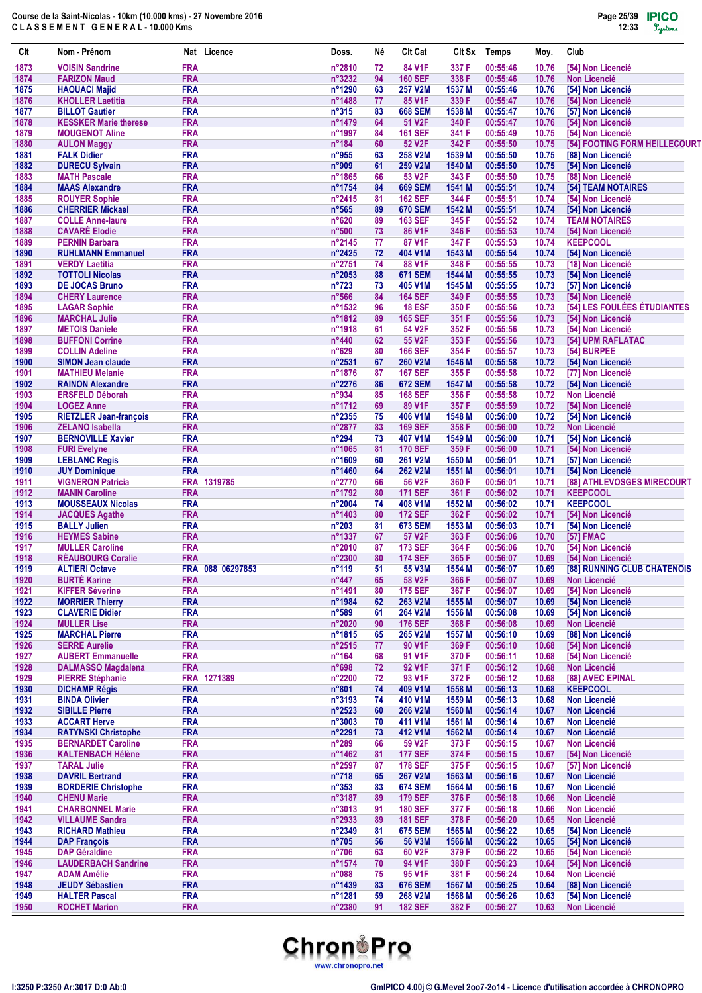| Clt          | Nom - Prénom                                            | Nat                      | Licence          | Doss.                             | Né       | <b>Clt Cat</b>                   | CIt Sx          | <b>Temps</b>         | Moy.           | Club                                                    |
|--------------|---------------------------------------------------------|--------------------------|------------------|-----------------------------------|----------|----------------------------------|-----------------|----------------------|----------------|---------------------------------------------------------|
| 1873         | <b>VOISIN Sandrine</b>                                  | <b>FRA</b>               |                  | n°2810                            | 72       | 84 V1F                           | 337 F           | 00:55:46             | 10.76          | [54] Non Licencié                                       |
| 1874         | <b>FARIZON Maud</b>                                     | <b>FRA</b>               |                  | n°3232                            | 94       | <b>160 SEF</b>                   | 338 F           | 00:55:46             | 10.76          | <b>Non Licencié</b>                                     |
| 1875         | <b>HAOUACI Majid</b>                                    | <b>FRA</b>               |                  | n°1290                            | 63       | <b>257 V2M</b>                   | 1537 M          | 00:55:46             | 10.76          | [54] Non Licencié                                       |
| 1876<br>1877 | <b>KHOLLER Laetitia</b><br><b>BILLOT Gautier</b>        | <b>FRA</b><br><b>FRA</b> |                  | n°1488<br>$n^{\circ}315$          | 77<br>83 | 85 V1F<br><b>668 SEM</b>         | 339 F<br>1538 M | 00:55:47<br>00:55:47 | 10.76<br>10.76 | [54] Non Licencié<br>[57] Non Licencié                  |
| 1878         | <b>KESSKER Marie therese</b>                            | <b>FRA</b>               |                  | n°1479                            | 64       | 51 V2F                           | 340 F           | 00:55:47             | 10.76          | [54] Non Licencié                                       |
| 1879         | <b>MOUGENOT Aline</b>                                   | <b>FRA</b>               |                  | n°1997                            | 84       | <b>161 SEF</b>                   | 341 F           | 00:55:49             | 10.75          | [54] Non Licencié                                       |
| 1880         | <b>AULON Maggy</b>                                      | <b>FRA</b>               |                  | n°184                             | 60       | 52 V2F                           | 342 F           | 00:55:50             | 10.75          | [54] FOOTING FORM HEILLECOURT                           |
| 1881         | <b>FALK Didier</b>                                      | <b>FRA</b>               |                  | n°955                             | 63       | 258 V2M                          | 1539 M          | 00:55:50             | 10.75          | [88] Non Licencié                                       |
| 1882         | <b>DURECU Sylvain</b>                                   | <b>FRA</b>               |                  | n°909                             | 61       | 259 V2M                          | 1540 M          | 00:55:50             | 10.75          | [54] Non Licencié                                       |
| 1883         | <b>MATH Pascale</b>                                     | <b>FRA</b>               |                  | n°1865                            | 66       | 53 V2F                           | 343 F           | 00:55:50             | 10.75          | [88] Non Licencié                                       |
| 1884<br>1885 | <b>MAAS Alexandre</b><br><b>ROUYER Sophie</b>           | <b>FRA</b><br><b>FRA</b> |                  | n°1754<br>$n^{\circ}$ 2415        | 84<br>81 | <b>669 SEM</b><br><b>162 SEF</b> | 1541 M<br>344 F | 00:55:51<br>00:55:51 | 10.74<br>10.74 | <b>[54] TEAM NOTAIRES</b><br>[54] Non Licencié          |
| 1886         | <b>CHERRIER Mickael</b>                                 | <b>FRA</b>               |                  | $n^{\circ}565$                    | 89       | <b>670 SEM</b>                   | 1542 M          | 00:55:51             | 10.74          | [54] Non Licencié                                       |
| 1887         | <b>COLLE Anne-laure</b>                                 | <b>FRA</b>               |                  | $n^{\circ}620$                    | 89       | <b>163 SEF</b>                   | 345 F           | 00:55:52             | 10.74          | <b>TEAM NOTAIRES</b>                                    |
| 1888         | <b>CAVARÉ Elodie</b>                                    | <b>FRA</b>               |                  | $n^{\circ}500$                    | 73       | 86 V1F                           | 346 F           | 00:55:53             | 10.74          | [54] Non Licencié                                       |
| 1889         | <b>PERNIN Barbara</b>                                   | <b>FRA</b>               |                  | $n^{\circ}$ 2145                  | 77       | 87 V1F                           | 347 F           | 00:55:53             | 10.74          | <b>KEEPCOOL</b>                                         |
| 1890         | <b>RUHLMANN Emmanuel</b>                                | <b>FRA</b>               |                  | $n^{\circ}$ 2425                  | 72       | 404 V1M                          | 1543 M          | 00:55:54             | 10.74          | [54] Non Licencié                                       |
| 1891         | <b>VERDY Laetitia</b>                                   | <b>FRA</b>               |                  | n°2751                            | 74       | 88 V1F                           | 348 F           | 00:55:55             | 10.73          | [18] Non Licencié                                       |
| 1892         | <b>TOTTOLI Nicolas</b>                                  | <b>FRA</b>               |                  | $n^{\circ}2053$                   | 88       | <b>671 SEM</b>                   | 1544 M          | 00:55:55             | 10.73          | [54] Non Licencié                                       |
| 1893         | <b>DE JOCAS Bruno</b>                                   | <b>FRA</b>               |                  | $n^{\circ}723$                    | 73       | 405 V1M                          | 1545 M          | 00:55:55             | 10.73          | [57] Non Licencié                                       |
| 1894<br>1895 | <b>CHERY Laurence</b><br><b>LAGAR Sophie</b>            | <b>FRA</b><br><b>FRA</b> |                  | $n^{\circ}$ 566<br>n°1532         | 84<br>96 | <b>164 SEF</b><br><b>18 ESF</b>  | 349 F<br>350 F  | 00:55:55<br>00:55:56 | 10.73          | [54] Non Licencié<br><b>[54] LES FOULÉES ÉTUDIANTES</b> |
| 1896         | <b>MARCHAL Julie</b>                                    | <b>FRA</b>               |                  | n°1812                            | 89       | <b>165 SEF</b>                   | 351 F           | 00:55:56             | 10.73<br>10.73 | [54] Non Licencié                                       |
| 1897         | <b>METOIS Daniele</b>                                   | <b>FRA</b>               |                  | n°1918                            | 61       | 54 V2F                           | 352 F           | 00:55:56             | 10.73          | [54] Non Licencié                                       |
| 1898         | <b>BUFFONI Corrine</b>                                  | <b>FRA</b>               |                  | $n^{\circ}440$                    | 62       | 55 V2F                           | 353 F           | 00:55:56             | 10.73          | [54] UPM RAFLATAC                                       |
| 1899         | <b>COLLIN Adeline</b>                                   | <b>FRA</b>               |                  | n°629                             | 80       | <b>166 SEF</b>                   | 354 F           | 00:55:57             | 10.73          | [54] BURPEE                                             |
| 1900         | <b>SIMON Jean claude</b>                                | <b>FRA</b>               |                  | $n^{\circ}2531$                   | 67       | <b>260 V2M</b>                   | 1546 M          | 00:55:58             | 10.72          | [54] Non Licencié                                       |
| 1901         | <b>MATHIEU Melanie</b>                                  | <b>FRA</b>               |                  | n°1876                            | 87       | <b>167 SEF</b>                   | 355 F           | 00:55:58             | 10.72          | [77] Non Licencié                                       |
| 1902         | <b>RAINON Alexandre</b>                                 | <b>FRA</b>               |                  | $n^{\circ}2276$                   | 86       | <b>672 SEM</b>                   | 1547 M          | 00:55:58             | 10.72          | [54] Non Licencié                                       |
| 1903         | <b>ERSFELD Déborah</b>                                  | <b>FRA</b>               |                  | n°934                             | 85       | <b>168 SEF</b>                   | 356 F           | 00:55:58             | 10.72          | <b>Non Licencié</b>                                     |
| 1904         | <b>LOGEZ Anne</b>                                       | <b>FRA</b>               |                  | n°1712                            | 69       | 89 V1F                           | 357 F           | 00:55:59             | 10.72          | [54] Non Licencié                                       |
| 1905<br>1906 | <b>RIETZLER Jean-françois</b><br><b>ZELANO Isabella</b> | <b>FRA</b><br><b>FRA</b> |                  | n°2355<br>n°2877                  | 75<br>83 | 406 V1M<br><b>169 SEF</b>        | 1548 M<br>358 F | 00:56:00<br>00:56:00 | 10.72<br>10.72 | [54] Non Licencié<br><b>Non Licencié</b>                |
| 1907         | <b>BERNOVILLE Xavier</b>                                | <b>FRA</b>               |                  | $n^{\circ}294$                    | 73       | 407 V1M                          | 1549 M          | 00:56:00             | 10.71          | [54] Non Licencié                                       |
| 1908         | <b>FÜRI Evelyne</b>                                     | <b>FRA</b>               |                  | n°1065                            | 81       | <b>170 SEF</b>                   | 359 F           | 00:56:00             | 10.71          | [54] Non Licencié                                       |
| 1909         | <b>LEBLANC Regis</b>                                    | <b>FRA</b>               |                  | n°1609                            | 60       | 261 V2M                          | 1550 M          | 00:56:01             | 10.71          | [57] Non Licencié                                       |
| 1910         | <b>JUY Dominique</b>                                    | <b>FRA</b>               |                  | n°1460                            | 64       | <b>262 V2M</b>                   | 1551 M          | 00:56:01             | 10.71          | [54] Non Licencié                                       |
| 1911         | <b>VIGNERON Patricia</b>                                | <b>FRA</b>               | 1319785          | n°2770                            | 66       | 56 V2F                           | 360 F           | 00:56:01             | 10.71          | [88] ATHLEVOSGES MIRECOURT                              |
| 1912         | <b>MANIN Caroline</b>                                   | <b>FRA</b>               |                  | n°1792                            | 80       | <b>171 SEF</b>                   | 361 F           | 00:56:02             | 10.71          | <b>KEEPCOOL</b>                                         |
| 1913         | <b>MOUSSEAUX Nicolas</b>                                | <b>FRA</b>               |                  | n°2004                            | 74       | 408 V1M                          | 1552 M          | 00:56:02             | 10.71          | <b>KEEPCOOL</b>                                         |
| 1914         | <b>JACQUES Agathe</b>                                   | <b>FRA</b>               |                  | n°1403                            | 80       | <b>172 SEF</b>                   | 362 F           | 00:56:02             | 10.71          | [54] Non Licencié                                       |
| 1915<br>1916 | <b>BALLY Julien</b><br><b>HEYMES Sabine</b>             | <b>FRA</b><br><b>FRA</b> |                  | $n^{\circ}203$<br>n°1337          | 81<br>67 | <b>673 SEM</b><br>57 V2F         | 1553 M<br>363 F | 00:56:03<br>00:56:06 | 10.71          | [54] Non Licencié                                       |
| 1917         | <b>MULLER Caroline</b>                                  | <b>FRA</b>               |                  | n°2010                            | 87       | <b>173 SEF</b>                   | 364 F           | 00:56:06             | 10.70<br>10.70 | [57] FMAC<br>[54] Non Licencié                          |
| 1918         | <b>REAUBOURG Coralie</b>                                | <b>FRA</b>               |                  | n°2300                            | 80       | <b>174 SEF</b>                   | 365 F           | 00:56:07             | 10.69          | [54] Non Licencié                                       |
| 1919         | <b>ALTIERI Octave</b>                                   |                          | FRA 088 06297853 | n°119                             | 51       | 55 V3M                           | 1554 M          | 00:56:07             | 10.69          | [88] RUNNING CLUB CHATENOIS                             |
| 1920         | <b>BURTÉ Karine</b>                                     | <b>FRA</b>               |                  | $n^{\circ}447$                    | 65       | 58 V2F                           | 366 F           | 00:56:07             | 10.69          | <b>Non Licencié</b>                                     |
| 1921         | <b>KIFFER Séverine</b>                                  | <b>FRA</b>               |                  | n°1491                            | 80       | <b>175 SEF</b>                   | 367 F           | 00:56:07             | 10.69          | [54] Non Licencié                                       |
| 1922         | <b>MORRIER Thierry</b>                                  | <b>FRA</b>               |                  | n°1984                            | 62       | 263 V2M                          | 1555 M          | 00:56:07             | 10.69          | [54] Non Licencié                                       |
| 1923         | <b>CLAVERIE Didier</b>                                  | <b>FRA</b>               |                  | $n^{\circ}589$                    | 61       | 264 V2M                          | 1556 M          | 00:56:08             | 10.69          | [54] Non Licencié                                       |
| 1924         | <b>MULLER Lise</b>                                      | <b>FRA</b>               |                  | n°2020                            | 90       | <b>176 SEF</b>                   | 368 F           | 00:56:08             | 10.69          | <b>Non Licencié</b>                                     |
| 1925         | <b>MARCHAL Pierre</b>                                   | <b>FRA</b>               |                  | n°1815                            | 65       | 265 V2M                          | 1557 M          | 00:56:10             | 10.69          | [88] Non Licencié                                       |
| 1926<br>1927 | <b>SERRE Aurelie</b><br><b>AUBERT Emmanuelle</b>        | <b>FRA</b><br><b>FRA</b> |                  | $n^{\circ}2515$<br>$n^{\circ}164$ | 77<br>68 | 90 V1F<br>91 V1F                 | 369 F<br>370 F  | 00:56:10<br>00:56:11 | 10.68<br>10.68 | [54] Non Licencié<br>[54] Non Licencié                  |
| 1928         | <b>DALMASSO Magdalena</b>                               | <b>FRA</b>               |                  | n°698                             | 72       | 92 V1F                           | 371 F           | 00:56:12             | 10.68          | <b>Non Licencié</b>                                     |
| 1929         | <b>PIERRE Stéphanie</b>                                 |                          | FRA 1271389      | n°2200                            | 72       | 93 V1F                           | 372 F           | 00:56:12             | 10.68          | [88] AVEC EPINAL                                        |
| 1930         | <b>DICHAMP Régis</b>                                    | <b>FRA</b>               |                  | n°801                             | 74       | 409 V1M                          | 1558 M          | 00:56:13             | 10.68          | <b>KEEPCOOL</b>                                         |
| 1931         | <b>BINDA Olivier</b>                                    | <b>FRA</b>               |                  | n°3193                            | 74       | 410 V1M                          | 1559 M          | 00:56:13             | 10.68          | <b>Non Licencié</b>                                     |
| 1932         | <b>SIBILLE Pierre</b>                                   | <b>FRA</b>               |                  | n°2523                            | 60       | 266 V2M                          | 1560 M          | 00:56:14             | 10.67          | <b>Non Licencié</b>                                     |
| 1933         | <b>ACCART Herve</b>                                     | <b>FRA</b>               |                  | n°3003                            | 70       | 411 V1M                          | 1561 M          | 00:56:14             | 10.67          | <b>Non Licencié</b>                                     |
| 1934         | <b>RATYNSKI Christophe</b>                              | <b>FRA</b>               |                  | n°2291                            | 73       | 412 V1M                          | 1562 M          | 00:56:14             | 10.67          | <b>Non Licencié</b>                                     |
| 1935         | <b>BERNARDET Caroline</b>                               | <b>FRA</b>               |                  | $n^{\circ}289$                    | 66       | 59 V2F                           | 373 F           | 00:56:15             | 10.67          | <b>Non Licencié</b>                                     |
| 1936         | <b>KALTENBACH Hélène</b>                                | <b>FRA</b>               |                  | n°1462                            | 81       | <b>177 SEF</b>                   | 374 F           | 00:56:15             | 10.67          | [54] Non Licencié                                       |
| 1937<br>1938 | <b>TARAL Julie</b><br><b>DAVRIL Bertrand</b>            | <b>FRA</b><br><b>FRA</b> |                  | n°2597<br>$n^{\circ}718$          | 87       | <b>178 SEF</b><br>267 V2M        | 375F<br>1563 M  | 00:56:15<br>00:56:16 | 10.67<br>10.67 | [57] Non Licencié<br><b>Non Licencié</b>                |
| 1939         | <b>BORDERIE Christophe</b>                              | <b>FRA</b>               |                  | $n^{\circ}353$                    | 65<br>83 | <b>674 SEM</b>                   | 1564 M          | 00:56:16             | 10.67          | <b>Non Licencié</b>                                     |
| 1940         | <b>CHENU Marie</b>                                      | <b>FRA</b>               |                  | n°3187                            | 89       | <b>179 SEF</b>                   | 376 F           | 00:56:18             | 10.66          | <b>Non Licencié</b>                                     |
| 1941         | <b>CHARBONNEL Marie</b>                                 | <b>FRA</b>               |                  | n°3013                            | 91       | <b>180 SEF</b>                   | 377 F           | 00:56:18             | 10.66          | <b>Non Licencié</b>                                     |
| 1942         | <b>VILLAUME Sandra</b>                                  | <b>FRA</b>               |                  | n°2933                            | 89       | <b>181 SEF</b>                   | 378 F           | 00:56:20             | 10.65          | <b>Non Licencié</b>                                     |
| 1943         | <b>RICHARD Mathieu</b>                                  | <b>FRA</b>               |                  | n°2349                            | 81       | 675 SEM                          | 1565 M          | 00:56:22             | 10.65          | [54] Non Licencié                                       |
| 1944         | <b>DAP François</b>                                     | <b>FRA</b>               |                  | $n^{\circ}705$                    | 56       | 56 V3M                           | 1566 M          | 00:56:22             | 10.65          | [54] Non Licencié                                       |
| 1945         | <b>DAP Géraldine</b>                                    | <b>FRA</b>               |                  | $n^{\circ}706$                    | 63       | 60 V2F                           | 379 F           | 00:56:22             | 10.65          | [54] Non Licencié                                       |
| 1946         | <b>LAUDERBACH Sandrine</b>                              | <b>FRA</b>               |                  | n°1574                            | 70       | 94 V1F                           | 380 F           | 00:56:23             | 10.64          | [54] Non Licencié                                       |
| 1947         | <b>ADAM Amélie</b>                                      | <b>FRA</b>               |                  | n°088                             | 75       | 95 V1F                           | 381 F           | 00:56:24             | 10.64          | <b>Non Licencié</b>                                     |
| 1948<br>1949 | <b>JEUDY Sébastien</b>                                  | <b>FRA</b><br><b>FRA</b> |                  | n°1439<br>n°1281                  | 83       | <b>676 SEM</b><br>268 V2M        | 1567 M          | 00:56:25             | 10.64          | [88] Non Licencié<br>[54] Non Licencié                  |
| 1950         | <b>HALTER Pascal</b><br><b>ROCHET Marion</b>            | <b>FRA</b>               |                  | n°2380                            | 59<br>91 | <b>182 SEF</b>                   | 1568 M<br>382 F | 00:56:26<br>00:56:27 | 10.63<br>10.63 | Non Licencié                                            |
|              |                                                         |                          |                  |                                   |          |                                  |                 |                      |                |                                                         |

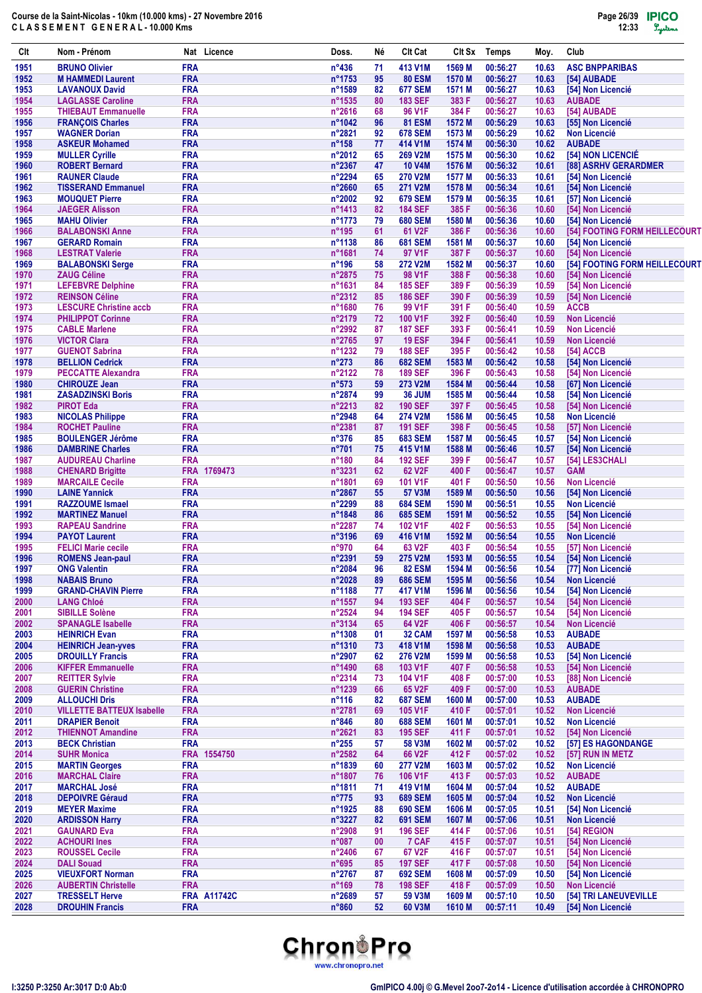| Clt          | Nom - Prénom                                          |                          | Nat Licence        | Doss.                     | Né       | Clt Cat                          | CIt Sx           | Temps                | Moy.           | Club                                     |
|--------------|-------------------------------------------------------|--------------------------|--------------------|---------------------------|----------|----------------------------------|------------------|----------------------|----------------|------------------------------------------|
| 1951         | <b>BRUNO Olivier</b>                                  | <b>FRA</b>               |                    | $n^{\circ}436$            | 71       | 413 V1M                          | 1569 M           | 00:56:27             | 10.63          | <b>ASC BNPPARIBAS</b>                    |
| 1952         | <b>M HAMMEDI Laurent</b>                              | <b>FRA</b>               |                    | n°1753                    | 95       | <b>80 ESM</b>                    | 1570 M           | 00:56:27             | 10.63          | [54] AUBADE                              |
| 1953         | <b>LAVANOUX David</b>                                 | <b>FRA</b>               |                    | n°1589                    | 82       | <b>677 SEM</b>                   | 1571 M           | 00:56:27             | 10.63          | [54] Non Licencié                        |
| 1954         | <b>LAGLASSE Caroline</b>                              | <b>FRA</b>               |                    | n°1535                    | 80       | <b>183 SEF</b>                   | 383 F            | 00:56:27             | 10.63          | <b>AUBADE</b>                            |
| 1955<br>1956 | <b>THIEBAUT Emmanuelle</b><br><b>FRANÇOIS Charles</b> | <b>FRA</b><br><b>FRA</b> |                    | n°2616<br>n°1042          | 68<br>96 | 96 V1F<br><b>81 ESM</b>          | 384 F<br>1572 M  | 00:56:27<br>00:56:29 | 10.63<br>10.63 | [54] AUBADE<br>[55] Non Licencié         |
| 1957         | <b>WAGNER Dorian</b>                                  | <b>FRA</b>               |                    | n°2821                    | 92       | <b>678 SEM</b>                   | 1573 M           | 00:56:29             | 10.62          | <b>Non Licencié</b>                      |
| 1958         | <b>ASKEUR Mohamed</b>                                 | <b>FRA</b>               |                    | $n^{\circ}$ 158           | 77       | 414 V1M                          | 1574 M           | 00:56:30             | 10.62          | <b>AUBADE</b>                            |
| 1959         | <b>MULLER Cyrille</b>                                 | <b>FRA</b>               |                    | n°2012                    | 65       | 269 V2M                          | 1575 M           | 00:56:30             | 10.62          | [54] NON LICENCIÉ                        |
| 1960         | <b>ROBERT Bernard</b>                                 | <b>FRA</b>               |                    | n°2367                    | 47       | <b>10 V4M</b>                    | 1576 M           | 00:56:32             | 10.61          | [88] ASRHV GERARDMER                     |
| 1961         | <b>RAUNER Claude</b>                                  | <b>FRA</b>               |                    | n°2294                    | 65       | <b>270 V2M</b>                   | 1577 M           | 00:56:33             | 10.61          | [54] Non Licencié                        |
| 1962         | <b>TISSERAND Emmanuel</b>                             | <b>FRA</b>               |                    | n°2660                    | 65       | 271 V2M                          | 1578 M           | 00:56:34             | 10.61          | [54] Non Licencié<br>[57] Non Licencié   |
| 1963<br>1964 | <b>MOUQUET Pierre</b><br><b>JAEGER Alisson</b>        | <b>FRA</b><br><b>FRA</b> |                    | n°2002<br>n°1413          | 92<br>82 | <b>679 SEM</b><br><b>184 SEF</b> | 1579 M<br>385 F  | 00:56:35<br>00:56:36 | 10.61<br>10.60 | [54] Non Licencié                        |
| 1965         | <b>MAHU Olivier</b>                                   | <b>FRA</b>               |                    | n°1773                    | 79       | <b>680 SEM</b>                   | 1580 M           | 00:56:36             | 10.60          | [54] Non Licencié                        |
| 1966         | <b>BALABONSKI Anne</b>                                | <b>FRA</b>               |                    | $n^{\circ}$ 195           | 61       | 61 V2F                           | 386 F            | 00:56:36             | 10.60          | [54] FOOTING FORM HEILLECOURT            |
| 1967         | <b>GERARD Romain</b>                                  | <b>FRA</b>               |                    | n°1138                    | 86       | <b>681 SEM</b>                   | 1581 M           | 00:56:37             | 10.60          | [54] Non Licencié                        |
| 1968         | <b>LESTRAT Valerie</b>                                | <b>FRA</b>               |                    | n°1681                    | 74       | 97 V1F                           | 387 F            | 00:56:37             | 10.60          | [54] Non Licencié                        |
| 1969         | <b>BALABONSKI Serge</b>                               | <b>FRA</b>               |                    | $n^{\circ}$ 196           | 58       | <b>272 V2M</b>                   | 1582 M           | 00:56:37             | 10.60          | [54] FOOTING FORM HEILLECOURT            |
| 1970         | <b>ZAUG Céline</b>                                    | <b>FRA</b>               |                    | n°2875                    | 75       | 98 V1F                           | 388 F            | 00:56:38             | 10.60          | [54] Non Licencié                        |
| 1971<br>1972 | <b>LEFEBVRE Delphine</b><br><b>REINSON Céline</b>     | <b>FRA</b><br><b>FRA</b> |                    | n°1631<br>n°2312          | 84<br>85 | <b>185 SEF</b><br><b>186 SEF</b> | 389 F<br>390 F   | 00:56:39<br>00:56:39 | 10.59<br>10.59 | [54] Non Licencié<br>[54] Non Licencié   |
| 1973         | <b>LESCURE Christine accb</b>                         | <b>FRA</b>               |                    | n°1680                    | 76       | 99 V1F                           | 391 F            | 00:56:40             | 10.59          | <b>ACCB</b>                              |
| 1974         | <b>PHILIPPOT Corinne</b>                              | <b>FRA</b>               |                    | n°2179                    | 72       | 100 V1F                          | 392 F            | 00:56:40             | 10.59          | <b>Non Licencié</b>                      |
| 1975         | <b>CABLE Marlene</b>                                  | <b>FRA</b>               |                    | n°2992                    | 87       | <b>187 SEF</b>                   | 393 F            | 00:56:41             | 10.59          | <b>Non Licencié</b>                      |
| 1976         | <b>VICTOR Clara</b>                                   | <b>FRA</b>               |                    | n°2765                    | 97       | <b>19 ESF</b>                    | 394 F            | 00:56:41             | 10.59          | <b>Non Licencié</b>                      |
| 1977         | <b>GUENOT Sabrina</b>                                 | <b>FRA</b>               |                    | n°1232                    | 79       | <b>188 SEF</b>                   | 395 F            | 00:56:42             | 10.58          | [54] ACCB                                |
| 1978         | <b>BELLION Cedrick</b>                                | <b>FRA</b>               |                    | $n^{\circ}273$            | 86       | <b>682 SEM</b>                   | 1583 M           | 00:56:42             | 10.58          | [54] Non Licencié                        |
| 1979         | <b>PECCATTE Alexandra</b>                             | <b>FRA</b>               |                    | n°2122                    | 78       | <b>189 SEF</b>                   | 396 F            | 00:56:43             | 10.58          | [54] Non Licencié                        |
| 1980         | <b>CHIROUZE Jean</b>                                  | <b>FRA</b>               |                    | $n^{\circ}573$            | 59       | 273 V2M                          | 1584 M           | 00:56:44             | 10.58          | [67] Non Licencié                        |
| 1981<br>1982 | <b>ZASADZINSKI Boris</b><br><b>PIROT Eda</b>          | <b>FRA</b><br><b>FRA</b> |                    | n°2874<br>$n^{\circ}2213$ | 99<br>82 | <b>36 JUM</b><br><b>190 SEF</b>  | 1585 M<br>397 F  | 00:56:44<br>00:56:45 | 10.58<br>10.58 | [54] Non Licencié<br>[54] Non Licencié   |
| 1983         | <b>NICOLAS Philippe</b>                               | <b>FRA</b>               |                    | $n^{\circ}2948$           | 64       | <b>274 V2M</b>                   | 1586 M           | 00:56:45             | 10.58          | <b>Non Licencié</b>                      |
| 1984         | <b>ROCHET Pauline</b>                                 | <b>FRA</b>               |                    | n°2381                    | 87       | <b>191 SEF</b>                   | 398 F            | 00:56:45             | 10.58          | [57] Non Licencié                        |
| 1985         | <b>BOULENGER Jérôme</b>                               | <b>FRA</b>               |                    | $n^{\circ}376$            | 85       | <b>683 SEM</b>                   | 1587 M           | 00:56:45             | 10.57          | [54] Non Licencié                        |
| 1986         | <b>DAMBRINE Charles</b>                               | <b>FRA</b>               |                    | n°701                     | 75       | 415 V1M                          | 1588 M           | 00:56:46             | 10.57          | [54] Non Licencié                        |
| 1987         | <b>AUDUREAU Charline</b>                              | <b>FRA</b>               |                    | $n^{\circ}180$            | 84       | <b>192 SEF</b>                   | 399 F            | 00:56:47             | 10.57          | [54] LES3CHALI                           |
| 1988         | <b>CHENARD Brigitte</b>                               |                          | FRA 1769473        | n°3231                    | 62       | 62 V <sub>2</sub> F              | 400 F            | 00:56:47             | 10.57          | <b>GAM</b>                               |
| 1989<br>1990 | <b>MARCAILE Cecile</b><br><b>LAINE Yannick</b>        | <b>FRA</b><br><b>FRA</b> |                    | n°1801<br>n°2867          | 69       | 101 V1F<br>57 V3M                | 401 F<br>1589 M  | 00:56:50<br>00:56:50 | 10.56<br>10.56 | <b>Non Licencié</b><br>[54] Non Licencié |
| 1991         | <b>RAZZOUME Ismael</b>                                | <b>FRA</b>               |                    | n°2299                    | 55<br>88 | <b>684 SEM</b>                   | 1590 M           | 00:56:51             | 10.55          | Non Licencié                             |
| 1992         | <b>MARTINEZ Manuel</b>                                | <b>FRA</b>               |                    | n°1848                    | 86       | <b>685 SEM</b>                   | 1591 M           | 00:56:52             | 10.55          | [54] Non Licencié                        |
| 1993         | <b>RAPEAU Sandrine</b>                                | <b>FRA</b>               |                    | n°2287                    | 74       | 102 V1F                          | 402 F            | 00:56:53             | 10.55          | [54] Non Licencié                        |
| 1994         | <b>PAYOT Laurent</b>                                  | <b>FRA</b>               |                    | n°3196                    | 69       | 416 V1M                          | 1592 M           | 00:56:54             | 10.55          | <b>Non Licencié</b>                      |
| 1995         | <b>FELICI Marie cecile</b>                            | <b>FRA</b>               |                    | $n^{\circ}970$            | 64       | 63 V <sub>2</sub> F              | 403 F            | 00:56:54             | 10.55          | [57] Non Licencié                        |
| 1996         | <b>ROMENS Jean-paul</b>                               | <b>FRA</b>               |                    | n°2391                    | 59       | <b>275 V2M</b>                   | 1593 M           | 00:56:55             | 10.54          | [54] Non Licencié                        |
| 1997         | <b>ONG Valentin</b>                                   | <b>FRA</b>               |                    | n°2084                    | 96       | <b>82 ESM</b>                    | 1594 M           | 00:56:56             | 10.54          | [77] Non Licencié                        |
| 1998<br>1999 | <b>NABAIS Bruno</b><br><b>GRAND-CHAVIN Pierre</b>     | <b>FRA</b><br><b>FRA</b> |                    | n°2028<br>n°1188          | 89<br>77 | <b>686 SEM</b><br>417 V1M        | 1595 M<br>1596 M | 00:56:56<br>00:56:56 | 10.54<br>10.54 | Non Licencié<br>[54] Non Licencié        |
| 2000         | <b>LANG Chloé</b>                                     | <b>FRA</b>               |                    | n°1557                    | 94       | <b>193 SEF</b>                   | 404 F            | 00:56:57             | 10.54          | [54] Non Licencié                        |
| 2001         | <b>SIBILLE Solène</b>                                 | <b>FRA</b>               |                    | n°2524                    | 94       | <b>194 SEF</b>                   | 405 F            | 00:56:57             | 10.54          | [54] Non Licencié                        |
| 2002         | <b>SPANAGLE Isabelle</b>                              | <b>FRA</b>               |                    | n°3134                    | 65       | 64 V2F                           | 406 F            | 00:56:57             | 10.54          | Non Licencié                             |
| 2003         | <b>HEINRICH Evan</b>                                  | <b>FRA</b>               |                    | n°1308                    | 01       | 32 CAM                           | 1597 M           | 00:56:58             | 10.53          | <b>AUBADE</b>                            |
| 2004         | <b>HEINRICH Jean-vves</b>                             | <b>FRA</b>               |                    | n°1310                    | 73       | 418 V1M                          | 1598 M           | 00:56:58             | 10.53          | <b>AUBADE</b>                            |
| 2005         | <b>DROUILLY Francis</b>                               | <b>FRA</b>               |                    | n°2907                    | 62       | 276 V2M                          | 1599 M           | 00:56:58             | 10.53          | [54] Non Licencié                        |
| 2006<br>2007 | <b>KIFFER Emmanuelle</b><br><b>REITTER Sylvie</b>     | <b>FRA</b><br><b>FRA</b> |                    | n°1490<br>n°2314          | 68<br>73 | 103 V1F<br>104 V1F               | 407 F<br>408 F   | 00:56:58<br>00:57:00 | 10.53<br>10.53 | [54] Non Licencié<br>[88] Non Licencié   |
| 2008         | <b>GUERIN Christine</b>                               | <b>FRA</b>               |                    | n°1239                    | 66       | 65 V2F                           | 409 F            | 00:57:00             | 10.53          | <b>AUBADE</b>                            |
| 2009         | <b>ALLOUCHI Dris</b>                                  | <b>FRA</b>               |                    | $n^{\circ}$ 116           | 82       | <b>687 SEM</b>                   | 1600 M           | 00:57:00             | 10.53          | <b>AUBADE</b>                            |
| 2010         | <b>VILLETTE BATTEUX Isabelle</b>                      | <b>FRA</b>               |                    | n°2781                    | 69       | 105 V1F                          | 410 F            | 00:57:01             | 10.52          | <b>Non Licencié</b>                      |
| 2011         | <b>DRAPIER Benoit</b>                                 | <b>FRA</b>               |                    | $n^{\circ}846$            | 80       | <b>688 SEM</b>                   | 1601 M           | 00:57:01             | 10.52          | <b>Non Licencié</b>                      |
| 2012         | <b>THIENNOT Amandine</b>                              | <b>FRA</b>               |                    | n°2621                    | 83       | <b>195 SEF</b>                   | 411 F            | 00:57:01             | 10.52          | [54] Non Licencié                        |
| 2013         | <b>BECK Christian</b>                                 | <b>FRA</b>               |                    | $n^{\circ}255$            | 57       | 58 V3M                           | 1602 M           | 00:57:02             | 10.52          | [57] ES HAGONDANGE                       |
| 2014         | <b>SUHR Monica</b>                                    |                          | FRA 1554750        | n°2582                    | 64       | 66 V2F                           | 412 F            | 00:57:02             | 10.52          | [57] RUN IN METZ                         |
| 2015<br>2016 | <b>MARTIN Georges</b><br><b>MARCHAL Claire</b>        | <b>FRA</b><br><b>FRA</b> |                    | n°1839<br>n°1807          | 60<br>76 | <b>277 V2M</b><br>106 V1F        | 1603 M<br>413 F  | 00:57:02<br>00:57:03 | 10.52<br>10.52 | Non Licencié<br><b>AUBADE</b>            |
| 2017         | <b>MARCHAL José</b>                                   | <b>FRA</b>               |                    | n°1811                    | 71       | 419 V1M                          | 1604 M           | 00:57:04             | 10.52          | <b>AUBADE</b>                            |
| 2018         | <b>DEPOIVRE Géraud</b>                                | <b>FRA</b>               |                    | $n^{\circ}775$            | 93       | <b>689 SEM</b>                   | 1605 M           | 00:57:04             | 10.52          | <b>Non Licencié</b>                      |
| 2019         | <b>MEYER Maxime</b>                                   | <b>FRA</b>               |                    | n°1925                    | 88       | <b>690 SEM</b>                   | 1606 M           | 00:57:05             | 10.51          | [54] Non Licencié                        |
| 2020         | <b>ARDISSON Harry</b>                                 | <b>FRA</b>               |                    | n°3227                    | 82       | <b>691 SEM</b>                   | 1607 M           | 00:57:06             | 10.51          | <b>Non Licencié</b>                      |
| 2021         | <b>GAUNARD Eva</b>                                    | <b>FRA</b>               |                    | n°2908                    | 91       | <b>196 SEF</b>                   | 414 F            | 00:57:06             | 10.51          | [54] REGION                              |
| 2022         | <b>ACHOURI Ines</b>                                   | <b>FRA</b>               |                    | $n^{\circ}087$            | 00       | 7 CAF                            | 415F             | 00:57:07             | 10.51          | [54] Non Licencié                        |
| 2023<br>2024 | <b>ROUSSEL Cecile</b><br><b>DALI Souad</b>            | <b>FRA</b><br><b>FRA</b> |                    | n°2406<br>$n^{\circ}695$  | 67<br>85 | 67 V2F<br><b>197 SEF</b>         | 416 F<br>417 F   | 00:57:07<br>00:57:08 | 10.51<br>10.50 | [54] Non Licencié<br>[54] Non Licencié   |
| 2025         | <b>VIEUXFORT Norman</b>                               | <b>FRA</b>               |                    | n°2767                    | 87       | 692 SEM                          | 1608 M           | 00:57:09             | 10.50          | [54] Non Licencié                        |
| 2026         | <b>AUBERTIN Christelle</b>                            | <b>FRA</b>               |                    | $n^{\circ}169$            | 78       | <b>198 SEF</b>                   | 418 F            | 00:57:09             | 10.50          | <b>Non Licencié</b>                      |
| 2027         | <b>TRESSELT Herve</b>                                 |                          | <b>FRA A11742C</b> | n°2689                    | 57       | 59 V3M                           | 1609 M           | 00:57:10             | 10.50          | [54] TRI LANEUVEVILLE                    |
| 2028         | <b>DROUHIN Francis</b>                                | <b>FRA</b>               |                    | $n^{\circ}860$            | 52       | 60 V3M                           | 1610 M           | 00:57:11             | 10.49          | [54] Non Licencié                        |

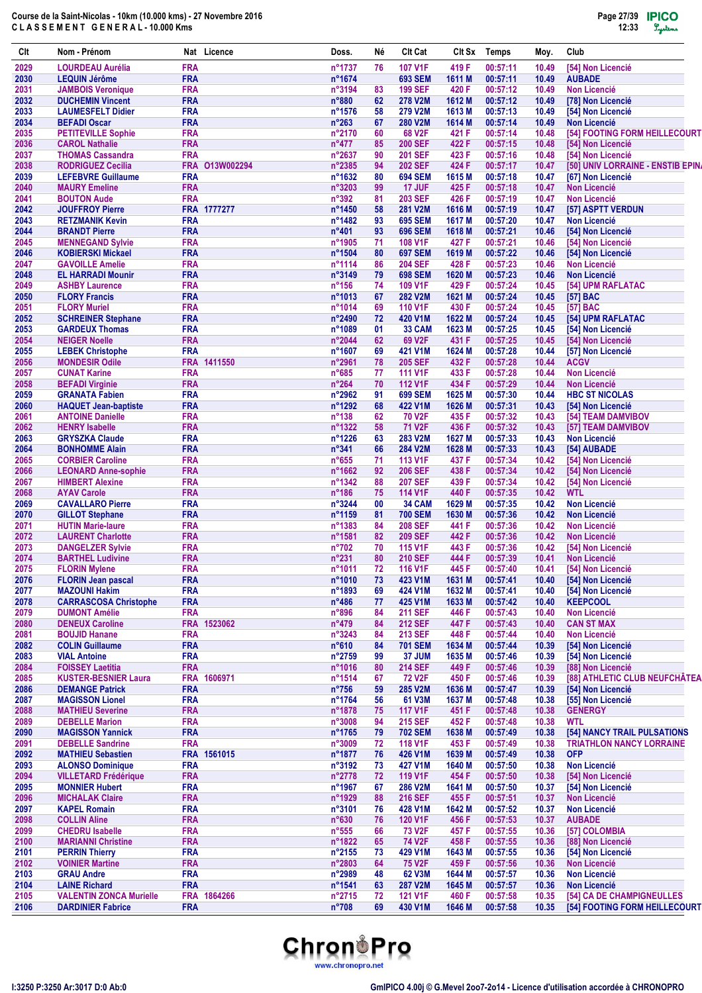| Clt          | Nom - Prénom                                        |                          | Nat Licence    | Doss.                    | Νé       | <b>Clt Cat</b>                        |                 | Clt Sx Temps         | Moy.           | Club                                                 |
|--------------|-----------------------------------------------------|--------------------------|----------------|--------------------------|----------|---------------------------------------|-----------------|----------------------|----------------|------------------------------------------------------|
| 2029         | <b>LOURDEAU Aurélia</b>                             | <b>FRA</b>               |                | n°1737                   | 76       | <b>107 V1F</b>                        | 419 F           | 00:57:11             | 10.49          | [54] Non Licencié                                    |
| 2030         | <b>LEQUIN Jérôme</b>                                | <b>FRA</b>               |                | n°1674                   |          | <b>693 SEM</b>                        | 1611 M          | 00:57:11             | 10.49          | <b>AUBADE</b>                                        |
| 2031         | <b>JAMBOIS Veronique</b>                            | <b>FRA</b>               |                | n°3194                   | 83       | <b>199 SEF</b>                        | 420 F           | 00:57:12             | 10.49          | <b>Non Licencié</b>                                  |
| 2032         | <b>DUCHEMIN Vincent</b>                             | <b>FRA</b>               |                | $n^{\circ}880$           | 62       | <b>278 V2M</b>                        | 1612 M          | 00:57:12             | 10.49          | [78] Non Licencié                                    |
| 2033         | <b>LAUMESFELT Didier</b><br><b>BEFADI Oscar</b>     | <b>FRA</b><br><b>FRA</b> |                | n°1576<br>$n^{\circ}263$ | 58       | <b>279 V2M</b>                        | 1613 M          | 00:57:13             | 10.49          | [54] Non Licencié                                    |
| 2034<br>2035 | <b>PETITEVILLE Sophie</b>                           | <b>FRA</b>               |                | n°2170                   | 67<br>60 | <b>280 V2M</b><br>68 V <sub>2</sub> F | 1614 M<br>421 F | 00:57:14<br>00:57:14 | 10.49<br>10.48 | <b>Non Licencié</b><br>[54] FOOTING FORM HEILLECOURT |
| 2036         | <b>CAROL Nathalie</b>                               | <b>FRA</b>               |                | $n^{\circ}477$           | 85       | <b>200 SEF</b>                        | 422 F           | 00:57:15             | 10.48          | [54] Non Licencié                                    |
| 2037         | <b>THOMAS Cassandra</b>                             | <b>FRA</b>               |                | n°2637                   | 90       | <b>201 SEF</b>                        | 423 F           | 00:57:16             | 10.48          | [54] Non Licencié                                    |
| 2038         | <b>RODRIGUEZ Cecilia</b>                            |                          | FRA 013W002294 | n°2385                   | 94       | <b>202 SEF</b>                        | 424 F           | 00:57:17             | 10.47          | [50] UNIV LORRAINE - ENSTIB EPIN                     |
| 2039         | <b>LEFEBVRE Guillaume</b>                           | <b>FRA</b>               |                | n°1632                   | 80       | <b>694 SEM</b>                        | 1615 M          | 00:57:18             | 10.47          | [67] Non Licencié                                    |
| 2040         | <b>MAURY Emeline</b>                                | <b>FRA</b>               |                | n°3203                   | 99       | <b>17 JUF</b>                         | 425 F           | 00:57:18             | 10.47          | <b>Non Licencié</b>                                  |
| 2041         | <b>BOUTON Aude</b>                                  | <b>FRA</b>               |                | n°392                    | 81       | <b>203 SEF</b>                        | 426 F           | 00:57:19             | 10.47          | <b>Non Licencié</b>                                  |
| 2042         | <b>JOUFFROY Pierre</b>                              |                          | FRA 1777277    | n°1450                   | 58       | 281 V2M                               | 1616 M          | 00:57:19             | 10.47          | [57] ASPTT VERDUN                                    |
| 2043         | <b>RETZMANIK Kevin</b>                              | <b>FRA</b>               |                | n°1482                   | 93       | <b>695 SEM</b>                        | 1617 M          | 00:57:20             | 10.47          | Non Licencié                                         |
| 2044         | <b>BRANDT Pierre</b>                                | <b>FRA</b>               |                | n°401                    | 93       | <b>696 SEM</b>                        | 1618 M          | 00:57:21             | 10.46          | [54] Non Licencié                                    |
| 2045<br>2046 | <b>MENNEGAND Sylvie</b><br><b>KOBIERSKI Mickael</b> | <b>FRA</b><br><b>FRA</b> |                | n°1905<br>n°1504         | 71<br>80 | 108 V1F<br><b>697 SEM</b>             | 427 F<br>1619 M | 00:57:21<br>00:57:22 | 10.46<br>10.46 | [54] Non Licencié                                    |
| 2047         | <b>GAVOILLE Amelie</b>                              | <b>FRA</b>               |                | n°1114                   | 86       | <b>204 SEF</b>                        | 428 F           | 00:57:23             | 10.46          | [54] Non Licencié<br><b>Non Licencié</b>             |
| 2048         | <b>EL HARRADI Mounir</b>                            | <b>FRA</b>               |                | n°3149                   | 79       | <b>698 SEM</b>                        | 1620 M          | 00:57:23             | 10.46          | <b>Non Licencié</b>                                  |
| 2049         | <b>ASHBY Laurence</b>                               | <b>FRA</b>               |                | $n^{\circ}156$           | 74       | 109 V1F                               | 429 F           | 00:57:24             | 10.45          | [54] UPM RAFLATAC                                    |
| 2050         | <b>FLORY Francis</b>                                | <b>FRA</b>               |                | n°1013                   | 67       | <b>282 V2M</b>                        | 1621 M          | 00:57:24             | 10.45          | $[57]$ BAC                                           |
| 2051         | <b>FLORY Muriel</b>                                 | <b>FRA</b>               |                | n°1014                   | 69       | <b>110 V1F</b>                        | 430 F           | 00:57:24             | 10.45          | <b>[57] BAC</b>                                      |
| 2052         | <b>SCHREINER Stephane</b>                           | <b>FRA</b>               |                | n°2490                   | 72       | 420 V1M                               | 1622 M          | 00:57:24             | 10.45          | [54] UPM RAFLATAC                                    |
| 2053         | <b>GARDEUX Thomas</b>                               | <b>FRA</b>               |                | n°1089                   | 01       | 33 CAM                                | 1623 M          | 00:57:25             | 10.45          | [54] Non Licencié                                    |
| 2054         | <b>NEIGER Noelle</b>                                | <b>FRA</b>               |                | n°2044                   | 62       | 69 V2F                                | 431 F           | 00:57:25             | 10.45          | [54] Non Licencié                                    |
| 2055         | <b>LEBEK Christophe</b>                             | <b>FRA</b>               |                | n°1607                   | 69       | 421 V1M                               | 1624 M          | 00:57:28             | 10.44          | [57] Non Licencié                                    |
| 2056         | <b>MONDESIR Odile</b>                               | <b>FRA</b>               | 1411550        | n°2961                   | 78       | <b>205 SEF</b>                        | 432 F           | 00:57:28             | 10.44          | <b>ACGV</b>                                          |
| 2057         | <b>CUNAT Karine</b>                                 | <b>FRA</b>               |                | n°685                    | 77       | <b>111 V1F</b>                        | 433 F           | 00:57:28             | 10.44          | <b>Non Licencié</b>                                  |
| 2058<br>2059 | <b>BEFADI Virginie</b><br><b>GRANATA Fabien</b>     | <b>FRA</b><br><b>FRA</b> |                | $n^{\circ}264$<br>n°2962 | 70<br>91 | <b>112 V1F</b><br><b>699 SEM</b>      | 434 F<br>1625 M | 00:57:29<br>00:57:30 | 10.44<br>10.44 | <b>Non Licencié</b><br><b>HBC ST NICOLAS</b>         |
| 2060         | <b>HAQUET Jean-baptiste</b>                         | <b>FRA</b>               |                | n°1292                   | 68       | 422 V1M                               | 1626 M          | 00:57:31             | 10.43          | [54] Non Licencié                                    |
| 2061         | <b>ANTOINE Danielle</b>                             | <b>FRA</b>               |                | $n^{\circ}138$           | 62       | <b>70 V2F</b>                         | 435 F           | 00:57:32             | 10.43          | [54] TEAM DAMVIBOV                                   |
| 2062         | <b>HENRY Isabelle</b>                               | <b>FRA</b>               |                | n°1322                   | 58       | 71 V2F                                | 436 F           | 00:57:32             | 10.43          | [57] TEAM DAMVIBOV                                   |
| 2063         | <b>GRYSZKA Claude</b>                               | <b>FRA</b>               |                | n°1226                   | 63       | 283 V2M                               | 1627 M          | 00:57:33             | 10.43          | <b>Non Licencié</b>                                  |
| 2064         | <b>BONHOMME Alain</b>                               | <b>FRA</b>               |                | n°341                    | 66       | 284 V2M                               | 1628 M          | 00:57:33             | 10.43          | [54] AUBADE                                          |
| 2065         | <b>CORBIER Caroline</b>                             | <b>FRA</b>               |                | n°655                    | 71       | <b>113 V1F</b>                        | 437 F           | 00:57:34             | 10.42          | [54] Non Licencié                                    |
| 2066         | <b>LEONARD Anne-sophie</b>                          | <b>FRA</b>               |                | n°1662                   | 92       | <b>206 SEF</b>                        | 438 F           | 00:57:34             | 10.42          | [54] Non Licencié                                    |
| 2067         | <b>HIMBERT Alexine</b>                              | <b>FRA</b>               |                | n°1342                   | 88       | <b>207 SEF</b>                        | 439 F           | 00:57:34             | 10.42          | [54] Non Licencié                                    |
| 2068         | <b>AYAV Carole</b>                                  | <b>FRA</b>               |                | $n^{\circ}$ 186          | 75       | <b>114 V1F</b>                        | 440 F           | 00:57:35             | 10.42          | <b>WTL</b>                                           |
| 2069         | <b>CAVALLARO Pierre</b>                             | <b>FRA</b>               |                | n°3244                   | 00       | <b>34 CAM</b>                         | 1629 M          | 00:57:35             | 10.42          | <b>Non Licencié</b>                                  |
| 2070<br>2071 | <b>GILLOT Stephane</b><br><b>HUTIN Marie-laure</b>  | <b>FRA</b><br><b>FRA</b> |                | n°1159<br>n°1383         | 81<br>84 | <b>700 SEM</b><br><b>208 SEF</b>      | 1630 M<br>441 F | 00:57:36<br>00:57:36 | 10.42<br>10.42 | <b>Non Licencié</b><br><b>Non Licencié</b>           |
| 2072         | <b>LAURENT Charlotte</b>                            | <b>FRA</b>               |                | n°1581                   | 82       | <b>209 SEF</b>                        | 442 F           | 00:57:36             | 10.42          | <b>Non Licencié</b>                                  |
| 2073         | <b>DANGELZER Sylvie</b>                             | <b>FRA</b>               |                | $n^{\circ}702$           | 70       | 115 V1F                               | 443 F           | 00:57:36             | 10.42          | [54] Non Licencié                                    |
| 2074         | <b>BARTHEL Ludivine</b>                             | <b>FRA</b>               |                | n°231                    | 80       | <b>210 SEF</b>                        | 444 F           | 00:57:39             | 10.41          | <b>Non Licencié</b>                                  |
| 2075         | <b>FLORIN Mylene</b>                                | <b>FRA</b>               |                | n°1011                   | 72       | 116 V1F                               | 445 F           | 00:57:40             | 10.41          | [54] Non Licencié                                    |
| 2076         | <b>FLORIN Jean pascal</b>                           | <b>FRA</b>               |                | n°1010                   | 73       | 423 V1M                               | 1631 M          | 00:57:41             | 10.40          | [54] Non Licencié                                    |
| 2077         | <b>MAZOUNI Hakim</b>                                | <b>FRA</b>               |                | n°1893                   | 69       | 424 V1M                               | 1632 M          | 00:57:41             | 10.40          | [54] Non Licencié                                    |
| 2078         | <b>CARRASCOSA Christophe</b>                        | <b>FRA</b>               |                | $n^{\circ}486$           | 77       | 425 V1M                               | 1633 M          | 00:57:42             | 10.40          | <b>KEEPCOOL</b>                                      |
| 2079         | <b>DUMONT Amélie</b>                                | <b>FRA</b>               |                | n°896                    | 84       | <b>211 SEF</b>                        | 446 F           | 00:57:43             | 10.40          | <b>Non Licencié</b>                                  |
| 2080         | <b>DENEUX Caroline</b>                              | <b>FRA</b>               | 1523062        | n°479                    | 84       | <b>212 SEF</b>                        | 447 F           | 00:57:43             | 10.40          | <b>CAN ST MAX</b>                                    |
| 2081         | <b>BOUJID Hanane</b>                                | <b>FRA</b>               |                | n°3243                   | 84       | <b>213 SEF</b>                        | 448 F           | 00:57:44             | 10.40          | <b>Non Licencié</b>                                  |
| 2082         | <b>COLIN Guillaume</b>                              | <b>FRA</b>               |                | n°610                    | 84       | <b>701 SEM</b>                        | 1634 M          | 00:57:44             | 10.39          | [54] Non Licencié                                    |
| 2083<br>2084 | <b>VIAL Antoine</b><br><b>FOISSEY Laetitia</b>      | <b>FRA</b><br><b>FRA</b> |                | n°2759<br>n°1016         | 99<br>80 | 37 JUM<br><b>214 SEF</b>              | 1635 M<br>449 F | 00:57:46<br>00:57:46 | 10.39<br>10.39 | [54] Non Licencié<br>[88] Non Licencié               |
| 2085         | <b>KUSTER-BESNIER Laura</b>                         | <b>FRA</b>               | 1606971        | n°1514                   | 67       | <b>72 V2F</b>                         | 450 F           | 00:57:46             | 10.39          | [88] ATHLETIC CLUB NEUFCHÂTEA                        |
| 2086         | <b>DEMANGE Patrick</b>                              | <b>FRA</b>               |                | $n^{\circ}756$           | 59       | 285 V2M                               | 1636 M          | 00:57:47             | 10.39          | [54] Non Licencié                                    |
| 2087         | <b>MAGISSON Lionel</b>                              | <b>FRA</b>               |                | n°1764                   | 56       | 61 V3M                                | 1637 M          | 00:57:48             | 10.38          | [55] Non Licencié                                    |
| 2088         | <b>MATHIEU Severine</b>                             | <b>FRA</b>               |                | n°1878                   | 75       | <b>117 V1F</b>                        | 451 F           | 00:57:48             | 10.38          | <b>GENERGY</b>                                       |
| 2089         | <b>DEBELLE Marion</b>                               | <b>FRA</b>               |                | n°3008                   | 94       | <b>215 SEF</b>                        | 452 F           | 00:57:48             | 10.38          | <b>WTL</b>                                           |
| 2090         | <b>MAGISSON Yannick</b>                             | <b>FRA</b>               |                | n°1765                   | 79       | <b>702 SEM</b>                        | 1638 M          | 00:57:49             | 10.38          | [54] NANCY TRAIL PULSATIONS                          |
| 2091         | <b>DEBELLE Sandrine</b>                             | <b>FRA</b>               |                | n°3009                   | 72       | 118 V1F                               | 453 F           | 00:57:49             | 10.38          | <b>TRIATHLON NANCY LORRAINE</b>                      |
| 2092         | <b>MATHIEU Sebastien</b>                            |                          | FRA 1561015    | n°1877                   | 76       | 426 V1M                               | 1639 M          | 00:57:49             | 10.38          | <b>OFP</b>                                           |
| 2093         | <b>ALONSO Dominique</b>                             | <b>FRA</b>               |                | n°3192                   | 73       | 427 V1M                               | 1640 M          | 00:57:50             | 10.38          | <b>Non Licencié</b>                                  |
| 2094         | <b>VILLETARD Frédérique</b>                         | <b>FRA</b>               |                | n°2778                   | 72       | 119 V1F                               | 454 F           | 00:57:50             | 10.38          | [54] Non Licencié                                    |
| 2095         | <b>MONNIER Hubert</b>                               | <b>FRA</b>               |                | n°1967                   | 67       | 286 V2M                               | 1641 M          | 00:57:50             | 10.37          | [54] Non Licencié                                    |
| 2096<br>2097 | <b>MICHALAK Claire</b><br><b>KAPEL Romain</b>       | <b>FRA</b><br><b>FRA</b> |                | n°1929<br>n°3101         | 88<br>76 | <b>216 SEF</b><br>428 V1M             | 455 F<br>1642 M | 00:57:51<br>00:57:52 | 10.37<br>10.37 | <b>Non Licencié</b><br>Non Licencié                  |
| 2098         | <b>COLLIN Aline</b>                                 | <b>FRA</b>               |                | n°630                    | 76       | <b>120 V1F</b>                        | 456 F           | 00:57:53             | 10.37          | <b>AUBADE</b>                                        |
| 2099         | <b>CHEDRU</b> Isabelle                              | <b>FRA</b>               |                | $n^{\circ}555$           | 66       | 73 V <sub>2</sub> F                   | 457 F           | 00:57:55             | 10.36          | [57] COLOMBIA                                        |
| 2100         | <b>MARIANNI Christine</b>                           | <b>FRA</b>               |                | n°1822                   | 65       | 74 V2F                                | 458 F           | 00:57:55             | 10.36          | [88] Non Licencié                                    |
| 2101         | <b>PERRIN Thierry</b>                               | <b>FRA</b>               |                | n°2155                   | 73       | 429 V1M                               | 1643 M          | 00:57:55             | 10.36          | [54] Non Licencié                                    |
| 2102         | <b>VOINIER Martine</b>                              | <b>FRA</b>               |                | n°2803                   | 64       | <b>75 V2F</b>                         | 459 F           | 00:57:56             | 10.36          | <b>Non Licencié</b>                                  |
| 2103         | <b>GRAU Andre</b>                                   | <b>FRA</b>               |                | n°2989                   | 48       | 62 V3M                                | 1644 M          | 00:57:57             | 10.36          | Non Licencié                                         |
| 2104         | <b>LAINE Richard</b>                                | <b>FRA</b>               |                | n°1541                   | 63       | <b>287 V2M</b>                        | 1645 M          | 00:57:57             | 10.36          | <b>Non Licencié</b>                                  |
| 2105         | <b>VALENTIN ZONCA Murielle</b>                      |                          | FRA 1864266    | n°2715                   | 72       | <b>121 V1F</b>                        | 460 F           | 00:57:58             | 10.35          | [54] CA DE CHAMPIGNEULLES                            |
| 2106         | <b>DARDINIER Fabrice</b>                            | <b>FRA</b>               |                | $n^{\circ}708$           | 69       | 430 V1M                               | 1646 M          | 00:57:58             | 10.35          | [54] FOOTING FORM HEILLECOURT                        |

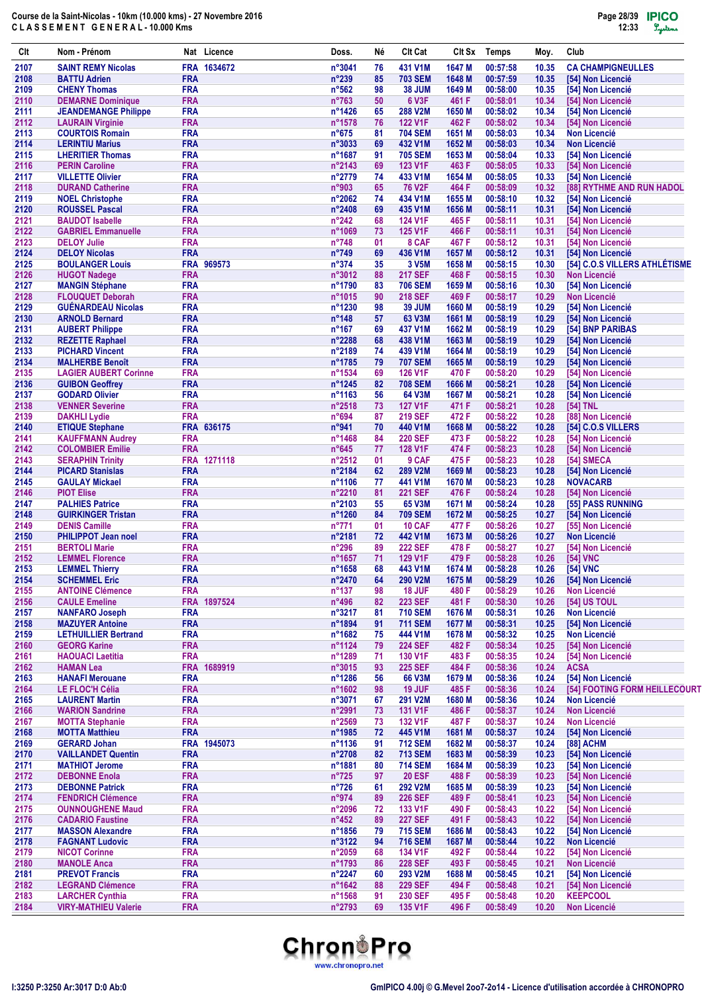| Clt          | Nom - Prénom                                           |                          | Nat Licence | Doss.                            | Né       | Clt Cat                          | CIt Sx          | Temps                | Moy.           | Club                                   |
|--------------|--------------------------------------------------------|--------------------------|-------------|----------------------------------|----------|----------------------------------|-----------------|----------------------|----------------|----------------------------------------|
| 2107         | <b>SAINT REMY Nicolas</b>                              |                          | FRA 1634672 | n°3041                           | 76       | 431 V1M                          | 1647 M          | 00:57:58             | 10.35          | <b>CA CHAMPIGNEULLES</b>               |
| 2108         | <b>BATTU Adrien</b>                                    | <b>FRA</b>               |             | $n^{\circ}239$                   | 85       | <b>703 SEM</b>                   | 1648 M          | 00:57:59             | 10.35          | [54] Non Licencié                      |
| 2109         | <b>CHENY Thomas</b>                                    | <b>FRA</b>               |             | $n^{\circ}562$                   | 98       | <b>38 JUM</b>                    | 1649 M          | 00:58:00             | 10.35          | [54] Non Licencié                      |
| 2110         | <b>DEMARNE Dominique</b>                               | <b>FRA</b>               |             | $n^{\circ}763$                   | 50       | <b>6 V3F</b>                     | 461 F           | 00:58:01             | 10.34          | [54] Non Licencié                      |
| 2111<br>2112 | <b>JEANDEMANGE Philippe</b><br><b>LAURAIN Virginie</b> | <b>FRA</b><br><b>FRA</b> |             | n°1426<br>n°1578                 | 65<br>76 | 288 V2M<br><b>122 V1F</b>        | 1650 M<br>462 F | 00:58:02<br>00:58:02 | 10.34<br>10.34 | [54] Non Licencié<br>[54] Non Licencié |
| 2113         | <b>COURTOIS Romain</b>                                 | <b>FRA</b>               |             | $n^{\circ}675$                   | 81       | <b>704 SEM</b>                   | 1651 M          | 00:58:03             | 10.34          | <b>Non Licencié</b>                    |
| 2114         | <b>LERINTIU Marius</b>                                 | <b>FRA</b>               |             | $n^{\circ}3033$                  | 69       | 432 V1M                          | 1652 M          | 00:58:03             | 10.34          | <b>Non Licencié</b>                    |
| 2115         | <b>LHERITIER Thomas</b>                                | <b>FRA</b>               |             | n°1687                           | 91       | <b>705 SEM</b>                   | 1653 M          | 00:58:04             | 10.33          | [54] Non Licencié                      |
| 2116         | <b>PERIN Caroline</b>                                  | <b>FRA</b>               |             | $n^{\circ}$ 2143                 | 69       | <b>123 V1F</b>                   | 463 F           | 00:58:05             | 10.33          | [54] Non Licencié                      |
| 2117         | <b>VILLETTE Olivier</b>                                | <b>FRA</b>               |             | n°2779                           | 74       | 433 V1M                          | 1654 M          | 00:58:05             | 10.33          | [54] Non Licencié                      |
| 2118         | <b>DURAND Catherine</b>                                | <b>FRA</b>               |             | n°903                            | 65       | 76 V2F                           | 464 F           | 00:58:09             | 10.32          | [88] RYTHME AND RUN HADOL              |
| 2119         | <b>NOEL Christophe</b>                                 | <b>FRA</b>               |             | $n^{\circ}2062$                  | 74       | 434 V1M                          | 1655 M          | 00:58:10             | 10.32          | [54] Non Licencié                      |
| 2120         | <b>ROUSSEL Pascal</b>                                  | <b>FRA</b>               |             | $n^{\circ}$ 2408                 | 69       | 435 V1M                          | 1656 M          | 00:58:11             | 10.31          | [54] Non Licencié                      |
| 2121         | <b>BAUDOT Isabelle</b>                                 | <b>FRA</b>               |             | $n^{\circ}242$                   | 68       | <b>124 V1F</b>                   | 465 F           | 00:58:11             | 10.31          | [54] Non Licencié                      |
| 2122<br>2123 | <b>GABRIEL Emmanuelle</b><br><b>DELOY Julie</b>        | <b>FRA</b><br><b>FRA</b> |             | n°1069<br>$n^{\circ}748$         | 73<br>01 | <b>125 V1F</b><br>8 CAF          | 466 F<br>467 F  | 00:58:11<br>00:58:12 | 10.31<br>10.31 | [54] Non Licencié<br>[54] Non Licencié |
| 2124         | <b>DELOY Nicolas</b>                                   | <b>FRA</b>               |             | $n^{\circ}749$                   | 69       | 436 V1M                          | 1657 M          | 00:58:12             | 10.31          | [54] Non Licencié                      |
| 2125         | <b>BOULANGER Louis</b>                                 |                          | FRA 969573  | $n^{\circ}374$                   | 35       | 3 V5M                            | 1658 M          | 00:58:15             | 10.30          | [54] C.O.S VILLERS ATHLÉTISME          |
| 2126         | <b>HUGOT Nadege</b>                                    | <b>FRA</b>               |             | $n^{\circ}3012$                  | 88       | <b>217 SEF</b>                   | 468 F           | 00:58:15             | 10.30          | <b>Non Licencié</b>                    |
| 2127         | <b>MANGIN Stéphane</b>                                 | <b>FRA</b>               |             | n°1790                           | 83       | <b>706 SEM</b>                   | 1659 M          | 00:58:16             | 10.30          | [54] Non Licencié                      |
| 2128         | <b>FLOUQUET Deborah</b>                                | <b>FRA</b>               |             | n°1015                           | 90       | <b>218 SEF</b>                   | 469 F           | 00:58:17             | 10.29          | <b>Non Licencié</b>                    |
| 2129         | <b>GUÉNARDEAU Nicolas</b>                              | <b>FRA</b>               |             | n°1230                           | 98       | <b>39 JUM</b>                    | 1660 M          | 00:58:19             | 10.29          | [54] Non Licencié                      |
| 2130         | <b>ARNOLD Bernard</b>                                  | <b>FRA</b>               |             | $n^{\circ}$ 148                  | 57       | 63 V3M                           | 1661 M          | 00:58:19             | 10.29          | [54] Non Licencié                      |
| 2131         | <b>AUBERT Philippe</b>                                 | <b>FRA</b>               |             | $n^{\circ}167$                   | 69       | 437 V1M                          | 1662 M          | 00:58:19             | 10.29          | [54] BNP PARIBAS                       |
| 2132         | <b>REZETTE Raphael</b>                                 | <b>FRA</b>               |             | $n^{\circ}2288$                  | 68       | 438 V1M                          | 1663 M          | 00:58:19             | 10.29          | [54] Non Licencié                      |
| 2133         | <b>PICHARD Vincent</b>                                 | <b>FRA</b>               |             | n°2189                           | 74       | 439 V1M                          | 1664 M          | 00:58:19             | 10.29          | [54] Non Licencié                      |
| 2134<br>2135 | <b>MALHERBE Benoît</b>                                 | <b>FRA</b><br><b>FRA</b> |             | n°1785<br>$n^{\circ}$ 1534       | 79       | <b>707 SEM</b><br><b>126 V1F</b> | 1665 M          | 00:58:19<br>00:58:20 | 10.29<br>10.29 | [54] Non Licencié<br>[54] Non Licencié |
| 2136         | <b>LAGIER AUBERT Corinne</b><br><b>GUIBON Geoffrey</b> | <b>FRA</b>               |             | n°1245                           | 69<br>82 | <b>708 SEM</b>                   | 470 F<br>1666 M | 00:58:21             | 10.28          | [54] Non Licencié                      |
| 2137         | <b>GODARD Olivier</b>                                  | <b>FRA</b>               |             | n°1163                           | 56       | 64 V3M                           | 1667 M          | 00:58:21             | 10.28          | [54] Non Licencié                      |
| 2138         | <b>VENNER Severine</b>                                 | <b>FRA</b>               |             | $n^{\circ}2518$                  | 73       | <b>127 V1F</b>                   | 471 F           | 00:58:21             | 10.28          | [54] TNL                               |
| 2139         | <b>DAKHLI Lydie</b>                                    | <b>FRA</b>               |             | n°694                            | 87       | <b>219 SEF</b>                   | 472 F           | 00:58:22             | 10.28          | [88] Non Licencié                      |
| 2140         | <b>ETIQUE Stephane</b>                                 |                          | FRA 636175  | n°941                            | 70       | 440 V1M                          | 1668 M          | 00:58:22             | 10.28          | [54] C.O.S VILLERS                     |
| 2141         | <b>KAUFFMANN Audrey</b>                                | <b>FRA</b>               |             | $n^{\circ}$ 1468                 | 84       | <b>220 SEF</b>                   | 473 F           | 00:58:22             | 10.28          | [54] Non Licencié                      |
| 2142         | <b>COLOMBIER Emilie</b>                                | <b>FRA</b>               |             | $n^{\circ}645$                   | 77       | <b>128 V1F</b>                   | 474 F           | 00:58:23             | 10.28          | [54] Non Licencié                      |
| 2143         | <b>SERAPHIN Trinity</b>                                |                          | FRA 1271118 | n°2512                           | 01       | 9 CAF                            | 475 F           | 00:58:23             | 10.28          | [54] SMECA                             |
| 2144         | <b>PICARD Stanislas</b>                                | <b>FRA</b>               |             | n°2184                           | 62       | 289 V2M                          | 1669 M          | 00:58:23             | 10.28          | [54] Non Licencié                      |
| 2145         | <b>GAULAY Mickael</b>                                  | <b>FRA</b>               |             | n°1106                           | 77       | 441 V1M                          | 1670 M          | 00:58:23             | 10.28          | <b>NOVACARB</b>                        |
| 2146<br>2147 | <b>PIOT Elise</b><br><b>PALHIES Patrice</b>            | <b>FRA</b><br><b>FRA</b> |             | n°2210<br>$n^{\circ}2103$        | 81<br>55 | <b>221 SEF</b><br>65 V3M         | 476 F<br>1671 M | 00:58:24<br>00:58:24 | 10.28          | [54] Non Licencié                      |
| 2148         | <b>GUIRKINGER Tristan</b>                              | <b>FRA</b>               |             | n°1260                           | 84       | <b>709 SEM</b>                   | 1672 M          | 00:58:25             | 10.28<br>10.27 | [55] PASS RUNNING<br>[54] Non Licencié |
| 2149         | <b>DENIS Camille</b>                                   | <b>FRA</b>               |             | $n^{\circ}771$                   | 01       | <b>10 CAF</b>                    | 477 F           | 00:58:26             | 10.27          | [55] Non Licencié                      |
| 2150         | <b>PHILIPPOT Jean noel</b>                             | <b>FRA</b>               |             | n°2181                           | 72       | 442 V1M                          | 1673 M          | 00:58:26             | 10.27          | <b>Non Licencié</b>                    |
| 2151         | <b>BERTOLI Marie</b>                                   | <b>FRA</b>               |             | $n^{\circ}296$                   | 89       | <b>222 SEF</b>                   | 478 F           | 00:58:27             | 10.27          | [54] Non Licencié                      |
| 2152         | <b>LEMMEL Florence</b>                                 | <b>FRA</b>               |             | n°1657                           | 71       | <b>129 V1F</b>                   | 479 F           | 00:58:28             | 10.26          | [54] VNC                               |
| 2153         | <b>LEMMEL Thierry</b>                                  | <b>FRA</b>               |             | $n^{\circ}1658$                  | 68       | 443 V1M                          | 1674 M          | 00:58:28             | 10.26          | [54] VNC                               |
| 2154         | <b>SCHEMMEL Eric</b>                                   | <b>FRA</b>               |             | n°2470                           | 64       | 290 V2M                          | 1675 M          | 00:58:29             | 10.26          | [54] Non Licencié                      |
| 2155         | <b>ANTOINE Clémence</b>                                | <b>FRA</b>               |             | $n^{\circ}137$                   | 98       | 18 JUF                           | 480 F           | 00:58:29             | 10.26          | <b>Non Licencié</b>                    |
| 2156         | <b>CAULE Emeline</b>                                   |                          | FRA 1897524 | n°496                            | 82       | <b>223 SEF</b>                   | 481 F           | 00:58:30             | 10.26          | <b>[54] US TOUL</b>                    |
| 2157         | <b>NANFARO Joseph</b>                                  | <b>FRA</b>               |             | n°3217                           | 81       | <b>710 SEM</b>                   | 1676 M          | 00:58:31             | 10.26          | <b>Non Licencié</b>                    |
| 2158         | <b>MAZUYER Antoine</b>                                 | <b>FRA</b>               |             | n°1894                           | 91       | <b>711 SEM</b>                   | 1677 M          | 00:58:31             | 10.25          | [54] Non Licencié                      |
| 2159<br>2160 | <b>LETHUILLIER Bertrand</b><br><b>GEORG Karine</b>     | <b>FRA</b><br><b>FRA</b> |             | n°1682<br>n°1124                 | 75<br>79 | 444 V1M<br><b>224 SEF</b>        | 1678 M<br>482 F | 00:58:32<br>00:58:34 | 10.25<br>10.25 | Non Licencié<br>[54] Non Licencié      |
| 2161         | <b>HAOUACI Laetitia</b>                                | <b>FRA</b>               |             | n°1289                           | 71       | 130 V1F                          | 483 F           | 00:58:35             | 10.24          | [54] Non Licencié                      |
| 2162         | <b>HAMAN Lea</b>                                       |                          | FRA 1689919 | n°3015                           | 93       | <b>225 SEF</b>                   | 484 F           | 00:58:36             | 10.24          | <b>ACSA</b>                            |
| 2163         | <b>HANAFI Merouane</b>                                 | <b>FRA</b>               |             | n°1286                           | 56       | 66 V3M                           | 1679 M          | 00:58:36             | 10.24          | [54] Non Licencié                      |
| 2164         | <b>LE FLOC'H Célia</b>                                 | <b>FRA</b>               |             | n°1602                           | 98       | <b>19 JUF</b>                    | 485 F           | 00:58:36             | 10.24          | [54] FOOTING FORM HEILLECOURT          |
| 2165         | <b>LAURENT Martin</b>                                  | <b>FRA</b>               |             | $n^{\circ}3071$                  | 67       | 291 V2M                          | 1680 M          | 00:58:36             | 10.24          | Non Licencié                           |
| 2166         | <b>WARION Sandrine</b>                                 | <b>FRA</b>               |             | n°2991                           | 73       | <b>131 V1F</b>                   | 486 F           | 00:58:37             | 10.24          | <b>Non Licencié</b>                    |
| 2167         | <b>MOTTA Stephanie</b>                                 | <b>FRA</b>               |             | n°2569                           | 73       | <b>132 V1F</b>                   | 487 F           | 00:58:37             | 10.24          | <b>Non Licencié</b>                    |
| 2168         | <b>MOTTA Matthieu</b>                                  | <b>FRA</b>               |             | n°1985                           | 72       | 445 V1M                          | 1681 M          | 00:58:37             | 10.24          | [54] Non Licencié                      |
| 2169         | <b>GERARD Johan</b>                                    |                          | FRA 1945073 | n°1136                           | 91       | <b>712 SEM</b>                   | 1682 M          | 00:58:37             | 10.24          | [88] ACHM                              |
| 2170         | <b>VAILLANDET Quentin</b>                              | <b>FRA</b>               |             | n°2708                           | 82       | <b>713 SEM</b>                   | 1683 M          | 00:58:39             | 10.23          | [54] Non Licencié                      |
| 2171         | <b>MATHIOT Jerome</b>                                  | <b>FRA</b>               |             | n°1881                           | 80       | <b>714 SEM</b>                   | 1684 M          | 00:58:39             | 10.23          | [54] Non Licencié                      |
| 2172<br>2173 | <b>DEBONNE Enola</b><br><b>DEBONNE Patrick</b>         | <b>FRA</b><br><b>FRA</b> |             | $n^{\circ}725$<br>$n^{\circ}726$ | 97<br>61 | <b>20 ESF</b><br>292 V2M         | 488 F<br>1685 M | 00:58:39<br>00:58:39 | 10.23<br>10.23 | [54] Non Licencié<br>[54] Non Licencié |
| 2174         | <b>FENDRICH Clémence</b>                               | <b>FRA</b>               |             | n°974                            | 89       | <b>226 SEF</b>                   | 489 F           | 00:58:41             | 10.23          | [54] Non Licencié                      |
| 2175         | <b>OUNNOUGHENE Maud</b>                                | <b>FRA</b>               |             | n°2096                           | 72       | 133 V1F                          | 490 F           | 00:58:43             | 10.22          | [54] Non Licencié                      |
| 2176         | <b>CADARIO Faustine</b>                                | <b>FRA</b>               |             | $n^{\circ}452$                   | 89       | <b>227 SEF</b>                   | 491 F           | 00:58:43             | 10.22          | [54] Non Licencié                      |
| 2177         | <b>MASSON Alexandre</b>                                | <b>FRA</b>               |             | $n^{\circ}$ 1856                 | 79       | <b>715 SEM</b>                   | 1686 M          | 00:58:43             | 10.22          | [54] Non Licencié                      |
| 2178         | <b>FAGNANT Ludovic</b>                                 | <b>FRA</b>               |             | n°3122                           | 94       | <b>716 SEM</b>                   | 1687 M          | 00:58:44             | 10.22          | <b>Non Licencié</b>                    |
| 2179         | <b>NICOT Corinne</b>                                   | <b>FRA</b>               |             | n°2059                           | 68       | <b>134 V1F</b>                   | 492 F           | 00:58:44             | 10.22          | [54] Non Licencié                      |
| 2180         | <b>MANOLE Anca</b>                                     | <b>FRA</b>               |             | n°1793                           | 86       | <b>228 SEF</b>                   | 493 F           | 00:58:45             | 10.21          | <b>Non Licencié</b>                    |
| 2181         | <b>PREVOT Francis</b>                                  | <b>FRA</b>               |             | n°2247                           | 60       | 293 V2M                          | 1688 M          | 00:58:45             | 10.21          | [54] Non Licencié                      |
| 2182         | <b>LEGRAND Clémence</b>                                | <b>FRA</b>               |             | n°1642                           | 88       | <b>229 SEF</b>                   | 494 F           | 00:58:48             | 10.21          | [54] Non Licencié                      |
| 2183         | <b>LARCHER Cynthia</b>                                 | <b>FRA</b>               |             | n°1568                           | 91       | <b>230 SEF</b>                   | 495F            | 00:58:48             | 10.20          | <b>KEEPCOOL</b>                        |
| 2184         | <b>VIRY-MATHIEU Valerie</b>                            | <b>FRA</b>               |             | n°2793                           | 69       | 135 V1F                          | 496 F           | 00:58:49             | 10.20          | Non Licencié                           |

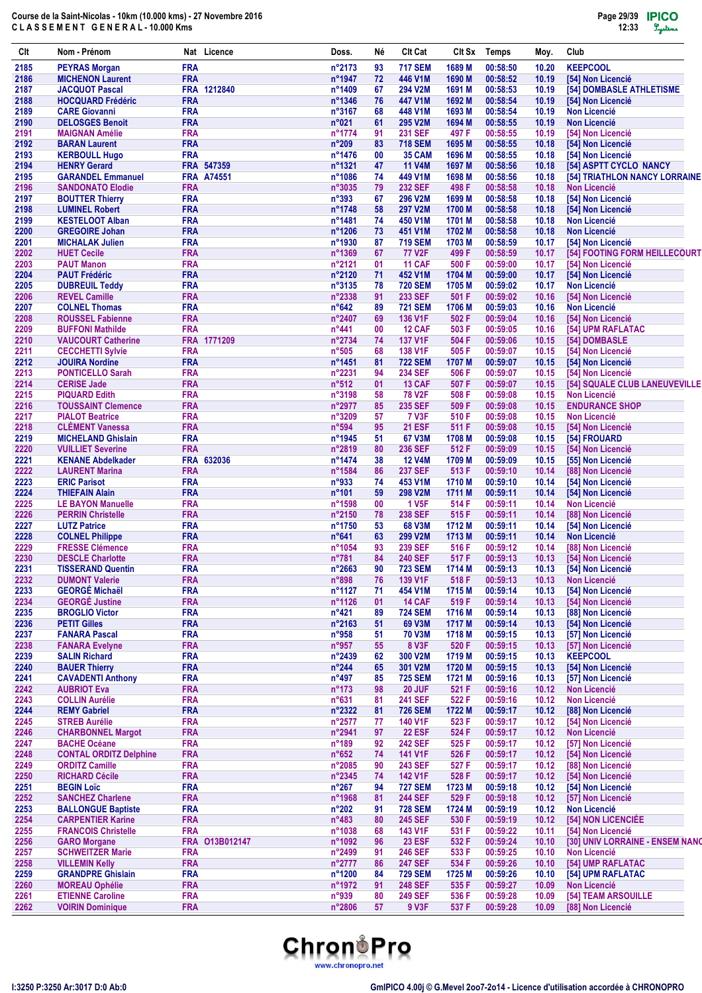| Clt          | Nom - Prénom                                         |                          | Nat Licence       | Doss.            | Né       | <b>Clt Cat</b>                   | Clt Sx           | <b>Temps</b>         | Moy.           | Club                                                    |
|--------------|------------------------------------------------------|--------------------------|-------------------|------------------|----------|----------------------------------|------------------|----------------------|----------------|---------------------------------------------------------|
| 2185         | <b>PEYRAS Morgan</b>                                 | <b>FRA</b>               |                   | $n^{\circ}$ 2173 | 93       | <b>717 SEM</b>                   | 1689 M           | 00:58:50             | 10.20          | <b>KEEPCOOL</b>                                         |
| 2186         | <b>MICHENON Laurent</b>                              | <b>FRA</b>               |                   | n°1947           | 72       | 446 V1M                          | 1690 M           | 00:58:52             | 10.19          | [54] Non Licencié                                       |
| 2187<br>2188 | <b>JACQUOT Pascal</b><br><b>HOCQUARD Frédéric</b>    | <b>FRA</b>               | FRA 1212840       | n°1409<br>n°1346 | 67<br>76 | 294 V2M<br>447 V1M               | 1691 M<br>1692 M | 00:58:53<br>00:58:54 | 10.19<br>10.19 | [54] DOMBASLE ATHLETISME<br>[54] Non Licencié           |
| 2189         | <b>CARE Giovanni</b>                                 | <b>FRA</b>               |                   | n°3167           | 68       | 448 V1M                          | 1693 M           | 00:58:54             | 10.19          | <b>Non Licencié</b>                                     |
| 2190         | <b>DELOSGES Benoit</b>                               | <b>FRA</b>               |                   | n°021            | 61       | 295 V2M                          | 1694 M           | 00:58:55             | 10.19          | <b>Non Licencié</b>                                     |
| 2191         | <b>MAIGNAN Amélie</b>                                | <b>FRA</b>               |                   | n°1774           | 91       | <b>231 SEF</b>                   | 497 F            | 00:58:55             | 10.19          | [54] Non Licencié                                       |
| 2192         | <b>BARAN Laurent</b>                                 | <b>FRA</b>               |                   | $n^{\circ}209$   | 83       | <b>718 SEM</b>                   | 1695 M           | 00:58:55             | 10.18          | [54] Non Licencié                                       |
| 2193         | <b>KERBOULL Hugo</b>                                 | <b>FRA</b>               |                   | $n^{\circ}$ 1476 | 00       | <b>35 CAM</b>                    | 1696 M           | 00:58:55             | 10.18          | [54] Non Licencié                                       |
| 2194         | <b>HENRY Gerard</b>                                  |                          | FRA 547359        | n°1321<br>n°1086 | 47<br>74 | <b>11 V4M</b>                    | 1697 M<br>1698 M | 00:58:56             | 10.18          | [54] ASPTT CYCLO NANCY<br>[54] TRIATHLON NANCY LORRAINE |
| 2195<br>2196 | <b>GARANDEL Emmanuel</b><br><b>SANDONATO Elodie</b>  | <b>FRA</b>               | <b>FRA A74551</b> | $n^{\circ}3035$  | 79       | 449 V1M<br><b>232 SEF</b>        | 498 F            | 00:58:56<br>00:58:58 | 10.18<br>10.18 | <b>Non Licencié</b>                                     |
| 2197         | <b>BOUTTER Thierry</b>                               | <b>FRA</b>               |                   | n°393            | 67       | 296 V2M                          | 1699 M           | 00:58:58             | 10.18          | [54] Non Licencié                                       |
| 2198         | <b>LUMINEL Robert</b>                                | <b>FRA</b>               |                   | n°1748           | 58       | <b>297 V2M</b>                   | 1700 M           | 00:58:58             | 10.18          | [54] Non Licencié                                       |
| 2199         | <b>KESTELOOT Alban</b>                               | <b>FRA</b>               |                   | n°1481           | 74       | 450 V1M                          | 1701 M           | 00:58:58             | 10.18          | <b>Non Licencié</b>                                     |
| 2200         | <b>GREGOIRE Johan</b>                                | <b>FRA</b>               |                   | n°1206           | 73       | 451 V1M                          | 1702 M           | 00:58:58             | 10.18          | <b>Non Licencié</b>                                     |
| 2201         | <b>MICHALAK Julien</b>                               | <b>FRA</b><br><b>FRA</b> |                   | n°1930<br>n°1369 | 87       | <b>719 SEM</b>                   | 1703 M           | 00:58:59             | 10.17          | [54] Non Licencié                                       |
| 2202<br>2203 | <b>HUET Cecile</b><br><b>PAUT Manon</b>              | <b>FRA</b>               |                   | n°2121           | 67<br>01 | <b>77 V2F</b><br><b>11 CAF</b>   | 499 F<br>500 F   | 00:58:59<br>00:59:00 | 10.17<br>10.17 | [54] FOOTING FORM HEILLECOURT<br>[54] Non Licencié      |
| 2204         | <b>PAUT Frédéric</b>                                 | <b>FRA</b>               |                   | n°2120           | 71       | 452 V1M                          | 1704 M           | 00:59:00             | 10.17          | [54] Non Licencié                                       |
| 2205         | <b>DUBREUIL Teddy</b>                                | <b>FRA</b>               |                   | n°3135           | 78       | <b>720 SEM</b>                   | 1705 M           | 00:59:02             | 10.17          | <b>Non Licencié</b>                                     |
| 2206         | <b>REVEL Camille</b>                                 | <b>FRA</b>               |                   | n°2338           | 91       | <b>233 SEF</b>                   | 501 F            | 00:59:02             | 10.16          | [54] Non Licencié                                       |
| 2207         | <b>COLNEL Thomas</b>                                 | <b>FRA</b>               |                   | n°642            | 89       | <b>721 SEM</b>                   | 1706 M           | 00:59:03             | 10.16          | <b>Non Licencié</b>                                     |
| 2208         | <b>ROUSSEL Fabienne</b>                              | <b>FRA</b>               |                   | n°2407           | 69       | <b>136 V1F</b>                   | 502 F            | 00:59:04             | 10.16          | [54] Non Licencié                                       |
| 2209         | <b>BUFFONI Mathilde</b>                              | <b>FRA</b>               |                   | $n^{\circ}441$   | 00       | <b>12 CAF</b>                    | 503 F            | 00:59:05             | 10.16          | [54] UPM RAFLATAC                                       |
| 2210         | <b>VAUCOURT Catherine</b>                            |                          | FRA 1771209       | n°2734<br>n°505  | 74       | <b>137 V1F</b>                   | 504 F            | 00:59:06             | 10.15          | [54] DOMBASLE                                           |
| 2211<br>2212 | <b>CECCHETTI Sylvie</b><br><b>JOUIRA Nordine</b>     | <b>FRA</b><br><b>FRA</b> |                   | n°1451           | 68<br>81 | <b>138 V1F</b><br><b>722 SEM</b> | 505 F<br>1707 M  | 00:59:07<br>00:59:07 | 10.15<br>10.15 | [54] Non Licencié<br>[54] Non Licencié                  |
| 2213         | <b>PONTICELLO Sarah</b>                              | <b>FRA</b>               |                   | n°2231           | 94       | <b>234 SEF</b>                   | 506 F            | 00:59:07             | 10.15          | [54] Non Licencié                                       |
| 2214         | <b>CERISE Jade</b>                                   | <b>FRA</b>               |                   | $n^{\circ}512$   | 01       | <b>13 CAF</b>                    | 507 F            | 00:59:07             | 10.15          | <b>[54] SQUALE CLUB LANEUVEVILLE</b>                    |
| 2215         | <b>PIQUARD Edith</b>                                 | <b>FRA</b>               |                   | n°3198           | 58       | <b>78 V2F</b>                    | 508 F            | 00:59:08             | 10.15          | <b>Non Licencié</b>                                     |
| 2216         | <b>TOUSSAINT Clemence</b>                            | <b>FRA</b>               |                   | n°2977           | 85       | <b>235 SEF</b>                   | 509 F            | 00:59:08             | 10.15          | <b>ENDURANCE SHOP</b>                                   |
| 2217         | <b>PIALOT Beatrice</b>                               | <b>FRA</b>               |                   | n°3209           | 57       | <b>7 V3F</b>                     | 510 F            | 00:59:08             | 10.15          | <b>Non Licencié</b>                                     |
| 2218         | <b>CLÉMENT Vanessa</b>                               | <b>FRA</b>               |                   | n°594            | 95       | <b>21 ESF</b>                    | 511 F            | 00:59:08             | 10.15          | [54] Non Licencié                                       |
| 2219         | <b>MICHELAND Ghislain</b>                            | <b>FRA</b>               |                   | $n^{\circ}$ 1945 | 51       | 67 V3M                           | 1708 M           | 00:59:08             | 10.15          | [54] FROUARD                                            |
| 2220<br>2221 | <b>VUILLIET Severine</b><br><b>KENANE Abdelkader</b> | <b>FRA</b>               | FRA 632036        | n°2819<br>n°1474 | 80<br>38 | <b>236 SEF</b><br><b>12 V4M</b>  | 512 F<br>1709 M  | 00:59:09<br>00:59:09 | 10.15<br>10.15 | [54] Non Licencié<br>[55] Non Licencié                  |
| 2222         | <b>LAURENT Marina</b>                                | <b>FRA</b>               |                   | n°1584           | 86       | <b>237 SEF</b>                   | 513 F            | 00:59:10             | 10.14          | [88] Non Licencié                                       |
| 2223         | <b>ERIC Parisot</b>                                  | <b>FRA</b>               |                   | n°933            | 74       | 453 V1M                          | 1710 M           | 00:59:10             | 10.14          | [54] Non Licencié                                       |
| 2224         | <b>THIEFAIN Alain</b>                                | <b>FRA</b>               |                   | n°101            | 59       | 298 V2M                          | 1711 M           | 00:59:11             | 10.14          | [54] Non Licencié                                       |
| 2225         | <b>LE BAYON Manuelle</b>                             | <b>FRA</b>               |                   | n°1598           | 00       | <b>1 V5F</b>                     | 514 F            | 00:59:11             | 10.14          | <b>Non Licencié</b>                                     |
| 2226         | <b>PERRIN Christelle</b>                             | <b>FRA</b>               |                   | $n^{\circ}2150$  | 78       | <b>238 SEF</b>                   | 515 F            | 00:59:11             | 10.14          | [88] Non Licencié                                       |
| 2227         | <b>LUTZ Patrice</b>                                  | <b>FRA</b>               |                   | n°1750           | 53       | 68 V3M                           | 1712 M           | 00:59:11             | 10.14          | [54] Non Licencié                                       |
| 2228         | <b>COLNEL Philippe</b>                               | <b>FRA</b>               |                   | $n^{\circ}641$   | 63       | 299 V2M                          | 1713 M           | 00:59:11             | 10.14          | <b>Non Licencié</b>                                     |
| 2229<br>2230 | <b>FRESSE Clémence</b><br><b>DESCLE Charlotte</b>    | <b>FRA</b><br><b>FRA</b> |                   | n°1054<br>n°781  | 93<br>84 | <b>239 SEF</b><br><b>240 SEF</b> | 516 F<br>517 F   | 00:59:12<br>00:59:13 | 10.14<br>10.13 | [88] Non Licencié<br>[54] Non Licencié                  |
| 2231         | <b>TISSERAND Quentin</b>                             | <b>FRA</b>               |                   | n°2663           | 90       | <b>723 SEM</b>                   | 1714 M           | 00:59:13             | 10.13          | [54] Non Licencié                                       |
| 2232         | <b>DUMONT Valerie</b>                                | <b>FRA</b>               |                   | n°898            | 76       | 139 V1F                          | 518 F            | 00:59:13             | 10.13          | Non Licencié                                            |
| 2233         | <b>GEORGÉ Michaël</b>                                | <b>FRA</b>               |                   | n°1127           | 71       | 454 V1M                          | 1715 M           | 00:59:14             | 10.13          | [54] Non Licencié                                       |
| 2234         | <b>GEORGÉ Justine</b>                                | <b>FRA</b>               |                   | n°1126           | 01       | <b>14 CAF</b>                    | 519 F            | 00:59:14             | 10.13          | [54] Non Licencié                                       |
| 2235         | <b>BROGLIO Victor</b>                                | <b>FRA</b>               |                   | $n^{\circ}421$   | 89       | <b>724 SEM</b>                   | 1716 M           | 00:59:14             | 10.13          | [88] Non Licencié                                       |
| 2236         | <b>PETIT Gilles</b>                                  | <b>FRA</b>               |                   | n°2163           | 51       | 69 V3M                           | 1717 M           | 00:59:14             | 10.13          | [54] Non Licencié                                       |
| 2237         | <b>FANARA Pascal</b>                                 | <b>FRA</b><br><b>FRA</b> |                   | n°958<br>n°957   | 51       | <b>70 V3M</b><br><b>8 V3F</b>    | 1718 M           | 00:59:15             | 10.13          | [57] Non Licencié<br>[57] Non Licencié                  |
| 2238<br>2239 | <b>FANARA Evelyne</b><br><b>SALIN Richard</b>        | <b>FRA</b>               |                   | $n^{\circ}$ 2439 | 55<br>62 | 300 V2M                          | 520 F<br>1719 M  | 00:59:15<br>00:59:15 | 10.13<br>10.13 | <b>KEEPCOOL</b>                                         |
| 2240         | <b>BAUER Thierry</b>                                 | <b>FRA</b>               |                   | $n^{\circ}$ 244  | 65       | 301 V2M                          | 1720 M           | 00:59:15             | 10.13          | [54] Non Licencié                                       |
| 2241         | <b>CAVADENTI Anthony</b>                             | <b>FRA</b>               |                   | $n^{\circ}497$   | 85       | <b>725 SEM</b>                   | 1721 M           | 00:59:16             | 10.13          | [57] Non Licencié                                       |
| 2242         | <b>AUBRIOT Eva</b>                                   | <b>FRA</b>               |                   | $n^{\circ}$ 173  | 98       | <b>20 JUF</b>                    | 521 F            | 00:59:16             | 10.12          | <b>Non Licencié</b>                                     |
| 2243         | <b>COLLIN Aurélie</b>                                | <b>FRA</b>               |                   | $n^{\circ}631$   | 81       | <b>241 SEF</b>                   | 522 F            | 00:59:16             | 10.12          | <b>Non Licencié</b>                                     |
| 2244         | <b>REMY Gabriel</b>                                  | <b>FRA</b>               |                   | n°2322           | 81       | <b>726 SEM</b>                   | 1722 M           | 00:59:17             | 10.12          | [88] Non Licencié                                       |
| 2245         | <b>STREB Aurélie</b>                                 | <b>FRA</b>               |                   | n°2577           | 77       | 140 V1F                          | 523 F            | 00:59:17             | 10.12          | [54] Non Licencié                                       |
| 2246<br>2247 | <b>CHARBONNEL Margot</b><br><b>BACHE Océane</b>      | <b>FRA</b><br><b>FRA</b> |                   | n°2941<br>n°189  | 97<br>92 | <b>22 ESF</b><br><b>242 SEF</b>  | 524 F<br>525 F   | 00:59:17<br>00:59:17 | 10.12<br>10.12 | <b>Non Licencié</b><br>[57] Non Licencié                |
| 2248         | <b>CONTAL ORDITZ Delphine</b>                        | <b>FRA</b>               |                   | $n^{\circ}652$   | 74       | <b>141 V1F</b>                   | 526 F            | 00:59:17             | 10.12          | [54] Non Licencié                                       |
| 2249         | <b>ORDITZ Camille</b>                                | <b>FRA</b>               |                   | n°2085           | 90       | <b>243 SEF</b>                   | 527 F            | 00:59:17             | 10.12          | [88] Non Licencié                                       |
| 2250         | <b>RICHARD Cécile</b>                                | <b>FRA</b>               |                   | n°2345           | 74       | <b>142 V1F</b>                   | 528 F            | 00:59:17             | 10.12          | [54] Non Licencié                                       |
| 2251         | <b>BEGIN Loïc</b>                                    | <b>FRA</b>               |                   | $n^{\circ}267$   | 94       | <b>727 SEM</b>                   | 1723 M           | 00:59:18             | 10.12          | [54] Non Licencié                                       |
| 2252         | <b>SANCHEZ Charlene</b>                              | <b>FRA</b>               |                   | n°1968           | 81       | <b>244 SEF</b>                   | 529 F            | 00:59:18             | 10.12          | [57] Non Licencié                                       |
| 2253         | <b>BALLONGUE Baptiste</b>                            | <b>FRA</b>               |                   | $n^{\circ}202$   | 91       | <b>728 SEM</b>                   | 1724 M           | 00:59:19             | 10.12          | Non Licencié                                            |
| 2254         | <b>CARPENTIER Karine</b>                             | <b>FRA</b>               |                   | $n^{\circ}483$   | 80       | <b>245 SEF</b>                   | 530 F            | 00:59:19             | 10.12          | [54] NON LICENCIÉE                                      |
| 2255         | <b>FRANCOIS Christelle</b>                           | <b>FRA</b>               |                   | n°1038           | 68       | 143 V1F                          | 531 F            | 00:59:22             | 10.11          | [54] Non Licencié                                       |
| 2256<br>2257 | <b>GARO Morgane</b><br><b>SCHWEITZER Marie</b>       | <b>FRA</b>               | FRA 013B012147    | n°1092<br>n°2499 | 96<br>91 | <b>23 ESF</b><br><b>246 SEF</b>  | 532 F<br>533 F   | 00:59:24<br>00:59:25 | 10.10          | [30] UNIV LORRAINE - ENSEM NANO<br><b>Non Licencié</b>  |
| 2258         | <b>VILLEMIN Kelly</b>                                | <b>FRA</b>               |                   | n°2777           | 86       | <b>247 SEF</b>                   | 534 F            | 00:59:26             | 10.10<br>10.10 | [54] UMP RAFLATAC                                       |
| 2259         | <b>GRANDPRE Ghislain</b>                             | <b>FRA</b>               |                   | n°1200           | 84       | <b>729 SEM</b>                   | 1725 M           | 00:59:26             | 10.10          | [54] UPM RAFLATAC                                       |
| 2260         | <b>MOREAU Ophélie</b>                                | <b>FRA</b>               |                   | n°1972           | 91       | <b>248 SEF</b>                   | 535 F            | 00:59:27             | 10.09          | <b>Non Licencié</b>                                     |
| 2261         | <b>ETIENNE Caroline</b>                              | <b>FRA</b>               |                   | n°939            | 80       | <b>249 SEF</b>                   | 536 F            | 00:59:28             | 10.09          | [54] TEAM ARSOUILLE                                     |
| 2262         | <b>VOIRIN Dominique</b>                              | <b>FRA</b>               |                   | n°2806           | 57       | 9 V3F                            | 537 F            | 00:59:28             | 10.09          | [88] Non Licencié                                       |

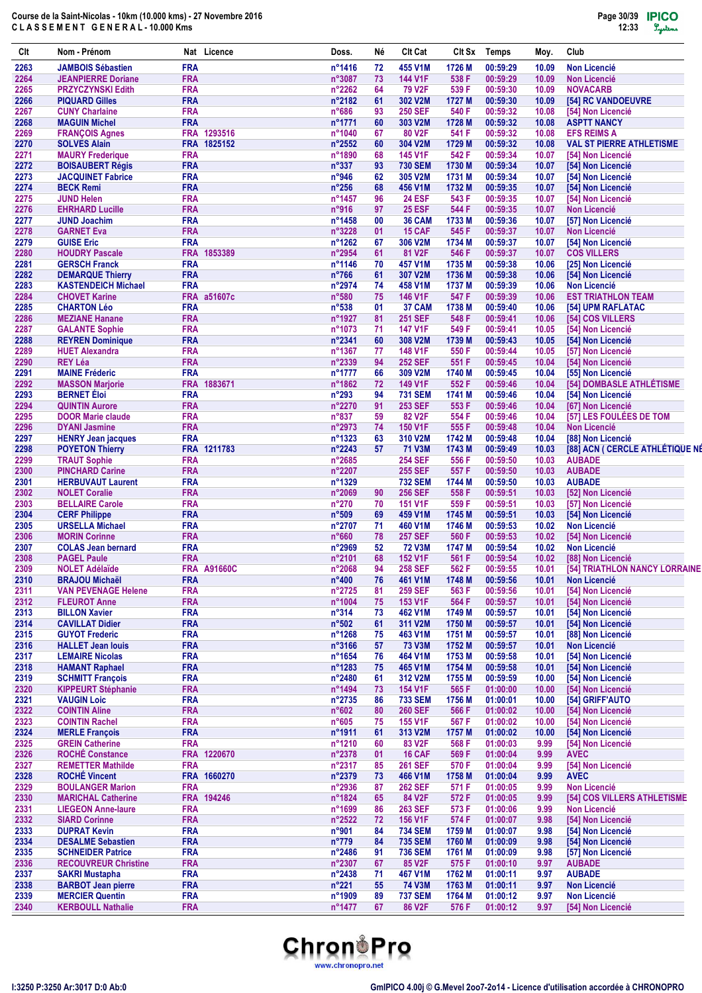| Clt          | Nom - Prénom                                          |                          | Nat Licence        | Doss.                      | Νé       | Clt Cat                          | Clt Sx           | Temps                | Moy.           | Club                                          |
|--------------|-------------------------------------------------------|--------------------------|--------------------|----------------------------|----------|----------------------------------|------------------|----------------------|----------------|-----------------------------------------------|
| 2263         | <b>JAMBOIS Sébastien</b>                              | <b>FRA</b>               |                    | n°1416                     | 72       | 455 V1M                          | 1726 M           | 00:59:29             | 10.09          | <b>Non Licencié</b>                           |
| 2264         | <b>JEANPIERRE Doriane</b>                             | <b>FRA</b>               |                    | n°3087                     | 73       | <b>144 V1F</b>                   | 538 F            | 00:59:29             | 10.09          | <b>Non Licencié</b>                           |
| 2265         | <b>PRZYCZYNSKI Edith</b>                              | <b>FRA</b>               |                    | n°2262                     | 64       | <b>79 V2F</b>                    | 539 F            | 00:59:30             | 10.09          | <b>NOVACARB</b>                               |
| 2266<br>2267 | <b>PIQUARD Gilles</b><br><b>CUNY Charlaine</b>        | <b>FRA</b><br><b>FRA</b> |                    | n°2182<br>n°686            | 61<br>93 | 302 V2M<br><b>250 SEF</b>        | 1727 M<br>540 F  | 00:59:30<br>00:59:32 | 10.09<br>10.08 | [54] RC VANDOEUVRE<br>[54] Non Licencié       |
| 2268         | <b>MAGUIN Michel</b>                                  | <b>FRA</b>               |                    | n°1771                     | 60       | 303 V2M                          | 1728 M           | 00:59:32             | 10.08          | <b>ASPTT NANCY</b>                            |
| 2269         | <b>FRANÇOIS Agnes</b>                                 |                          | FRA 1293516        | n°1040                     | 67       | 80 V2F                           | 541 F            | 00:59:32             | 10.08          | <b>EFS REIMS A</b>                            |
| 2270         | <b>SOLVES Alain</b>                                   |                          | FRA 1825152        | $n^{\circ}2552$            | 60       | 304 V2M                          | 1729 M           | 00:59:32             | 10.08          | <b>VAL ST PIERRE ATHLETISME</b>               |
| 2271         | <b>MAURY Frederique</b>                               | <b>FRA</b>               |                    | n°1890                     | 68       | <b>145 V1F</b>                   | 542 F            | 00:59:34             | 10.07          | [54] Non Licencié                             |
| 2272         | <b>BOISAUBERT Régis</b>                               | <b>FRA</b>               |                    | $n^{\circ}337$             | 93       | <b>730 SEM</b>                   | 1730 M           | 00:59:34             | 10.07          | [54] Non Licencié                             |
| 2273<br>2274 | <b>JACQUINET Fabrice</b><br><b>BECK Remi</b>          | <b>FRA</b><br><b>FRA</b> |                    | n°946<br>$n^{\circ}256$    | 62<br>68 | 305 V2M<br>456 V1M               | 1731 M<br>1732 M | 00:59:34<br>00:59:35 | 10.07<br>10.07 | [54] Non Licencié<br>[54] Non Licencié        |
| 2275         | <b>JUND Helen</b>                                     | <b>FRA</b>               |                    | n°1457                     | 96       | <b>24 ESF</b>                    | 543 F            | 00:59:35             | 10.07          | [54] Non Licencié                             |
| 2276         | <b>EHRHARD Lucille</b>                                | <b>FRA</b>               |                    | n°916                      | 97       | <b>25 ESF</b>                    | 544 F            | 00:59:35             | 10.07          | <b>Non Licencié</b>                           |
| 2277         | <b>JUND Joachim</b>                                   | <b>FRA</b>               |                    | $n^{\circ}$ 1458           | 00       | 36 CAM                           | 1733 M           | 00:59:36             | 10.07          | [57] Non Licencié                             |
| 2278         | <b>GARNET Eva</b>                                     | <b>FRA</b>               |                    | n°3228                     | 01       | <b>15 CAF</b>                    | 545 F            | 00:59:37             | 10.07          | <b>Non Licencié</b>                           |
| 2279         | <b>GUISE Eric</b>                                     | <b>FRA</b>               |                    | n°1262                     | 67       | 306 V2M                          | 1734 M           | 00:59:37             | 10.07          | [54] Non Licencié                             |
| 2280         | <b>HOUDRY Pascale</b>                                 | <b>FRA</b>               | 1853389            | n°2954                     | 61       | 81 V2F                           | 546 F            | 00:59:37             | 10.07          | <b>COS VILLERS</b>                            |
| 2281         | <b>GERSCH Franck</b>                                  | <b>FRA</b>               |                    | n°1146                     | 70       | 457 V1M                          | 1735 M           | 00:59:38             | 10.06          | [25] Non Licencié                             |
| 2282<br>2283 | <b>DEMARQUE Thierry</b><br><b>KASTENDEICH Michael</b> | <b>FRA</b><br><b>FRA</b> |                    | n°766<br>$n^{\circ}2974$   | 61<br>74 | 307 V2M<br>458 V1M               | 1736 M<br>1737 M | 00:59:38<br>00:59:39 | 10.06<br>10.06 | [54] Non Licencié<br><b>Non Licencié</b>      |
| 2284         | <b>CHOVET Karine</b>                                  |                          | <b>FRA a51607c</b> | $n^{\circ}580$             | 75       | 146 V1F                          | 547 F            | 00:59:39             | 10.06          | <b>EST TRIATHLON TEAM</b>                     |
| 2285         | <b>CHARTON Léo</b>                                    | <b>FRA</b>               |                    | n°538                      | 01       | 37 CAM                           | 1738 M           | 00:59:40             | 10.06          | [54] UPM RAFLATAC                             |
| 2286         | <b>MEZIANE Hanane</b>                                 | <b>FRA</b>               |                    | n°1927                     | 81       | <b>251 SEF</b>                   | 548 F            | 00:59:41             | 10.06          | [54] COS VILLERS                              |
| 2287         | <b>GALANTE Sophie</b>                                 | <b>FRA</b>               |                    | n°1073                     | 71       | <b>147 V1F</b>                   | 549 F            | 00:59:41             | 10.05          | [54] Non Licencié                             |
| 2288         | <b>REYREN Dominique</b>                               | <b>FRA</b>               |                    | $n^{\circ}$ 2341           | 60       | 308 V2M                          | 1739 M           | 00:59:43             | 10.05          | [54] Non Licencié                             |
| 2289         | <b>HUET Alexandra</b>                                 | <b>FRA</b>               |                    | n°1367                     | 77       | 148 V1F                          | 550 F            | 00:59:44             | 10.05          | [57] Non Licencié                             |
| 2290         | <b>REY Léa</b>                                        | <b>FRA</b>               |                    | n°2339                     | 94       | <b>252 SEF</b>                   | 551 F            | 00:59:45             | 10.04          | [54] Non Licencié                             |
| 2291         | <b>MAINE Fréderic</b>                                 | <b>FRA</b>               |                    | n°1777                     | 66       | 309 V2M                          | 1740 M           | 00:59:45             | 10.04          | [55] Non Licencié                             |
| 2292<br>2293 | <b>MASSON Marjorie</b><br><b>BERNET</b> Éloi          | <b>FRA</b><br><b>FRA</b> | 1883671            | n°1862<br>n°293            | 72<br>94 | 149 V1F<br><b>731 SEM</b>        | 552 F<br>1741 M  | 00:59:46<br>00:59:46 | 10.04<br>10.04 | [54] DOMBASLE ATHLÉTISME<br>[54] Non Licencié |
| 2294         | <b>QUINTIN Aurore</b>                                 | <b>FRA</b>               |                    | $n^{\circ}2270$            | 91       | <b>253 SEF</b>                   | 553 F            | 00:59:46             | 10.04          | [67] Non Licencié                             |
| 2295         | <b>DOOR Marie claude</b>                              | <b>FRA</b>               |                    | $n^{\circ}837$             | 59       | 82 V <sub>2</sub> F              | 554 F            | 00:59:46             | 10.04          | [57] LES FOULÉES DE TOM                       |
| 2296         | <b>DYANI Jasmine</b>                                  | <b>FRA</b>               |                    | $n^{\circ}2973$            | 74       | <b>150 V1F</b>                   | 555 F            | 00:59:48             | 10.04          | <b>Non Licencié</b>                           |
| 2297         | <b>HENRY Jean jacques</b>                             | <b>FRA</b>               |                    | n°1323                     | 63       | 310 V2M                          | 1742 M           | 00:59:48             | 10.04          | [88] Non Licencié                             |
| 2298         | <b>POYETON Thierry</b>                                |                          | FRA 1211783        | n°2243                     | 57       | <b>71 V3M</b>                    | 1743 M           | 00:59:49             | 10.03          | [88] ACN ( CERCLE ATHLÉTIQUE NÉ               |
| 2299         | <b>TRAUT Sophie</b>                                   | <b>FRA</b>               |                    | n°2685                     |          | <b>254 SEF</b>                   | 556 F            | 00:59:50             | 10.03          | <b>AUBADE</b>                                 |
| 2300         | <b>PINCHARD Carine</b>                                | <b>FRA</b>               |                    | n°2207                     |          | <b>255 SEF</b>                   | 557 F            | 00:59:50             | 10.03          | <b>AUBADE</b>                                 |
| 2301         | <b>HERBUVAUT Laurent</b>                              | <b>FRA</b>               |                    | $n^{\circ}$ 1329<br>n°2069 |          | <b>732 SEM</b>                   | 1744 M           | 00:59:50             | 10.03          | <b>AUBADE</b>                                 |
| 2302<br>2303 | <b>NOLET Coralie</b><br><b>BELLAIRE Carole</b>        | <b>FRA</b><br><b>FRA</b> |                    | $n^{\circ}270$             | 90<br>70 | <b>256 SEF</b><br><b>151 V1F</b> | 558 F<br>559 F   | 00:59:51<br>00:59:51 | 10.03<br>10.03 | [52] Non Licencié<br>[57] Non Licencié        |
| 2304         | <b>CERF Philippe</b>                                  | <b>FRA</b>               |                    | n°509                      | 69       | 459 V1M                          | 1745 M           | 00:59:51             | 10.03          | [54] Non Licencié                             |
| 2305         | <b>URSELLA Michael</b>                                | <b>FRA</b>               |                    | n°2707                     | 71       | 460 V1M                          | 1746 M           | 00:59:53             | 10.02          | <b>Non Licencié</b>                           |
| 2306         | <b>MORIN Corinne</b>                                  | <b>FRA</b>               |                    | $n^{\circ}660$             | 78       | <b>257 SEF</b>                   | 560 F            | 00:59:53             | 10.02          | [54] Non Licencié                             |
| 2307         | <b>COLAS Jean bernard</b>                             | <b>FRA</b>               |                    | n°2969                     | 52       | <b>72 V3M</b>                    | 1747 M           | 00:59:54             | 10.02          | <b>Non Licencié</b>                           |
| 2308         | <b>PAGEL Paule</b>                                    | <b>FRA</b>               |                    | n°2101                     | 68       | <b>152 V1F</b>                   | 561 F            | 00:59:54             | 10.02          | [88] Non Licencié                             |
| 2309         | <b>NOLET Adélaïde</b>                                 |                          | <b>FRA A91660C</b> | n°2068                     | 94       | <b>258 SEF</b>                   | 562 F            | 00:59:55             | 10.01          | [54] TRIATHLON NANCY LORRAINE                 |
| 2310<br>2311 | <b>BRAJOU Michaël</b><br><b>VAN PEVENAGE Helene</b>   | <b>FRA</b><br><b>FRA</b> |                    | $n^{\circ}400$<br>n°2725   | 76<br>81 | 461 V1M<br><b>259 SEF</b>        | 1748 M<br>563 F  | 00:59:56<br>00:59:56 | 10.01<br>10.01 | <b>Non Licencié</b><br>[54] Non Licencié      |
| 2312         | <b>FLEUROT Anne</b>                                   | <b>FRA</b>               |                    | n°1004                     | 75       | 153 V1F                          | 564 F            | 00:59:57             | 10.01          | [54] Non Licencié                             |
| 2313         | <b>BILLON Xavier</b>                                  | <b>FRA</b>               |                    | $n^{\circ}314$             | 73       | 462 V1M                          | 1749 M           | 00:59:57             | 10.01          | [54] Non Licencié                             |
| 2314         | <b>CAVILLAT Didier</b>                                | <b>FRA</b>               |                    | n°502                      | 61       | 311 V2M                          | 1750 M           | 00:59:57             | 10.01          | [54] Non Licencié                             |
| 2315         | <b>GUYOT Frederic</b>                                 | <b>FRA</b>               |                    | n°1268                     | 75       | 463 V1M                          | 1751 M           | 00:59:57             | 10.01          | [88] Non Licencié                             |
| 2316         | <b>HALLET Jean louis</b>                              | <b>FRA</b>               |                    | n°3166                     | 57       | <b>73 V3M</b>                    | 1752 M           | 00:59:57             | 10.01          | Non Licencié                                  |
| 2317         | <b>LEMAIRE Nicolas</b>                                | <b>FRA</b>               |                    | n°1654                     | 76       | 464 V1M                          | 1753 M           | 00:59:58             | 10.01          | [54] Non Licencié                             |
| 2318         | <b>HAMANT Raphael</b>                                 | <b>FRA</b>               |                    | n°1283                     | 75       | 465 V1M                          | 1754 M           | 00:59:58             | 10.01          | [54] Non Licencié                             |
| 2319<br>2320 | <b>SCHMITT François</b><br><b>KIPPEURT Stéphanie</b>  | <b>FRA</b><br><b>FRA</b> |                    | $n^{\circ}$ 2480<br>n°1494 | 61<br>73 | 312 V2M<br>154 V1F               | 1755 M<br>565 F  | 00:59:59<br>01:00:00 | 10.00          | [54] Non Licencié<br>[54] Non Licencié        |
| 2321         | <b>VAUGIN Loic</b>                                    | <b>FRA</b>               |                    | n°2735                     | 86       | <b>733 SEM</b>                   | 1756 M           | 01:00:01             | 10.00<br>10.00 | [54] GRIFF'AUTO                               |
| 2322         | <b>COINTIN Aline</b>                                  | <b>FRA</b>               |                    | n°602                      | 80       | <b>260 SEF</b>                   | 566 F            | 01:00:02             | 10.00          | [54] Non Licencié                             |
| 2323         | <b>COINTIN Rachel</b>                                 | <b>FRA</b>               |                    | n°605                      | 75       | <b>155 V1F</b>                   | 567 F            | 01:00:02             | 10.00          | [54] Non Licencié                             |
| 2324         | <b>MERLE François</b>                                 | <b>FRA</b>               |                    | n°1911                     | 61       | 313 V2M                          | 1757 M           | 01:00:02             | 10.00          | [54] Non Licencié                             |
| 2325         | <b>GREIN Catherine</b>                                | <b>FRA</b>               |                    | n°1210                     | 60       | 83 V2F                           | 568 F            | 01:00:03             | 9.99           | [54] Non Licencié                             |
| 2326         | <b>ROCHÉ Constance</b>                                |                          | FRA 1220670        | n°2378                     | 01       | <b>16 CAF</b>                    | 569 F            | 01:00:04             | 9.99           | <b>AVEC</b>                                   |
| 2327         | <b>REMETTER Mathilde</b>                              | <b>FRA</b>               |                    | n°2317                     | 85       | <b>261 SEF</b>                   | 570 F            | 01:00:04             | 9.99           | [54] Non Licencié                             |
| 2328         | <b>ROCHÉ Vincent</b>                                  |                          | FRA 1660270        | n°2379                     | 73       | 466 V1M                          | 1758 M           | 01:00:04             | 9.99           | <b>AVEC</b><br><b>Non Licencié</b>            |
| 2329<br>2330 | <b>BOULANGER Marion</b><br><b>MARICHAL Catherine</b>  | <b>FRA</b>               | FRA 194246         | n°2936<br>n°1824           | 87<br>65 | <b>262 SEF</b><br>84 V2F         | 571 F<br>572 F   | 01:00:05<br>01:00:05 | 9.99<br>9.99   | [54] COS VILLERS ATHLETISME                   |
| 2331         | <b>LIEGEON Anne-laure</b>                             | <b>FRA</b>               |                    | n°1699                     | 86       | <b>263 SEF</b>                   | 573 F            | 01:00:06             | 9.99           | <b>Non Licencié</b>                           |
| 2332         | <b>SIARD Corinne</b>                                  | <b>FRA</b>               |                    | $n^{\circ}2522$            | 72       | <b>156 V1F</b>                   | 574 F            | 01:00:07             | 9.98           | [54] Non Licencié                             |
| 2333         | <b>DUPRAT Kevin</b>                                   | <b>FRA</b>               |                    | n°901                      | 84       | <b>734 SEM</b>                   | 1759 M           | 01:00:07             | 9.98           | [54] Non Licencié                             |
| 2334         | <b>DESALME Sebastien</b>                              | <b>FRA</b>               |                    | $n^{\circ}779$             | 84       | <b>735 SEM</b>                   | 1760 M           | 01:00:09             | 9.98           | [54] Non Licencié                             |
| 2335         | <b>SCHNEIDER Patrice</b>                              | <b>FRA</b>               |                    | n°2486                     | 91       | <b>736 SEM</b>                   | 1761 M           | 01:00:09             | 9.98           | [57] Non Licencié                             |
| 2336         | <b>RECOUVREUR Christine</b>                           | <b>FRA</b>               |                    | n°2307                     | 67       | 85 V2F                           | 575 F            | 01:00:10             | 9.97           | <b>AUBADE</b>                                 |
| 2337         | <b>SAKRI Mustapha</b>                                 | <b>FRA</b>               |                    | n°2438                     | 71       | 467 V1M                          | 1762 M           | 01:00:11             | 9.97           | <b>AUBADE</b>                                 |
| 2338<br>2339 | <b>BARBOT Jean pierre</b><br><b>MERCIER Quentin</b>   | <b>FRA</b><br><b>FRA</b> |                    | $n^{\circ}221$<br>n°1909   | 55<br>89 | 74 V3M<br><b>737 SEM</b>         | 1763 M<br>1764 M | 01:00:11<br>01:00:12 | 9.97<br>9.97   | <b>Non Licencié</b><br><b>Non Licencié</b>    |
| 2340         | <b>KERBOULL Nathalie</b>                              | <b>FRA</b>               |                    | n°1477                     | 67       | 86 V2F                           | 576 F            | 01:00:12             | 9.97           | [54] Non Licencié                             |
|              |                                                       |                          |                    |                            |          |                                  |                  |                      |                |                                               |

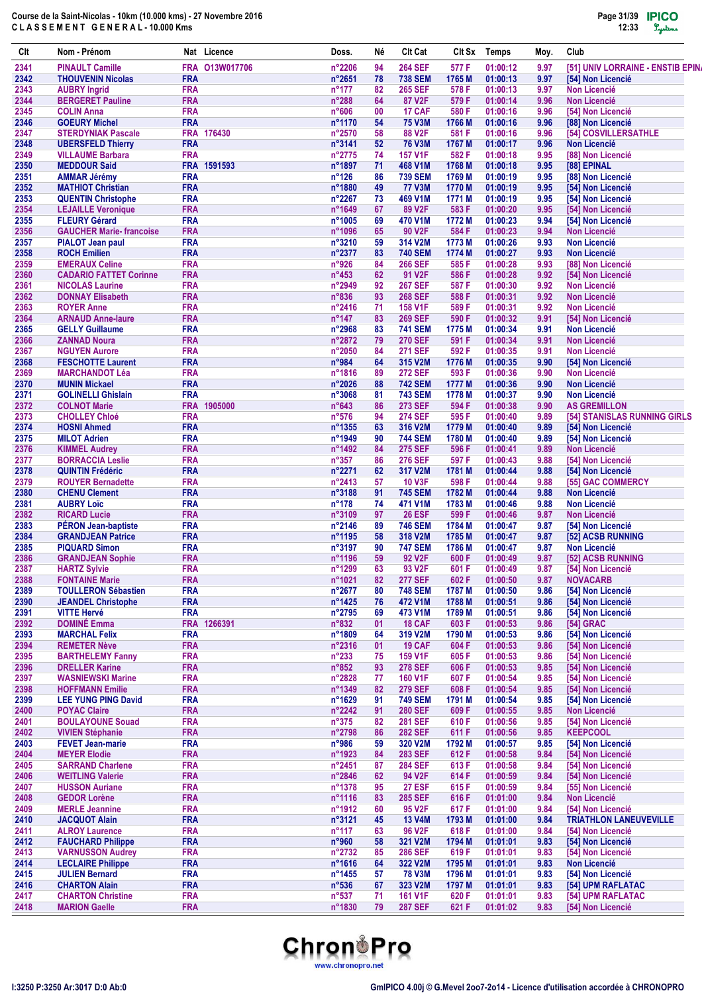| Clt          | Nom - Prénom                                           |                          | Nat Licence    | Doss.                            | Né       | <b>Clt Cat</b>                   | Clt Sx           | Temps                | Moy.         | Club                                       |
|--------------|--------------------------------------------------------|--------------------------|----------------|----------------------------------|----------|----------------------------------|------------------|----------------------|--------------|--------------------------------------------|
| 2341         | <b>PINAULT Camille</b>                                 |                          | FRA 013W017706 | $n^{\circ}2206$                  | 94       | <b>264 SEF</b>                   | 577 F            | 01:00:12             | 9.97         | [51] UNIV LORRAINE - ENSTIB EPIN           |
| 2342         | <b>THOUVENIN Nicolas</b>                               | <b>FRA</b>               |                | n°2651                           | 78       | <b>738 SEM</b>                   | 1765 M           | 01:00:13             | 9.97         | [54] Non Licencié                          |
| 2343         | <b>AUBRY Ingrid</b>                                    | <b>FRA</b>               |                | $n^{\circ}$ 177                  | 82       | <b>265 SEF</b>                   | 578 F            | 01:00:13             | 9.97         | <b>Non Licencié</b>                        |
| 2344         | <b>BERGERET Pauline</b>                                | <b>FRA</b>               |                | n°288                            | 64       | <b>87 V2F</b>                    | 579 F            | 01:00:14             | 9.96         | <b>Non Licencié</b>                        |
| 2345<br>2346 | <b>COLIN Anna</b><br><b>GOEURY Michel</b>              | <b>FRA</b><br><b>FRA</b> |                | n°606<br>n°1170                  | 00<br>54 | 17 CAF<br><b>75 V3M</b>          | 580 F<br>1766 M  | 01:00:16<br>01:00:16 | 9.96<br>9.96 | [54] Non Licencié<br>[88] Non Licencié     |
| 2347         | <b>STERDYNIAK Pascale</b>                              |                          | FRA 176430     | n°2570                           | 58       | 88 V2F                           | 581 F            | 01:00:16             | 9.96         | [54] COSVILLERSATHLE                       |
| 2348         | <b>UBERSFELD Thierry</b>                               | <b>FRA</b>               |                | $n^{\circ}3141$                  | 52       | <b>76 V3M</b>                    | 1767 M           | 01:00:17             | 9.96         | <b>Non Licencié</b>                        |
| 2349         | <b>VILLAUME Barbara</b>                                | <b>FRA</b>               |                | n°2775                           | 74       | <b>157 V1F</b>                   | 582F             | 01:00:18             | 9.95         | [88] Non Licencié                          |
| 2350         | <b>MEDDOUR Said</b>                                    |                          | FRA 1591593    | n°1897                           | 71       | 468 V1M                          | 1768 M           | 01:00:18             | 9.95         | [88] EPINAL                                |
| 2351         | <b>AMMAR Jérémy</b>                                    | <b>FRA</b>               |                | $n^{\circ}$ 126                  | 86       | <b>739 SEM</b>                   | 1769 M           | 01:00:19             | 9.95         | [88] Non Licencié                          |
| 2352         | <b>MATHIOT Christian</b>                               | <b>FRA</b>               |                | n°1880                           | 49       | <b>77 V3M</b>                    | 1770 M           | 01:00:19             | 9.95         | [54] Non Licencié                          |
| 2353         | <b>QUENTIN Christophe</b>                              | <b>FRA</b>               |                | $n^{\circ}2267$                  | 73       | 469 V1M                          | 1771 M           | 01:00:19             | 9.95         | [54] Non Licencié                          |
| 2354         | <b>LEJAILLE Veronique</b>                              | <b>FRA</b>               |                | n°1649                           | 67       | 89 V2F                           | 583 F            | 01:00:20             | 9.95         | [54] Non Licencié                          |
| 2355         | <b>FLEURY Gérard</b>                                   | <b>FRA</b>               |                | n°1005                           | 69       | 470 V1M                          | 1772 M           | 01:00:23             | 9.94         | [54] Non Licencié                          |
| 2356         | <b>GAUCHER Marie-francoise</b>                         | <b>FRA</b>               |                | n°1096                           | 65       | 90 V2F                           | 584 F            | 01:00:23             | 9.94         | <b>Non Licencié</b>                        |
| 2357         | <b>PIALOT Jean paul</b>                                | <b>FRA</b><br><b>FRA</b> |                | n°3210                           | 59       | 314 V2M                          | 1773 M           | 01:00:26             | 9.93         | <b>Non Licencié</b>                        |
| 2358<br>2359 | <b>ROCH Emilien</b><br><b>EMERAUX Celine</b>           | <b>FRA</b>               |                | n°2377<br>n°926                  | 83<br>84 | <b>740 SEM</b><br><b>266 SEF</b> | 1774 M<br>585 F  | 01:00:27<br>01:00:28 | 9.93<br>9.93 | <b>Non Licencié</b><br>[88] Non Licencié   |
| 2360         | <b>CADARIO FATTET Corinne</b>                          | <b>FRA</b>               |                | $n^{\circ}453$                   | 62       | 91 V2F                           | 586 F            | 01:00:28             | 9.92         | [54] Non Licencié                          |
| 2361         | <b>NICOLAS Laurine</b>                                 | <b>FRA</b>               |                | n°2949                           | 92       | <b>267 SEF</b>                   | 587 F            | 01:00:30             | 9.92         | <b>Non Licencié</b>                        |
| 2362         | <b>DONNAY Elisabeth</b>                                | <b>FRA</b>               |                | n°836                            | 93       | <b>268 SEF</b>                   | 588 F            | 01:00:31             | 9.92         | <b>Non Licencié</b>                        |
| 2363         | <b>ROYER Anne</b>                                      | <b>FRA</b>               |                | n°2416                           | 71       | <b>158 V1F</b>                   | 589 F            | 01:00:31             | 9.92         | <b>Non Licencié</b>                        |
| 2364         | <b>ARNAUD Anne-laure</b>                               | <b>FRA</b>               |                | $n^{\circ}$ 147                  | 83       | <b>269 SEF</b>                   | 590 F            | 01:00:32             | 9.91         | [54] Non Licencié                          |
| 2365         | <b>GELLY Guillaume</b>                                 | <b>FRA</b>               |                | n°2968                           | 83       | <b>741 SEM</b>                   | 1775 M           | 01:00:34             | 9.91         | <b>Non Licencié</b>                        |
| 2366         | <b>ZANNAD Noura</b>                                    | <b>FRA</b>               |                | n°2872                           | 79       | <b>270 SEF</b>                   | 591 F            | 01:00:34             | 9.91         | <b>Non Licencié</b>                        |
| 2367         | <b>NGUYEN Aurore</b>                                   | <b>FRA</b>               |                | n°2050                           | 84       | <b>271 SEF</b>                   | 592 F            | 01:00:35             | 9.91         | <b>Non Licencié</b>                        |
| 2368         | <b>FESCHOTTE Laurent</b>                               | <b>FRA</b>               |                | n°984                            | 64       | 315 V2M                          | 1776 M           | 01:00:35             | 9.90         | [54] Non Licencié                          |
| 2369         | <b>MARCHANDOT Léa</b>                                  | <b>FRA</b>               |                | n°1816                           | 89       | <b>272 SEF</b>                   | 593 F            | 01:00:36             | 9.90         | <b>Non Licencié</b>                        |
| 2370         | <b>MUNIN Mickael</b>                                   | <b>FRA</b><br><b>FRA</b> |                | $n^{\circ}2026$<br>n°3068        | 88       | <b>742 SEM</b>                   | 1777 M           | 01:00:36             | 9.90         | <b>Non Licencié</b>                        |
| 2371<br>2372 | <b>GOLINELLI Ghislain</b><br><b>COLNOT Marie</b>       | <b>FRA</b>               | 1905000        | $n^{\circ}643$                   | 81<br>86 | <b>743 SEM</b><br><b>273 SEF</b> | 1778 M<br>594 F  | 01:00:37<br>01:00:38 | 9.90<br>9.90 | <b>Non Licencié</b><br><b>AS GREMILLON</b> |
| 2373         | <b>CHOLLEY Chloé</b>                                   | <b>FRA</b>               |                | n°576                            | 94       | <b>274 SEF</b>                   | 595 F            | 01:00:40             | 9.89         | [54] STANISLAS RUNNING GIRLS               |
| 2374         | <b>HOSNI Ahmed</b>                                     | <b>FRA</b>               |                | n°1355                           | 63       | 316 V2M                          | 1779 M           | 01:00:40             | 9.89         | [54] Non Licencié                          |
| 2375         | <b>MILOT Adrien</b>                                    | <b>FRA</b>               |                | n°1949                           | 90       | <b>744 SEM</b>                   | 1780 M           | 01:00:40             | 9.89         | [54] Non Licencié                          |
| 2376         | <b>KIMMEL Audrey</b>                                   | <b>FRA</b>               |                | n°1492                           | 84       | <b>275 SEF</b>                   | 596 F            | 01:00:41             | 9.89         | <b>Non Licencié</b>                        |
| 2377         | <b>BORRACCIA Leslie</b>                                | <b>FRA</b>               |                | $n^{\circ}357$                   | 86       | <b>276 SEF</b>                   | 597 F            | 01:00:43             | 9.88         | [54] Non Licencié                          |
| 2378         | <b>QUINTIN Frédéric</b>                                | <b>FRA</b>               |                | n°2271                           | 62       | 317 V2M                          | 1781 M           | 01:00:44             | 9.88         | [54] Non Licencié                          |
| 2379         | <b>ROUYER Bernadette</b>                               | <b>FRA</b>               |                | n°2413                           | 57       | <b>10 V3F</b>                    | 598 F            | 01:00:44             | 9.88         | [55] GAC COMMERCY                          |
| 2380         | <b>CHENU Clement</b>                                   | <b>FRA</b>               |                | n°3188                           | 91       | <b>745 SEM</b>                   | 1782 M           | 01:00:44             | 9.88         | <b>Non Licencié</b>                        |
| 2381         | <b>AUBRY Loïc</b>                                      | <b>FRA</b>               |                | $n^{\circ}$ 178                  | 74       | 471 V1M                          | 1783 M           | 01:00:46             | 9.88         | <b>Non Licencié</b>                        |
| 2382<br>2383 | <b>RICARD Lucie</b>                                    | <b>FRA</b><br><b>FRA</b> |                | n°3109<br>n°2146                 | 97<br>89 | <b>26 ESF</b>                    | 599 F            | 01:00:46             | 9.87         | <b>Non Licencié</b><br>[54] Non Licencié   |
| 2384         | <b>PÉRON Jean-baptiste</b><br><b>GRANDJEAN Patrice</b> | <b>FRA</b>               |                | n°1195                           | 58       | <b>746 SEM</b><br>318 V2M        | 1784 M<br>1785 M | 01:00:47<br>01:00:47 | 9.87<br>9.87 | [52] ACSB RUNNING                          |
| 2385         | <b>PIQUARD Simon</b>                                   | <b>FRA</b>               |                | $n^{\circ}3197$                  | 90       | <b>747 SEM</b>                   | 1786 M           | 01:00:47             | 9.87         | <b>Non Licencié</b>                        |
| 2386         | <b>GRANDJEAN Sophie</b>                                | <b>FRA</b>               |                | n°1196                           | 59       | 92 V <sub>2</sub> F              | 600 F            | 01:00:49             | 9.87         | [52] ACSB RUNNING                          |
| 2387         | <b>HARTZ Sylvie</b>                                    | <b>FRA</b>               |                | n°1299                           | 63       | 93 V2F                           | 601 F            | 01:00:49             | 9.87         | [54] Non Licencié                          |
| 2388         | <b>FONTAINE Marie</b>                                  | <b>FRA</b>               |                | $n^{\circ}1021$                  | 82       | <b>277 SEF</b>                   | 602 F            | 01:00:50             | 9.87         | <b>NOVACARB</b>                            |
| 2389         | <b>TOULLERON Sébastien</b>                             | <b>FRA</b>               |                | n°2677                           | 80       | <b>748 SEM</b>                   | 1787 M           | 01:00:50             | 9.86         | [54] Non Licencié                          |
| 2390         | <b>JEANDEL Christophe</b>                              | <b>FRA</b>               |                | $n^{\circ}$ 1425                 | 76       | 472 V1M                          | 1788 M           | 01:00:51             | 9.86         | [54] Non Licencié                          |
| 2391         | <b>VITTE Hervé</b>                                     | <b>FRA</b>               |                | n°2795                           | 69       | 473 V1M                          | 1789 M           | 01:00:51             | 9.86         | [54] Non Licencié                          |
| 2392         | <b>DOMINÉ Emma</b>                                     |                          | FRA 1266391    | $n^{\circ}832$                   | 01       | 18 CAF                           | 603 F            | 01:00:53             | 9.86         | [54] GRAC                                  |
| 2393         | <b>MARCHAL Felix</b>                                   | <b>FRA</b>               |                | n°1809                           | 64       | 319 V2M                          | 1790 M           | 01:00:53             | 9.86         | [54] Non Licencié                          |
| 2394<br>2395 | <b>REMETER Nève</b>                                    | <b>FRA</b><br><b>FRA</b> |                | n°2316                           | 01<br>75 | 19 CAF<br>159 V1F                | 604 F            | 01:00:53             | 9.86<br>9.86 | [54] Non Licencié<br>[54] Non Licencié     |
| 2396         | <b>BARTHELEMY Fanny</b><br><b>DRELLER Karine</b>       | <b>FRA</b>               |                | $n^{\circ}233$<br>$n^{\circ}852$ | 93       | <b>278 SEF</b>                   | 605 F<br>606 F   | 01:00:53<br>01:00:53 | 9.85         | [54] Non Licencié                          |
| 2397         | <b>WASNIEWSKI Marine</b>                               | <b>FRA</b>               |                | n°2828                           | 77       | 160 V1F                          | 607 F            | 01:00:54             | 9.85         | [54] Non Licencié                          |
| 2398         | <b>HOFFMANN Emilie</b>                                 | <b>FRA</b>               |                | n°1349                           | 82       | <b>279 SEF</b>                   | 608 F            | 01:00:54             | 9.85         | [54] Non Licencié                          |
| 2399         | <b>LEE YUNG PING David</b>                             | <b>FRA</b>               |                | n°1629                           | 91       | <b>749 SEM</b>                   | 1791 M           | 01:00:54             | 9.85         | [54] Non Licencié                          |
| 2400         | <b>POYAC Claire</b>                                    | <b>FRA</b>               |                | n°2242                           | 91       | <b>280 SEF</b>                   | 609 F            | 01:00:55             | 9.85         | <b>Non Licencié</b>                        |
| 2401         | <b>BOULAYOUNE Souad</b>                                | <b>FRA</b>               |                | $n^{\circ}375$                   | 82       | <b>281 SEF</b>                   | 610 F            | 01:00:56             | 9.85         | [54] Non Licencié                          |
| 2402         | <b>VIVIEN Stéphanie</b>                                | <b>FRA</b>               |                | n°2798                           | 86       | <b>282 SEF</b>                   | 611 F            | 01:00:56             | 9.85         | <b>KEEPCOOL</b>                            |
| 2403         | <b>FEVET Jean-marie</b>                                | <b>FRA</b>               |                | n°986                            | 59       | 320 V2M                          | 1792 M           | 01:00:57             | 9.85         | [54] Non Licencié                          |
| 2404         | <b>MEYER Elodie</b>                                    | <b>FRA</b>               |                | n°1923                           | 84       | <b>283 SEF</b>                   | 612 F            | 01:00:58             | 9.84         | [54] Non Licencié                          |
| 2405         | <b>SARRAND Charlene</b>                                | <b>FRA</b>               |                | n°2451                           | 87       | <b>284 SEF</b>                   | 613 F            | 01:00:58             | 9.84         | [54] Non Licencié                          |
| 2406         | <b>WEITLING Valerie</b>                                | <b>FRA</b>               |                | n°2846                           | 62       | 94 V2F                           | 614 F            | 01:00:59             | 9.84         | [54] Non Licencié                          |
| 2407<br>2408 | <b>HUSSON Auriane</b><br><b>GEDOR Lorène</b>           | <b>FRA</b><br><b>FRA</b> |                | n°1378<br>n°1116                 | 95<br>83 | <b>27 ESF</b><br><b>285 SEF</b>  | 615F<br>616 F    | 01:00:59<br>01:01:00 | 9.84<br>9.84 | [55] Non Licencié<br><b>Non Licencié</b>   |
| 2409         | <b>MERLE Jeannine</b>                                  | <b>FRA</b>               |                | n°1912                           | 60       | 95 V2F                           | 617 F            | 01:01:00             | 9.84         | [54] Non Licencié                          |
| 2410         | <b>JACQUOT Alain</b>                                   | <b>FRA</b>               |                | n°3121                           | 45       | <b>13 V4M</b>                    | 1793 M           | 01:01:00             | 9.84         | <b>TRIATHLON LANEUVEVILLE</b>              |
| 2411         | <b>ALROY Laurence</b>                                  | <b>FRA</b>               |                | $n^{\circ}117$                   | 63       | 96 V2F                           | 618 F            | 01:01:00             | 9.84         | [54] Non Licencié                          |
| 2412         | <b>FAUCHARD Philippe</b>                               | <b>FRA</b>               |                | n°960                            | 58       | 321 V2M                          | 1794 M           | 01:01:01             | 9.83         | [54] Non Licencié                          |
| 2413         | <b>VARNUSSON Audrey</b>                                | <b>FRA</b>               |                | n°2732                           | 85       | <b>286 SEF</b>                   | 619 F            | 01:01:01             | 9.83         | [54] Non Licencié                          |
| 2414         | <b>LECLAIRE Philippe</b>                               | <b>FRA</b>               |                | $n^{\circ}1616$                  | 64       | 322 V2M                          | 1795 M           | 01:01:01             | 9.83         | <b>Non Licencié</b>                        |
| 2415         | <b>JULIEN Bernard</b>                                  | <b>FRA</b>               |                | n°1455                           | 57       | <b>78 V3M</b>                    | 1796 M           | 01:01:01             | 9.83         | [54] Non Licencié                          |
| 2416         | <b>CHARTON Alain</b>                                   | <b>FRA</b>               |                | $n^{\circ}536$                   | 67       | 323 V2M                          | 1797 M           | 01:01:01             | 9.83         | [54] UPM RAFLATAC                          |
| 2417         | <b>CHARTON Christine</b>                               | <b>FRA</b>               |                | $n^{\circ}537$                   | 71       | <b>161 V1F</b>                   | 620 F            | 01:01:01             | 9.83         | [54] UPM RAFLATAC                          |
| 2418         | <b>MARION Gaelle</b>                                   | <b>FRA</b>               |                | n°1830                           | 79       | <b>287 SEF</b>                   | 621 F            | 01:01:02             | 9.83         | [54] Non Licencié                          |

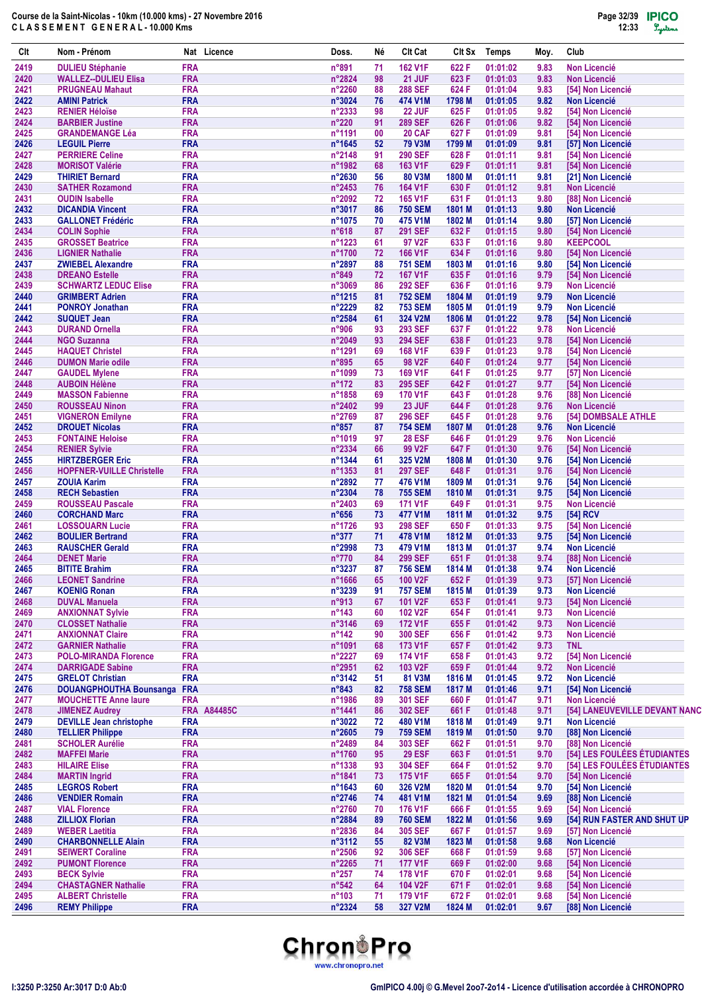| Clt          | Nom - Prénom                                              | Nat Licence                      | Doss.                             | Νé       | Clt Cat                          | Clt Sx           | <b>Temps</b>         | Moy.         | Club                                             |
|--------------|-----------------------------------------------------------|----------------------------------|-----------------------------------|----------|----------------------------------|------------------|----------------------|--------------|--------------------------------------------------|
| 2419         | <b>DULIEU Stéphanie</b>                                   | <b>FRA</b>                       | n°891                             | 71       | <b>162 V1F</b>                   | 622 F            | 01:01:02             | 9.83         | <b>Non Licencié</b>                              |
| 2420         | <b>WALLEZ--DULIEU Elisa</b>                               | <b>FRA</b>                       | n°2824                            | 98       | 21 JUF                           | 623 F            | 01:01:03             | 9.83         | <b>Non Licencié</b>                              |
| 2421         | <b>PRUGNEAU Mahaut</b>                                    | <b>FRA</b>                       | n°2260                            | 88       | <b>288 SEF</b>                   | 624 F            | 01:01:04             | 9.83         | [54] Non Licencié                                |
| 2422<br>2423 | <b>AMINI Patrick</b><br><b>RENIER Héloïse</b>             | <b>FRA</b><br><b>FRA</b>         | $n^{\circ}3024$<br>n°2333         | 76<br>98 | 474 V1M<br><b>22 JUF</b>         | 1798 M<br>625 F  | 01:01:05<br>01:01:05 | 9.82<br>9.82 | <b>Non Licencié</b><br>[54] Non Licencié         |
| 2424         | <b>BARBIER Justine</b>                                    | <b>FRA</b>                       | n°220                             | 91       | <b>289 SEF</b>                   | 626 F            | 01:01:06             | 9.82         | [54] Non Licencié                                |
| 2425         | <b>GRANDEMANGE Léa</b>                                    | <b>FRA</b>                       | n°1191                            | 00       | 20 CAF                           | 627 F            | 01:01:09             | 9.81         | [54] Non Licencié                                |
| 2426         | <b>LEGUIL Pierre</b>                                      | <b>FRA</b>                       | $n^{\circ}1645$                   | 52       | <b>79 V3M</b>                    | 1799 M           | 01:01:09             | 9.81         | [57] Non Licencié                                |
| 2427         | <b>PERRIERE Celine</b>                                    | <b>FRA</b>                       | $n^{\circ}$ 2148                  | 91       | <b>290 SEF</b>                   | 628 F            | 01:01:11             | 9.81         | [54] Non Licencié                                |
| 2428         | <b>MORISOT Valérie</b>                                    | <b>FRA</b>                       | n°1982                            | 68       | 163 V1F                          | 629 F            | 01:01:11             | 9.81         | [54] Non Licencié                                |
| 2429<br>2430 | <b>THIRIET Bernard</b><br><b>SATHER Rozamond</b>          | <b>FRA</b><br><b>FRA</b>         | n°2630<br>n°2453                  | 56<br>76 | 80 V3M<br><b>164 V1F</b>         | 1800 M<br>630 F  | 01:01:11<br>01:01:12 | 9.81<br>9.81 | [21] Non Licencié<br><b>Non Licencié</b>         |
| 2431         | <b>OUDIN Isabelle</b>                                     | <b>FRA</b>                       | n°2092                            | 72       | <b>165 V1F</b>                   | 631 F            | 01:01:13             | 9.80         | [88] Non Licencié                                |
| 2432         | <b>DICANDIA Vincent</b>                                   | <b>FRA</b>                       | $n^{\circ}3017$                   | 86       | <b>750 SEM</b>                   | 1801 M           | 01:01:13             | 9.80         | <b>Non Licencié</b>                              |
| 2433         | <b>GALLONET Frédéric</b>                                  | <b>FRA</b>                       | n°1075                            | 70       | 475 V1M                          | 1802 M           | 01:01:14             | 9.80         | [57] Non Licencié                                |
| 2434         | <b>COLIN Sophie</b>                                       | <b>FRA</b>                       | $n^{\circ}618$                    | 87       | <b>291 SEF</b>                   | 632 F            | 01:01:15             | 9.80         | [54] Non Licencié                                |
| 2435         | <b>GROSSET Beatrice</b>                                   | <b>FRA</b>                       | n°1223                            | 61       | 97 V2F                           | 633 F            | 01:01:16             | 9.80         | <b>KEEPCOOL</b>                                  |
| 2436         | <b>LIGNIER Nathalie</b>                                   | <b>FRA</b>                       | n°1700                            | 72       | <b>166 V1F</b>                   | 634 F            | 01:01:16             | 9.80         | [54] Non Licencié                                |
| 2437<br>2438 | <b>ZWIEBEL Alexandre</b><br><b>DREANO Estelle</b>         | <b>FRA</b><br><b>FRA</b>         | n°2897<br>$n^{\circ}849$          | 88       | <b>751 SEM</b><br><b>167 V1F</b> | 1803 M<br>635 F  | 01:01:16<br>01:01:16 | 9.80<br>9.79 | [54] Non Licencié<br>[54] Non Licencié           |
| 2439         | <b>SCHWARTZ LEDUC Elise</b>                               | <b>FRA</b>                       | $n^{\circ}3069$                   | 72<br>86 | <b>292 SEF</b>                   | 636 F            | 01:01:16             | 9.79         | <b>Non Licencié</b>                              |
| 2440         | <b>GRIMBERT Adrien</b>                                    | <b>FRA</b>                       | n°1215                            | 81       | <b>752 SEM</b>                   | 1804 M           | 01:01:19             | 9.79         | <b>Non Licencié</b>                              |
| 2441         | <b>PONROY Jonathan</b>                                    | <b>FRA</b>                       | n°2229                            | 82       | <b>753 SEM</b>                   | 1805 M           | 01:01:19             | 9.79         | <b>Non Licencié</b>                              |
| 2442         | <b>SUQUET Jean</b>                                        | <b>FRA</b>                       | n°2584                            | 61       | 324 V2M                          | 1806 M           | 01:01:22             | 9.78         | [54] Non Licencié                                |
| 2443         | <b>DURAND Ornella</b>                                     | <b>FRA</b>                       | n°906                             | 93       | <b>293 SEF</b>                   | 637 F            | 01:01:22             | 9.78         | <b>Non Licencié</b>                              |
| 2444         | <b>NGO Suzanna</b>                                        | <b>FRA</b>                       | $n^{\circ}2049$                   | 93       | <b>294 SEF</b>                   | 638 F            | 01:01:23             | 9.78         | [54] Non Licencié                                |
| 2445         | <b>HAQUET Christel</b>                                    | <b>FRA</b><br><b>FRA</b>         | n°1291<br>n°895                   | 69       | 168 V1F<br>98 V2F                | 639 F            | 01:01:23             | 9.78         | [54] Non Licencié                                |
| 2446<br>2447 | <b>DUMON Marie odile</b><br><b>GAUDEL Mylene</b>          | <b>FRA</b>                       | n°1099                            | 65<br>73 | <b>169 V1F</b>                   | 640 F<br>641 F   | 01:01:24<br>01:01:25 | 9.77<br>9.77 | [54] Non Licencié<br>[57] Non Licencié           |
| 2448         | <b>AUBOIN Hélène</b>                                      | <b>FRA</b>                       | $n^{\circ}$ 172                   | 83       | <b>295 SEF</b>                   | 642 F            | 01:01:27             | 9.77         | [54] Non Licencié                                |
| 2449         | <b>MASSON Fabienne</b>                                    | <b>FRA</b>                       | n°1858                            | 69       | <b>170 V1F</b>                   | 643 F            | 01:01:28             | 9.76         | [88] Non Licencié                                |
| 2450         | <b>ROUSSEAU Ninon</b>                                     | <b>FRA</b>                       | n°2402                            | 99       | 23 JUF                           | 644 F            | 01:01:28             | 9.76         | <b>Non Licencié</b>                              |
| 2451         | <b>VIGNERON Emilyne</b>                                   | <b>FRA</b>                       | n°2769                            | 87       | <b>296 SEF</b>                   | 645 F            | 01:01:28             | 9.76         | [54] DOMBSALE ATHLE                              |
| 2452         | <b>DROUET Nicolas</b>                                     | <b>FRA</b>                       | $n^{\circ}857$                    | 87       | <b>754 SEM</b>                   | 1807 M           | 01:01:28             | 9.76         | <b>Non Licencié</b>                              |
| 2453         | <b>FONTAINE Heloise</b>                                   | <b>FRA</b>                       | n°1019                            | 97       | <b>28 ESF</b>                    | 646 F            | 01:01:29             | 9.76         | <b>Non Licencié</b>                              |
| 2454<br>2455 | <b>RENIER Sylvie</b><br><b>HIRTZBERGER Eric</b>           | <b>FRA</b><br><b>FRA</b>         | n°2334<br>n°1344                  | 66<br>61 | 99 V2F<br>325 V2M                | 647 F<br>1808 M  | 01:01:30<br>01:01:30 | 9.76<br>9.76 | [54] Non Licencié<br>[54] Non Licencié           |
| 2456         | <b>HOPFNER-VUILLE Christelle</b>                          | <b>FRA</b>                       | n°1353                            | 81       | <b>297 SEF</b>                   | 648 F            | 01:01:31             | 9.76         | [54] Non Licencié                                |
| 2457         | <b>ZOUIA Karim</b>                                        | <b>FRA</b>                       | $n^{\circ}2892$                   | 77       | 476 V1M                          | 1809 M           | 01:01:31             | 9.76         | [54] Non Licencié                                |
| 2458         | <b>RECH Sebastien</b>                                     | <b>FRA</b>                       | n°2304                            | 78       | <b>755 SEM</b>                   | 1810 M           | 01:01:31             | 9.75         | [54] Non Licencié                                |
| 2459         | <b>ROUSSEAU Pascale</b>                                   | <b>FRA</b>                       | $n^{\circ}$ 2403                  | 69       | <b>171 V1F</b>                   | 649 F            | 01:01:31             | 9.75         | <b>Non Licencié</b>                              |
| 2460         | <b>CORCHAND Marc</b>                                      | <b>FRA</b>                       | $n^{\circ}656$                    | 73       | 477 V1M                          | 1811 M           | 01:01:32             | 9.75         | [54] RCV                                         |
| 2461         | <b>LOSSOUARN Lucie</b>                                    | <b>FRA</b>                       | n°1726                            | 93       | <b>298 SEF</b>                   | 650 F            | 01:01:33             | 9.75         | <b>[54] Non Licencié</b>                         |
| 2462         | <b>BOULIER Bertrand</b>                                   | <b>FRA</b><br><b>FRA</b>         | $n^{\circ}377$                    | 71       | 478 V1M                          | 1812 M           | 01:01:33             | 9.75         | [54] Non Licencié<br><b>Non Licencié</b>         |
| 2463<br>2464 | <b>RAUSCHER Gerald</b><br><b>DENET Marie</b>              | <b>FRA</b>                       | $n^{\circ}2998$<br>$n^{\circ}770$ | 73<br>84 | 479 V1M<br><b>299 SEF</b>        | 1813 M<br>651 F  | 01:01:37<br>01:01:38 | 9.74<br>9.74 | [88] Non Licencié                                |
| 2465         | <b>BITITE Brahim</b>                                      | <b>FRA</b>                       | n°3237                            | 87       | <b>756 SEM</b>                   | 1814 M           | 01:01:38             | 9.74         | <b>Non Licencié</b>                              |
| 2466         | <b>LEONET Sandrine</b>                                    | <b>FRA</b>                       | n°1666                            | 65       | 100 V2F                          | 652 F            | 01:01:39             | 9.73         | [57] Non Licencié                                |
| 2467         | <b>KOENIG Ronan</b>                                       | <b>FRA</b>                       | n°3239                            | 91       | <b>757 SEM</b>                   | 1815 M           | 01:01:39             | 9.73         | <b>Non Licencié</b>                              |
| 2468         | <b>DUVAL Manuela</b>                                      | <b>FRA</b>                       | n°913                             | 67       | 101 V2F                          | 653 F            | 01:01:41             | 9.73         | [54] Non Licencié                                |
| 2469         | <b>ANXIONNAT Sylvie</b>                                   | <b>FRA</b>                       | $n^{\circ}$ 143                   | 60       | 102 V2F                          | 654 F            | 01:01:41             | 9.73         | <b>Non Licencié</b>                              |
| 2470         | <b>CLOSSET Nathalie</b>                                   | <b>FRA</b>                       | n°3146                            | 69       | 172 V1F<br><b>300 SEF</b>        | 655 F            | 01:01:42             | 9.73         | <b>Non Licencié</b>                              |
| 2471<br>2472 | <b>ANXIONNAT Claire</b><br><b>GARNIER Nathalie</b>        | <b>FRA</b><br><b>FRA</b>         | $n^{\circ}$ 142<br>n°1091         | 90<br>68 | 173 V1F                          | 656 F<br>657 F   | 01:01:42<br>01:01:42 | 9.73<br>9.73 | <b>Non Licencié</b><br><b>TNL</b>                |
| 2473         | <b>POLO-MIRANDA Florence</b>                              | <b>FRA</b>                       | n°2227                            | 69       | <b>174 V1F</b>                   | 658 F            | 01:01:43             | 9.72         | [54] Non Licencié                                |
| 2474         | <b>DARRIGADE Sabine</b>                                   | <b>FRA</b>                       | n°2951                            | 62       | 103 V2F                          | 659 F            | 01:01:44             | 9.72         | <b>Non Licencié</b>                              |
| 2475         | <b>GRELOT Christian</b>                                   | <b>FRA</b>                       | n°3142                            | 51       | 81 V3M                           | 1816 M           | 01:01:45             | 9.72         | <b>Non Licencié</b>                              |
| 2476         | <b>DOUANGPHOUTHA Bounsanga</b>                            | <b>FRA</b>                       | $n^{\circ}843$                    | 82       | <b>758 SEM</b>                   | 1817 M           | 01:01:46             | 9.71         | [54] Non Licencié                                |
| 2477         | <b>MOUCHETTE Anne laure</b>                               | <b>FRA</b>                       | n°1986                            | 89       | <b>301 SEF</b>                   | 660 F            | 01:01:47             | 9.71         | <b>Non Licencié</b>                              |
| 2478         | <b>JIMENEZ Audrey</b>                                     | <b>FRA A84485C</b><br><b>FRA</b> | n°1441                            | 86       | <b>302 SEF</b>                   | 661 F            | 01:01:48             | 9.71         | [54] LANEUVEVILLE DEVANT NANC                    |
| 2479<br>2480 | <b>DEVILLE Jean christophe</b><br><b>TELLIER Philippe</b> | <b>FRA</b>                       | n°3022<br>n°2605                  | 72<br>79 | 480 V1M<br><b>759 SEM</b>        | 1818 M<br>1819 M | 01:01:49<br>01:01:50 | 9.71<br>9.70 | <b>Non Licencié</b><br>[88] Non Licencié         |
| 2481         | <b>SCHOLER Aurélie</b>                                    | <b>FRA</b>                       | n°2489                            | 84       | 303 SEF                          | 662F             | 01:01:51             | 9.70         | [88] Non Licencié                                |
| 2482         | <b>MAFFEI Marie</b>                                       | <b>FRA</b>                       | n°1760                            | 95       | <b>29 ESF</b>                    | 663 F            | 01:01:51             | 9.70         | [54] LES FOULÉES ÉTUDIANTES                      |
| 2483         | <b>HILAIRE Elise</b>                                      | <b>FRA</b>                       | n°1338                            | 93       | <b>304 SEF</b>                   | 664 F            | 01:01:52             | 9.70         | [54] LES FOULÉES ÉTUDIANTES                      |
| 2484         | <b>MARTIN Ingrid</b>                                      | <b>FRA</b>                       | n°1841                            | 73       | 175 V1F                          | 665F             | 01:01:54             | 9.70         | [54] Non Licencié                                |
| 2485         | <b>LEGROS Robert</b>                                      | <b>FRA</b>                       | n°1643                            | 60       | 326 V2M                          | 1820 M           | 01:01:54             | 9.70         | [54] Non Licencié                                |
| 2486         | <b>VENDIER Romain</b>                                     | <b>FRA</b>                       | n°2746                            | 74       | 481 V1M                          | 1821 M           | 01:01:54             | 9.69         | [88] Non Licencié                                |
| 2487<br>2488 | <b>VIAL Florence</b><br><b>ZILLIOX Florian</b>            | <b>FRA</b><br><b>FRA</b>         | n°2760<br>n°2884                  | 70<br>89 | 176 V1F<br><b>760 SEM</b>        | 666 F<br>1822 M  | 01:01:55<br>01:01:56 | 9.69<br>9.69 | [54] Non Licencié<br>[54] RUN FASTER AND SHUT UP |
| 2489         | <b>WEBER Laetitia</b>                                     | <b>FRA</b>                       | n°2836                            | 84       | <b>305 SEF</b>                   | 667 F            | 01:01:57             | 9.69         | [57] Non Licencié                                |
| 2490         | <b>CHARBONNELLE Alain</b>                                 | <b>FRA</b>                       | n°3112                            | 55       | 82 V3M                           | 1823 M           | 01:01:58             | 9.68         | <b>Non Licencié</b>                              |
| 2491         | <b>SEIWERT Coraline</b>                                   | <b>FRA</b>                       | n°2506                            | 92       | <b>306 SEF</b>                   | 668 F            | 01:01:59             | 9.68         | [57] Non Licencié                                |
| 2492         | <b>PUMONT Florence</b>                                    | <b>FRA</b>                       | n°2265                            | 71       | <b>177 V1F</b>                   | 669 F            | 01:02:00             | 9.68         | [54] Non Licencié                                |
| 2493         | <b>BECK Sylvie</b>                                        | <b>FRA</b>                       | $n^{\circ}257$                    | 74       | 178 V1F                          | 670 F            | 01:02:01             | 9.68         | [54] Non Licencié                                |
| 2494         | <b>CHASTAGNER Nathalie</b>                                | <b>FRA</b>                       | $n^{\circ}542$                    | 64       | 104 V2F                          | 671 F            | 01:02:01             | 9.68         | [54] Non Licencié                                |
| 2495<br>2496 | <b>ALBERT Christelle</b><br><b>REMY Philippe</b>          | <b>FRA</b><br><b>FRA</b>         | $n^{\circ}103$<br>n°2324          | 71<br>58 | 179 V1F<br>327 V2M               | 672 F<br>1824 M  | 01:02:01<br>01:02:01 | 9.68<br>9.67 | [54] Non Licencié<br>[88] Non Licencié           |
|              |                                                           |                                  |                                   |          |                                  |                  |                      |              |                                                  |

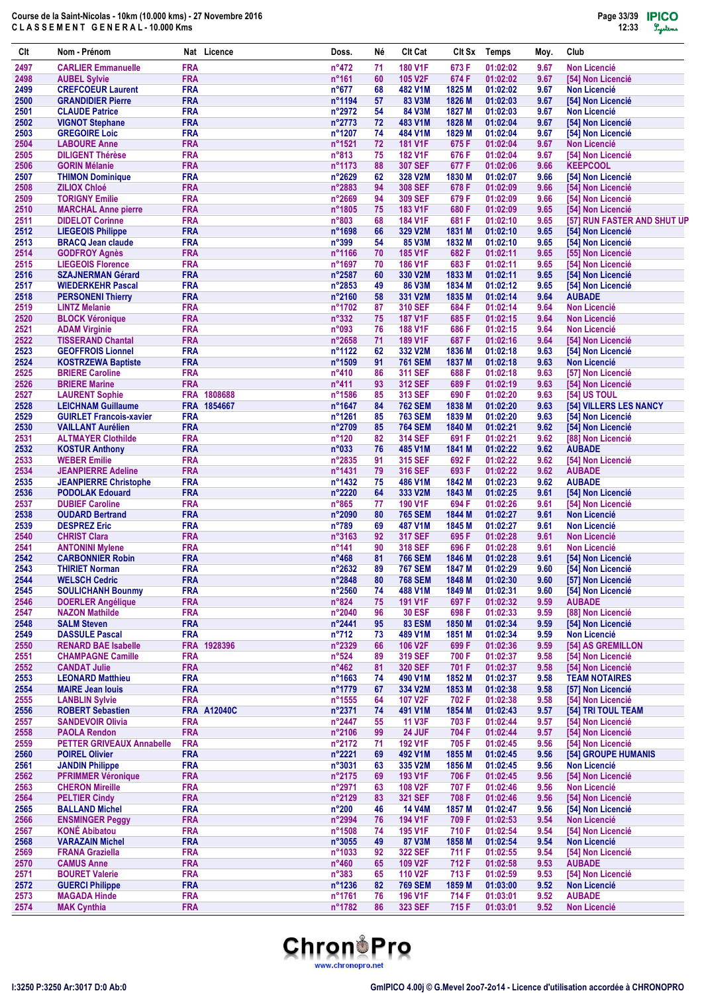| Clt          | Nom - Prénom                                     |                          | Nat Licence        | Doss.                            | Né       | <b>CIt Cat</b>                   | Clt Sx           | <b>Temps</b>         | Moy.         | Club                                     |
|--------------|--------------------------------------------------|--------------------------|--------------------|----------------------------------|----------|----------------------------------|------------------|----------------------|--------------|------------------------------------------|
| 2497         | <b>CARLIER Emmanuelle</b>                        | <b>FRA</b>               |                    | $n^{\circ}472$                   | 71       | <b>180 V1F</b>                   | 673 F            | 01:02:02             | 9.67         | <b>Non Licencié</b>                      |
| 2498         | <b>AUBEL Sylvie</b>                              | <b>FRA</b>               |                    | $n^{\circ}161$                   | 60       | 105 V2F                          | 674 F            | 01:02:02             | 9.67         | [54] Non Licencié                        |
| 2499         | <b>CREFCOEUR Laurent</b>                         | <b>FRA</b>               |                    | $n^o$ 677                        | 68       | 482 V1M                          | 1825 M           | 01:02:02             | 9.67         | <b>Non Licencié</b>                      |
| 2500         | <b>GRANDIDIER Pierre</b>                         | <b>FRA</b>               |                    | n°1194                           | 57       | 83 V3M                           | 1826 M           | 01:02:03             | 9.67         | [54] Non Licencié                        |
| 2501         | <b>CLAUDE Patrice</b>                            | <b>FRA</b><br><b>FRA</b> |                    | $n^{\circ}2972$                  | 54       | 84 V3M<br>483 V1M                | 1827 M           | 01:02:03             | 9.67         | <b>Non Licencié</b>                      |
| 2502<br>2503 | <b>VIGNOT Stephane</b><br><b>GREGOIRE Loic</b>   | <b>FRA</b>               |                    | $n^{\circ}$ 2773<br>n°1207       | 72<br>74 | 484 V1M                          | 1828 M<br>1829 M | 01:02:04<br>01:02:04 | 9.67<br>9.67 | [54] Non Licencié<br>[54] Non Licencié   |
| 2504         | <b>LABOURE Anne</b>                              | <b>FRA</b>               |                    | $n^{\circ}1521$                  | 72       | <b>181 V1F</b>                   | 675F             | 01:02:04             | 9.67         | <b>Non Licencié</b>                      |
| 2505         | <b>DILIGENT Thérèse</b>                          | <b>FRA</b>               |                    | $n^{\circ}813$                   | 75       | <b>182 V1F</b>                   | 676 F            | 01:02:04             | 9.67         | [54] Non Licencié                        |
| 2506         | <b>GORIN Mélanie</b>                             | <b>FRA</b>               |                    | n°1173                           | 88       | <b>307 SEF</b>                   | 677 F            | 01:02:06             | 9.66         | <b>KEEPCOOL</b>                          |
| 2507         | <b>THIMON Dominique</b>                          | <b>FRA</b>               |                    | $n^{\circ}2629$                  | 62       | 328 V2M                          | 1830 M           | 01:02:07             | 9.66         | [54] Non Licencié                        |
| 2508         | <b>ZILIOX Chloé</b>                              | <b>FRA</b>               |                    | n°2883                           | 94       | <b>308 SEF</b>                   | 678 F            | 01:02:09             | 9.66         | [54] Non Licencié                        |
| 2509         | <b>TORIGNY Emilie</b>                            | <b>FRA</b>               |                    | $n^{\circ}2669$                  | 94       | <b>309 SEF</b>                   | 679 F            | 01:02:09             | 9.66         | [54] Non Licencié                        |
| 2510         | <b>MARCHAL Anne pierre</b>                       | <b>FRA</b>               |                    | n°1805                           | 75       | 183 V1F                          | 680 F            | 01:02:09             | 9.65         | [54] Non Licencié                        |
| 2511         | <b>DIDELOT Corinne</b>                           | <b>FRA</b>               |                    | n°803                            | 68       | <b>184 V1F</b>                   | 681 F            | 01:02:10             | 9.65         | [57] RUN FASTER AND SHUT UP              |
| 2512         | <b>LIEGEOIS Philippe</b>                         | <b>FRA</b><br><b>FRA</b> |                    | n°1698<br>n°399                  | 66<br>54 | 329 V2M                          | 1831 M           | 01:02:10             | 9.65         | [54] Non Licencié                        |
| 2513<br>2514 | <b>BRACQ Jean claude</b><br><b>GODFROY Agnès</b> | <b>FRA</b>               |                    | n°1166                           | 70       | 85 V3M<br><b>185 V1F</b>         | 1832 M<br>682F   | 01:02:10<br>01:02:11 | 9.65<br>9.65 | [54] Non Licencié<br>[55] Non Licencié   |
| 2515         | <b>LIEGEOIS Florence</b>                         | <b>FRA</b>               |                    | n°1697                           | 70       | <b>186 V1F</b>                   | 683 F            | 01:02:11             | 9.65         | [54] Non Licencié                        |
| 2516         | <b>SZAJNERMAN Gérard</b>                         | <b>FRA</b>               |                    | $n^{\circ}2587$                  | 60       | 330 V2M                          | 1833 M           | 01:02:11             | 9.65         | [54] Non Licencié                        |
| 2517         | <b>WIEDERKEHR Pascal</b>                         | <b>FRA</b>               |                    | n°2853                           | 49       | 86 V3M                           | 1834 M           | 01:02:12             | 9.65         | [54] Non Licencié                        |
| 2518         | <b>PERSONENI Thierry</b>                         | <b>FRA</b>               |                    | $n^{\circ}2160$                  | 58       | 331 V2M                          | 1835 M           | 01:02:14             | 9.64         | <b>AUBADE</b>                            |
| 2519         | <b>LINTZ Melanie</b>                             | <b>FRA</b>               |                    | n°1702                           | 87       | <b>310 SEF</b>                   | 684 F            | 01:02:14             | 9.64         | <b>Non Licencié</b>                      |
| 2520         | <b>BLOCK Véronique</b>                           | <b>FRA</b>               |                    | $n^{\circ}332$                   | 75       | <b>187 V1F</b>                   | 685F             | 01:02:15             | 9.64         | <b>Non Licencié</b>                      |
| 2521         | <b>ADAM Virginie</b>                             | <b>FRA</b>               |                    | n°093                            | 76       | <b>188 V1F</b>                   | 686 F            | 01:02:15             | 9.64         | <b>Non Licencié</b>                      |
| 2522         | <b>TISSERAND Chantal</b>                         | <b>FRA</b>               |                    | $n^{\circ}2658$                  | 71       | <b>189 V1F</b>                   | 687 F            | 01:02:16             | 9.64         | [54] Non Licencié                        |
| 2523         | <b>GEOFFROIS Lionnel</b>                         | <b>FRA</b>               |                    | n°1122                           | 62       | 332 V2M                          | 1836 M           | 01:02:18             | 9.63         | [54] Non Licencié                        |
| 2524         | <b>KOSTRZEWA Baptiste</b>                        | <b>FRA</b>               |                    | n°1509                           | 91       | <b>761 SEM</b>                   | 1837 M           | 01:02:18             | 9.63         | <b>Non Licencié</b>                      |
| 2525<br>2526 | <b>BRIERE Caroline</b><br><b>BRIERE Marine</b>   | <b>FRA</b><br><b>FRA</b> |                    | $n^{\circ}410$<br>$n^{\circ}411$ | 86<br>93 | <b>311 SEF</b><br><b>312 SEF</b> | 688 F<br>689F    | 01:02:18<br>01:02:19 | 9.63<br>9.63 | [57] Non Licencié<br>[54] Non Licencié   |
| 2527         | <b>LAURENT Sophie</b>                            |                          | FRA 1808688        | n°1586                           | 85       | <b>313 SEF</b>                   | 690 F            | 01:02:20             | 9.63         | <b>[54] US TOUL</b>                      |
| 2528         | <b>LEICHNAM Guillaume</b>                        |                          | FRA 1854667        | n°1647                           | 84       | <b>762 SEM</b>                   | 1838 M           | 01:02:20             | 9.63         | [54] VILLERS LES NANCY                   |
| 2529         | <b>GUIRLET Francois-xavier</b>                   | <b>FRA</b>               |                    | n°1261                           | 85       | <b>763 SEM</b>                   | 1839 M           | 01:02:20             | 9.63         | [54] Non Licencié                        |
| 2530         | <b>VAILLANT Aurélien</b>                         | <b>FRA</b>               |                    | n°2709                           | 85       | <b>764 SEM</b>                   | 1840 M           | 01:02:21             | 9.62         | [54] Non Licencié                        |
| 2531         | <b>ALTMAYER Clothilde</b>                        | <b>FRA</b>               |                    | $n^{\circ}120$                   | 82       | <b>314 SEF</b>                   | 691 F            | 01:02:21             | 9.62         | [88] Non Licencié                        |
| 2532         | <b>KOSTUR Anthony</b>                            | <b>FRA</b>               |                    | n°033                            | 76       | 485 V1M                          | 1841 M           | 01:02:22             | 9.62         | <b>AUBADE</b>                            |
| 2533         | <b>WEBER Emilie</b>                              | <b>FRA</b>               |                    | n°2835                           | 91       | <b>315 SEF</b>                   | 692 F            | 01:02:22             | 9.62         | [54] Non Licencié                        |
| 2534         | <b>JEANPIERRE Adeline</b>                        | <b>FRA</b>               |                    | n°1431                           | 79       | 316 SEF                          | 693 F            | 01:02:22             | 9.62         | <b>AUBADE</b>                            |
| 2535         | <b>JEANPIERRE Christophe</b>                     | <b>FRA</b>               |                    | n°1432                           | 75       | 486 V1M                          | 1842 M           | 01:02:23             | 9.62         | <b>AUBADE</b>                            |
| 2536         | <b>PODOLAK Edouard</b>                           | <b>FRA</b>               |                    | $n^{\circ}2220$                  | 64       | 333 V2M                          | 1843 M<br>694 F  | 01:02:25             | 9.61         | [54] Non Licencié                        |
| 2537<br>2538 | <b>DUBIEF Caroline</b><br><b>OUDARD Bertrand</b> | <b>FRA</b><br><b>FRA</b> |                    | $n^{\circ}865$<br>n°2090         | 77<br>80 | 190 V1F<br><b>765 SEM</b>        | 1844 M           | 01:02:26<br>01:02:27 | 9.61<br>9.61 | [54] Non Licencié<br><b>Non Licencié</b> |
| 2539         | <b>DESPREZ Eric</b>                              | <b>FRA</b>               |                    | $n^{\circ}789$                   | 69       | 487 V1M                          | 1845 M           | 01:02:27             | 9.61         | <b>Non Licencié</b>                      |
| 2540         | <b>CHRIST Clara</b>                              | <b>FRA</b>               |                    | $n^{\circ}3163$                  | 92       | <b>317 SEF</b>                   | 695 F            | 01:02:28             | 9.61         | <b>Non Licencié</b>                      |
| 2541         | <b>ANTONINI Mylene</b>                           | <b>FRA</b>               |                    | $n^{\circ}$ 141                  | 90       | <b>318 SEF</b>                   | 696 F            | 01:02:28             | 9.61         | <b>Non Licencié</b>                      |
| 2542         | <b>CARBONNIER Robin</b>                          | <b>FRA</b>               |                    | $n^{\circ}468$                   | 81       | <b>766 SEM</b>                   | 1846 M           | 01:02:28             | 9.61         | [54] Non Licencié                        |
| 2543         | <b>THIRIET Norman</b>                            | <b>FRA</b>               |                    | $n^{\circ}2632$                  | 89       | <b>767 SEM</b>                   | 1847 M           | 01:02:29             | 9.60         | [54] Non Licencié                        |
| 2544         | <b>WELSCH Cedric</b>                             | <b>FRA</b>               |                    | n°2848                           | 80       | <b>768 SEM</b>                   | 1848 M           | 01:02:30             | 9.60         | [57] Non Licencié                        |
| 2545         | <b>SOULICHANH Bounmy</b>                         | <b>FRA</b>               |                    | n°2560                           | 74       | 488 V1M                          | 1849 M           | 01:02:31             | 9.60         | [54] Non Licencié                        |
| 2546         | <b>DOERLER Angélique</b>                         | <b>FRA</b>               |                    | n°824                            | 75       | <b>191 V1F</b>                   | 697 F            | 01:02:32             | 9.59         | <b>AUBADE</b>                            |
| 2547         | <b>NAZON Mathilde</b>                            | <b>FRA</b>               |                    | $n^{\circ}2040$                  | 96       | <b>30 ESF</b>                    | 698 F            | 01:02:33             | 9.59         | [88] Non Licencié                        |
| 2548<br>2549 | <b>SALM Steven</b><br><b>DASSULE Pascal</b>      | <b>FRA</b><br><b>FRA</b> |                    | n°2441<br>$n^{\circ}712$         | 95<br>73 | <b>83 ESM</b><br>489 V1M         | 1850 M           | 01:02:34<br>01:02:34 | 9.59<br>9.59 | [54] Non Licencié<br><b>Non Licencié</b> |
| 2550         | <b>RENARD BAE Isabelle</b>                       | <b>FRA</b>               | 1928396            | n°2329                           | 66       | 106 V2F                          | 1851 M<br>699 F  | 01:02:36             | 9.59         | [54] AS GREMILLON                        |
| 2551         | <b>CHAMPAGNE Camille</b>                         | <b>FRA</b>               |                    | $n^{\circ}524$                   | 89       | 319 SEF                          | 700 F            | 01:02:37             | 9.58         | [54] Non Licencié                        |
| 2552         | <b>CANDAT Julie</b>                              | <b>FRA</b>               |                    | $n^{\circ}462$                   | 81       | <b>320 SEF</b>                   | 701 F            | 01:02:37             | 9.58         | [54] Non Licencié                        |
| 2553         | <b>LEONARD Matthieu</b>                          | <b>FRA</b>               |                    | $n^{\circ}$ 1663                 | 74       | 490 V1M                          | 1852 M           | 01:02:37             | 9.58         | <b>TEAM NOTAIRES</b>                     |
| 2554         | <b>MAIRE Jean louis</b>                          | <b>FRA</b>               |                    | n°1779                           | 67       | 334 V2M                          | 1853 M           | 01:02:38             | 9.58         | [57] Non Licencié                        |
| 2555         | <b>LANBLIN Sylvie</b>                            | <b>FRA</b>               |                    | n°1555                           | 64       | 107 V2F                          | 702 F            | 01:02:38             | 9.58         | [54] Non Licencié                        |
| 2556         | <b>ROBERT Sebastien</b>                          |                          | <b>FRA A12040C</b> | n°2371                           | 74       | 491 V1M                          | 1854 M           | 01:02:43             | 9.57         | [54] TRI TOUL TEAM                       |
| 2557         | <b>SANDEVOIR Olivia</b>                          | <b>FRA</b>               |                    | n°2447                           | 55       | <b>11 V3F</b>                    | 703 F            | 01:02:44             | 9.57         | [54] Non Licencié                        |
| 2558         | <b>PAOLA Rendon</b>                              | <b>FRA</b>               |                    | n°2106                           | 99       | <b>24 JUF</b>                    | 704 F            | 01:02:44             | 9.57         | [54] Non Licencié                        |
| 2559         | <b>PETTER GRIVEAUX Annabelle</b>                 | <b>FRA</b>               |                    | $n^{\circ}2172$                  | 71       | <b>192 V1F</b>                   | 705 F            | 01:02:45             | 9.56         | [54] Non Licencié                        |
| 2560<br>2561 | <b>POIREL Olivier</b><br><b>JANDIN Philippe</b>  | <b>FRA</b><br><b>FRA</b> |                    | n°2221<br>n°3031                 | 69<br>63 | 492 V1M<br>335 V2M               | 1855 M<br>1856 M | 01:02:45<br>01:02:45 | 9.56<br>9.56 | [54] GROUPE HUMANIS<br>Non Licencié      |
| 2562         | <b>PFRIMMER Véronique</b>                        | <b>FRA</b>               |                    | n°2175                           | 69       | 193 V1F                          | 706 F            | 01:02:45             | 9.56         | [54] Non Licencié                        |
| 2563         | <b>CHERON Mireille</b>                           | <b>FRA</b>               |                    | n°2971                           | 63       | 108 V2F                          | 707 F            | 01:02:46             | 9.56         | <b>Non Licencié</b>                      |
| 2564         | <b>PELTIER Cindy</b>                             | <b>FRA</b>               |                    | $n^{\circ}2129$                  | 83       | <b>321 SEF</b>                   | 708 F            | 01:02:46             | 9.56         | [54] Non Licencié                        |
| 2565         | <b>BALLAND Michel</b>                            | <b>FRA</b>               |                    | $n^{\circ}200$                   | 46       | <b>14 V4M</b>                    | 1857 M           | 01:02:47             | 9.56         | [54] Non Licencié                        |
| 2566         | <b>ENSMINGER Peggy</b>                           | <b>FRA</b>               |                    | n°2994                           | 76       | <b>194 V1F</b>                   | 709 F            | 01:02:53             | 9.54         | Non Licencié                             |
| 2567         | <b>KONÉ Abibatou</b>                             | <b>FRA</b>               |                    | n°1508                           | 74       | 195 V1F                          | 710 F            | 01:02:54             | 9.54         | [54] Non Licencié                        |
| 2568         | <b>VARAZAIN Michel</b>                           | <b>FRA</b>               |                    | n°3055                           | 49       | 87 V3M                           | 1858 M           | 01:02:54             | 9.54         | <b>Non Licencié</b>                      |
| 2569         | <b>FRANA Graziella</b>                           | <b>FRA</b>               |                    | n°1033                           | 92       | <b>322 SEF</b>                   | 711 F            | 01:02:55             | 9.54         | [54] Non Licencié                        |
| 2570         | <b>CAMUS Anne</b>                                | <b>FRA</b>               |                    | $n^{\circ}460$                   | 65       | 109 V2F                          | 712 F            | 01:02:58             | 9.53         | <b>AUBADE</b>                            |
| 2571         | <b>BOURET Valerie</b>                            | <b>FRA</b>               |                    | $n^{\circ}383$                   | 65       | 110 V2F                          | 713 F            | 01:02:59             | 9.53         | [54] Non Licencié                        |
| 2572         | <b>GUERCI Philippe</b>                           | <b>FRA</b>               |                    | n°1236                           | 82       | <b>769 SEM</b>                   | 1859 M           | 01:03:00             | 9.52         | <b>Non Licencié</b>                      |
| 2573<br>2574 | <b>MAGADA Hinde</b><br><b>MAK Cynthia</b>        | <b>FRA</b><br><b>FRA</b> |                    | n°1761<br>n°1782                 | 76<br>86 | 196 V1F<br>323 SEF               | 714 F<br>715 F   | 01:03:01<br>01:03:01 | 9.52<br>9.52 | <b>AUBADE</b><br>Non Licencié            |
|              |                                                  |                          |                    |                                  |          |                                  |                  |                      |              |                                          |

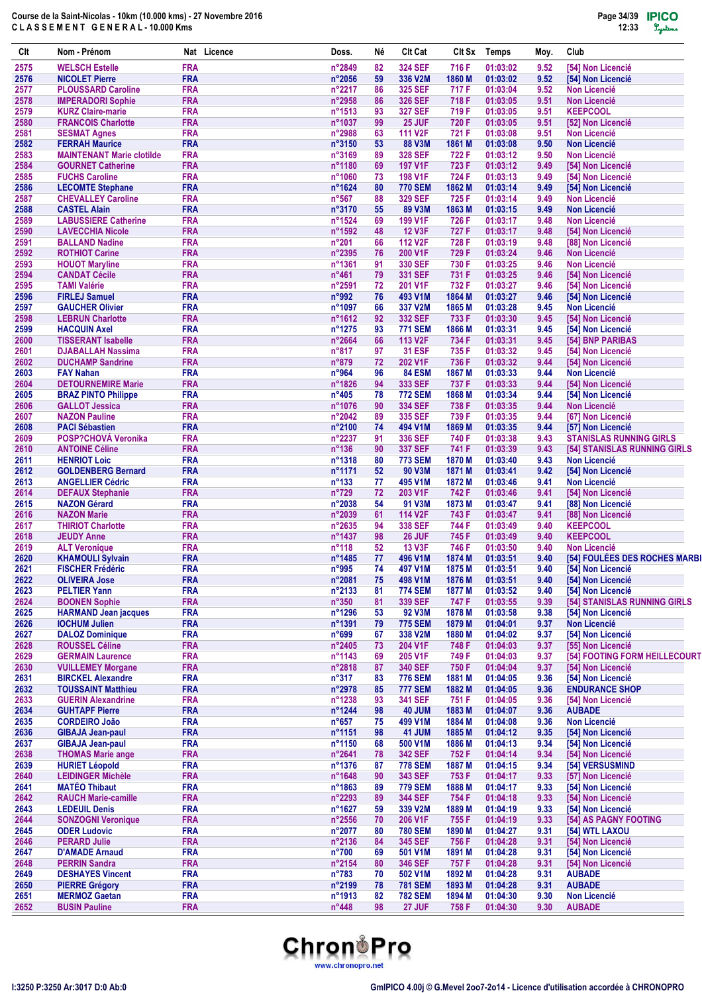| Clt          | Nom - Prénom                                              |                          | Nat Licence | Doss.                    | Νé       | <b>Clt Cat</b>                  | CIt Sx           | <b>Temps</b>         | Moy.         | Club                                       |
|--------------|-----------------------------------------------------------|--------------------------|-------------|--------------------------|----------|---------------------------------|------------------|----------------------|--------------|--------------------------------------------|
| 2575         | <b>WELSCH Estelle</b>                                     | <b>FRA</b>               |             | n°2849                   | 82       | <b>324 SEF</b>                  | 716 F            | 01:03:02             | 9.52         | [54] Non Licencié                          |
| 2576         | <b>NICOLET Pierre</b>                                     | <b>FRA</b>               |             | n°2056                   | 59       | 336 V2M                         | 1860 M           | 01:03:02             | 9.52         | [54] Non Licencié                          |
| 2577         | <b>PLOUSSARD Caroline</b>                                 | <b>FRA</b>               |             | $n^{\circ}2217$          | 86       | <b>325 SEF</b>                  | 717 F            | 01:03:04             | 9.52         | <b>Non Licencié</b>                        |
| 2578         | <b>IMPERADORI Sophie</b>                                  | <b>FRA</b>               |             | $n^{\circ}2958$          | 86       | <b>326 SEF</b>                  | 718 F            | 01:03:05             | 9.51         | <b>Non Licencié</b>                        |
| 2579         | <b>KURZ Claire-marie</b>                                  | <b>FRA</b>               |             | n°1513                   | 93       | <b>327 SEF</b>                  | 719 F            | 01:03:05             | 9.51         | <b>KEEPCOOL</b>                            |
| 2580         | <b>FRANCOIS Charlotte</b>                                 | <b>FRA</b>               |             | n°1037                   | 99       | <b>25 JUF</b>                   | 720 F            | 01:03:05             | 9.51         | [52] Non Licencié                          |
| 2581<br>2582 | <b>SESMAT Agnes</b>                                       | <b>FRA</b><br><b>FRA</b> |             | n°2988<br>n°3150         | 63<br>53 | 111 V <sub>2</sub> F<br>88 V3M  | 721 F            | 01:03:08<br>01:03:08 | 9.51<br>9.50 | <b>Non Licencié</b><br><b>Non Licencié</b> |
| 2583         | <b>FERRAH Maurice</b><br><b>MAINTENANT Marie clotilde</b> | <b>FRA</b>               |             | n°3169                   | 89       | <b>328 SEF</b>                  | 1861 M<br>722 F  | 01:03:12             | 9.50         | <b>Non Licencié</b>                        |
| 2584         | <b>GOURNET Catherine</b>                                  | <b>FRA</b>               |             | n°1180                   | 69       | <b>197 V1F</b>                  | 723 F            | 01:03:12             | 9.49         | [54] Non Licencié                          |
| 2585         | <b>FUCHS Caroline</b>                                     | <b>FRA</b>               |             | n°1060                   | 73       | <b>198 V1F</b>                  | 724 F            | 01:03:13             | 9.49         | [54] Non Licencié                          |
| 2586         | <b>LECOMTE Stephane</b>                                   | <b>FRA</b>               |             | n°1624                   | 80       | <b>770 SEM</b>                  | 1862 M           | 01:03:14             | 9.49         | [54] Non Licencié                          |
| 2587         | <b>CHEVALLEY Caroline</b>                                 | <b>FRA</b>               |             | $n^{\circ}567$           | 88       | <b>329 SEF</b>                  | 725F             | 01:03:14             | 9.49         | <b>Non Licencié</b>                        |
| 2588         | <b>CASTEL Alain</b>                                       | <b>FRA</b>               |             | n°3170                   | 55       | 89 V3M                          | 1863 M           | 01:03:15             | 9.49         | <b>Non Licencié</b>                        |
| 2589         | <b>LABUSSIERE Catherine</b>                               | <b>FRA</b>               |             | n°1524                   | 69       | 199 V1F                         | 726 F            | 01:03:17             | 9.48         | <b>Non Licencié</b>                        |
| 2590         | <b>LAVECCHIA Nicole</b>                                   | <b>FRA</b><br><b>FRA</b> |             | n°1592<br>$n^{\circ}201$ | 48       | <b>12 V3F</b>                   | 727 F<br>728 F   | 01:03:17             | 9.48         | [54] Non Licencié                          |
| 2591<br>2592 | <b>BALLAND Nadine</b><br><b>ROTHIOT Carine</b>            | <b>FRA</b>               |             | n°2395                   | 66<br>76 | 112 V <sub>2</sub> F<br>200 V1F | 729 F            | 01:03:19<br>01:03:24 | 9.48<br>9.46 | [88] Non Licencié<br><b>Non Licencié</b>   |
| 2593         | <b>HOUOT Maryline</b>                                     | <b>FRA</b>               |             | n°1361                   | 91       | 330 SEF                         | 730 F            | 01:03:25             | 9.46         | <b>Non Licencié</b>                        |
| 2594         | <b>CANDAT Cécile</b>                                      | <b>FRA</b>               |             | n°461                    | 79       | <b>331 SEF</b>                  | 731 F            | 01:03:25             | 9.46         | [54] Non Licencié                          |
| 2595         | <b>TAMI Valérie</b>                                       | <b>FRA</b>               |             | n°2591                   | 72       | 201 V1F                         | 732 F            | 01:03:27             | 9.46         | [54] Non Licencié                          |
| 2596         | <b>FIRLEJ Samuel</b>                                      | <b>FRA</b>               |             | n°992                    | 76       | 493 V1M                         | 1864 M           | 01:03:27             | 9.46         | [54] Non Licencié                          |
| 2597         | <b>GAUCHER Olivier</b>                                    | <b>FRA</b>               |             | n°1097                   | 66       | 337 V2M                         | 1865 M           | 01:03:28             | 9.45         | <b>Non Licencié</b>                        |
| 2598         | <b>LEBRUN Charlotte</b>                                   | <b>FRA</b>               |             | n°1612                   | 92       | <b>332 SEF</b>                  | 733 F            | 01:03:30             | 9.45         | [54] Non Licencié                          |
| 2599         | <b>HACQUIN Axel</b>                                       | <b>FRA</b>               |             | n°1275                   | 93       | <b>771 SEM</b>                  | 1866 M           | 01:03:31             | 9.45         | [54] Non Licencié                          |
| 2600         | <b>TISSERANT Isabelle</b>                                 | <b>FRA</b>               |             | $n^{\circ}2664$          | 66       | 113 V <sub>2F</sub>             | 734 F            | 01:03:31             | 9.45         | [54] BNP PARIBAS                           |
| 2601         | <b>DJABALLAH Nassima</b>                                  | <b>FRA</b>               |             | $n^{\circ}817$           | 97       | <b>31 ESF</b>                   | 735 F            | 01:03:32             | 9.45         | [54] Non Licencié                          |
| 2602<br>2603 | <b>DUCHAMP Sandrine</b><br><b>FAY Nahan</b>               | <b>FRA</b><br><b>FRA</b> |             | $n^{\circ}879$<br>n°964  | 72<br>96 | 202 V1F<br><b>84 ESM</b>        | 736 F<br>1867 M  | 01:03:32<br>01:03:33 | 9.44<br>9.44 | [54] Non Licencié<br><b>Non Licencié</b>   |
| 2604         | <b>DETOURNEMIRE Marie</b>                                 | <b>FRA</b>               |             | n°1826                   | 94       | 333 SEF                         | 737 F            | 01:03:33             | 9.44         | [54] Non Licencié                          |
| 2605         | <b>BRAZ PINTO Philippe</b>                                | <b>FRA</b>               |             | $n^{\circ}405$           | 78       | <b>772 SEM</b>                  | 1868 M           | 01:03:34             | 9.44         | [54] Non Licencié                          |
| 2606         | <b>GALLOT Jessica</b>                                     | <b>FRA</b>               |             | n°1076                   | 90       | <b>334 SEF</b>                  | 738 F            | 01:03:35             | 9.44         | <b>Non Licencié</b>                        |
| 2607         | <b>NAZON Pauline</b>                                      | <b>FRA</b>               |             | $n^{\circ}2042$          | 89       | 335 SEF                         | 739 F            | 01:03:35             | 9.44         | [67] Non Licencié                          |
| 2608         | <b>PACI Sébastien</b>                                     | <b>FRA</b>               |             | n°2100                   | 74       | 494 V1M                         | 1869 M           | 01:03:35             | 9.44         | [57] Non Licencié                          |
| 2609         | <b>POSP?CHOVA Veronika</b>                                | <b>FRA</b>               |             | $n^{\circ}2237$          | 91       | 336 SEF                         | 740 F            | 01:03:38             | 9.43         | <b>STANISLAS RUNNING GIRLS</b>             |
| 2610         | <b>ANTOINE Céline</b>                                     | <b>FRA</b>               |             | n°136                    | 90       | <b>337 SEF</b>                  | 741 F            | 01:03:39             | 9.43         | [54] STANISLAS RUNNING GIRLS               |
| 2611         | <b>HENRIOT Loic</b>                                       | <b>FRA</b>               |             | n°1318                   | 80       | <b>773 SEM</b>                  | 1870 M           | 01:03:40             | 9.43         | <b>Non Licencié</b>                        |
| 2612         | <b>GOLDENBERG Bernard</b>                                 | <b>FRA</b>               |             | n°1171                   | 52       | 90 V3M                          | 1871 M           | 01:03:41             | 9.42         | [54] Non Licencié                          |
| 2613         | <b>ANGELLIER Cédric</b>                                   | <b>FRA</b>               |             | $n^{\circ}133$           | 77       | 495 V1M                         | 1872 M           | 01:03:46             | 9.41         | <b>Non Licencié</b>                        |
| 2614<br>2615 | <b>DEFAUX Stephanie</b>                                   | <b>FRA</b><br><b>FRA</b> |             | n°729<br>n°2038          | 72<br>54 | 203 V1F<br>91 V3M               | 742 F<br>1873 M  | 01:03:46<br>01:03:47 | 9.41         | [54] Non Licencié<br>[88] Non Licencié     |
| 2616         | <b>NAZON Gérard</b><br><b>NAZON Marie</b>                 | <b>FRA</b>               |             | n°2039                   | 61       | 114 V2F                         | 743 F            | 01:03:47             | 9.41<br>9.41 | [88] Non Licencié                          |
| 2617         | <b>THIRIOT Charlotte</b>                                  | <b>FRA</b>               |             | $n^{\circ}2635$          | 94       | 338 SEF                         | 744 F            | 01:03:49             | 9.40         | <b>KEEPCOOL</b>                            |
| 2618         | <b>JEUDY Anne</b>                                         | <b>FRA</b>               |             | n°1437                   | 98       | 26 JUF                          | 745 F            | 01:03:49             | 9.40         | <b>KEEPCOOL</b>                            |
| 2619         | <b>ALT Veronique</b>                                      | <b>FRA</b>               |             | $n^{\circ}118$           | 52       | <b>13 V3F</b>                   | 746 F            | 01:03:50             | 9.40         | <b>Non Licencié</b>                        |
| 2620         | <b>KHAMOULI Sylvain</b>                                   | <b>FRA</b>               |             | n°1485                   | 77       | 496 V1M                         | 1874 M           | 01:03:51             | 9.40         | [54] FOULÉES DES ROCHES MARBI              |
| 2621         | <b>FISCHER Frédéric</b>                                   | <b>FRA</b>               |             | n°995                    | 74       | 497 V1M                         | 1875 M           | 01:03:51             | 9.40         | [54] Non Licencié                          |
| 2622         | <b>OLIVEIRA Jose</b>                                      | <b>FRA</b>               |             | n°2081                   | 75       | 498 V1M                         | 1876 M           | 01:03:51             | 9.40         | [54] Non Licencié                          |
| 2623         | <b>PELTIER Yann</b>                                       | <b>FRA</b>               |             | n°2133                   | 81       | <b>774 SEM</b>                  | 1877 M           | 01:03:52             | 9.40         | [54] Non Licencié                          |
| 2624         | <b>BOONEN Sophie</b>                                      | <b>FRA</b>               |             | $n^{\circ}350$           | 81       | 339 SEF                         | 747 F            | 01:03:55             | 9.39         | [54] STANISLAS RUNNING GIRLS               |
| 2625<br>2626 | <b>HARMAND Jean jacques</b><br><b>IOCHUM Julien</b>       | <b>FRA</b><br><b>FRA</b> |             | n°1296<br>n°1391         | 53<br>79 | 92 V3M<br><b>775 SEM</b>        | 1878 M<br>1879 M | 01:03:58<br>01:04:01 | 9.38<br>9.37 | [54] Non Licencié<br><b>Non Licencié</b>   |
| 2627         | <b>DALOZ Dominique</b>                                    | <b>FRA</b>               |             | n°699                    | 67       | 338 V2M                         | 1880 M           | 01:04:02             | 9.37         | [54] Non Licencié                          |
| 2628         | <b>ROUSSEL Céline</b>                                     | <b>FRA</b>               |             | n°2405                   | 73       | 204 V1F                         | 748 F            | 01:04:03             | 9.37         | <b>[55] Non Licencié</b>                   |
| 2629         | <b>GERMAIN Laurence</b>                                   | <b>FRA</b>               |             | n°1143                   | 69       | 205 V1F                         | 749 F            | 01:04:03             | 9.37         | [54] FOOTING FORM HEILLECOURT              |
| 2630         | <b>VUILLEMEY Morgane</b>                                  | <b>FRA</b>               |             | n°2818                   | 87       | <b>340 SEF</b>                  | 750 F            | 01:04:04             | 9.37         | [54] Non Licencié                          |
| 2631         | <b>BIRCKEL Alexandre</b>                                  | <b>FRA</b>               |             | $n^{\circ}317$           | 83       | <b>776 SEM</b>                  | 1881 M           | 01:04:05             | 9.36         | [54] Non Licencié                          |
| 2632         | <b>TOUSSAINT Matthieu</b>                                 | <b>FRA</b>               |             | n°2978                   | 85       | <b>777 SEM</b>                  | 1882 M           | 01:04:05             | 9.36         | <b>ENDURANCE SHOP</b>                      |
| 2633         | <b>GUERIN Alexandrine</b>                                 | <b>FRA</b>               |             | n°1238                   | 93       | <b>341 SEF</b>                  | 751 F            | 01:04:05             | 9.36         | [54] Non Licencié                          |
| 2634         | <b>GUHTAPF Pierre</b>                                     | <b>FRA</b>               |             | n°1244                   | 98       | <b>40 JUM</b>                   | 1883 M           | 01:04:07             | 9.36         | <b>AUBADE</b>                              |
| 2635         | <b>CORDEIRO João</b>                                      | <b>FRA</b>               |             | $n^{\circ}657$           | 75       | 499 V1M                         | 1884 M           | 01:04:08             | 9.36         | <b>Non Licencié</b>                        |
| 2636         | <b>GIBAJA Jean-paul</b><br><b>GIBAJA Jean-paul</b>        | <b>FRA</b><br><b>FRA</b> |             | n°1151<br>n°1150         | 98<br>68 | 41 JUM<br>500 V1M               | 1885 M<br>1886 M | 01:04:12             | 9.35<br>9.34 | [54] Non Licencié<br>[54] Non Licencié     |
| 2637<br>2638 | <b>THOMAS Marie ange</b>                                  | <b>FRA</b>               |             | n°2641                   | 78       | <b>342 SEF</b>                  | 752 F            | 01:04:13<br>01:04:14 | 9.34         | [54] Non Licencié                          |
| 2639         | <b>HURIET Léopold</b>                                     | <b>FRA</b>               |             | n°1376                   | 87       | <b>778 SEM</b>                  | 1887 M           | 01:04:15             | 9.34         | [54] VERSUSMIND                            |
| 2640         | <b>LEIDINGER Michèle</b>                                  | <b>FRA</b>               |             | n°1648                   | 90       | 343 SEF                         | 753 F            | 01:04:17             | 9.33         | [57] Non Licencié                          |
| 2641         | <b>MATÉO Thibaut</b>                                      | <b>FRA</b>               |             | n°1863                   | 89       | <b>779 SEM</b>                  | 1888 M           | 01:04:17             | 9.33         | [54] Non Licencié                          |
| 2642         | <b>RAUCH Marie-camille</b>                                | <b>FRA</b>               |             | n°2293                   | 89       | <b>344 SEF</b>                  | 754 F            | 01:04:18             | 9.33         | [54] Non Licencié                          |
| 2643         | <b>LEDEUIL Denis</b>                                      | <b>FRA</b>               |             | n°1627                   | 59       | 339 V2M                         | 1889 M           | 01:04:19             | 9.33         | [54] Non Licencié                          |
| 2644         | <b>SONZOGNI Veronique</b>                                 | <b>FRA</b>               |             | n°2556                   | 70       | 206 V1F                         | 755 F            | 01:04:19             | 9.33         | [54] AS PAGNY FOOTING                      |
| 2645         | <b>ODER Ludovic</b>                                       | <b>FRA</b>               |             | n°2077                   | 80       | <b>780 SEM</b>                  | 1890 M           | 01:04:27             | 9.31         | [54] WTL LAXOU                             |
| 2646         | <b>PERARD Julie</b>                                       | <b>FRA</b>               |             | n°2136                   | 84       | <b>345 SEF</b>                  | 756 F            | 01:04:28             | 9.31         | [54] Non Licencié                          |
| 2647         | <b>D'AMADE Arnaud</b>                                     | <b>FRA</b>               |             | $n^{\circ}700$           | 69       | 501 V1M                         | 1891 M           | 01:04:28             | 9.31         | [54] Non Licencié                          |
| 2648<br>2649 | <b>PERRIN Sandra</b><br><b>DESHAYES Vincent</b>           | <b>FRA</b><br><b>FRA</b> |             | n°2154<br>$n^{\circ}783$ | 80<br>70 | <b>346 SEF</b><br>502 V1M       | 757 F<br>1892 M  | 01:04:28<br>01:04:28 | 9.31<br>9.31 | [54] Non Licencié<br><b>AUBADE</b>         |
| 2650         | <b>PIERRE Grégory</b>                                     | <b>FRA</b>               |             | n°2199                   | 78       | <b>781 SEM</b>                  | 1893 M           | 01:04:28             | 9.31         | <b>AUBADE</b>                              |
| 2651         | <b>MERMOZ Gaetan</b>                                      | <b>FRA</b>               |             | n°1913                   | 82       | <b>782 SEM</b>                  | 1894 M           | 01:04:30             | 9.30         | <b>Non Licencié</b>                        |
| 2652         | <b>BUSIN Pauline</b>                                      | <b>FRA</b>               |             | $n^{\circ}448$           | 98       | 27 JUF                          | 758 F            | 01:04:30             | 9.30         | <b>AUBADE</b>                              |

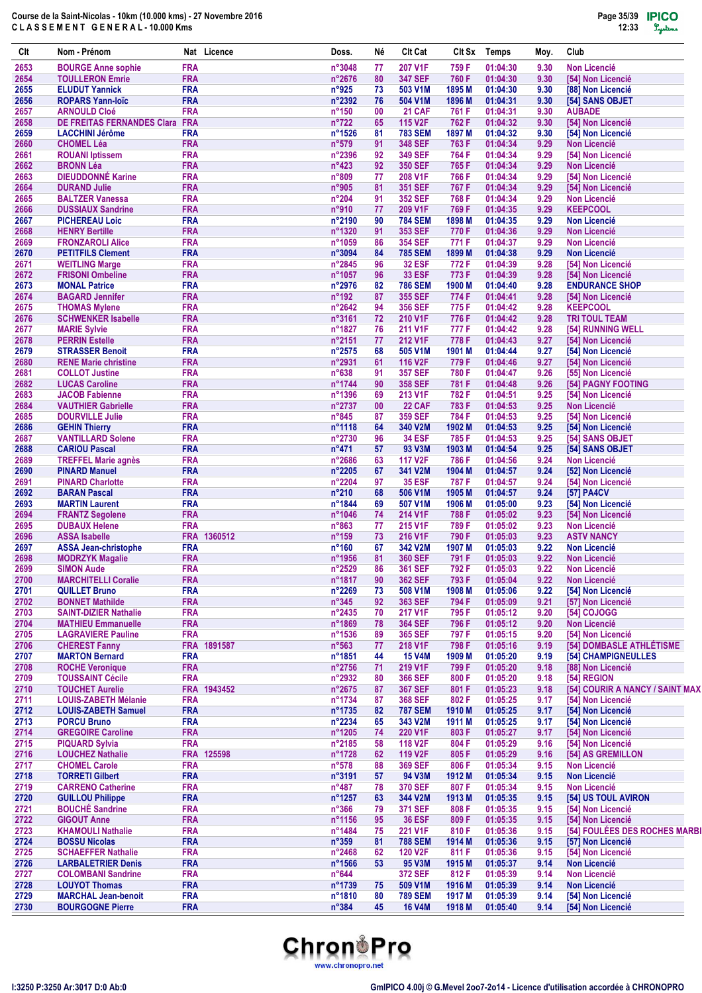| Clt          | Nom - Prénom                                                |                          | Nat Licence | Doss.                    | Νé       | <b>Clt Cat</b>                         | CIt Sx            | <b>Temps</b>         | Moy.         | Club                                     |
|--------------|-------------------------------------------------------------|--------------------------|-------------|--------------------------|----------|----------------------------------------|-------------------|----------------------|--------------|------------------------------------------|
| 2653         | <b>BOURGE Anne sophie</b>                                   | <b>FRA</b>               |             | n°3048                   | 77       | 207 V1F                                | 759 F             | 01:04:30             | 9.30         | <b>Non Licencié</b>                      |
| 2654         | <b>TOULLERON Emrie</b>                                      | <b>FRA</b>               |             | n°2676                   | 80       | <b>347 SEF</b>                         | 760 F             | 01:04:30             | 9.30         | [54] Non Licencié                        |
| 2655         | <b>ELUDUT Yannick</b>                                       | <b>FRA</b>               |             | n°925                    | 73       | 503 V1M                                | 1895 M            | 01:04:30             | 9.30         | [88] Non Licencié                        |
| 2656         | <b>ROPARS Yann-loïc</b>                                     | <b>FRA</b>               |             | n°2392                   | 76       | 504 V1M                                | 1896 M            | 01:04:31             | 9.30         | [54] SANS OBJET                          |
| 2657         | <b>ARNOULD Cloé</b>                                         | <b>FRA</b>               |             | $n^{\circ}150$           | 00       | <b>21 CAF</b>                          | 761 F             | 01:04:31             | 9.30         | <b>AUBADE</b>                            |
| 2658<br>2659 | <b>DE FREITAS FERNANDES Clara</b><br><b>LACCHINI Jérôme</b> | <b>FRA</b><br><b>FRA</b> |             | $n^{\circ}722$<br>n°1526 | 65<br>81 | 115 V <sub>2</sub> F<br><b>783 SEM</b> | 762 F<br>1897 M   | 01:04:32<br>01:04:32 | 9.30<br>9.30 | [54] Non Licencié<br>[54] Non Licencié   |
| 2660         | <b>CHOMEL Léa</b>                                           | <b>FRA</b>               |             | n°579                    | 91       | <b>348 SEF</b>                         | 763 F             | 01:04:34             | 9.29         | <b>Non Licencié</b>                      |
| 2661         | <b>ROUANI</b> Iptissem                                      | <b>FRA</b>               |             | n°2396                   | 92       | <b>349 SEF</b>                         | 764 F             | 01:04:34             | 9.29         | [54] Non Licencié                        |
| 2662         | <b>BRONN Léa</b>                                            | <b>FRA</b>               |             | $n^{\circ}423$           | 92       | <b>350 SEF</b>                         | 765 F             | 01:04:34             | 9.29         | <b>Non Licencié</b>                      |
| 2663         | <b>DIEUDDONNÉ Karine</b>                                    | <b>FRA</b>               |             | n°809                    | 77       | 208 V1F                                | 766 F             | 01:04:34             | 9.29         | [54] Non Licencié                        |
| 2664         | <b>DURAND Julie</b>                                         | <b>FRA</b>               |             | n°905                    | 81       | <b>351 SEF</b>                         | 767 F             | 01:04:34             | 9.29         | [54] Non Licencié                        |
| 2665         | <b>BALTZER Vanessa</b>                                      | <b>FRA</b>               |             | $n^{\circ}204$           | 91       | <b>352 SEF</b>                         | 768 F             | 01:04:34             | 9.29         | <b>Non Licencié</b>                      |
| 2666         | <b>DUSSIAUX Sandrine</b>                                    | <b>FRA</b>               |             | n°910                    | 77       | 209 V1F                                | 769 F             | 01:04:35             | 9.29         | <b>KEEPCOOL</b>                          |
| 2667         | <b>PICHEREAU Loic</b>                                       | <b>FRA</b>               |             | n°2190                   | 90       | <b>784 SEM</b>                         | 1898 M            | 01:04:35             | 9.29         | <b>Non Licencié</b>                      |
| 2668         | <b>HENRY Bertille</b>                                       | <b>FRA</b>               |             | n°1320                   | 91       | <b>353 SEF</b>                         | 770 F             | 01:04:36             | 9.29         | <b>Non Licencié</b>                      |
| 2669         | <b>FRONZAROLI Alice</b>                                     | <b>FRA</b>               |             | n°1059                   | 86       | <b>354 SEF</b>                         | 771 F             | 01:04:37             | 9.29         | <b>Non Licencié</b>                      |
| 2670<br>2671 | <b>PETITFILS Clement</b><br><b>WEITLING Marge</b>           | <b>FRA</b><br><b>FRA</b> |             | n°3094<br>n°2845         | 84<br>96 | <b>785 SEM</b><br><b>32 ESF</b>        | 1899 M<br>772 F   | 01:04:38<br>01:04:39 | 9.29<br>9.28 | <b>Non Licencié</b><br>[54] Non Licencié |
| 2672         | <b>FRISONI Ombeline</b>                                     | <b>FRA</b>               |             | n°1057                   | 96       | <b>33 ESF</b>                          | 773 F             | 01:04:39             | 9.28         | [54] Non Licencié                        |
| 2673         | <b>MONAL Patrice</b>                                        | <b>FRA</b>               |             | n°2976                   | 82       | <b>786 SEM</b>                         | 1900 M            | 01:04:40             | 9.28         | <b>ENDURANCE SHOP</b>                    |
| 2674         | <b>BAGARD Jennifer</b>                                      | <b>FRA</b>               |             | $n^{\circ}$ 192          | 87       | <b>355 SEF</b>                         | 774 F             | 01:04:41             | 9.28         | [54] Non Licencié                        |
| 2675         | <b>THOMAS Mylene</b>                                        | <b>FRA</b>               |             | $n^{\circ}2642$          | 94       | <b>356 SEF</b>                         | 775 F             | 01:04:42             | 9.28         | <b>KEEPCOOL</b>                          |
| 2676         | <b>SCHWENKER Isabelle</b>                                   | <b>FRA</b>               |             | $n^{\circ}3161$          | 72       | 210 V1F                                | 776 F             | 01:04:42             | 9.28         | <b>TRI TOUL TEAM</b>                     |
| 2677         | <b>MARIE Sylvie</b>                                         | <b>FRA</b>               |             | n°1827                   | 76       | 211 V1F                                | 777 F             | 01:04:42             | 9.28         | [54] RUNNING WELL                        |
| 2678         | <b>PERRIN Estelle</b>                                       | <b>FRA</b>               |             | $n^{\circ}2151$          | 77       | 212 V1F                                | 778 F             | 01:04:43             | 9.27         | [54] Non Licencié                        |
| 2679         | <b>STRASSER Benoit</b>                                      | <b>FRA</b>               |             | n°2575                   | 68       | 505 V1M                                | 1901 M            | 01:04:44             | 9.27         | [54] Non Licencié                        |
| 2680         | <b>RENE Marie christine</b>                                 | <b>FRA</b>               |             | n°2931                   | 61       | 116 V2F                                | 779 F             | 01:04:46             | 9.27         | [54] Non Licencié                        |
| 2681         | <b>COLLOT Justine</b>                                       | <b>FRA</b>               |             | n°638                    | 91       | <b>357 SEF</b>                         | 780 F             | 01:04:47             | 9.26         | [55] Non Licencié                        |
| 2682         | <b>LUCAS Caroline</b>                                       | <b>FRA</b>               |             | n°1744                   | 90       | <b>358 SEF</b>                         | 781 F             | 01:04:48             | 9.26         | [54] PAGNY FOOTING                       |
| 2683         | <b>JACOB Fabienne</b>                                       | <b>FRA</b>               |             | n°1396                   | 69       | 213 V1F                                | 782 F             | 01:04:51             | 9.25         | [54] Non Licencié                        |
| 2684         | <b>VAUTHIER Gabrielle</b>                                   | <b>FRA</b>               |             | n°2737                   | 00       | 22 CAF                                 | 783 F             | 01:04:53             | 9.25         | <b>Non Licencié</b>                      |
| 2685         | <b>DOURVILLE Julie</b>                                      | <b>FRA</b><br><b>FRA</b> |             | $n^{\circ}845$           | 87<br>64 | <b>359 SEF</b>                         | 784 F             | 01:04:53             | 9.25<br>9.25 | [54] Non Licencié                        |
| 2686<br>2687 | <b>GEHIN Thierry</b><br><b>VANTILLARD Solene</b>            | <b>FRA</b>               |             | n°1118<br>n°2730         | 96       | 340 V2M<br><b>34 ESF</b>               | 1902 M<br>785 F   | 01:04:53<br>01:04:53 | 9.25         | [54] Non Licencié<br>[54] SANS OBJET     |
| 2688         | <b>CARIOU Pascal</b>                                        | <b>FRA</b>               |             | $n^{\circ}471$           | 57       | 93 V3M                                 | 1903 M            | 01:04:54             | 9.25         | [54] SANS OBJET                          |
| 2689         | <b>TREFFEL Marie agnès</b>                                  | <b>FRA</b>               |             | n°2686                   | 63       | 117 V <sub>2</sub> F                   | 786 F             | 01:04:56             | 9.24         | <b>Non Licencié</b>                      |
| 2690         | <b>PINARD Manuel</b>                                        | <b>FRA</b>               |             | n°2205                   | 67       | 341 V2M                                | 1904 M            | 01:04:57             | 9.24         | [52] Non Licencié                        |
| 2691         | <b>PINARD Charlotte</b>                                     | <b>FRA</b>               |             | n°2204                   | 97       | <b>35 ESF</b>                          | 787 F             | 01:04:57             | 9.24         | [54] Non Licencié                        |
| 2692         | <b>BARAN Pascal</b>                                         | <b>FRA</b>               |             | $n^{\circ}210$           | 68       | 506 V1M                                | 1905 M            | 01:04:57             | 9.24         | [57] PA4CV                               |
| 2693         | <b>MARTIN Laurent</b>                                       | <b>FRA</b>               |             | n°1844                   | 69       | 507 V1M                                | 1906 M            | 01:05:00             | 9.23         | [54] Non Licencié                        |
| 2694         | <b>FRANTZ Segolene</b>                                      | <b>FRA</b>               |             | n°1046                   | 74       | 214 V1F                                | 788 F             | 01:05:02             | 9.23         | [54] Non Licencié                        |
| 2695         | <b>DUBAUX Helene</b>                                        | <b>FRA</b>               |             | $n^{\circ}863$           | 77       | 215 V1F                                | 789 F             | 01:05:02             | 9.23         | <b>Non Licencié</b>                      |
| 2696         | <b>ASSA Isabelle</b>                                        |                          | FRA 1360512 | $n^{\circ}159$           | 73       | 216 V1F                                | 790 F             | 01:05:03             | 9.23         | <b>ASTV NANCY</b>                        |
| 2697         | <b>ASSA Jean-christophe</b>                                 | <b>FRA</b>               |             | $n^{\circ}160$           | 67       | 342 V2M                                | 1907 M            | 01:05:03             | 9.22         | <b>Non Licencié</b>                      |
| 2698         | <b>MODRZYK Magalie</b>                                      | <b>FRA</b>               |             | n°1956                   | 81       | <b>360 SEF</b>                         | 791 F             | 01:05:03             | 9.22         | <b>Non Licencié</b>                      |
| 2699         | <b>SIMON Aude</b>                                           | <b>FRA</b>               |             | n°2529                   | 86       | <b>361 SEF</b>                         | 792 F             | 01:05:03             | 9.22         | <b>Non Licencié</b>                      |
| 2700         | <b>MARCHITELLI Coralie</b>                                  | <b>FRA</b><br><b>FRA</b> |             | n°1817                   | 90       | <b>362 SEF</b>                         | 793 F             | 01:05:04             | 9.22         | <b>Non Licencié</b>                      |
| 2701<br>2702 | <b>QUILLET Bruno</b><br><b>BONNET Mathilde</b>              | <b>FRA</b>               |             | n°2269<br>$n^{\circ}345$ | 73<br>92 | 508 V1M<br>363 SEF                     | 1908 M<br>794 F   | 01:05:06<br>01:05:09 | 9.22<br>9.21 | [54] Non Licencié<br>[57] Non Licencié   |
| 2703         | <b>SAINT-DIZIER Nathalie</b>                                | <b>FRA</b>               |             | n°2435                   | 70       | 217 V1F                                | 795 F             | 01:05:12             | 9.20         | [54] COJOGG                              |
| 2704         | <b>MATHIEU Emmanuelle</b>                                   | <b>FRA</b>               |             | n°1869                   | 78       | <b>364 SEF</b>                         | 796 F             | 01:05:12             | 9.20         | <b>Non Licencié</b>                      |
| 2705         | <b>LAGRAVIERE Pauline</b>                                   | <b>FRA</b>               |             | n°1536                   | 89       | 365 SEF                                | 797 F             | 01:05:15             | 9.20         | [54] Non Licencié                        |
| 2706         | <b>CHEREST Fanny</b>                                        |                          | FRA 1891587 | $n^{\circ}563$           | 77       | 218 V1F                                | 798 F             | 01:05:16             | 9.19         | [54] DOMBASLE ATHLÉTISME                 |
| 2707         | <b>MARTON Bernard</b>                                       | <b>FRA</b>               |             | n°1851                   | 44       | <b>15 V4M</b>                          | 1909 M            | 01:05:20             | 9.19         | <b>[54] CHAMPIGNEULLES</b>               |
| 2708         | <b>ROCHE Veronique</b>                                      | <b>FRA</b>               |             | n°2756                   | 71       | 219 V1F                                | 799 F             | 01:05:20             | 9.18         | [88] Non Licencié                        |
| 2709         | <b>TOUSSAINT Cécile</b>                                     | <b>FRA</b>               |             | n°2932                   | 80       | <b>366 SEF</b>                         | 800 F             | 01:05:20             | 9.18         | [54] REGION                              |
| 2710         | <b>TOUCHET Aurelie</b>                                      |                          | FRA 1943452 | n°2675                   | 87       | <b>367 SEF</b>                         | 801 F             | 01:05:23             | 9.18         | [54] COURIR A NANCY / SAINT MAX          |
| 2711         | <b>LOUIS-ZABETH Mélanie</b>                                 | <b>FRA</b>               |             | n°1734                   | 87       | <b>368 SEF</b>                         | 802F              | 01:05:25             | 9.17         | [54] Non Licencié                        |
| 2712         | <b>LOUIS-ZABETH Samuel</b>                                  | <b>FRA</b>               |             | n°1735                   | 82       | <b>787 SEM</b>                         | 1910 M            | 01:05:25             | 9.17         | [54] Non Licencié                        |
| 2713         | <b>PORCU Bruno</b>                                          | <b>FRA</b>               |             | n°2234                   | 65       | 343 V2M                                | 1911 M            | 01:05:25             | 9.17         | [54] Non Licencié                        |
| 2714         | <b>GREGOIRE Caroline</b>                                    | <b>FRA</b><br><b>FRA</b> |             | n°1205<br>n°2185         | 74<br>58 | 220 V1F<br>118 V2F                     | 803 F             | 01:05:27<br>01:05:29 | 9.17<br>9.16 | [54] Non Licencié<br>[54] Non Licencié   |
| 2715<br>2716 | <b>PIQUARD Sylvia</b><br><b>LOUCHEZ Nathalie</b>            |                          | FRA 125598  | n°1728                   | 62       | 119 V2F                                | 804 F<br>805F     | 01:05:29             | 9.16         | [54] AS GREMILLON                        |
| 2717         | <b>CHOMEL Carole</b>                                        | <b>FRA</b>               |             | $n^{\circ}578$           | 88       | <b>369 SEF</b>                         | 806 F             | 01:05:34             | 9.15         | <b>Non Licencié</b>                      |
| 2718         | <b>TORRETI Gilbert</b>                                      | <b>FRA</b>               |             | n°3191                   | 57       | 94 V3M                                 | 1912 M            | 01:05:34             | 9.15         | <b>Non Licencié</b>                      |
| 2719         | <b>CARRENO Catherine</b>                                    | <b>FRA</b>               |             | $n^{\circ}487$           | 78       | <b>370 SEF</b>                         | 807 F             | 01:05:34             | 9.15         | <b>Non Licencié</b>                      |
| 2720         | <b>GUILLOU Philippe</b>                                     | <b>FRA</b>               |             | n°1257                   | 63       | 344 V2M                                | 1913 M            | 01:05:35             | 9.15         | [54] US TOUL AVIRON                      |
| 2721         | <b>BOUCHÉ Sandrine</b>                                      | <b>FRA</b>               |             | $n^{\circ}366$           | 79       | <b>371 SEF</b>                         | 808 F             | 01:05:35             | 9.15         | [54] Non Licencié                        |
| 2722         | <b>GIGOUT Anne</b>                                          | <b>FRA</b>               |             | n°1156                   | 95       | <b>36 ESF</b>                          | 809 F             | 01:05:35             | 9.15         | [54] Non Licencié                        |
| 2723         | <b>KHAMOULI Nathalie</b>                                    | <b>FRA</b>               |             | n°1484                   | 75       | 221 V1F                                | 810 F             | 01:05:36             | 9.15         | [54] FOULÉES DES ROCHES MARBI            |
| 2724         | <b>BOSSU Nicolas</b>                                        | <b>FRA</b>               |             | $n^{\circ}359$           | 81       | <b>788 SEM</b>                         | 1914 M            | 01:05:36             | 9.15         | [57] Non Licencié                        |
| 2725         | <b>SCHAEFFER Nathalie</b>                                   | <b>FRA</b>               |             | n°2468                   | 62       | 120 V2F                                | 811 F             | 01:05:36             | 9.15         | [54] Non Licencié                        |
| 2726         | <b>LARBALETRIER Denis</b>                                   | <b>FRA</b>               |             | n°1566                   | 53       | 95 V3M                                 | 1915 M            | 01:05:37             | 9.14         | <b>Non Licencié</b>                      |
| 2727         | <b>COLOMBANI Sandrine</b>                                   | <b>FRA</b>               |             | $n^{\circ}644$           |          | 372 SEF                                | 812 F             | 01:05:39             | 9.14         | <b>Non Licencié</b>                      |
| 2728         | <b>LOUYOT Thomas</b>                                        | <b>FRA</b>               |             | n°1739                   | 75       | 509 V1M                                | 1916 <sub>M</sub> | 01:05:39             | 9.14         | <b>Non Licencié</b>                      |
| 2729         | <b>MARCHAL Jean-benoit</b>                                  | <b>FRA</b>               |             | n°1810                   | 80       | <b>789 SEM</b>                         | 1917 M            | 01:05:39             | 9.14         | [54] Non Licencié                        |
| 2730         | <b>BOURGOGNE Pierre</b>                                     | <b>FRA</b>               |             | $n^{\circ}384$           | 45       | <b>16 V4M</b>                          | 1918 M            | 01:05:40             | 9.14         | [54] Non Licencié                        |

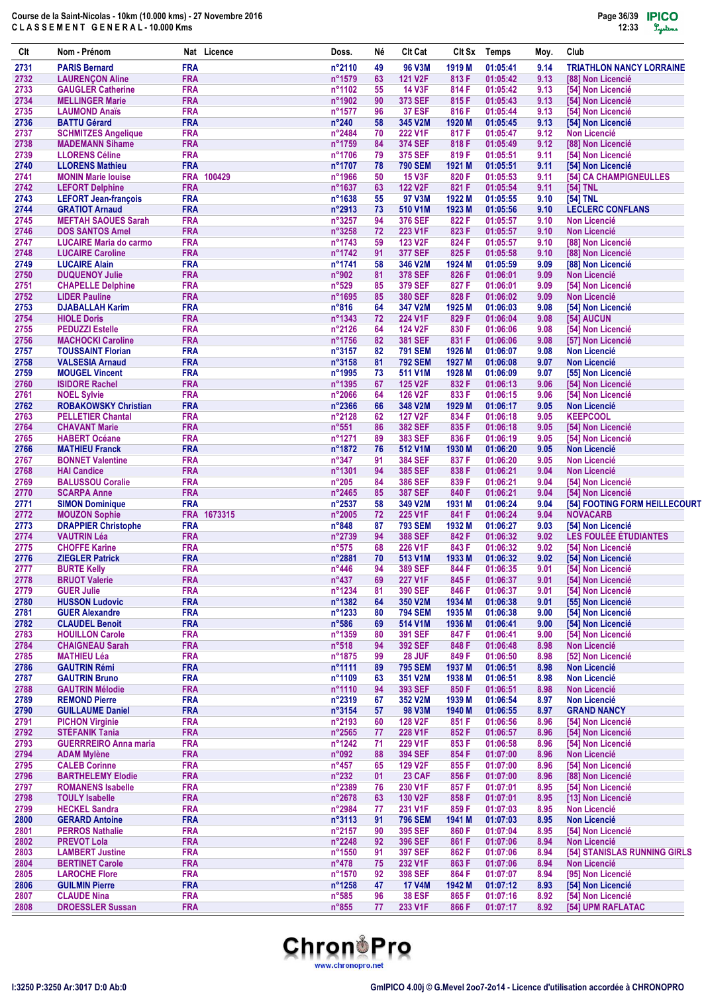| Clt          | Nom - Prénom                                         |                          | Nat Licence | Doss.                               | Né       | <b>Clt Cat</b>                   | Clt Sx           | <b>Temps</b>         | Moy.         | Club                                               |
|--------------|------------------------------------------------------|--------------------------|-------------|-------------------------------------|----------|----------------------------------|------------------|----------------------|--------------|----------------------------------------------------|
| 2731         | <b>PARIS Bernard</b>                                 | <b>FRA</b>               |             | n°2110                              | 49       | <b>96 V3M</b>                    | 1919 M           | 01:05:41             | 9.14         | <b>TRIATHLON NANCY LORRAINE</b>                    |
| 2732         | <b>LAURENÇON Aline</b>                               | <b>FRA</b>               |             | n°1579                              | 63       | <b>121 V2F</b>                   | 813 F            | 01:05:42             | 9.13         | [88] Non Licencié                                  |
| 2733         | <b>GAUGLER Catherine</b>                             | <b>FRA</b>               |             | n°1102                              | 55       | <b>14 V3F</b>                    | 814 F            | 01:05:42             | 9.13         | [54] Non Licencié                                  |
| 2734<br>2735 | <b>MELLINGER Marie</b><br><b>LAUMOND Anaïs</b>       | <b>FRA</b><br><b>FRA</b> |             | n°1902<br>$n^{\circ}$ 1577          | 90<br>96 | 373 SEF<br><b>37 ESF</b>         | 815F<br>816 F    | 01:05:43<br>01:05:44 | 9.13<br>9.13 | [54] Non Licencié<br>[54] Non Licencié             |
| 2736         | <b>BATTU Gérard</b>                                  | <b>FRA</b>               |             | $n^{\circ}240$                      | 58       | 345 V2M                          | 1920 M           | 01:05:45             | 9.13         | [54] Non Licencié                                  |
| 2737         | <b>SCHMITZES Angelique</b>                           | <b>FRA</b>               |             | n°2484                              | 70       | 222 V1F                          | 817 F            | 01:05:47             | 9.12         | <b>Non Licencié</b>                                |
| 2738         | <b>MADEMANN Sihame</b>                               | <b>FRA</b>               |             | n°1759                              | 84       | <b>374 SEF</b>                   | 818 F            | 01:05:49             | 9.12         | [88] Non Licencié                                  |
| 2739         | <b>LLORENS Céline</b>                                | <b>FRA</b>               |             | n°1706                              | 79       | 375 SEF                          | 819 F            | 01:05:51             | 9.11         | [54] Non Licencié                                  |
| 2740         | <b>LLORENS Mathieu</b>                               | <b>FRA</b>               |             | n°1707                              | 78       | 790 SEM                          | 1921 M           | 01:05:51             | 9.11         | [54] Non Licencié                                  |
| 2741         | <b>MONIN Marie louise</b>                            |                          | FRA 100429  | n°1966                              | 50       | <b>15 V3F</b>                    | 820 F            | 01:05:53             | 9.11         | [54] CA CHAMPIGNEULLES                             |
| 2742         | <b>LEFORT Delphine</b>                               | <b>FRA</b>               |             | n°1637                              | 63       | 122 V2F                          | 821 F            | 01:05:54             | 9.11         | [54] TNL                                           |
| 2743<br>2744 | <b>LEFORT Jean-françois</b><br><b>GRATIOT Arnaud</b> | <b>FRA</b><br><b>FRA</b> |             | $n^{\circ}1638$<br>n°2913           | 55<br>73 | 97 V3M<br>510 V1M                | 1922 M<br>1923 M | 01:05:55<br>01:05:56 | 9.10<br>9.10 | [54] TNL<br><b>LECLERC CONFLANS</b>                |
| 2745         | <b>MEFTAH SAOUES Sarah</b>                           | <b>FRA</b>               |             | n°3257                              | 94       | 376 SEF                          | 822 F            | 01:05:57             | 9.10         | <b>Non Licencié</b>                                |
| 2746         | <b>DOS SANTOS Amel</b>                               | <b>FRA</b>               |             | $n^{\circ}3258$                     | 72       | 223 V1F                          | 823 F            | 01:05:57             | 9.10         | <b>Non Licencié</b>                                |
| 2747         | <b>LUCAIRE Maria do carmo</b>                        | <b>FRA</b>               |             | n°1743                              | 59       | 123 V2F                          | 824 F            | 01:05:57             | 9.10         | [88] Non Licencié                                  |
| 2748         | <b>LUCAIRE Caroline</b>                              | <b>FRA</b>               |             | n°1742                              | 91       | <b>377 SEF</b>                   | 825F             | 01:05:58             | 9.10         | [88] Non Licencié                                  |
| 2749         | <b>LUCAIRE Alain</b>                                 | <b>FRA</b>               |             | n°1741                              | 58       | 346 V2M                          | 1924 M           | 01:05:59             | 9.09         | [88] Non Licencié                                  |
| 2750         | <b>DUQUENOY Julie</b>                                | <b>FRA</b>               |             | n°902                               | 81       | 378 SEF                          | 826 F            | 01:06:01             | 9.09         | <b>Non Licencié</b>                                |
| 2751         | <b>CHAPELLE Delphine</b>                             | <b>FRA</b><br><b>FRA</b> |             | $n^{\circ}529$                      | 85       | 379 SEF<br>380 SEF               | 827 F            | 01:06:01             | 9.09         | [54] Non Licencié                                  |
| 2752<br>2753 | <b>LIDER Pauline</b><br><b>DJABALLAH Karim</b>       | <b>FRA</b>               |             | n°1695<br>$n^{\circ}816$            | 85<br>64 | 347 V2M                          | 828 F<br>1925 M  | 01:06:02<br>01:06:03 | 9.09<br>9.08 | <b>Non Licencié</b><br>[54] Non Licencié           |
| 2754         | <b>HIOLE Doris</b>                                   | <b>FRA</b>               |             | $n^{\circ}$ 1343                    | 72       | 224 V1F                          | 829 F            | 01:06:04             | 9.08         | [54] AUCUN                                         |
| 2755         | <b>PEDUZZI Estelle</b>                               | <b>FRA</b>               |             | n°2126                              | 64       | 124 V2F                          | 830 F            | 01:06:06             | 9.08         | [54] Non Licencié                                  |
| 2756         | <b>MACHOCKI Caroline</b>                             | <b>FRA</b>               |             | n°1756                              | 82       | <b>381 SEF</b>                   | 831 F            | 01:06:06             | 9.08         | [57] Non Licencié                                  |
| 2757         | <b>TOUSSAINT Florian</b>                             | <b>FRA</b>               |             | n°3157                              | 82       | <b>791 SEM</b>                   | 1926 M           | 01:06:07             | 9.08         | <b>Non Licencié</b>                                |
| 2758         | <b>VALSESIA Arnaud</b>                               | <b>FRA</b>               |             | $n^{\circ}3158$                     | 81       | <b>792 SEM</b>                   | 1927 M           | 01:06:08             | 9.07         | <b>Non Licencié</b>                                |
| 2759         | <b>MOUGEL Vincent</b>                                | <b>FRA</b>               |             | n°1995                              | 73       | 511 V1M                          | 1928 M           | 01:06:09             | 9.07         | [55] Non Licencié                                  |
| 2760         | <b>ISIDORE Rachel</b>                                | <b>FRA</b>               |             | n°1395                              | 67       | <b>125 V2F</b>                   | 832 F            | 01:06:13             | 9.06         | [54] Non Licencié                                  |
| 2761<br>2762 | <b>NOEL Sylvie</b><br><b>ROBAKOWSKY Christian</b>    | <b>FRA</b><br><b>FRA</b> |             | n°2066<br>n°2366                    | 64<br>66 | 126 V2F<br>348 V2M               | 833 F<br>1929 M  | 01:06:15<br>01:06:17 | 9.06<br>9.05 | [54] Non Licencié<br><b>Non Licencié</b>           |
| 2763         | <b>PELLETIER Chantal</b>                             | <b>FRA</b>               |             | n°2128                              | 62       | <b>127 V2F</b>                   | 834 F            | 01:06:18             | 9.05         | <b>KEEPCOOL</b>                                    |
| 2764         | <b>CHAVANT Marie</b>                                 | <b>FRA</b>               |             | $n^{\circ}551$                      | 86       | <b>382 SEF</b>                   | 835 F            | 01:06:18             | 9.05         | [54] Non Licencié                                  |
| 2765         | <b>HABERT Océane</b>                                 | <b>FRA</b>               |             | n°1271                              | 89       | 383 SEF                          | 836 F            | 01:06:19             | 9.05         | [54] Non Licencié                                  |
| 2766         | <b>MATHIEU Franck</b>                                | <b>FRA</b>               |             | n°1872                              | 76       | 512 V1M                          | 1930 M           | 01:06:20             | 9.05         | <b>Non Licencié</b>                                |
| 2767         | <b>BONNET Valentine</b>                              | <b>FRA</b>               |             | $n^{\circ}347$                      | 91       | <b>384 SEF</b>                   | 837 F            | 01:06:20             | 9.05         | <b>Non Licencié</b>                                |
| 2768         | <b>HAI Candice</b>                                   | <b>FRA</b>               |             | n°1301                              | 94       | 385 SEF                          | 838 F            | 01:06:21             | 9.04         | <b>Non Licencié</b>                                |
| 2769         | <b>BALUSSOU Coralie</b>                              | <b>FRA</b><br><b>FRA</b> |             | $n^{\circ}205$                      | 84       | <b>386 SEF</b>                   | 839 F            | 01:06:21             | 9.04         | [54] Non Licencié                                  |
| 2770<br>2771 | <b>SCARPA Anne</b><br><b>SIMON Dominique</b>         | <b>FRA</b>               |             | $n^{\circ}$ 2465<br>$n^{\circ}2537$ | 85<br>58 | <b>387 SEF</b><br>349 V2M        | 840 F<br>1931 M  | 01:06:21<br>01:06:24 | 9.04<br>9.04 | [54] Non Licencié<br>[54] FOOTING FORM HEILLECOURT |
| 2772         | <b>MOUZON Sophie</b>                                 |                          | FRA 1673315 | $n^{\circ}2005$                     | 72       | 225 V1F                          | 841 F            | 01:06:24             | 9.04         | <b>NOVACARB</b>                                    |
| 2773         | <b>DRAPPIER Christophe</b>                           | <b>FRA</b>               |             | $n^{\circ}848$                      | 87       | <b>793 SEM</b>                   | 1932 M           | 01:06:27             | 9.03         | [54] Non Licencié                                  |
| 2774         | <b>VAUTRIN Léa</b>                                   | <b>FRA</b>               |             | n°2739                              | 94       | <b>388 SEF</b>                   | 842 F            | 01:06:32             | 9.02         | LES FOULÉE ÉTUDIANTES                              |
| 2775         | <b>CHOFFE Karine</b>                                 | <b>FRA</b>               |             | $n^{\circ}575$                      | 68       | 226 V1F                          | 843 F            | 01:06:32             | 9.02         | [54] Non Licencié                                  |
| 2776         | <b>ZIEGLER Patrick</b>                               | <b>FRA</b>               |             | n°2881                              | 70       | 513 V1M                          | 1933 M           | 01:06:32             | 9.02         | [54] Non Licencié                                  |
| 2777         | <b>BURTE Kelly</b>                                   | <b>FRA</b>               |             | $n^{\circ}446$                      | 94       | 389 SEF                          | 844 F            | 01:06:35             | 9.01         | [54] Non Licencié                                  |
| 2778<br>2779 | <b>BRUOT Valerie</b><br><b>GUER Julie</b>            | <b>FRA</b><br><b>FRA</b> |             | $n^{\circ}437$<br>n°1234            | 69<br>81 | <b>227 V1F</b><br><b>390 SEF</b> | 845F<br>846 F    | 01:06:37<br>01:06:37 | 9.01<br>9.01 | [54] Non Licencié<br>[54] Non Licencié             |
| 2780         | <b>HUSSON Ludovic</b>                                | <b>FRA</b>               |             | n°1382                              | 64       | 350 V2M                          | 1934 M           | 01:06:38             | 9.01         | [55] Non Licencié                                  |
| 2781         | <b>GUER Alexandre</b>                                | <b>FRA</b>               |             | n°1233                              | 80       | <b>794 SEM</b>                   | 1935 M           | 01:06:38             | 9.00         | [54] Non Licencié                                  |
| 2782         | <b>CLAUDEL Benoit</b>                                | <b>FRA</b>               |             | $n^{\circ}586$                      | 69       | 514 V1M                          | 1936 M           | 01:06:41             | 9.00         | [54] Non Licencié                                  |
| 2783         | <b>HOUILLON Carole</b>                               | <b>FRA</b>               |             | n°1359                              | 80       | <b>391 SEF</b>                   | 847 F            | 01:06:41             | 9.00         | [54] Non Licencié                                  |
| 2784         | <b>CHAIGNEAU Sarah</b>                               | <b>FRA</b>               |             | $n^{\circ}518$                      | 94       | 392 SEF                          | 848 F            | 01:06:48             | 8.98         | <b>Non Licencié</b>                                |
| 2785         | MATHIEU Léa                                          | <b>FRA</b>               |             | n°1875                              | 99       | 28 JUF                           | 849 F            | 01:06:50             | 8.98         | [52] Non Licencié                                  |
| 2786         | <b>GAUTRIN Rémi</b>                                  | <b>FRA</b><br><b>FRA</b> |             | n°1111                              | 89       | <b>795 SEM</b>                   | 1937 M           | 01:06:51             | 8.98         | Non Licencié                                       |
| 2787<br>2788 | <b>GAUTRIN Bruno</b><br><b>GAUTRIN Mélodie</b>       | <b>FRA</b>               |             | n°1109<br>n°1110                    | 63<br>94 | 351 V2M<br>393 SEF               | 1938 M<br>850 F  | 01:06:51<br>01:06:51 | 8.98<br>8.98 | <b>Non Licencié</b><br><b>Non Licencié</b>         |
| 2789         | <b>REMOND Pierre</b>                                 | <b>FRA</b>               |             | n°2319                              | 67       | 352 V2M                          | 1939 M           | 01:06:54             | 8.97         | <b>Non Licencié</b>                                |
| 2790         | <b>GUILLAUME Daniel</b>                              | <b>FRA</b>               |             | n°3154                              | 57       | <b>98 V3M</b>                    | 1940 M           | 01:06:55             | 8.97         | <b>GRAND NANCY</b>                                 |
| 2791         | <b>PICHON Virginie</b>                               | <b>FRA</b>               |             | n°2193                              | 60       | 128 V2F                          | 851 F            | 01:06:56             | 8.96         | [54] Non Licencié                                  |
| 2792         | <b>STÉFANIK Tania</b>                                | <b>FRA</b>               |             | n°2565                              | 77       | 228 V1F                          | 852 F            | 01:06:57             | 8.96         | [54] Non Licencié                                  |
| 2793         | <b>GUERRREIRO Anna maria</b>                         | <b>FRA</b>               |             | n°1242                              | 71       | 229 V1F                          | 853 F            | 01:06:58             | 8.96         | [54] Non Licencié                                  |
| 2794         | <b>ADAM Mylène</b>                                   | <b>FRA</b>               |             | n°092                               | 88       | <b>394 SEF</b>                   | 854 F            | 01:07:00             | 8.96         | <b>Non Licencié</b>                                |
| 2795<br>2796 | <b>CALEB Corinne</b><br><b>BARTHELEMY Elodie</b>     | <b>FRA</b><br><b>FRA</b> |             | $n^{\circ}457$<br>$n^{\circ}232$    | 65<br>01 | 129 V2F<br>23 CAF                | 855F<br>856 F    | 01:07:00<br>01:07:00 | 8.96<br>8.96 | [54] Non Licencié<br>[88] Non Licencié             |
| 2797         | <b>ROMANENS Isabelle</b>                             | <b>FRA</b>               |             | n°2389                              | 76       | 230 V1F                          | 857 F            | 01:07:01             | 8.95         | [54] Non Licencié                                  |
| 2798         | <b>TOULY Isabelle</b>                                | <b>FRA</b>               |             | n°2678                              | 63       | 130 V2F                          | 858 F            | 01:07:01             | 8.95         | [13] Non Licencié                                  |
| 2799         | <b>HECKEL Sandra</b>                                 | <b>FRA</b>               |             | n°2984                              | 77       | 231 V1F                          | 859 F            | 01:07:03             | 8.95         | Non Licencié                                       |
| 2800         | <b>GERARD Antoine</b>                                | <b>FRA</b>               |             | n°3113                              | 91       | <b>796 SEM</b>                   | 1941 M           | 01:07:03             | 8.95         | <b>Non Licencié</b>                                |
| 2801         | <b>PERROS Nathalie</b>                               | <b>FRA</b>               |             | n°2157                              | 90       | 395 SEF                          | 860 F            | 01:07:04             | 8.95         | [54] Non Licencié                                  |
| 2802         | <b>PREVOT Lola</b>                                   | <b>FRA</b>               |             | n°2248                              | 92       | 396 SEF                          | 861 F            | 01:07:06             | 8.94         | <b>Non Licencié</b>                                |
| 2803         | <b>LAMBERT Justine</b>                               | <b>FRA</b>               |             | n°1550<br>$n^{\circ}478$            | 91       | <b>397 SEF</b>                   | 862 F            | 01:07:06             | 8.94         | [54] STANISLAS RUNNING GIRLS                       |
| 2804<br>2805 | <b>BERTINET Carole</b><br><b>LAROCHE Flore</b>       | <b>FRA</b><br><b>FRA</b> |             | n°1570                              | 75<br>92 | 232 V1F<br><b>398 SEF</b>        | 863 F<br>864 F   | 01:07:06<br>01:07:07 | 8.94<br>8.94 | <b>Non Licencié</b><br>[95] Non Licencié           |
| 2806         | <b>GUILMIN Pierre</b>                                | <b>FRA</b>               |             | n°1258                              | 47       | <b>17 V4M</b>                    | 1942 M           | 01:07:12             | 8.93         | [54] Non Licencié                                  |
| 2807         | <b>CLAUDE Nina</b>                                   | <b>FRA</b>               |             | $n^{\circ}585$                      | 96       | <b>38 ESF</b>                    | 865 F            | 01:07:16             | 8.92         | [54] Non Licencié                                  |
| 2808         | <b>DROESSLER Sussan</b>                              | <b>FRA</b>               |             | $n^{\circ}855$                      | 77       | 233 V1F                          | 866 F            | 01:07:17             | 8.92         | [54] UPM RAFLATAC                                  |

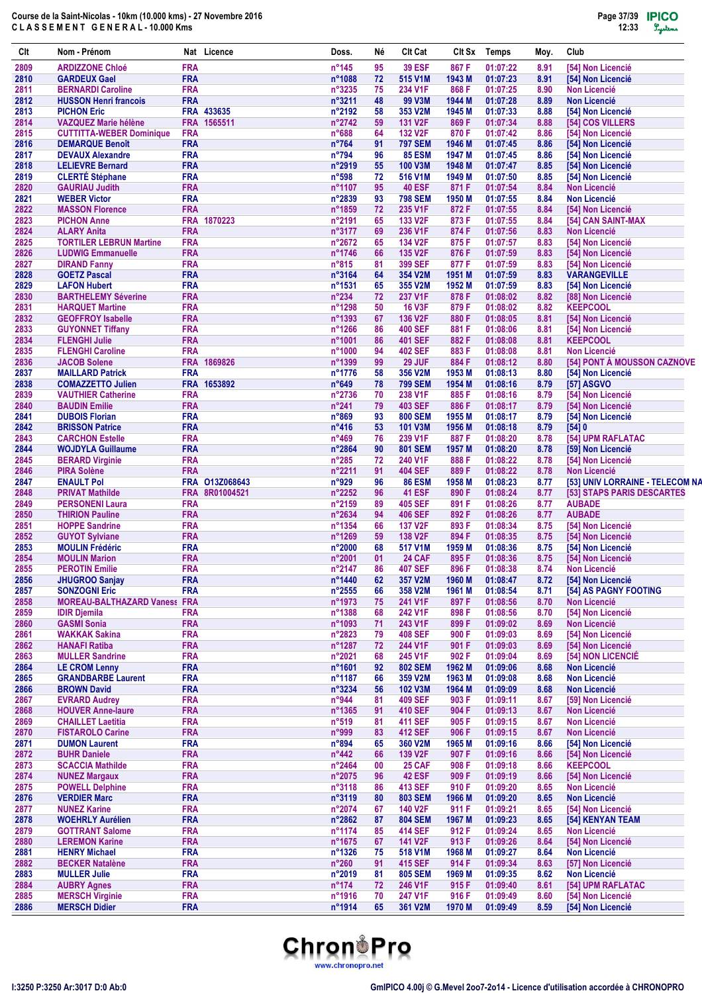| Clt          | Nom - Prénom                                                   |                          | Nat Licence                      | Doss.                    | Né       | <b>CIt Cat</b>                   | Clt Sx          | <b>Temps</b>         | Moy.         | Club                                                          |
|--------------|----------------------------------------------------------------|--------------------------|----------------------------------|--------------------------|----------|----------------------------------|-----------------|----------------------|--------------|---------------------------------------------------------------|
| 2809         | <b>ARDIZZONE Chloé</b>                                         | <b>FRA</b>               |                                  | $n^{\circ}$ 145          | 95       | <b>39 ESF</b>                    | 867 F           | 01:07:22             | 8.91         | [54] Non Licencié                                             |
| 2810         | <b>GARDEUX Gael</b>                                            | <b>FRA</b>               |                                  | n°1088                   | 72       | 515 V1M                          | 1943 M          | 01:07:23             | 8.91         | [54] Non Licencié                                             |
| 2811         | <b>BERNARDI Caroline</b>                                       | <b>FRA</b>               |                                  | n°3235                   | 75       | 234 V1F                          | 868 F           | 01:07:25             | 8.90         | <b>Non Licencié</b>                                           |
| 2812         | <b>HUSSON Henri francois</b>                                   | <b>FRA</b>               |                                  | n°3211                   | 48       | 99 V3M                           | 1944 M          | 01:07:28             | 8.89         | <b>Non Licencié</b>                                           |
| 2813         | <b>PICHON Eric</b>                                             |                          | FRA 433635                       | n°2192                   | 58       | 353 V2M                          | 1945 M          | 01:07:33             | 8.88         | [54] Non Licencié                                             |
| 2814<br>2815 | <b>VAZQUEZ Marie hélène</b><br><b>CUTTITTA-WEBER Dominique</b> | <b>FRA</b>               | FRA 1565511                      | n°2742<br>n°688          | 59<br>64 | 131 V2F<br>132 V <sub>2</sub> F  | 869 F<br>870 F  | 01:07:34<br>01:07:42 | 8.88<br>8.86 | [54] COS VILLERS<br>[54] Non Licencié                         |
| 2816         | <b>DEMARQUE Benoît</b>                                         | <b>FRA</b>               |                                  | $n^{\circ}764$           | 91       | <b>797 SEM</b>                   | 1946 M          | 01:07:45             | 8.86         | [54] Non Licencié                                             |
| 2817         | <b>DEVAUX Alexandre</b>                                        | <b>FRA</b>               |                                  | n°794                    | 96       | <b>85 ESM</b>                    | 1947 M          | 01:07:45             | 8.86         | [54] Non Licencié                                             |
| 2818         | <b>LELIEVRE Bernard</b>                                        | <b>FRA</b>               |                                  | n°2919                   | 55       | 100 V3M                          | 1948 M          | 01:07:47             | 8.85         | [54] Non Licencié                                             |
| 2819         | <b>CLERTÉ Stéphane</b>                                         | <b>FRA</b>               |                                  | $n^{\circ}598$           | 72       | 516 V1M                          | 1949 M          | 01:07:50             | 8.85         | [54] Non Licencié                                             |
| 2820         | <b>GAURIAU Judith</b>                                          | <b>FRA</b>               |                                  | n°1107                   | 95       | <b>40 ESF</b>                    | 871 F           | 01:07:54             | 8.84         | <b>Non Licencié</b>                                           |
| 2821         | <b>WEBER Victor</b>                                            | <b>FRA</b>               |                                  | n°2839                   | 93       | <b>798 SEM</b>                   | 1950 M          | 01:07:55             | 8.84         | <b>Non Licencié</b>                                           |
| 2822         | <b>MASSON Florence</b>                                         | <b>FRA</b>               |                                  | n°1859                   | 72       | 235 V1F                          | 872 F           | 01:07:55             | 8.84         | [54] Non Licencié                                             |
| 2823<br>2824 | <b>PICHON Anne</b><br><b>ALARY Anita</b>                       | <b>FRA</b><br><b>FRA</b> | 1870223                          | n°2191<br>n°3177         | 65<br>69 | 133 V <sub>2</sub> F<br>236 V1F  | 873 F<br>874 F  | 01:07:55<br>01:07:56 | 8.84<br>8.83 | [54] CAN SAINT-MAX<br><b>Non Licencié</b>                     |
| 2825         | <b>TORTILER LEBRUN Martine</b>                                 | <b>FRA</b>               |                                  | n°2672                   | 65       | 134 V2F                          | 875F            | 01:07:57             | 8.83         | [54] Non Licencié                                             |
| 2826         | <b>LUDWIG Emmanuelle</b>                                       | <b>FRA</b>               |                                  | n°1746                   | 66       | 135 V2F                          | 876 F           | 01:07:59             | 8.83         | [54] Non Licencié                                             |
| 2827         | <b>DIRAND Fanny</b>                                            | <b>FRA</b>               |                                  | $n^{\circ}815$           | 81       | <b>399 SEF</b>                   | 877 F           | 01:07:59             | 8.83         | [54] Non Licencié                                             |
| 2828         | <b>GOETZ Pascal</b>                                            | <b>FRA</b>               |                                  | n°3164                   | 64       | 354 V2M                          | 1951 M          | 01:07:59             | 8.83         | <b>VARANGEVILLE</b>                                           |
| 2829         | <b>LAFON Hubert</b>                                            | <b>FRA</b>               |                                  | n°1531                   | 65       | 355 V2M                          | 1952 M          | 01:07:59             | 8.83         | [54] Non Licencié                                             |
| 2830         | <b>BARTHELEMY Séverine</b>                                     | <b>FRA</b>               |                                  | $n^{\circ}234$           | 72       | 237 V1F                          | 878 F           | 01:08:02             | 8.82         | [88] Non Licencié                                             |
| 2831         | <b>HARQUET Martine</b>                                         | <b>FRA</b>               |                                  | n°1298                   | 50       | <b>16 V3F</b>                    | 879 F           | 01:08:02             | 8.82         | <b>KEEPCOOL</b>                                               |
| 2832         | <b>GEOFFROY Isabelle</b>                                       | <b>FRA</b>               |                                  | n°1393                   | 67       | 136 V2F                          | 880 F           | 01:08:05             | 8.81         | [54] Non Licencié                                             |
| 2833         | <b>GUYONNET Tiffany</b>                                        | <b>FRA</b>               |                                  | n°1266                   | 86       | <b>400 SEF</b>                   | 881 F           | 01:08:06             | 8.81         | [54] Non Licencié                                             |
| 2834         | <b>FLENGHI Julie</b>                                           | <b>FRA</b>               |                                  | n°1001                   | 86       | <b>401 SEF</b>                   | 882 F           | 01:08:08             | 8.81         | <b>KEEPCOOL</b>                                               |
| 2835<br>2836 | <b>FLENGHI Caroline</b><br><b>JACOB Solene</b>                 | <b>FRA</b><br><b>FRA</b> | 1869826                          | n°1000<br>n°1399         | 94<br>99 | <b>402 SEF</b><br>29 JUF         | 883 F<br>884 F  | 01:08:08<br>01:08:12 | 8.81<br>8.80 | <b>Non Licencié</b><br>[54] PONT À MOUSSON CAZNOVE            |
| 2837         | <b>MAILLARD Patrick</b>                                        | <b>FRA</b>               |                                  | n°1776                   | 58       | 356 V2M                          | 1953 M          | 01:08:13             | 8.80         | [54] Non Licencié                                             |
| 2838         | <b>COMAZZETTO Julien</b>                                       |                          | FRA 1653892                      | $n^{\circ}649$           | 78       | <b>799 SEM</b>                   | 1954 M          | 01:08:16             | 8.79         | [57] ASGVO                                                    |
| 2839         | <b>VAUTHIER Catherine</b>                                      | <b>FRA</b>               |                                  | n°2736                   | 70       | 238 V1F                          | 885F            | 01:08:16             | 8.79         | [54] Non Licencié                                             |
| 2840         | <b>BAUDIN Emilie</b>                                           | <b>FRA</b>               |                                  | $n^{\circ}241$           | 79       | <b>403 SEF</b>                   | 886 F           | 01:08:17             | 8.79         | [54] Non Licencié                                             |
| 2841         | <b>DUBOIS Florian</b>                                          | <b>FRA</b>               |                                  | n°869                    | 93       | <b>800 SEM</b>                   | 1955 M          | 01:08:17             | 8.79         | [54] Non Licencié                                             |
| 2842         | <b>BRISSON Patrice</b>                                         | <b>FRA</b>               |                                  | $n^{\circ}416$           | 53       | 101 V3M                          | 1956 M          | 01:08:18             | 8.79         | [54]0                                                         |
| 2843         | <b>CARCHON Estelle</b>                                         | <b>FRA</b>               |                                  | n°469                    | 76       | 239 V1F                          | 887 F           | 01:08:20             | 8.78         | [54] UPM RAFLATAC                                             |
| 2844         | <b>WOJDYLA Guillaume</b>                                       | <b>FRA</b>               |                                  | n°2864                   | 90       | <b>801 SEM</b>                   | 1957 M          | 01:08:20             | 8.78         | [59] Non Licencié                                             |
| 2845         | <b>BERARD Virginie</b>                                         | <b>FRA</b>               |                                  | $n^{\circ}285$           | 72       | 240 V1F                          | 888 F           | 01:08:22             | 8.78         | [54] Non Licencié                                             |
| 2846         | <b>PIRA Solène</b>                                             | <b>FRA</b>               |                                  | n°2211                   | 91       | <b>404 SEF</b>                   | 889 F           | 01:08:22             | 8.78         | <b>Non Licencié</b>                                           |
| 2847<br>2848 | <b>ENAULT Pol</b><br><b>PRIVAT Mathilde</b>                    |                          | FRA 013Z068643<br>FRA 8R01004521 | n°929<br>n°2252          | 96<br>96 | <b>86 ESM</b><br><b>41 ESF</b>   | 1958 M<br>890 F | 01:08:23<br>01:08:24 | 8.77<br>8.77 | [53] UNIV LORRAINE - TELECOM NA<br>[53] STAPS PARIS DESCARTES |
| 2849         | <b>PERSONENI Laura</b>                                         | <b>FRA</b>               |                                  | n°2159                   | 89       | <b>405 SEF</b>                   | 891 F           | 01:08:26             | 8.77         | <b>AUBADE</b>                                                 |
| 2850         | <b>THIRION Pauline</b>                                         | <b>FRA</b>               |                                  | n°2634                   | 94       | <b>406 SEF</b>                   | 892 F           | 01:08:26             | 8.77         | <b>AUBADE</b>                                                 |
| 2851         | <b>HOPPE Sandrine</b>                                          | <b>FRA</b>               |                                  | n°1354                   | 66       | 137 V2F                          | 893 F           | 01:08:34             | 8.75         | [54] Non Licencié                                             |
| 2852         | <b>GUYOT Sylviane</b>                                          | <b>FRA</b>               |                                  | n°1269                   | 59       | 138 V2F                          | 894 F           | 01:08:35             | 8.75         | [54] Non Licencié                                             |
| 2853         | <b>MOULIN Frédéric</b>                                         | <b>FRA</b>               |                                  | n°2000                   | 68       | 517 V1M                          | 1959 M          | 01:08:36             | 8.75         | [54] Non Licencié                                             |
| 2854         | <b>MOULIN Marion</b>                                           | <b>FRA</b>               |                                  | n°2001                   | 01       | <b>24 CAF</b>                    | 895F            | 01:08:36             | 8.75         | [54] Non Licencié                                             |
| 2855         | <b>PEROTIN Emilie</b>                                          | <b>FRA</b>               |                                  | n°2147                   | 86       | 407 SEF                          | 896 F           | 01:08:38             | 8.74         | <b>Non Licencié</b>                                           |
| 2856         | <b>JHUGROO Sanjay</b>                                          | <b>FRA</b>               |                                  | n°1440                   | 62       | 357 V2M                          | 1960 M          | 01:08:47             | 8.72         | [54] Non Licencié                                             |
| 2857         | <b>SONZOGNI Eric</b>                                           | <b>FRA</b>               |                                  | n°2555                   | 66       | 358 V2M                          | 1961 M          | 01:08:54             | 8.71         | [54] AS PAGNY FOOTING                                         |
| 2858         | <b>MOREAU-BALTHAZARD Vaness FRA</b>                            |                          |                                  | n°1973                   | 75       | 241 V1F                          | 897 F           | 01:08:56             | 8.70         | <b>Non Licencié</b>                                           |
| 2859         | <b>IDIR Djemila</b><br><b>GASMI Sonia</b>                      | <b>FRA</b><br><b>FRA</b> |                                  | n°1388<br>n°1093         | 68<br>71 | 242 V1F<br>243 V1F               | 898 F<br>899 F  | 01:08:56<br>01:09:02 | 8.70<br>8.69 | [54] Non Licencié<br><b>Non Licencié</b>                      |
| 2860<br>2861 | <b>WAKKAK Sakina</b>                                           | <b>FRA</b>               |                                  | n°2823                   | 79       | <b>408 SEF</b>                   | 900 F           | 01:09:03             | 8.69         | [54] Non Licencié                                             |
| 2862         | <b>HANAFI Ratiba</b>                                           | <b>FRA</b>               |                                  | n°1287                   | 72       | 244 V1F                          | 901 F           | 01:09:03             | 8.69         | <b>[54] Non Licencié</b>                                      |
| 2863         | <b>MULLER Sandrine</b>                                         | <b>FRA</b>               |                                  | n°2021                   | 68       | 245 V1F                          | 902 F           | 01:09:04             | 8.69         | [54] NON LICENCIÉ                                             |
| 2864         | <b>LE CROM Lenny</b>                                           | <b>FRA</b>               |                                  | n°1601                   | 92       | <b>802 SEM</b>                   | 1962 M          | 01:09:06             | 8.68         | Non Licencié                                                  |
| 2865         | <b>GRANDBARBE Laurent</b>                                      | <b>FRA</b>               |                                  | n°1187                   | 66       | 359 V2M                          | 1963 M          | 01:09:08             | 8.68         | <b>Non Licencié</b>                                           |
| 2866         | <b>BROWN David</b>                                             | <b>FRA</b>               |                                  | n°3234                   | 56       | 102 V3M                          | 1964 M          | 01:09:09             | 8.68         | <b>Non Licencié</b>                                           |
| 2867         | <b>EVRARD Audrey</b>                                           | <b>FRA</b>               |                                  | n°944                    | 81       | <b>409 SEF</b>                   | 903 F           | 01:09:11             | 8.67         | [59] Non Licencié                                             |
| 2868         | <b>HOUVER Anne-laure</b>                                       | <b>FRA</b>               |                                  | n°1365                   | 91       | <b>410 SEF</b>                   | 904 F           | 01:09:13             | 8.67         | <b>Non Licencié</b>                                           |
| 2869         | <b>CHAILLET Laetitia</b>                                       | <b>FRA</b>               |                                  | $n^{\circ}519$           | 81       | <b>411 SEF</b>                   | 905 F           | 01:09:15             | 8.67         | Non Licencié                                                  |
| 2870<br>2871 | <b>FISTAROLO Carine</b><br><b>DUMON Laurent</b>                | <b>FRA</b><br><b>FRA</b> |                                  | n°999<br>n°894           | 83<br>65 | <b>412 SEF</b><br>360 V2M        | 906 F<br>1965 M | 01:09:15<br>01:09:16 | 8.67<br>8.66 | <b>Non Licencié</b><br>[54] Non Licencié                      |
| 2872         | <b>BUHR Daniele</b>                                            | <b>FRA</b>               |                                  | $n^{\circ}442$           | 66       | 139 V2F                          | 907 F           | 01:09:16             | 8.66         | [54] Non Licencié                                             |
| 2873         | <b>SCACCIA Mathilde</b>                                        | <b>FRA</b>               |                                  | n°2464                   | 00       | <b>25 CAF</b>                    | 908 F           | 01:09:18             | 8.66         | <b>KEEPCOOL</b>                                               |
| 2874         | <b>NUNEZ Margaux</b>                                           | <b>FRA</b>               |                                  | n°2075                   | 96       | <b>42 ESF</b>                    | 909 F           | 01:09:19             | 8.66         | [54] Non Licencié                                             |
| 2875         | <b>POWELL Delphine</b>                                         | <b>FRA</b>               |                                  | n°3118                   | 86       | <b>413 SEF</b>                   | 910 F           | 01:09:20             | 8.65         | Non Licencié                                                  |
| 2876         | <b>VERDIER Marc</b>                                            | <b>FRA</b>               |                                  | n°3119                   | 80       | <b>803 SEM</b>                   | 1966 M          | 01:09:20             | 8.65         | <b>Non Licencié</b>                                           |
| 2877         | <b>NUNEZ Karine</b>                                            | <b>FRA</b>               |                                  | n°2074                   | 67       | 140 V2F                          | 911 F           | 01:09:21             | 8.65         | [54] Non Licencié                                             |
| 2878         | <b>WOEHRLY Aurélien</b>                                        | <b>FRA</b>               |                                  | n°2862                   | 87       | <b>804 SEM</b>                   | 1967 M          | 01:09:23             | 8.65         | [54] KENYAN TEAM                                              |
| 2879         | <b>GOTTRANT Salome</b>                                         | <b>FRA</b>               |                                  | n°1174                   | 85       | <b>414 SEF</b>                   | 912 F           | 01:09:24             | 8.65         | <b>Non Licencié</b>                                           |
| 2880         | <b>LEREMON Karine</b>                                          | <b>FRA</b>               |                                  | n°1675                   | 67       | <b>141 V2F</b>                   | 913 F           | 01:09:26             | 8.64         | [54] Non Licencié                                             |
| 2881         | <b>HENRY Michael</b>                                           | <b>FRA</b>               |                                  | n°1326                   | 75       | 518 V1M                          | 1968 M          | 01:09:27             | 8.64         | <b>Non Licencié</b>                                           |
| 2882<br>2883 | <b>BECKER Natalène</b><br><b>MULLER Julie</b>                  | <b>FRA</b><br><b>FRA</b> |                                  | $n^{\circ}260$<br>n°2019 | 91<br>81 | <b>415 SEF</b><br><b>805 SEM</b> | 914 F<br>1969 M | 01:09:34<br>01:09:35 | 8.63<br>8.62 | [57] Non Licencié<br><b>Non Licencié</b>                      |
| 2884         | <b>AUBRY Agnes</b>                                             | <b>FRA</b>               |                                  | $n^{\circ}174$           | 72       | 246 V1F                          | 915F            | 01:09:40             | 8.61         | [54] UPM RAFLATAC                                             |
| 2885         | <b>MERSCH Virginie</b>                                         | <b>FRA</b>               |                                  | n°1916                   | 70       | 247 V1F                          | 916 F           | 01:09:49             | 8.60         | [54] Non Licencié                                             |
| 2886         | <b>MERSCH Didier</b>                                           | <b>FRA</b>               |                                  | n°1914                   | 65       | 361 V2M                          | 1970 M          | 01:09:49             | 8.59         | [54] Non Licencié                                             |

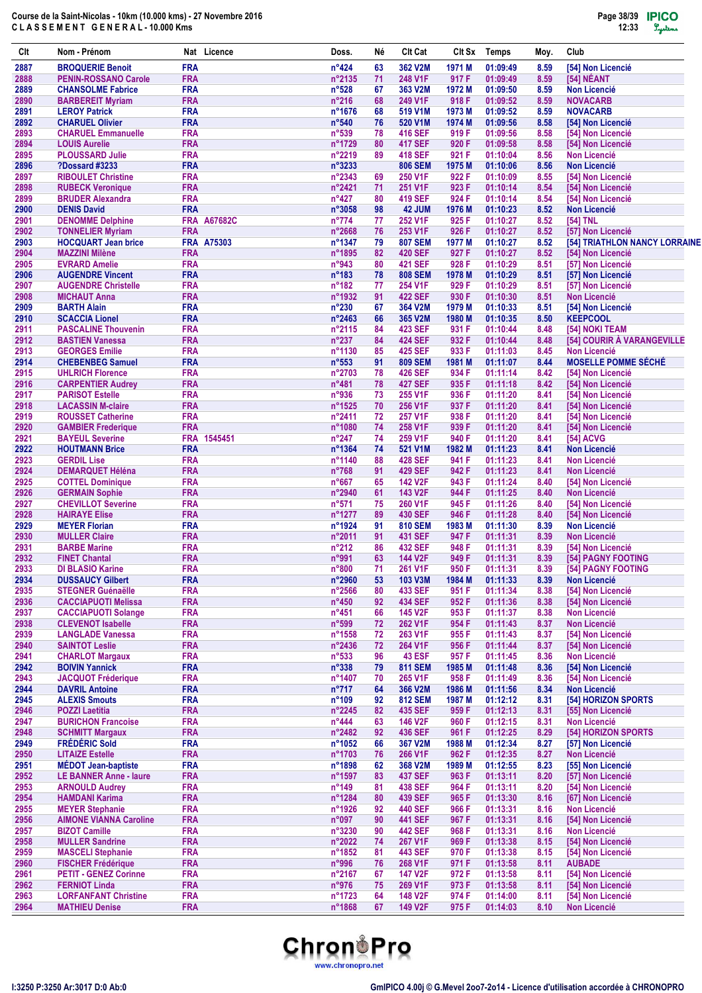| Clt          | Nom - Prénom                                             |                          | Nat Licence        | Doss.                      | Né       | <b>CIt Cat</b>                   | CIt Sx          | <b>Temps</b>         | Moy.         | Club                                               |
|--------------|----------------------------------------------------------|--------------------------|--------------------|----------------------------|----------|----------------------------------|-----------------|----------------------|--------------|----------------------------------------------------|
| 2887         | <b>BROQUERIE Benoit</b>                                  | <b>FRA</b>               |                    | $n^{\circ}424$             | 63       | 362 V2M                          | 1971 M          | 01:09:49             | 8.59         | [54] Non Licencié                                  |
| 2888         | <b>PENIN-ROSSANO Carole</b>                              | <b>FRA</b>               |                    | n°2135                     | 71       | 248 V1F                          | 917 F           | 01:09:49             | 8.59         | [54] NÉANT                                         |
| 2889         | <b>CHANSOLME Fabrice</b>                                 | <b>FRA</b><br><b>FRA</b> |                    | $n^{\circ}528$             | 67       | 363 V2M                          | 1972 M          | 01:09:50             | 8.59         | <b>Non Licencié</b>                                |
| 2890<br>2891 | <b>BARBEREIT Myriam</b><br><b>LEROY Patrick</b>          | <b>FRA</b>               |                    | $n^{\circ}216$<br>n°1676   | 68<br>68 | 249 V1F<br>519 V1M               | 918 F<br>1973 M | 01:09:52<br>01:09:52 | 8.59<br>8.59 | <b>NOVACARB</b><br><b>NOVACARB</b>                 |
| 2892         | <b>CHARUEL Olivier</b>                                   | <b>FRA</b>               |                    | $n^{\circ}540$             | 76       | 520 V1M                          | 1974 M          | 01:09:56             | 8.58         | [54] Non Licencié                                  |
| 2893         | <b>CHARUEL Emmanuelle</b>                                | <b>FRA</b>               |                    | $n^{\circ}539$             | 78       | <b>416 SEF</b>                   | 919 F           | 01:09:56             | 8.58         | [54] Non Licencié                                  |
| 2894         | <b>LOUIS Aurelie</b>                                     | <b>FRA</b>               |                    | n°1729                     | 80       | <b>417 SEF</b>                   | 920 F           | 01:09:58             | 8.58         | [54] Non Licencié                                  |
| 2895         | <b>PLOUSSARD Julie</b>                                   | <b>FRA</b>               |                    | $n^{\circ}2219$            | 89       | <b>418 SEF</b>                   | 921 F           | 01:10:04             | 8.56         | <b>Non Licencié</b>                                |
| 2896<br>2897 | <b>?Dossard #3233</b><br><b>RIBOULET Christine</b>       | <b>FRA</b><br><b>FRA</b> |                    | n°3233<br>$n^{\circ}$ 2343 | 69       | <b>806 SEM</b><br>250 V1F        | 1975 M<br>922 F | 01:10:06<br>01:10:09 | 8.56<br>8.55 | <b>Non Licencié</b><br>[54] Non Licencié           |
| 2898         | <b>RUBECK Veronique</b>                                  | <b>FRA</b>               |                    | $n^{\circ}$ 2421           | 71       | 251 V1F                          | 923 F           | 01:10:14             | 8.54         | [54] Non Licencié                                  |
| 2899         | <b>BRUDER Alexandra</b>                                  | <b>FRA</b>               |                    | $n^{\circ}427$             | 80       | <b>419 SEF</b>                   | 924 F           | 01:10:14             | 8.54         | [54] Non Licencié                                  |
| 2900         | <b>DENIS David</b>                                       | <b>FRA</b>               |                    | $n^{\circ}3058$            | 98       | 42 JUM                           | 1976 M          | 01:10:23             | 8.52         | <b>Non Licencié</b>                                |
| 2901         | <b>DENOMME Delphine</b>                                  |                          | <b>FRA A67682C</b> | $n^{\circ}774$             | 77       | 252 V1F                          | 925 F           | 01:10:27             | 8.52         | [54] TNL                                           |
| 2902<br>2903 | <b>TONNELIER Myriam</b><br><b>HOCQUART Jean brice</b>    | <b>FRA</b>               | <b>FRA A75303</b>  | n°2668<br>n°1347           | 76<br>79 | 253 V1F<br><b>807 SEM</b>        | 926 F<br>1977 M | 01:10:27<br>01:10:27 | 8.52<br>8.52 | [57] Non Licencié<br>[54] TRIATHLON NANCY LORRAINE |
| 2904         | <b>MAZZINI Milène</b>                                    | <b>FRA</b>               |                    | n°1895                     | 82       | <b>420 SEF</b>                   | 927 F           | 01:10:27             | 8.52         | [54] Non Licencié                                  |
| 2905         | <b>EVRARD Amelie</b>                                     | <b>FRA</b>               |                    | n°943                      | 80       | <b>421 SEF</b>                   | 928 F           | 01:10:29             | 8.51         | [57] Non Licencié                                  |
| 2906         | <b>AUGENDRE Vincent</b>                                  | <b>FRA</b>               |                    | $n^{\circ}183$             | 78       | <b>808 SEM</b>                   | 1978 M          | 01:10:29             | 8.51         | [57] Non Licencié                                  |
| 2907         | <b>AUGENDRE Christelle</b>                               | <b>FRA</b>               |                    | $n^{\circ}182$             | 77       | 254 V1F                          | 929 F           | 01:10:29             | 8.51         | [57] Non Licencié                                  |
| 2908<br>2909 | <b>MICHAUT Anna</b>                                      | <b>FRA</b><br><b>FRA</b> |                    | n°1932<br>$n^{\circ}230$   | 91       | <b>422 SEF</b><br>364 V2M        | 930 F<br>1979 M | 01:10:30<br>01:10:33 | 8.51<br>8.51 | <b>Non Licencié</b><br>[54] Non Licencié           |
| 2910         | <b>BARTH Alain</b><br><b>SCACCIA Lionel</b>              | <b>FRA</b>               |                    | $n^{\circ}$ 2463           | 67<br>66 | 365 V2M                          | 1980 M          | 01:10:35             | 8.50         | <b>KEEPCOOL</b>                                    |
| 2911         | <b>PASCALINE Thouvenin</b>                               | <b>FRA</b>               |                    | $n^{\circ}2115$            | 84       | <b>423 SEF</b>                   | 931 F           | 01:10:44             | 8.48         | [54] NOKI TEAM                                     |
| 2912         | <b>BASTIEN Vanessa</b>                                   | <b>FRA</b>               |                    | $n^{\circ}237$             | 84       | <b>424 SEF</b>                   | 932 F           | 01:10:44             | 8.48         | [54] COURIR À VARANGEVILLE                         |
| 2913         | <b>GEORGES Emilie</b>                                    | <b>FRA</b>               |                    | n°1130                     | 85       | <b>425 SEF</b>                   | 933 F           | 01:11:03             | 8.45         | <b>Non Licencié</b>                                |
| 2914         | <b>CHEBENBEG Samuel</b>                                  | <b>FRA</b>               |                    | $n^{\circ}553$             | 91       | <b>809 SEM</b>                   | 1981 M          | 01:11:07             | 8.44         | <b>MOSELLE POMME SÉCHÉ</b>                         |
| 2915<br>2916 | <b>UHLRICH Florence</b>                                  | <b>FRA</b><br><b>FRA</b> |                    | n°2703<br>$n^{\circ}481$   | 78<br>78 | <b>426 SEF</b><br><b>427 SEF</b> | 934 F<br>935 F  | 01:11:14             | 8.42<br>8.42 | [54] Non Licencié<br>[54] Non Licencié             |
| 2917         | <b>CARPENTIER Audrey</b><br><b>PARISOT Estelle</b>       | <b>FRA</b>               |                    | n°936                      | 73       | 255 V1F                          | 936 F           | 01:11:18<br>01:11:20 | 8.41         | [54] Non Licencié                                  |
| 2918         | <b>LACASSIN M-claire</b>                                 | <b>FRA</b>               |                    | n°1525                     | 70       | 256 V1F                          | 937 F           | 01:11:20             | 8.41         | [54] Non Licencié                                  |
| 2919         | <b>ROUSSET Catherine</b>                                 | <b>FRA</b>               |                    | $n^{\circ}$ 2411           | 72       | 257 V1F                          | 938 F           | 01:11:20             | 8.41         | [54] Non Licencié                                  |
| 2920         | <b>GAMBIER Frederique</b>                                | <b>FRA</b>               |                    | n°1080                     | 74       | 258 V1F                          | 939 F           | 01:11:20             | 8.41         | [54] Non Licencié                                  |
| 2921         | <b>BAYEUL Severine</b>                                   |                          | FRA 1545451        | $n^{\circ}247$             | 74       | 259 V1F                          | 940 F           | 01:11:20             | 8.41         | [54] ACVG                                          |
| 2922<br>2923 | <b>HOUTMANN Brice</b><br><b>GERDIL Lise</b>              | <b>FRA</b><br><b>FRA</b> |                    | n°1364<br>n°1140           | 74<br>88 | 521 V1M<br><b>428 SEF</b>        | 1982 M<br>941 F | 01:11:23<br>01:11:23 | 8.41<br>8.41 | <b>Non Licencié</b><br><b>Non Licencié</b>         |
| 2924         | <b>DEMARQUET Héléna</b>                                  | <b>FRA</b>               |                    | $n^{\circ}768$             | 91       | <b>429 SEF</b>                   | 942 F           | 01:11:23             | 8.41         | <b>Non Licencié</b>                                |
| 2925         | <b>COTTEL Dominique</b>                                  | <b>FRA</b>               |                    | $n^{\circ}667$             | 65       | 142 V2F                          | 943 F           | 01:11:24             | 8.40         | [54] Non Licencié                                  |
| 2926         | <b>GERMAIN Sophie</b>                                    | <b>FRA</b>               |                    | n°2940                     | 61       | 143 V2F                          | 944 F           | 01:11:25             | 8.40         | <b>Non Licencié</b>                                |
| 2927         | <b>CHEVILLOT Severine</b>                                | <b>FRA</b>               |                    | $n^{\circ}571$             | 75       | 260 V1F                          | 945 F           | 01:11:26             | 8.40         | [54] Non Licencié                                  |
| 2928         | <b>HAIRAYE Elise</b>                                     | <b>FRA</b>               |                    | n°1277                     | 89       | <b>430 SEF</b>                   | 946 F           | 01:11:28             | 8.40         | [54] Non Licencié                                  |
| 2929<br>2930 | <b>MEYER Florian</b><br><b>MULLER Claire</b>             | <b>FRA</b><br><b>FRA</b> |                    | n°1924<br>$n^{\circ}2011$  | 91<br>91 | <b>810 SEM</b><br><b>431 SEF</b> | 1983 M<br>947 F | 01:11:30<br>01:11:31 | 8.39<br>8.39 | <b>Non Licencié</b><br><b>Non Licencié</b>         |
| 2931         | <b>BARBE Marine</b>                                      | <b>FRA</b>               |                    | $n^{\circ}212$             | 86       | <b>432 SEF</b>                   | 948 F           | 01:11:31             | 8.39         | [54] Non Licencié                                  |
| 2932         | <b>FINET Chantal</b>                                     | <b>FRA</b>               |                    | n°991                      | 63       | 144 V2F                          | 949 F           | 01:11:31             | 8.39         | [54] PAGNY FOOTING                                 |
| 2933         | DI BLASIO Karine                                         | <b>FRA</b>               |                    | $n^{\circ}800$             | 71       | 261 V1F                          | 950 F           | 01:11:31             | 8.39         | [54] PAGNY FOOTING                                 |
| 2934         | <b>DUSSAUCY Gilbert</b>                                  | <b>FRA</b>               |                    | n°2960                     | 53       | 103 V3M                          | 1984 M          | 01:11:33             | 8.39         | <b>Non Licencié</b>                                |
| 2935<br>2936 | <b>STEGNER Guénaëlle</b>                                 | <b>FRA</b><br><b>FRA</b> |                    | n°2566<br>$n^{\circ}450$   | 80<br>92 | <b>433 SEF</b><br><b>434 SEF</b> | 951 F<br>952 F  | 01:11:34<br>01:11:36 | 8.38<br>8.38 | [54] Non Licencié<br>[54] Non Licencié             |
| 2937         | <b>CACCIAPUOTI Melissa</b><br><b>CACCIAPUOTI Solange</b> | <b>FRA</b>               |                    | $n^{\circ}451$             | 66       | 145 V2F                          | 953 F           | 01:11:37             | 8.38         | <b>Non Licencié</b>                                |
| 2938         | <b>CLEVENOT Isabelle</b>                                 | <b>FRA</b>               |                    | n°599                      | 72       | 262 V1F                          | 954 F           | 01:11:43             | 8.37         | Non Licencié                                       |
| 2939         | <b>LANGLADE Vanessa</b>                                  | <b>FRA</b>               |                    | n°1558                     | 72       | 263 V1F                          | 955 F           | 01:11:43             | 8.37         | [54] Non Licencié                                  |
| 2940         | <b>SAINTOT Leslie</b>                                    | <b>FRA</b>               |                    | $n^{\circ}$ 2436           | 72       | 264 V1F                          | 956 F           | 01:11:44             | 8.37         | [54] Non Licencié                                  |
| 2941         | <b>CHARLOT Margaux</b>                                   | <b>FRA</b>               |                    | $n^{\circ}533$             | 96       | <b>43 ESF</b>                    | 957 F           | 01:11:45             | 8.36         | <b>Non Licencié</b>                                |
| 2942<br>2943 | <b>BOIVIN Yannick</b><br><b>JACQUOT Fréderique</b>       | <b>FRA</b><br><b>FRA</b> |                    | $n^{\circ}338$<br>n°1407   | 79<br>70 | <b>811 SEM</b><br>265 V1F        | 1985 M<br>958 F | 01:11:48<br>01:11:49 | 8.36<br>8.36 | [54] Non Licencié<br>[54] Non Licencié             |
| 2944         | <b>DAVRIL Antoine</b>                                    | <b>FRA</b>               |                    | $n^{\circ}717$             | 64       | 366 V2M                          | 1986 M          | 01:11:56             | 8.34         | <b>Non Licencié</b>                                |
| 2945         | <b>ALEXIS Smouts</b>                                     | <b>FRA</b>               |                    | $n^{\circ}109$             | 92       | <b>812 SEM</b>                   | 1987 M          | 01:12:12             | 8.31         | [54] HORIZON SPORTS                                |
| 2946         | <b>POZZI Laetitia</b>                                    | <b>FRA</b>               |                    | $n^{\circ}$ 2245           | 82       | <b>435 SEF</b>                   | 959 F           | 01:12:13             | 8.31         | [55] Non Licencié                                  |
| 2947         | <b>BURICHON Francoise</b>                                | <b>FRA</b>               |                    | $n^{\circ}444$             | 63       | 146 V2F                          | 960 F           | 01:12:15             | 8.31         | <b>Non Licencié</b>                                |
| 2948<br>2949 | <b>SCHMITT Margaux</b><br><b>FRÉDÉRIC Sold</b>           | <b>FRA</b><br><b>FRA</b> |                    | n°2482<br>$n^{\circ}1052$  | 92<br>66 | <b>436 SEF</b><br>367 V2M        | 961 F<br>1988 M | 01:12:25<br>01:12:34 | 8.29<br>8.27 | [54] HORIZON SPORTS<br>[57] Non Licencié           |
| 2950         | <b>LITAIZE Estelle</b>                                   | <b>FRA</b>               |                    | n°1703                     | 76       | 266 V1F                          | 962 F           | 01:12:35             | 8.27         | <b>Non Licencié</b>                                |
| 2951         | <b>MÉDOT Jean-baptiste</b>                               | <b>FRA</b>               |                    | n°1898                     | 62       | 368 V2M                          | 1989 M          | 01:12:55             | 8.23         | [55] Non Licencié                                  |
| 2952         | LE BANNER Anne - laure                                   | <b>FRA</b>               |                    | n°1597                     | 83       | <b>437 SEF</b>                   | 963 F           | 01:13:11             | 8.20         | [57] Non Licencié                                  |
| 2953         | <b>ARNOULD Audrey</b>                                    | <b>FRA</b>               |                    | $n^{\circ}$ 149            | 81       | <b>438 SEF</b>                   | 964 F           | 01:13:11             | 8.20         | [54] Non Licencié                                  |
| 2954         | <b>HAMDANI Karima</b>                                    | <b>FRA</b>               |                    | n°1284                     | 80       | 439 SEF                          | 965 F           | 01:13:30             | 8.16         | [67] Non Licencié                                  |
| 2955<br>2956 | <b>MEYER Stephanie</b><br><b>AIMONE VIANNA Caroline</b>  | <b>FRA</b><br><b>FRA</b> |                    | n°1926<br>n°097            | 92<br>90 | <b>440 SEF</b><br><b>441 SEF</b> | 966 F<br>967 F  | 01:13:31<br>01:13:31 | 8.16<br>8.16 | <b>Non Licencié</b><br>[54] Non Licencié           |
| 2957         | <b>BIZOT Camille</b>                                     | <b>FRA</b>               |                    | n°3230                     | 90       | <b>442 SEF</b>                   | 968 F           | 01:13:31             | 8.16         | <b>Non Licencié</b>                                |
| 2958         | <b>MULLER Sandrine</b>                                   | <b>FRA</b>               |                    | n°2022                     | 74       | 267 V1F                          | 969 F           | 01:13:38             | 8.15         | [54] Non Licencié                                  |
| 2959         | <b>MASCELI Stephanie</b>                                 | <b>FRA</b>               |                    | n°1852                     | 81       | <b>443 SEF</b>                   | 970 F           | 01:13:38             | 8.15         | [54] Non Licencié                                  |
| 2960         | <b>FISCHER Frédérique</b>                                | <b>FRA</b>               |                    | n°996                      | 76       | 268 V1F                          | 971 F           | 01:13:58             | 8.11         | <b>AUBADE</b>                                      |
| 2961         | <b>PETIT - GENEZ Corinne</b>                             | <b>FRA</b>               |                    | n°2167                     | 67       | <b>147 V2F</b>                   | 972 F           | 01:13:58             | 8.11         | [54] Non Licencié                                  |
| 2962         | <b>FERNIOT Linda</b>                                     | <b>FRA</b>               |                    | n°976                      | 75       | 269 V1F                          | 973 F           | 01:13:58             | 8.11         | [54] Non Licencié                                  |
| 2963<br>2964 | <b>LORFANFANT Christine</b><br><b>MATHIEU Denise</b>     | <b>FRA</b><br><b>FRA</b> |                    | n°1723<br>n°1868           | 64<br>67 | 148 V2F<br>149 V2F               | 974 F<br>975 F  | 01:14:00<br>01:14:03 | 8.11<br>8.10 | [54] Non Licencié<br>Non Licencié                  |
|              |                                                          |                          |                    |                            |          |                                  |                 |                      |              |                                                    |